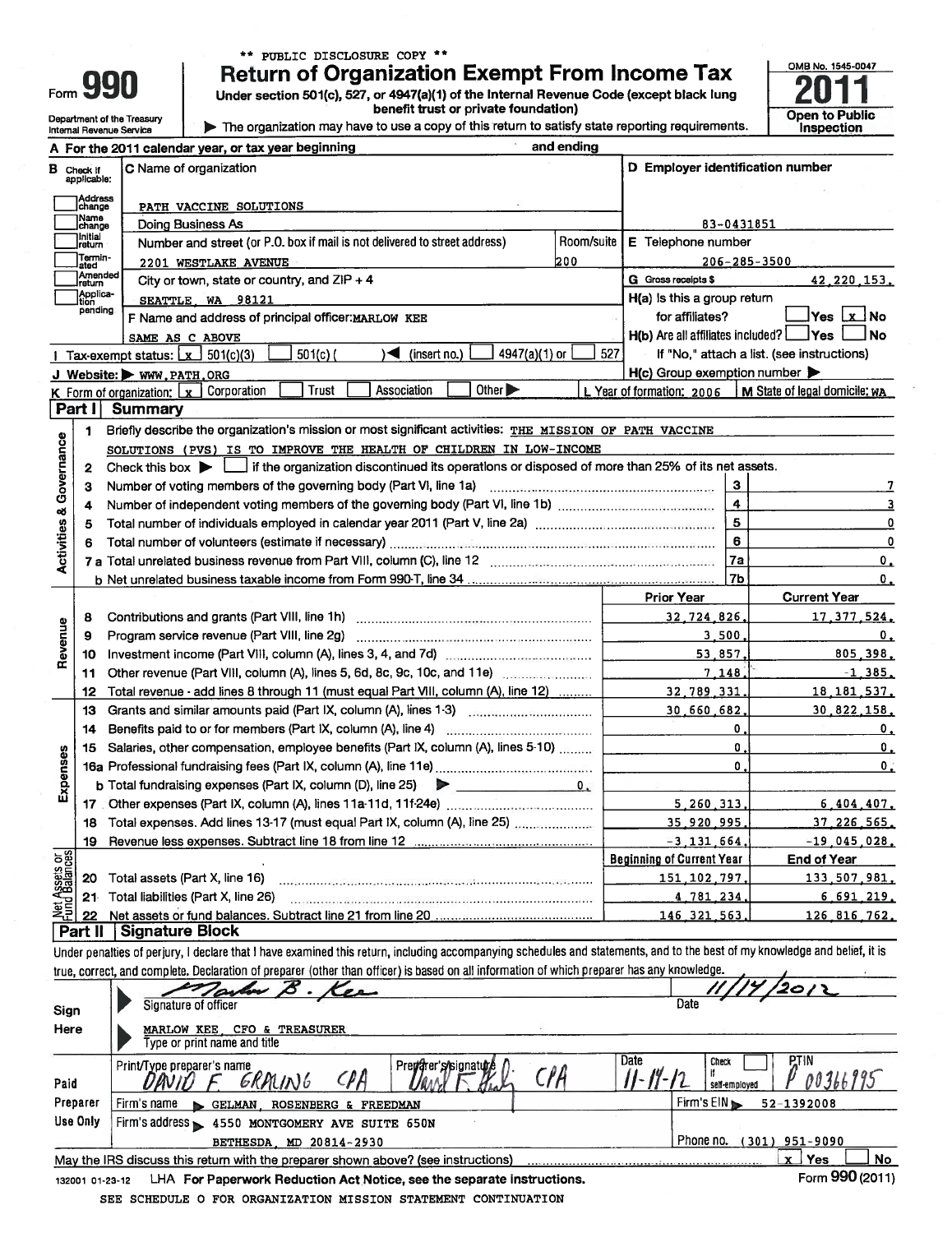|          | runu                |
|----------|---------------------|
| Form 990 | <b>Return</b>       |
|          | <b>Under sectio</b> |

Department of the Treasury<br>Internal Revenue Service

\*\* PUBLIC DISCLOSURE COPY \*\*

Return of Organization Exempt From Income Tax<br>Under section 501(c), 527, or 4947(a)(1) of the Internal Revenue Code (except black lung<br>benefit trust or private foundation)

The organization may have to use a copy of this return to satisfy state reporting requirements.

| OMB No. 1545-0047            |  |
|------------------------------|--|
|                              |  |
|                              |  |
|                              |  |
| Open to Public<br>Inspection |  |
|                              |  |
|                              |  |

|                                                                             |                                  | A For the 2011 calendar year, or tax year beginning                                                                                                                        | and ending |                                                       |                                                           |
|-----------------------------------------------------------------------------|----------------------------------|----------------------------------------------------------------------------------------------------------------------------------------------------------------------------|------------|-------------------------------------------------------|-----------------------------------------------------------|
|                                                                             | <b>B</b> Check If<br>applicable: | C Name of organization                                                                                                                                                     |            | D Employer identification number                      |                                                           |
|                                                                             | Address<br>change                | PATH VACCINE SOLUTIONS                                                                                                                                                     |            |                                                       |                                                           |
|                                                                             | Name<br>change                   | Doing Business As                                                                                                                                                          |            |                                                       | 83-0431851                                                |
|                                                                             | ]initial<br>]return              | Number and street (or P.O. box if mail is not delivered to street address)                                                                                                 | Room/suite | E Telephone number                                    |                                                           |
|                                                                             | Termin-<br>ated                  | 2201 WESTLAKE AVENUE                                                                                                                                                       | 200        |                                                       | $206 - 285 - 3500$                                        |
|                                                                             | Amended<br>Ireturn               | City or town, state or country, and $ZIP + 4$                                                                                                                              |            | <b>G</b> Gross receipts \$                            | 42.220.153.                                               |
|                                                                             | Applica-<br>Ition                | SEATTLE, WA 98121                                                                                                                                                          |            | H(a) is this a group return                           |                                                           |
|                                                                             | pending                          | F Name and address of principal officer: MARLOW KEE                                                                                                                        |            | for affiliates?                                       |                                                           |
|                                                                             |                                  | SAME AS C ABOVE                                                                                                                                                            |            | $H(b)$ Are all affiliates included? $\Box$ Yes $\Box$ | ⊿No                                                       |
|                                                                             |                                  | $\blacktriangleleft$ (insert no.)<br>4947(a)(1) or<br>Tax-exempt status: $\boxed{x}$ 501(c)(3)<br>$501(c)$ (                                                               | 527        |                                                       | If "No," attach a list. (see instructions)                |
|                                                                             |                                  | J Website: WWW.PATH.ORG                                                                                                                                                    |            | $H(c)$ Group exemption number $\blacktriangleright$   |                                                           |
|                                                                             |                                  | Association<br>Other $\blacktriangleright$<br>Trust<br>Corporation<br><b>K</b> Form of organization: $\mathbf{x}$                                                          |            |                                                       | L Year of formation: 2006   M State of legal domicile: WA |
|                                                                             | Part I                           | <b>Summary</b>                                                                                                                                                             |            |                                                       |                                                           |
|                                                                             | 1                                | Briefly describe the organization's mission or most significant activities: THE MISSION OF PATH VACCINE                                                                    |            |                                                       |                                                           |
| Governance                                                                  |                                  | SOLUTIONS (PVS) IS TO IMPROVE THE HEALTH OF CHILDREN IN LOW-INCOME                                                                                                         |            |                                                       |                                                           |
|                                                                             | $\mathbf{2}$                     | Check this box $\blacktriangleright$ $\Box$ if the organization discontinued its operations or disposed of more than 25% of its net assets.                                |            |                                                       |                                                           |
|                                                                             | з                                |                                                                                                                                                                            |            |                                                       | з                                                         |
|                                                                             | 4                                |                                                                                                                                                                            |            |                                                       | $\ddot{a}$                                                |
|                                                                             | 5                                | Total number of individuals employed in calendar year 2011 (Part V, line 2a) manufactured in the calendary of                                                              |            | $\overline{\mathbf{5}}$                               |                                                           |
|                                                                             | 6                                |                                                                                                                                                                            |            | $\epsilon$                                            |                                                           |
| <b>Activities &amp;</b>                                                     |                                  |                                                                                                                                                                            |            | 7a                                                    | 0.                                                        |
|                                                                             |                                  |                                                                                                                                                                            |            |                                                       | 7b<br>0,                                                  |
|                                                                             |                                  |                                                                                                                                                                            |            | <b>Prior Year</b>                                     | <b>Current Year</b>                                       |
|                                                                             | 8                                |                                                                                                                                                                            |            | 32,724,826,                                           | 17.377.524.                                               |
| Revenue                                                                     | 9                                |                                                                                                                                                                            |            | 3,500,                                                | $\mathbf 0$ ,                                             |
|                                                                             | 10                               |                                                                                                                                                                            |            | 53.857.                                               | 805,398                                                   |
|                                                                             | 11                               | Other revenue (Part VIII, column (A), lines 5, 6d, 8c, 9c, 10c, and 11e)                                                                                                   |            | 7,148                                                 | $-1, 385$                                                 |
|                                                                             | 12                               | Total revenue - add lines 8 through 11 (must equal Part VIII, column (A), line 12)                                                                                         |            | 32, 789, 331.                                         | 18, 181, 537                                              |
|                                                                             | 13                               | Grants and similar amounts paid (Part IX, column (A), lines 1-3)                                                                                                           |            | 30,660,682,                                           | 30,822,158                                                |
|                                                                             | 14                               |                                                                                                                                                                            |            |                                                       | 0.<br>$\mathbf 0$ .                                       |
|                                                                             | 15                               | Salaries, other compensation, employee benefits (Part IX, column (A), lines 5-10)                                                                                          |            |                                                       | $\mathbf{0}$ .<br>$\mathbf 0$                             |
| Expenses                                                                    |                                  |                                                                                                                                                                            |            |                                                       | $\mathbf{0}$ .<br>0                                       |
|                                                                             |                                  | b Total fundraising expenses (Part IX, column (D), line $25$ )                                                                                                             | 0.         |                                                       |                                                           |
|                                                                             |                                  |                                                                                                                                                                            |            | 5, 260, 313,                                          | 6,404,407                                                 |
|                                                                             |                                  | 18 Total expenses. Add lines 13-17 (must equal Part IX, column (A), line 25)                                                                                               |            | 35.920.995.                                           | 37.226.565                                                |
|                                                                             |                                  | 19 Revenue less expenses. Subtract line 18 from line 12                                                                                                                    |            | $= 3, 131, 664.$                                      | $-19,045,028$                                             |
|                                                                             |                                  |                                                                                                                                                                            |            | <b>Beginning of Current Year</b>                      | End of Year                                               |
| Net Assets or<br>Fund Balances                                              | 20                               | Total assets (Part X, line 16)                                                                                                                                             |            | 151 102 797                                           | 133,507,981                                               |
|                                                                             | $21 -$                           | Total liabilities (Part X, line 26)                                                                                                                                        |            | 4 781 234                                             | 6,691,219                                                 |
|                                                                             | 22                               |                                                                                                                                                                            |            | 146.321.563                                           | 126 816 762                                               |
|                                                                             | Part II                          | <b>Signature Block</b>                                                                                                                                                     |            |                                                       |                                                           |
|                                                                             |                                  | Under penalties of perjury, I declare that I have examined this return, including accompanying schedules and statements, and to the best of my knowledge and belief, it is |            |                                                       |                                                           |
|                                                                             |                                  | true, correct, and complete. Declaration of preparer (other than officer) is based on all information of which preparer has any knowledge.                                 |            |                                                       |                                                           |
|                                                                             |                                  | Triber B.                                                                                                                                                                  |            |                                                       |                                                           |
|                                                                             |                                  | Signature of officer                                                                                                                                                       |            | Date                                                  |                                                           |
| Sign<br>MARLOW KEE, CFO & TREASURER<br>Here<br>Type or print name and title |                                  |                                                                                                                                                                            |            |                                                       |                                                           |
|                                                                             |                                  |                                                                                                                                                                            |            |                                                       |                                                           |
|                                                                             |                                  | Predarer's signature<br>Print/Type preparer's name                                                                                                                         |            | Date<br><b>Check</b>                                  | <b>PTIN</b>                                               |
| Paid                                                                        |                                  | CPA<br>GRALING<br>CPA                                                                                                                                                      |            | $H$ -<br>self-employed                                | 00366995                                                  |
|                                                                             | Preparer                         | Firm's name                                                                                                                                                                |            | Firm's $E1N$                                          | 52-1392008                                                |
|                                                                             | <b>Use Only</b>                  | GELMAN, ROSENBERG & FREEDMAN                                                                                                                                               |            |                                                       |                                                           |
|                                                                             |                                  | Firm's address > 4550 MONTGOMERY AVE SUITE 650N                                                                                                                            |            |                                                       | Phone no. (301) 951-9090                                  |
|                                                                             |                                  | BETHESDA, MD 20814-2930<br>May the IRS discuss this return with the preparer shown above? (see instructions)                                                               |            |                                                       | <u>x Yes</u><br><u>No</u>                                 |
|                                                                             |                                  |                                                                                                                                                                            |            |                                                       |                                                           |

LHA For Paperwork Reduction Act Notice, see the separate instructions. 132001 01-23-12 SEE SCHEDULE O FOR ORGANIZATION MISSION STATEMENT CONTINUATION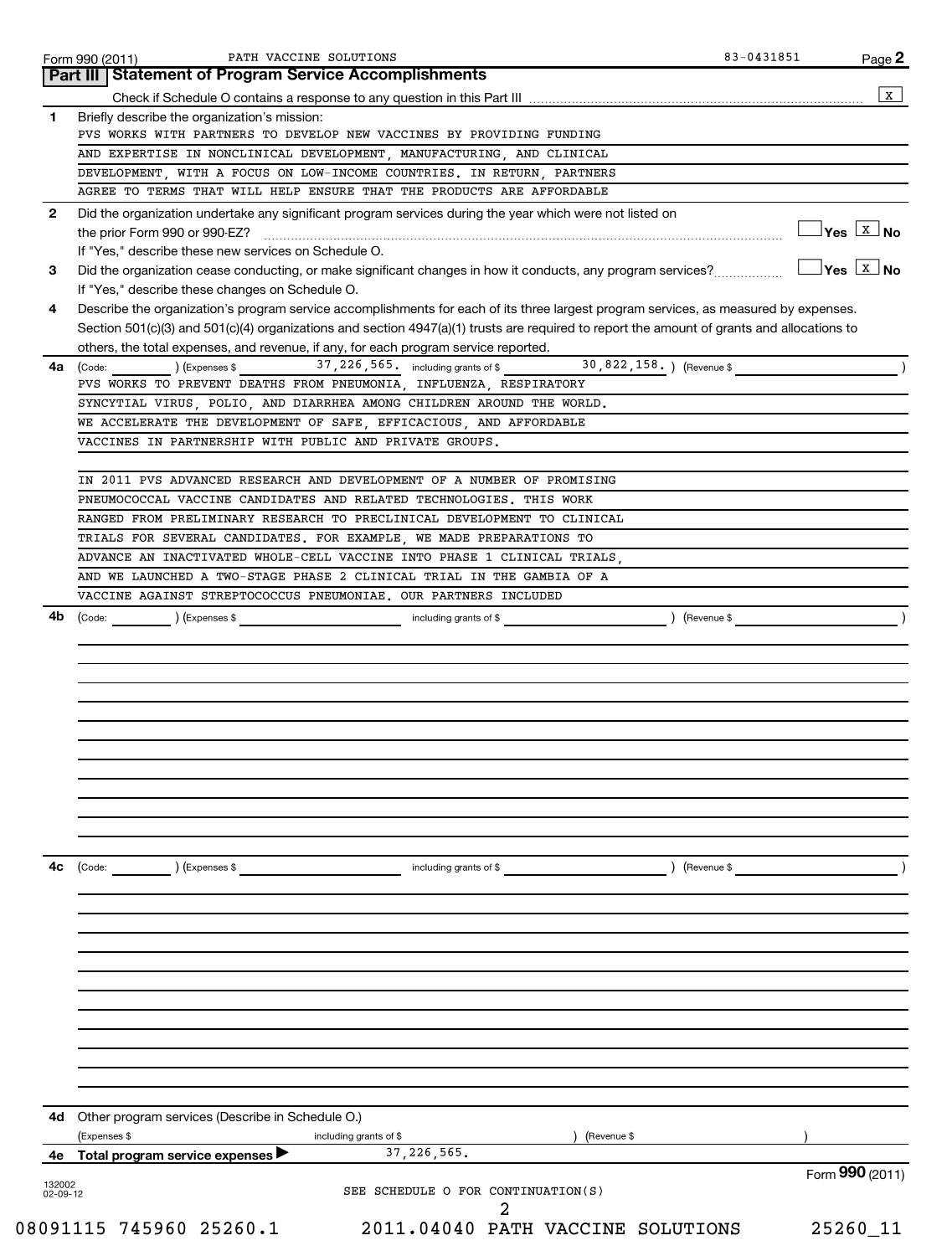|                          | Form 990 (2011)<br><b>Part III   Statement of Program Service Accomplishments</b>                                                                                                                                                                                                  | Page 2                              |
|--------------------------|------------------------------------------------------------------------------------------------------------------------------------------------------------------------------------------------------------------------------------------------------------------------------------|-------------------------------------|
|                          |                                                                                                                                                                                                                                                                                    |                                     |
| 1                        | Briefly describe the organization's mission:                                                                                                                                                                                                                                       |                                     |
|                          | PVS WORKS WITH PARTNERS TO DEVELOP NEW VACCINES BY PROVIDING FUNDING                                                                                                                                                                                                               |                                     |
|                          | AND EXPERTISE IN NONCLINICAL DEVELOPMENT, MANUFACTURING, AND CLINICAL                                                                                                                                                                                                              |                                     |
|                          | DEVELOPMENT, WITH A FOCUS ON LOW-INCOME COUNTRIES. IN RETURN, PARTNERS                                                                                                                                                                                                             |                                     |
|                          | AGREE TO TERMS THAT WILL HELP ENSURE THAT THE PRODUCTS ARE AFFORDABLE                                                                                                                                                                                                              |                                     |
| 2                        | Did the organization undertake any significant program services during the year which were not listed on                                                                                                                                                                           | $\exists$ Yes $\boxed{\text{x}}$ No |
|                          | If "Yes," describe these new services on Schedule O.                                                                                                                                                                                                                               |                                     |
| 3                        | Did the organization cease conducting, or make significant changes in how it conducts, any program services?<br>If "Yes," describe these changes on Schedule O.                                                                                                                    | $Yes$ $\boxed{X}$ No                |
| 4                        | Describe the organization's program service accomplishments for each of its three largest program services, as measured by expenses.<br>Section 501(c)(3) and 501(c)(4) organizations and section 4947(a)(1) trusts are required to report the amount of grants and allocations to |                                     |
|                          | others, the total expenses, and revenue, if any, for each program service reported.                                                                                                                                                                                                |                                     |
| 4a                       | 30,822,158.) (Revenue \$<br>37, 226, 565. including grants of \$<br>(Code: ) (Expenses \$<br>PVS WORKS TO PREVENT DEATHS FROM PNEUMONIA, INFLUENZA, RESPIRATORY                                                                                                                    |                                     |
|                          | SYNCYTIAL VIRUS, POLIO, AND DIARRHEA AMONG CHILDREN AROUND THE WORLD.                                                                                                                                                                                                              |                                     |
|                          | WE ACCELERATE THE DEVELOPMENT OF SAFE, EFFICACIOUS, AND AFFORDABLE                                                                                                                                                                                                                 |                                     |
|                          | VACCINES IN PARTNERSHIP WITH PUBLIC AND PRIVATE GROUPS.                                                                                                                                                                                                                            |                                     |
|                          |                                                                                                                                                                                                                                                                                    |                                     |
|                          | IN 2011 PVS ADVANCED RESEARCH AND DEVELOPMENT OF A NUMBER OF PROMISING                                                                                                                                                                                                             |                                     |
|                          | PNEUMOCOCCAL VACCINE CANDIDATES AND RELATED TECHNOLOGIES. THIS WORK                                                                                                                                                                                                                |                                     |
|                          | RANGED FROM PRELIMINARY RESEARCH TO PRECLINICAL DEVELOPMENT TO CLINICAL                                                                                                                                                                                                            |                                     |
|                          | TRIALS FOR SEVERAL CANDIDATES. FOR EXAMPLE, WE MADE PREPARATIONS TO                                                                                                                                                                                                                |                                     |
|                          | ADVANCE AN INACTIVATED WHOLE-CELL VACCINE INTO PHASE 1 CLINICAL TRIALS,                                                                                                                                                                                                            |                                     |
|                          | AND WE LAUNCHED A TWO-STAGE PHASE 2 CLINICAL TRIAL IN THE GAMBIA OF A                                                                                                                                                                                                              |                                     |
|                          | VACCINE AGAINST STREPTOCOCCUS PNEUMONIAE. OUR PARTNERS INCLUDED                                                                                                                                                                                                                    |                                     |
|                          |                                                                                                                                                                                                                                                                                    |                                     |
|                          |                                                                                                                                                                                                                                                                                    |                                     |
|                          |                                                                                                                                                                                                                                                                                    |                                     |
|                          |                                                                                                                                                                                                                                                                                    |                                     |
|                          |                                                                                                                                                                                                                                                                                    |                                     |
| 4с                       | (Code:<br>including grants of \$<br>) (Revenue \$<br>) (Expenses \$                                                                                                                                                                                                                |                                     |
|                          |                                                                                                                                                                                                                                                                                    |                                     |
|                          |                                                                                                                                                                                                                                                                                    |                                     |
|                          |                                                                                                                                                                                                                                                                                    |                                     |
|                          |                                                                                                                                                                                                                                                                                    |                                     |
|                          |                                                                                                                                                                                                                                                                                    |                                     |
| 4d                       | Other program services (Describe in Schedule O.)                                                                                                                                                                                                                                   |                                     |
|                          | (Expenses \$<br>including grants of \$<br>(Revenue \$<br>37, 226, 565.                                                                                                                                                                                                             |                                     |
|                          | 4e Total program service expenses                                                                                                                                                                                                                                                  | Form 990 (2011)                     |
| 132002<br>$02 - 09 - 12$ | SEE SCHEDULE O FOR CONTINUATION(S)<br>2                                                                                                                                                                                                                                            |                                     |
|                          | 08091115 745960 25260.1<br>2011.04040 PATH VACCINE SOLUTIONS                                                                                                                                                                                                                       | 25260_11                            |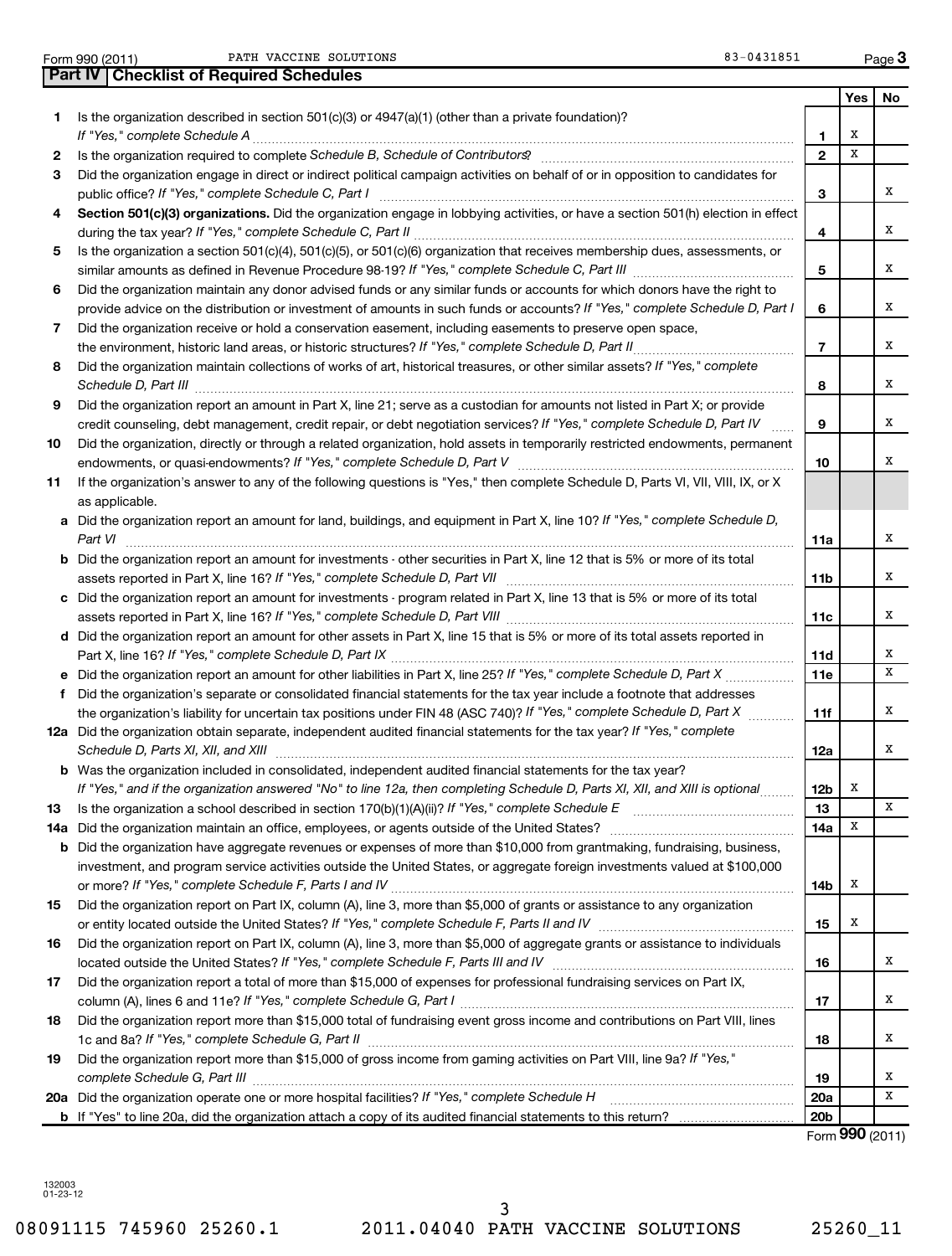|   | PATH VACCINE SOLUTIONS<br>Form 990 (2011)                                                                                       | 83-0431851 |     | Page $3$ |
|---|---------------------------------------------------------------------------------------------------------------------------------|------------|-----|----------|
|   | <b>Part IV   Checklist of Required Schedules</b>                                                                                |            |     |          |
|   |                                                                                                                                 |            | res |          |
|   | Is the organization described in section 501(c)(3) or $4947(a)(1)$ (other than a private foundation)?                           |            |     |          |
|   | If "Yes," complete Schedule A                                                                                                   |            |     |          |
|   | Is the organization required to complete Schedule B, Schedule of Contributors?                                                  |            |     |          |
| з | Did the organization engage in direct or indirect political campaign activities on behalf of or in opposition to candidates for |            |     |          |
|   | public office? If "Yes," complete Schedule C, Part I                                                                            |            |     |          |
|   | Oration FAILMON concertainties. District concertainty concerts to take the contribution of a catter FAILM classes to affect     |            |     |          |

| 4 Section 501(c)(3) organizations. Did the organization engage in lobbying activities, or have a section 501(h) election in effect |
|------------------------------------------------------------------------------------------------------------------------------------|
| during the tax year? If "Yes," complete Schedule C, Part II                                                                        |

| 5 Is the organization a section 501(c)(4), 501(c)(5), or 501(c)(6) organization that receives membership dues, assessments, or |
|--------------------------------------------------------------------------------------------------------------------------------|
| similar amounts as defined in Revenue Procedure 98-19? If "Yes," complete Schedule C, Part III                                 |

**6** *If "Yes," complete Schedule D, Part I* provide advice on the distribution or investment of amounts in such funds or accounts? Did the organization maintain any donor advised funds or any similar funds or accounts for which donors have the right to

| Did the organization receive or hold a conservation easement, including easements to preserve open space,                      |
|--------------------------------------------------------------------------------------------------------------------------------|
| the environment, historic land areas, or historic structures? If "Yes," complete Schedule D, Part II                           |
| 8 Did the organization maintain collections of works of art, historical treasures, or other similar assets? If "Yes," complete |

| Schedule D, Part III                                                                                                          |   |
|-------------------------------------------------------------------------------------------------------------------------------|---|
| 9 Did the organization report an amount in Part X, line 21; serve as a custodian for amounts not listed in Part X; or provide |   |
| credit counseling, debt management, credit repair, or debt negotiation services? If "Yes," complete Schedule D, Part IV       | . |
|                                                                                                                               |   |

**10** *If "Yes," complete Schedule D, Part V* endowments, or quasi-endowments? ~~~~~~~~~~~~~~~~~~~~~~~~ Did the organization, directly or through a related organization, hold assets in temporarily restricted endowments, permanent

| If the organization's answer to any of the following questions is "Yes," then complete Schedule D, Parts VI, VII, VIII, IX, or X |
|----------------------------------------------------------------------------------------------------------------------------------|
| as applicable.                                                                                                                   |
| a Did the organization report an amount for land, buildings, and equipment in Part X, line 10? If "Yes," complete Schedule D,    |

| a Did the organization report an amount for land, buildings, and equipment in Part X, line 10? If "Yes," complete Schedule D,        |
|--------------------------------------------------------------------------------------------------------------------------------------|
| Part VI                                                                                                                              |
| <b>b</b> Did the organization report an amount for investments - other securities in Part X, line 12 that is 5% or more of its total |

**c** Did the organization report an amount for investments - program related in Part X, line 13 that is 5% or more of its total assets reported in Part X, line 16? If "Yes," complete Schedule D, Part VII <sub>…………………………………………………………</sub>

**d** Did the organization report an amount for other assets in Part X, line 15 that is 5% or more of its total assets reported in assets reported in Part X, line 16? If "Yes," complete Schedule D, Part VIII <sub>…………………………………………………………</sub>……

**e** Did the organization report an amount for other liabilities in Part X, line 25? If "Yes," complete Schedule D, Part X *If "Yes," complete Schedule D, Part IX* Part X, line 16? ~~~~~~~~~~~~~~~~~~~~~~~~~~~~~~~~~~~ ~~~~~~

| Did the organization's separate or consolidated financial statements for the tax year include a footnote that addresses |
|-------------------------------------------------------------------------------------------------------------------------|
| the organization's liability for uncertain tax positions under FIN 48 (ASC 740)? If "Yes," complete Schedule D, Part X  |
| 12a Did the organization obtain separate, independent audited financial statements for the tax year? If "Yes," complete |

|                                     |  | the contract of the contract of the contract of the contract of the contract of the contract of the contract of    |  |
|-------------------------------------|--|--------------------------------------------------------------------------------------------------------------------|--|
| Schedule D, Parts XI, XII, and XIII |  |                                                                                                                    |  |
|                                     |  | <b>b</b> Was the organization included in consolidated, independent audited financial statements for the tax year? |  |
|                                     |  |                                                                                                                    |  |

| If "Yes," and if the organization answered "No" to line 12a, then completing Schedule D, Parts XI, XII, and XIII is optional |  |
|------------------------------------------------------------------------------------------------------------------------------|--|
| 13 Is the organization a school described in section $170(b)(1)(A)(ii)$ ? If "Yes," complete Schedule E                      |  |

|    | 14a Did the organization maintain an office, employees, or agents outside of the United States?                                  | 14a |
|----|----------------------------------------------------------------------------------------------------------------------------------|-----|
|    | <b>b</b> Did the organization have aggregate revenues or expenses of more than \$10,000 from grantmaking, fundraising, business, |     |
|    | investment, and program service activities outside the United States, or aggregate foreign investments valued at \$100,000       |     |
|    | or more? If "Yes," complete Schedule F, Parts I and IV                                                                           | 14b |
| 15 | Did the organization report on Part IX, column (A), line 3, more than \$5,000 of grants or assistance to any organization        |     |
|    | or entity located outside the United States? If "Yes," complete Schedule F, Parts II and IV                                      | 15  |
| 16 | Did the organization report on Part IX, column (A), line 3, more than \$5,000 of aggregate grants or assistance to individuals   |     |
|    | located outside the United States? If "Yes," complete Schedule F, Parts III and IV                                               | 16  |
| 17 | Did the organization report a total of more than \$15,000 of expenses for professional fundraising services on Part IX,          |     |
|    | column (A), lines 6 and 11e? If "Yes," complete Schedule G, Part I                                                               |     |
| 18 | Did the organization report more than \$15,000 total of fundraising event gross income and contributions on Part VIII, lines     |     |
|    | 1c and 8a? If "Yes," complete Schedule G, Part II                                                                                |     |

### **19** Did the organization report more than \$15,000 of gross income from gaming activities on Part VIII, line 9a? If "Yes," *complete Schedule G, Part III* ~~~~~~~~~~~~~~~~~~~~~~~~~~~~~~~~~~~~~~~~~~~~~~~

| 20a Did the organization operate one or more hospital facilities? If "Yes," complete Schedule H                |  |
|----------------------------------------------------------------------------------------------------------------|--|
| b If "Yes" to line 20a, did the organization attach a copy of its audited financial statements to this return? |  |

Form (2011) **990**

**19 20a 20b**

132003 01-23-12

**4**

**5**

**6**

**7**

**8**

**9**

**10**

**11a**

**11b**

**11c**

**11d 11e**

**11f**

~~~~

**12a**

**12b 13** X

X

X

X

X

X

X

X

X

X

X

X

X

X

X X

X

X

X

X

X

X

X X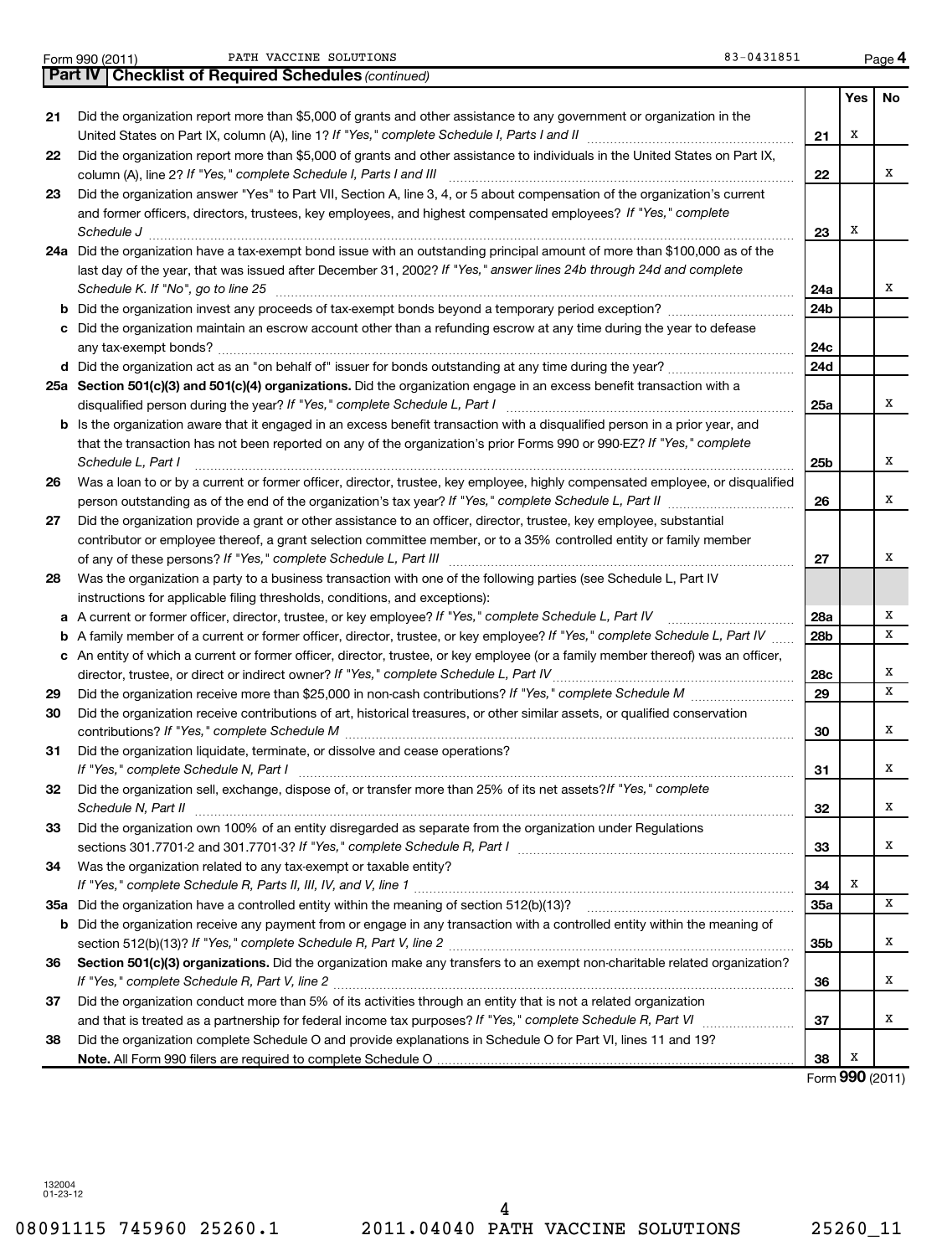Form 990 (2011) PATH VACCINE SOLUTIONS (83-0431851 Page

|    | Part IV   Checklist of Required Schedules (continued)                                                                               |                 |     |        |
|----|-------------------------------------------------------------------------------------------------------------------------------------|-----------------|-----|--------|
|    |                                                                                                                                     |                 | Yes | No     |
| 21 | Did the organization report more than \$5,000 of grants and other assistance to any government or organization in the               |                 |     |        |
|    |                                                                                                                                     | 21              | х   |        |
| 22 | Did the organization report more than \$5,000 of grants and other assistance to individuals in the United States on Part IX,        |                 |     |        |
|    | column (A), line 2? If "Yes," complete Schedule I, Parts I and III                                                                  | 22              |     | х      |
| 23 | Did the organization answer "Yes" to Part VII, Section A, line 3, 4, or 5 about compensation of the organization's current          |                 |     |        |
|    | and former officers, directors, trustees, key employees, and highest compensated employees? If "Yes," complete                      |                 |     |        |
|    | Schedule J <b>Executive Construction Construction Construction Construction Construction</b>                                        | 23              | х   |        |
|    | 24a Did the organization have a tax-exempt bond issue with an outstanding principal amount of more than \$100,000 as of the         |                 |     |        |
|    | last day of the year, that was issued after December 31, 2002? If "Yes," answer lines 24b through 24d and complete                  |                 |     |        |
|    | Schedule K. If "No", go to line 25                                                                                                  | 24a             |     | x      |
| b  |                                                                                                                                     | 24 <sub>b</sub> |     |        |
|    | Did the organization maintain an escrow account other than a refunding escrow at any time during the year to defease                |                 |     |        |
|    |                                                                                                                                     | 24с             |     |        |
|    |                                                                                                                                     | 24d             |     |        |
|    | 25a Section 501(c)(3) and 501(c)(4) organizations. Did the organization engage in an excess benefit transaction with a              |                 |     |        |
|    |                                                                                                                                     | 25a             |     | x      |
|    | <b>b</b> Is the organization aware that it engaged in an excess benefit transaction with a disqualified person in a prior year, and |                 |     |        |
|    | that the transaction has not been reported on any of the organization's prior Forms 990 or 990-EZ? If "Yes," complete               |                 |     |        |
|    | Schedule L, Part I                                                                                                                  | 25b             |     | x      |
| 26 | Was a loan to or by a current or former officer, director, trustee, key employee, highly compensated employee, or disqualified      |                 |     |        |
|    | person outstanding as of the end of the organization's tax year? If "Yes," complete Schedule L, Part II manumum                     | 26              |     | x      |
| 27 | Did the organization provide a grant or other assistance to an officer, director, trustee, key employee, substantial                |                 |     |        |
|    | contributor or employee thereof, a grant selection committee member, or to a 35% controlled entity or family member                 |                 |     |        |
|    |                                                                                                                                     | 27              |     | x      |
| 28 | Was the organization a party to a business transaction with one of the following parties (see Schedule L, Part IV                   |                 |     |        |
|    | instructions for applicable filing thresholds, conditions, and exceptions):                                                         |                 |     |        |
| а  | A current or former officer, director, trustee, or key employee? If "Yes," complete Schedule L, Part IV                             | 28a             |     | x      |
| b  | A family member of a current or former officer, director, trustee, or key employee? If "Yes," complete Schedule L, Part IV          | 28b             |     | x      |
|    | c An entity of which a current or former officer, director, trustee, or key employee (or a family member thereof) was an officer,   |                 |     |        |
|    | director, trustee, or direct or indirect owner? If "Yes," complete Schedule L, Part IV                                              | 28c             |     | х<br>x |
| 29 |                                                                                                                                     | 29              |     |        |
| 30 | Did the organization receive contributions of art, historical treasures, or other similar assets, or qualified conservation         |                 |     | х      |
|    |                                                                                                                                     | 30              |     |        |
| 31 | Did the organization liquidate, terminate, or dissolve and cease operations?                                                        |                 |     | x      |
|    | Did the organization sell, exchange, dispose of, or transfer more than 25% of its net assets?/f "Yes," complete                     | 31              |     |        |
| 32 | Schedule N, Part II                                                                                                                 | 32              |     | х      |
| 33 | Did the organization own 100% of an entity disregarded as separate from the organization under Regulations                          |                 |     |        |
|    |                                                                                                                                     | 33              |     | х      |
| 34 | Was the organization related to any tax-exempt or taxable entity?                                                                   |                 |     |        |
|    |                                                                                                                                     | 34              | х   |        |
|    |                                                                                                                                     | 35a             |     | x      |
| b  | Did the organization receive any payment from or engage in any transaction with a controlled entity within the meaning of           |                 |     |        |
|    |                                                                                                                                     | 35b             |     | х      |
| 36 | Section 501(c)(3) organizations. Did the organization make any transfers to an exempt non-charitable related organization?          |                 |     |        |
|    |                                                                                                                                     | 36              |     | х      |
| 37 | Did the organization conduct more than 5% of its activities through an entity that is not a related organization                    |                 |     |        |
|    |                                                                                                                                     | 37              |     | х      |
| 38 | Did the organization complete Schedule O and provide explanations in Schedule O for Part VI, lines 11 and 19?                       |                 |     |        |
|    |                                                                                                                                     | 38              | х   |        |
|    |                                                                                                                                     |                 |     |        |

Form (2011) **990**

132004 01-23-12

**4**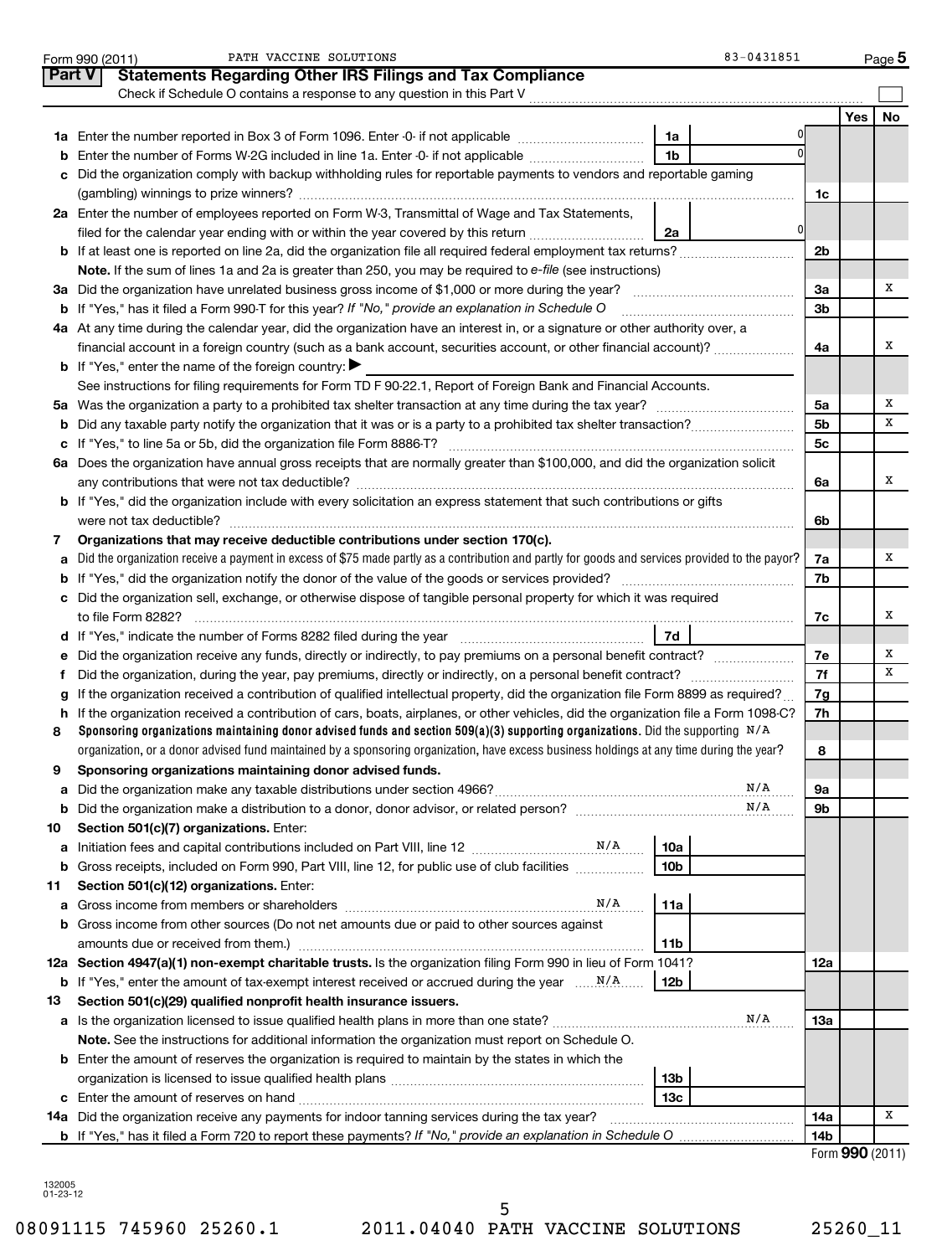|        | PATH VACCINE SOLUTIONS<br>83-0431851<br>Form 990 (2011)                                                                                         |                |                 | $Page$ 5  |
|--------|-------------------------------------------------------------------------------------------------------------------------------------------------|----------------|-----------------|-----------|
| Part V | <b>Statements Regarding Other IRS Filings and Tax Compliance</b>                                                                                |                |                 |           |
|        | Check if Schedule O contains a response to any question in this Part V                                                                          |                |                 |           |
|        |                                                                                                                                                 |                | Yes             | <b>No</b> |
|        | 1a                                                                                                                                              |                |                 |           |
| b      | 1 <sub>b</sub><br>Enter the number of Forms W-2G included in line 1a. Enter -0- if not applicable                                               |                |                 |           |
| c      | Did the organization comply with backup withholding rules for reportable payments to vendors and reportable gaming                              |                |                 |           |
|        |                                                                                                                                                 | 1c             |                 |           |
|        | 2a Enter the number of employees reported on Form W-3, Transmittal of Wage and Tax Statements,                                                  |                |                 |           |
|        | 0<br>filed for the calendar year ending with or within the year covered by this return<br>2a                                                    |                |                 |           |
|        | <b>b</b> If at least one is reported on line 2a, did the organization file all required federal employment tax returns?                         | 2b             |                 |           |
|        | Note. If the sum of lines 1a and 2a is greater than 250, you may be required to e-file (see instructions)                                       |                |                 |           |
|        | 3a Did the organization have unrelated business gross income of \$1,000 or more during the year?                                                | За             |                 | х         |
|        | <b>b</b> If "Yes," has it filed a Form 990-T for this year? If "No," provide an explanation in Schedule O                                       | 3b             |                 |           |
|        | 4a At any time during the calendar year, did the organization have an interest in, or a signature or other authority over, a                    |                |                 |           |
|        | financial account in a foreign country (such as a bank account, securities account, or other financial account)?                                | 4a             |                 | х         |
|        | <b>b</b> If "Yes," enter the name of the foreign country:                                                                                       |                |                 |           |
|        | See instructions for filing requirements for Form TD F 90-22.1, Report of Foreign Bank and Financial Accounts.                                  |                |                 |           |
|        |                                                                                                                                                 | 5а             |                 | х         |
|        |                                                                                                                                                 | 5 <sub>b</sub> |                 | х         |
|        |                                                                                                                                                 | 5 <sub>c</sub> |                 |           |
|        | 6a Does the organization have annual gross receipts that are normally greater than \$100,000, and did the organization solicit                  |                |                 |           |
|        |                                                                                                                                                 | 6a             |                 | х         |
|        | b If "Yes," did the organization include with every solicitation an express statement that such contributions or gifts                          |                |                 |           |
|        |                                                                                                                                                 | 6b             |                 |           |
| 7      | Organizations that may receive deductible contributions under section 170(c).                                                                   |                |                 | х         |
| a      | Did the organization receive a payment in excess of \$75 made partly as a contribution and partly for goods and services provided to the payor? | 7a<br>7b       |                 |           |
|        | c Did the organization sell, exchange, or otherwise dispose of tangible personal property for which it was required                             |                |                 |           |
|        |                                                                                                                                                 | 7c             |                 | х         |
|        | 7d                                                                                                                                              |                |                 |           |
|        | e Did the organization receive any funds, directly or indirectly, to pay premiums on a personal benefit contract?                               | 7е             |                 | х         |
| f.     |                                                                                                                                                 | 7f             |                 | х         |
| g      | If the organization received a contribution of qualified intellectual property, did the organization file Form 8899 as required?                | 7g             |                 |           |
|        | h If the organization received a contribution of cars, boats, airplanes, or other vehicles, did the organization file a Form 1098-C?            | 7h             |                 |           |
| 8      | Sponsoring organizations maintaining donor advised funds and section 509(a)(3) supporting organizations. Did the supporting $N/A$               |                |                 |           |
|        | organization, or a donor advised fund maintained by a sponsoring organization, have excess business holdings at any time during the year?       | 8              |                 |           |
|        | Sponsoring organizations maintaining donor advised funds.                                                                                       |                |                 |           |
| a      | N/A                                                                                                                                             | 9а             |                 |           |
| b      | N/A                                                                                                                                             | 9b             |                 |           |
| 10     | Section 501(c)(7) organizations. Enter:                                                                                                         |                |                 |           |
| а      | 10a                                                                                                                                             |                |                 |           |
| b      | Gross receipts, included on Form 990, Part VIII, line 12, for public use of club facilities<br>10b                                              |                |                 |           |
| 11     | Section 501(c)(12) organizations. Enter:                                                                                                        |                |                 |           |
| а      | N/A<br>11a                                                                                                                                      |                |                 |           |
|        | <b>b</b> Gross income from other sources (Do not net amounts due or paid to other sources against                                               |                |                 |           |
|        | amounts due or received from them.)<br>11b                                                                                                      |                |                 |           |
|        | 12a Section 4947(a)(1) non-exempt charitable trusts. Is the organization filing Form 990 in lieu of Form 1041?                                  | 12a            |                 |           |
|        | <b>b</b> If "Yes," enter the amount of tax-exempt interest received or accrued during the year $\dots$ $N/A$ .<br>12b                           |                |                 |           |
| 13     | Section 501(c)(29) qualified nonprofit health insurance issuers.<br>N/A                                                                         | 1За            |                 |           |
|        | Note. See the instructions for additional information the organization must report on Schedule O.                                               |                |                 |           |
|        | <b>b</b> Enter the amount of reserves the organization is required to maintain by the states in which the                                       |                |                 |           |
|        | 13b                                                                                                                                             |                |                 |           |
|        | 13c                                                                                                                                             |                |                 |           |
|        | 14a Did the organization receive any payments for indoor tanning services during the tax year?                                                  | 14a            |                 | х         |
|        | <b>b</b> If "Yes," has it filed a Form 720 to report these payments? If "No," provide an explanation in Schedule O                              | 14b            |                 |           |
|        |                                                                                                                                                 |                | Form 990 (2011) |           |

132005 01-23-12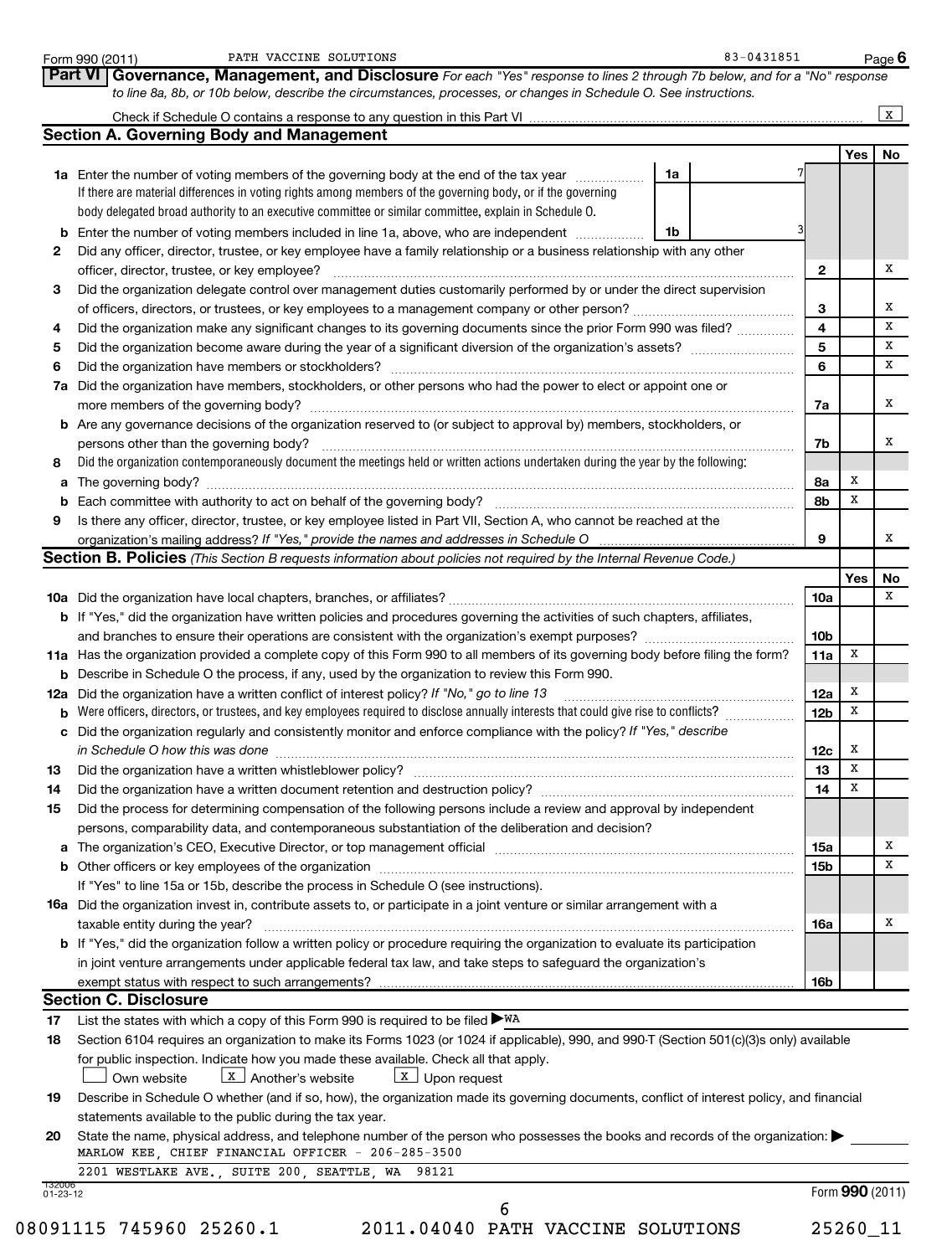|        | PATH VACCINE SOLUTIONS<br>Form 990 (2011)<br>Governance, Management, and Disclosure For each "Yes" response to lines 2 through 7b below, and for a "No" response<br>Part VI                                                    | 83-0431851 |                 |        | Page 6       |
|--------|--------------------------------------------------------------------------------------------------------------------------------------------------------------------------------------------------------------------------------|------------|-----------------|--------|--------------|
|        | to line 8a, 8b, or 10b below, describe the circumstances, processes, or changes in Schedule O. See instructions.                                                                                                               |            |                 |        |              |
|        |                                                                                                                                                                                                                                |            |                 |        | $\mathbf{x}$ |
|        | <b>Section A. Governing Body and Management</b>                                                                                                                                                                                |            |                 |        |              |
|        | 1a Enter the number of voting members of the governing body at the end of the tax year                                                                                                                                         | 1a         |                 | Yes    | No           |
|        | If there are material differences in voting rights among members of the governing body, or if the governing<br>body delegated broad authority to an executive committee or similar committee, explain in Schedule O.           |            |                 |        |              |
|        | <b>b</b> Enter the number of voting members included in line 1a, above, who are independent <i>manumum</i>                                                                                                                     | 1b         |                 |        |              |
| 2      | Did any officer, director, trustee, or key employee have a family relationship or a business relationship with any other<br>officer, director, trustee, or key employee?                                                       |            | $\mathbf{2}$    |        | х            |
| 3      | Did the organization delegate control over management duties customarily performed by or under the direct supervision                                                                                                          |            |                 |        |              |
|        |                                                                                                                                                                                                                                |            | 3               |        | х            |
| 4      | Did the organization make any significant changes to its governing documents since the prior Form 990 was filed?                                                                                                               |            | 4               |        | X            |
| 5      |                                                                                                                                                                                                                                |            | 5               |        | X            |
| 6      |                                                                                                                                                                                                                                |            | 6               |        | X            |
|        | 7a Did the organization have members, stockholders, or other persons who had the power to elect or appoint one or<br>more members of the governing body?                                                                       |            | 7a              |        | х            |
|        | <b>b</b> Are any governance decisions of the organization reserved to (or subject to approval by) members, stockholders, or                                                                                                    |            |                 |        |              |
|        | persons other than the governing body?                                                                                                                                                                                         |            | 7b              |        | х            |
| 8      | Did the organization contemporaneously document the meetings held or written actions undertaken during the year by the following:                                                                                              |            |                 | х      |              |
|        |                                                                                                                                                                                                                                |            | 8а<br>8b        | x      |              |
| 9      | Is there any officer, director, trustee, or key employee listed in Part VII, Section A, who cannot be reached at the                                                                                                           |            |                 |        |              |
|        | organization's mailing address? If "Yes," provide the names and addresses in Schedule O                                                                                                                                        |            | 9               |        | х            |
|        | <b>Section B. Policies</b> (This Section B requests information about policies not required by the Internal Revenue Code.)                                                                                                     |            |                 |        |              |
|        |                                                                                                                                                                                                                                |            |                 | Yes    | No           |
|        |                                                                                                                                                                                                                                |            | 10a             |        | х            |
|        | <b>b</b> If "Yes," did the organization have written policies and procedures governing the activities of such chapters, affiliates,                                                                                            |            |                 |        |              |
|        |                                                                                                                                                                                                                                |            | 10 <sub>b</sub> |        |              |
|        | 11a Has the organization provided a complete copy of this Form 990 to all members of its governing body before filing the form?                                                                                                |            | 11a             | х      |              |
| b      | Describe in Schedule O the process, if any, used by the organization to review this Form 990.                                                                                                                                  |            |                 |        |              |
|        | 12a Did the organization have a written conflict of interest policy? If "No," go to line 13                                                                                                                                    |            | 12a<br>12b      | х<br>х |              |
| b<br>c | Did the organization regularly and consistently monitor and enforce compliance with the policy? If "Yes," describe                                                                                                             |            |                 |        |              |
|        | in Schedule O how this was done <i>manual content of the content of the schedule O</i> how this was done                                                                                                                       |            | 12c             | х      |              |
| 13     |                                                                                                                                                                                                                                |            | 13              | X      |              |
| 14     | Did the organization have a written document retention and destruction policy? [11] manufaction manufaction in                                                                                                                 |            | 14              | x      |              |
| 15     | Did the process for determining compensation of the following persons include a review and approval by independent                                                                                                             |            |                 |        |              |
|        | persons, comparability data, and contemporaneous substantiation of the deliberation and decision?                                                                                                                              |            |                 |        |              |
|        | a The organization's CEO, Executive Director, or top management official manufactured content content of the organization's CEO, Executive Director, or top management official manufactured content of the state of the state |            | 15a             |        | х<br>х       |
|        |                                                                                                                                                                                                                                |            | 15b             |        |              |
|        |                                                                                                                                                                                                                                |            |                 |        |              |
|        | If "Yes" to line 15a or 15b, describe the process in Schedule O (see instructions).                                                                                                                                            |            |                 |        | X            |
|        | <b>16a</b> Did the organization invest in, contribute assets to, or participate in a joint venture or similar arrangement with a                                                                                               |            |                 |        |              |
|        | taxable entity during the year?                                                                                                                                                                                                |            | 16a             |        |              |
|        | <b>b</b> If "Yes," did the organization follow a written policy or procedure requiring the organization to evaluate its participation                                                                                          |            |                 |        |              |
|        | in joint venture arrangements under applicable federal tax law, and take steps to safeguard the organization's                                                                                                                 |            | 16b             |        |              |
|        | <b>Section C. Disclosure</b>                                                                                                                                                                                                   |            |                 |        |              |
| 17     | List the states with which a copy of this Form 990 is required to be filed $\blacktriangleright$ WA                                                                                                                            |            |                 |        |              |

**20** statements available to the public during the tax year. State the name, physical address, and telephone number of the person who possesses the books and records of the organization: MARLOW KEE, CHIEF FINANCIAL OFFICER - 206-285-3500

2201 WESTLAKE AVE., SUITE 200, SEATTLE, WA 98121

132006 01-23-12

08091115 745960 25260.1 2011.04040 PATH VACCINE SOLUTIONS 25260\_11

6

Form (2011) **990**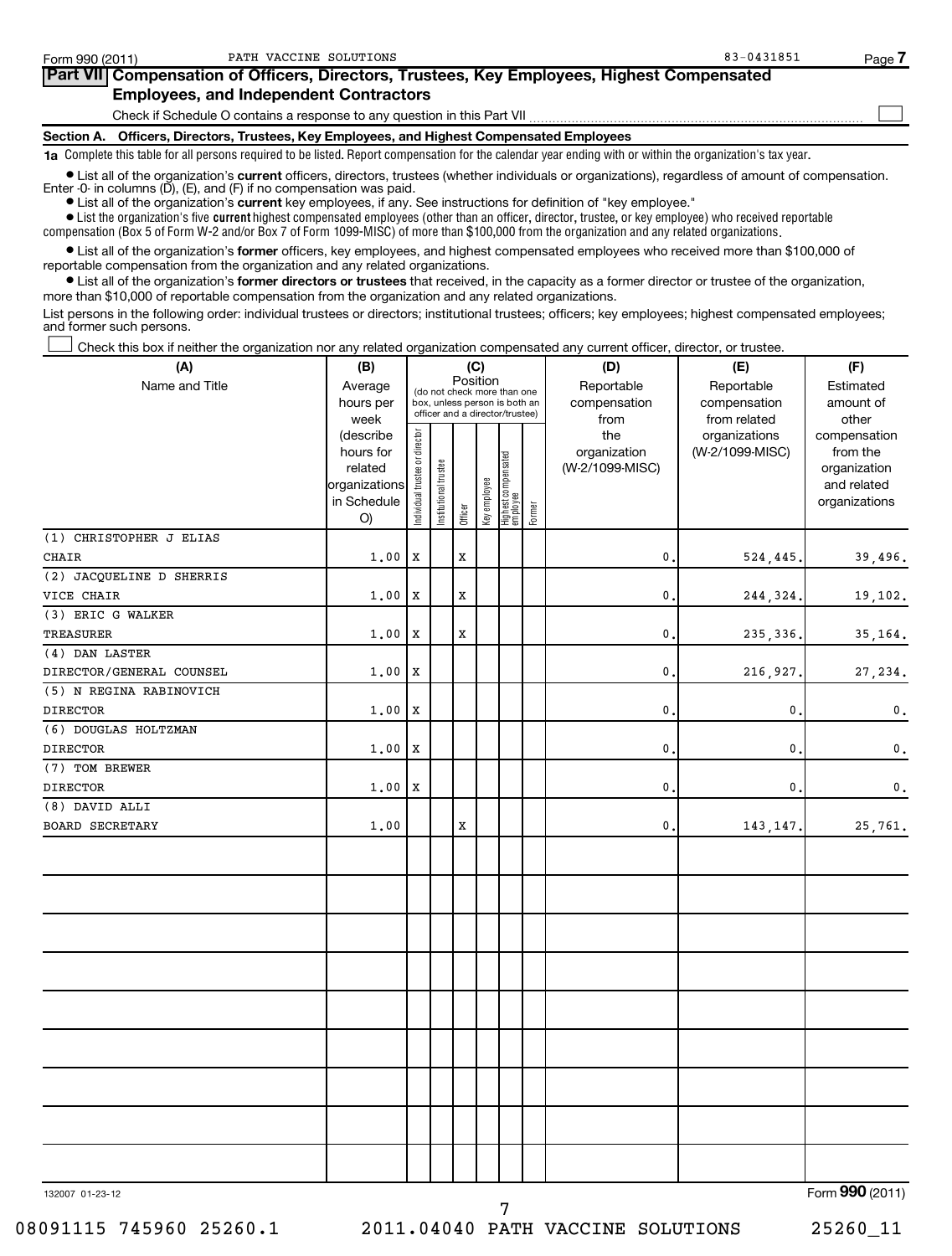| Form 990 (2011) | PATH VACCINE SOLUTIONS                                                                                                                                                                                                               | 83-0431851 | ہ Page |
|-----------------|--------------------------------------------------------------------------------------------------------------------------------------------------------------------------------------------------------------------------------------|------------|--------|
|                 | Part VII Compensation of Officers, Directors, Trustees, Key Employees, Highest Compensated                                                                                                                                           |            |        |
|                 | <b>Employees, and Independent Contractors</b>                                                                                                                                                                                        |            |        |
|                 | Check if Schedule O contains a response to any question in this Part VII                                                                                                                                                             |            |        |
| Section A.      | Officers, Directors, Trustees, Key Employees, and Highest Compensated Employees                                                                                                                                                      |            |        |
|                 | 1a Complete this table for all persons required to be listed. Report compensation for the calendar year ending with or within the organization's tax year.                                                                           |            |        |
|                 | • List all of the organization's current officers, directors, trustees (whether individuals or organizations), regardless of amount of compensation.<br>Enter $-0$ in columns $(D)$ , $(E)$ , and $(F)$ if no compensation was paid. |            |        |

**•** List all of the organization's **current** key employees, if any. See instructions for definition of "key employee."

 $\bullet$  List the organization's five  $\tt current$  highest compensated employees (other than an officer, director, trustee, or key employee) who received reportable compensation (Box 5 of Form W-2 and/or Box 7 of Form 1099-MISC) of more than \$100,000 from the organization and any related organizations .

 $\bullet$  List all of the organization's former officers, key employees, and highest compensated employees who received more than \$100,000 of reportable compensation from the organization and any related organizations.

**•** List all of the organization's former directors or trustees that received, in the capacity as a former director or trustee of the organization, more than \$10,000 of reportable compensation from the organization and any related organizations.

List persons in the following order: individual trustees or directors; institutional trustees; officers; key employees; highest compensated employees; and former such persons.

Check this box if neither the organization nor any related organization compensated any current officer, director, or trustee.  $\left\vert \cdot\right\vert$ 

| (A)                      | (B)                                                                     |                                                                                                                            |                       |             |              |                                               | (D)                                    | (E)                                        | (F)                                                                      |
|--------------------------|-------------------------------------------------------------------------|----------------------------------------------------------------------------------------------------------------------------|-----------------------|-------------|--------------|-----------------------------------------------|----------------------------------------|--------------------------------------------|--------------------------------------------------------------------------|
| Name and Title           | Average<br>hours per                                                    | (C)<br>Position<br>(do not check more than one<br>box, unless person is both an<br>officer and a director/trustee)<br>week |                       |             |              |                                               | Reportable<br>compensation<br>from     | Reportable<br>compensation<br>from related | Estimated<br>amount of<br>other                                          |
|                          | (describe<br>hours for<br>related<br>organizations<br>in Schedule<br>O) | Individual trustee or director                                                                                             | Institutional trustee | Officer     | Key employee | Highest compensated<br>  employee<br>  Former | the<br>organization<br>(W-2/1099-MISC) | organizations<br>(W-2/1099-MISC)           | compensation<br>from the<br>organization<br>and related<br>organizations |
| (1) CHRISTOPHER J ELIAS  |                                                                         |                                                                                                                            |                       |             |              |                                               |                                        |                                            |                                                                          |
| CHAIR                    | 1.00                                                                    | X                                                                                                                          |                       | X           |              |                                               | 0                                      | 524,445.                                   | 39,496.                                                                  |
| (2) JACQUELINE D SHERRIS |                                                                         |                                                                                                                            |                       |             |              |                                               |                                        |                                            |                                                                          |
| VICE CHAIR               | 1.00                                                                    | X                                                                                                                          |                       | X           |              |                                               | 0                                      | 244,324.                                   | 19,102.                                                                  |
| (3) ERIC G WALKER        |                                                                         |                                                                                                                            |                       |             |              |                                               |                                        |                                            |                                                                          |
| TREASURER                | 1.00                                                                    | X                                                                                                                          |                       | X           |              |                                               | 0                                      | 235, 336.                                  | 35,164.                                                                  |
| (4) DAN LASTER           |                                                                         |                                                                                                                            |                       |             |              |                                               |                                        |                                            |                                                                          |
| DIRECTOR/GENERAL COUNSEL | 1.00                                                                    | X                                                                                                                          |                       |             |              |                                               | 0                                      | 216,927                                    | 27,234.                                                                  |
| (5) N REGINA RABINOVICH  |                                                                         |                                                                                                                            |                       |             |              |                                               |                                        |                                            |                                                                          |
| <b>DIRECTOR</b>          | 1.00                                                                    | X                                                                                                                          |                       |             |              |                                               | 0                                      | 0                                          | $\mathbf 0$ .                                                            |
| (6) DOUGLAS HOLTZMAN     |                                                                         |                                                                                                                            |                       |             |              |                                               |                                        |                                            |                                                                          |
| <b>DIRECTOR</b>          | 1.00                                                                    | X                                                                                                                          |                       |             |              |                                               | 0                                      | 0                                          | $\mathbf 0$ .                                                            |
| (7) TOM BREWER           |                                                                         |                                                                                                                            |                       |             |              |                                               |                                        |                                            |                                                                          |
| DIRECTOR                 | 1.00                                                                    | X                                                                                                                          |                       |             |              |                                               | 0                                      | 0                                          | $\mathbf 0$ .                                                            |
| (8) DAVID ALLI           |                                                                         |                                                                                                                            |                       |             |              |                                               |                                        |                                            |                                                                          |
| <b>BOARD SECRETARY</b>   | 1.00                                                                    |                                                                                                                            |                       | $\mathbf x$ |              |                                               | $\mathbf 0$ .                          | 143, 147.                                  | 25,761.                                                                  |
|                          |                                                                         |                                                                                                                            |                       |             |              |                                               |                                        |                                            |                                                                          |
|                          |                                                                         |                                                                                                                            |                       |             |              |                                               |                                        |                                            |                                                                          |
|                          |                                                                         |                                                                                                                            |                       |             |              |                                               |                                        |                                            |                                                                          |
|                          |                                                                         |                                                                                                                            |                       |             |              |                                               |                                        |                                            |                                                                          |
|                          |                                                                         |                                                                                                                            |                       |             |              |                                               |                                        |                                            |                                                                          |
|                          |                                                                         |                                                                                                                            |                       |             |              |                                               |                                        |                                            |                                                                          |
|                          |                                                                         |                                                                                                                            |                       |             |              |                                               |                                        |                                            |                                                                          |
|                          |                                                                         |                                                                                                                            |                       |             |              |                                               |                                        |                                            |                                                                          |
| 132007 01-23-12          |                                                                         |                                                                                                                            |                       |             |              | 7                                             |                                        |                                            | Form 990 (2011)                                                          |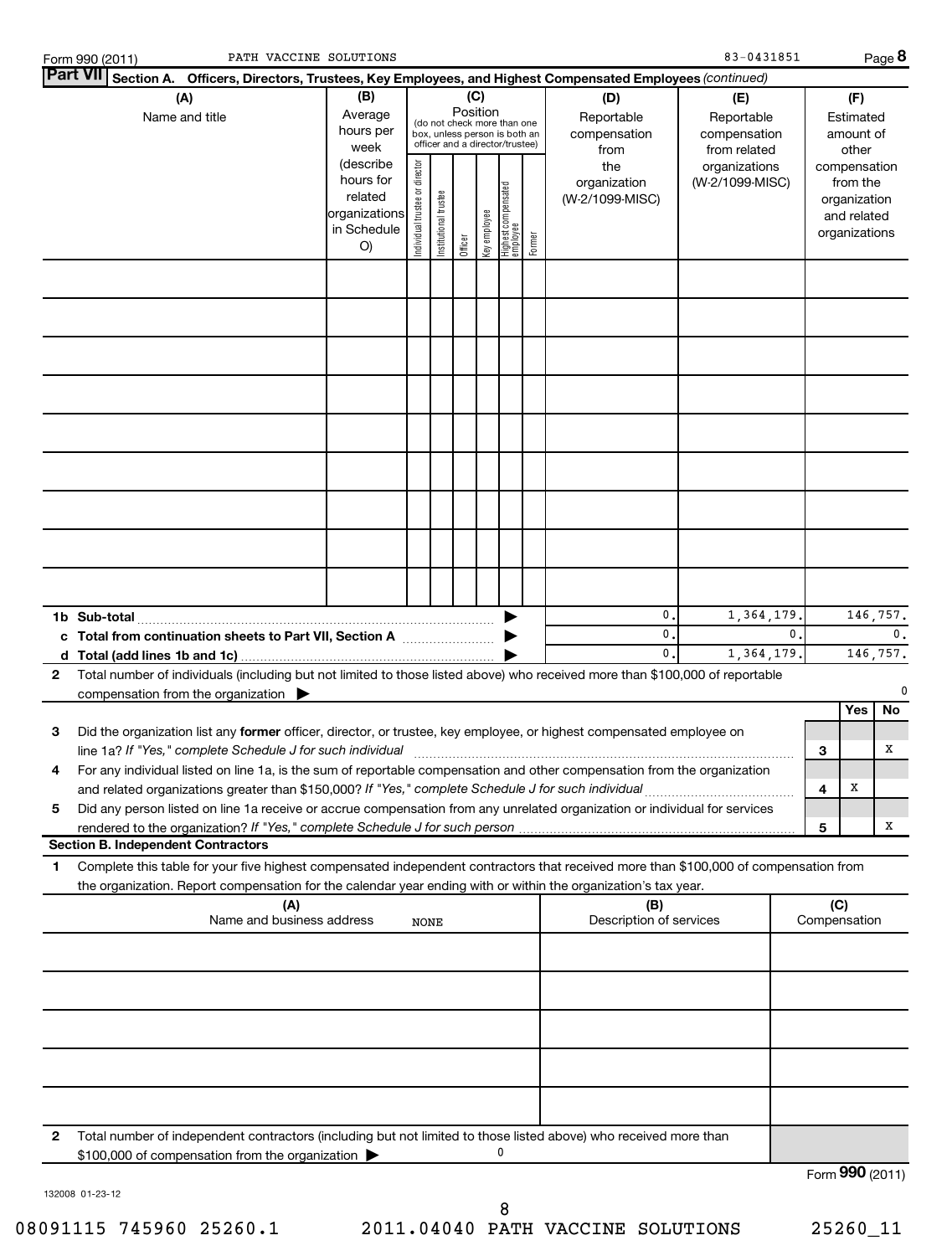| PATH VACCINE SOLUTIONS<br>Form 990 (2011)                                                                                                                                                                                                                   |                                                                                                                |                                |                       |                     |                     |                                                                                                                                    |        |                                                                                     | 83-0431851                                                                            |               |     |                                                                                                                    | Page 8         |
|-------------------------------------------------------------------------------------------------------------------------------------------------------------------------------------------------------------------------------------------------------------|----------------------------------------------------------------------------------------------------------------|--------------------------------|-----------------------|---------------------|---------------------|------------------------------------------------------------------------------------------------------------------------------------|--------|-------------------------------------------------------------------------------------|---------------------------------------------------------------------------------------|---------------|-----|--------------------------------------------------------------------------------------------------------------------|----------------|
| Part VII Section A. Officers, Directors, Trustees, Key Employees, and Highest Compensated Employees (continued)                                                                                                                                             |                                                                                                                |                                |                       |                     |                     |                                                                                                                                    |        |                                                                                     |                                                                                       |               |     |                                                                                                                    |                |
| (A)<br>Name and title                                                                                                                                                                                                                                       | (B)<br>Average<br>hours per<br>week<br>(describe<br>hours for<br>related<br>organizations<br>in Schedule<br>O) | Individual trustee or director | Institutional trustee | Position<br>Officer | (C)<br>Key employee | (do not check more than one<br>box, unless person is both an<br>officer and a director/trustee)<br>Highest compensated<br>employee | Former | (D)<br>Reportable<br>compensation<br>from<br>the<br>organization<br>(W-2/1099-MISC) | (E)<br>Reportable<br>compensation<br>from related<br>organizations<br>(W-2/1099-MISC) |               |     | (F)<br>Estimated<br>amount of<br>other<br>compensation<br>from the<br>organization<br>and related<br>organizations |                |
|                                                                                                                                                                                                                                                             |                                                                                                                |                                |                       |                     |                     |                                                                                                                                    |        |                                                                                     |                                                                                       |               |     |                                                                                                                    |                |
|                                                                                                                                                                                                                                                             |                                                                                                                |                                |                       |                     |                     |                                                                                                                                    |        |                                                                                     |                                                                                       |               |     |                                                                                                                    |                |
|                                                                                                                                                                                                                                                             |                                                                                                                |                                |                       |                     |                     |                                                                                                                                    |        |                                                                                     |                                                                                       |               |     |                                                                                                                    |                |
|                                                                                                                                                                                                                                                             |                                                                                                                |                                |                       |                     |                     |                                                                                                                                    |        |                                                                                     |                                                                                       |               |     |                                                                                                                    |                |
|                                                                                                                                                                                                                                                             |                                                                                                                |                                |                       |                     |                     |                                                                                                                                    |        |                                                                                     |                                                                                       |               |     |                                                                                                                    |                |
|                                                                                                                                                                                                                                                             |                                                                                                                |                                |                       |                     |                     |                                                                                                                                    |        |                                                                                     |                                                                                       |               |     |                                                                                                                    |                |
|                                                                                                                                                                                                                                                             |                                                                                                                |                                |                       |                     |                     |                                                                                                                                    |        |                                                                                     |                                                                                       |               |     |                                                                                                                    |                |
|                                                                                                                                                                                                                                                             |                                                                                                                |                                |                       |                     |                     |                                                                                                                                    |        |                                                                                     |                                                                                       |               |     |                                                                                                                    |                |
|                                                                                                                                                                                                                                                             |                                                                                                                |                                |                       |                     |                     |                                                                                                                                    |        | 0.                                                                                  | 1,364,179                                                                             |               |     |                                                                                                                    | 146,757.       |
| c Total from continuation sheets to Part VII, Section A                                                                                                                                                                                                     |                                                                                                                |                                |                       |                     |                     |                                                                                                                                    |        | 0.<br>0.                                                                            | 1,364,179                                                                             | $\mathbf 0$ . |     |                                                                                                                    | 0.<br>146,757. |
| Total number of individuals (including but not limited to those listed above) who received more than \$100,000 of reportable<br>2<br>compensation from the organization $\blacktriangleright$                                                               |                                                                                                                |                                |                       |                     |                     |                                                                                                                                    |        |                                                                                     |                                                                                       |               |     |                                                                                                                    | 0              |
| Did the organization list any former officer, director, or trustee, key employee, or highest compensated employee on<br>З                                                                                                                                   |                                                                                                                |                                |                       |                     |                     |                                                                                                                                    |        |                                                                                     |                                                                                       |               |     | Yes                                                                                                                | No             |
| line 1a? If "Yes," complete Schedule J for such individual<br>For any individual listed on line 1a, is the sum of reportable compensation and other compensation from the organization<br>4                                                                 |                                                                                                                |                                |                       |                     |                     |                                                                                                                                    |        |                                                                                     |                                                                                       |               | 3   |                                                                                                                    | х              |
| 5<br>Did any person listed on line 1a receive or accrue compensation from any unrelated organization or individual for services                                                                                                                             |                                                                                                                |                                |                       |                     |                     |                                                                                                                                    |        |                                                                                     |                                                                                       |               | 4   | x                                                                                                                  |                |
| <b>Section B. Independent Contractors</b>                                                                                                                                                                                                                   |                                                                                                                |                                |                       |                     |                     |                                                                                                                                    |        |                                                                                     |                                                                                       |               | 5   |                                                                                                                    | х              |
| Complete this table for your five highest compensated independent contractors that received more than \$100,000 of compensation from<br>1<br>the organization. Report compensation for the calendar year ending with or within the organization's tax year. |                                                                                                                |                                |                       |                     |                     |                                                                                                                                    |        |                                                                                     |                                                                                       |               |     |                                                                                                                    |                |
| (A)<br>Name and business address                                                                                                                                                                                                                            |                                                                                                                | NONE                           |                       |                     |                     |                                                                                                                                    |        | (B)<br>Description of services                                                      |                                                                                       |               | (C) | Compensation                                                                                                       |                |
|                                                                                                                                                                                                                                                             |                                                                                                                |                                |                       |                     |                     |                                                                                                                                    |        |                                                                                     |                                                                                       |               |     |                                                                                                                    |                |
|                                                                                                                                                                                                                                                             |                                                                                                                |                                |                       |                     |                     |                                                                                                                                    |        |                                                                                     |                                                                                       |               |     |                                                                                                                    |                |
|                                                                                                                                                                                                                                                             |                                                                                                                |                                |                       |                     |                     |                                                                                                                                    |        |                                                                                     |                                                                                       |               |     |                                                                                                                    |                |
|                                                                                                                                                                                                                                                             |                                                                                                                |                                |                       |                     |                     |                                                                                                                                    |        |                                                                                     |                                                                                       |               |     |                                                                                                                    |                |
| 2<br>Total number of independent contractors (including but not limited to those listed above) who received more than                                                                                                                                       |                                                                                                                |                                |                       |                     |                     |                                                                                                                                    |        |                                                                                     |                                                                                       |               |     |                                                                                                                    |                |
| \$100,000 of compensation from the organization                                                                                                                                                                                                             |                                                                                                                |                                |                       |                     |                     | 0                                                                                                                                  |        |                                                                                     |                                                                                       |               |     | Form 990 (2011)                                                                                                    |                |
|                                                                                                                                                                                                                                                             |                                                                                                                |                                |                       |                     |                     |                                                                                                                                    |        |                                                                                     |                                                                                       |               |     |                                                                                                                    |                |

132008 01-23-12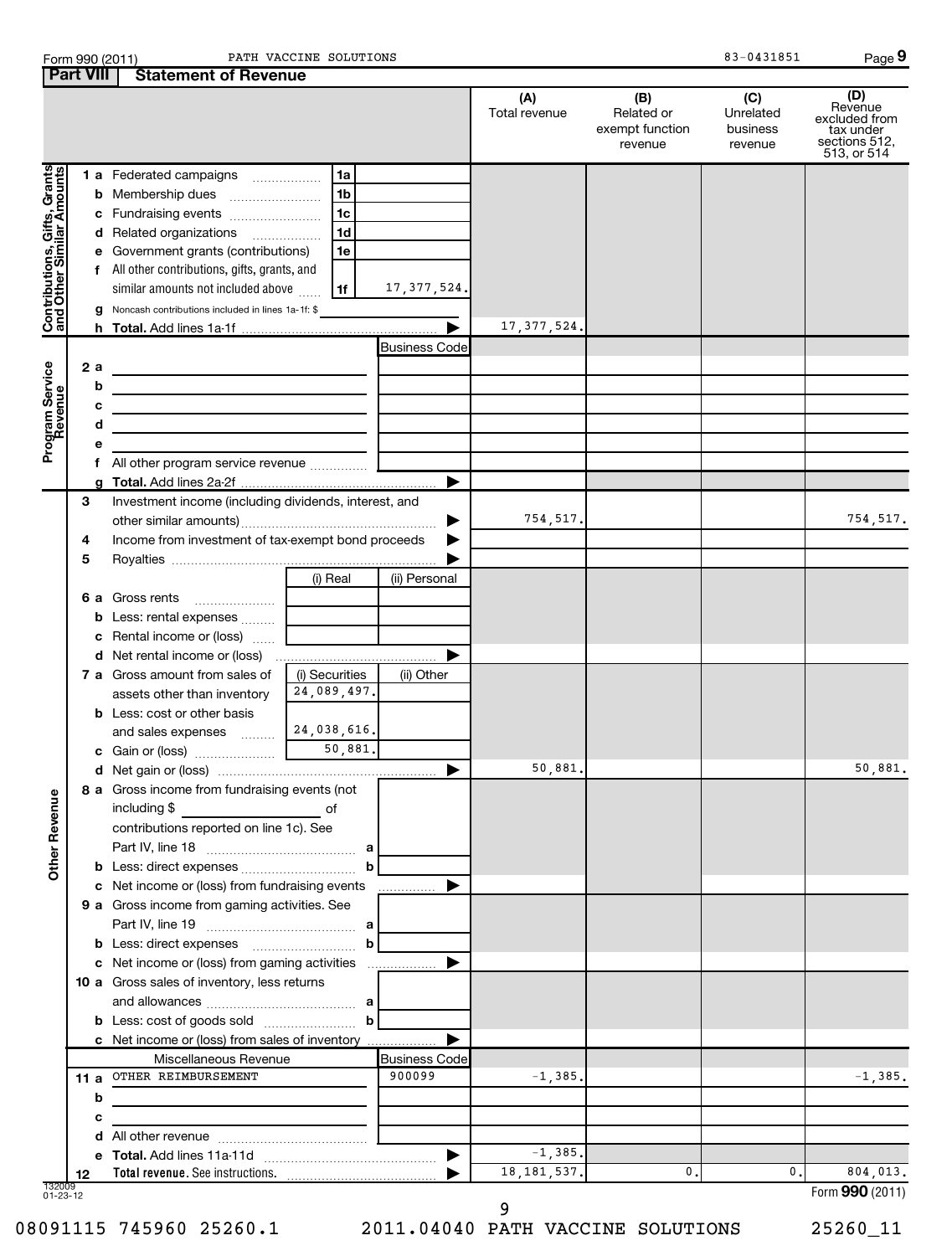|                                                             | <b>Part VIII</b> | <b>Statement of Revenue</b>                                                                                          |                               |                      |                      |                                                 |                                         |                                                                              |
|-------------------------------------------------------------|------------------|----------------------------------------------------------------------------------------------------------------------|-------------------------------|----------------------|----------------------|-------------------------------------------------|-----------------------------------------|------------------------------------------------------------------------------|
|                                                             |                  |                                                                                                                      |                               |                      | (A)<br>Total revenue | (B)<br>Related or<br>exempt function<br>revenue | (C)<br>Unrelated<br>business<br>revenue | (D)<br>Revenue<br>excluded from<br>tax under<br>sections 512,<br>513, or 514 |
|                                                             |                  | <b>1 a</b> Federated campaigns                                                                                       | 1a                            |                      |                      |                                                 |                                         |                                                                              |
|                                                             | b                | Membership dues                                                                                                      | 1 <sub>b</sub>                |                      |                      |                                                 |                                         |                                                                              |
|                                                             | с                | Fundraising events                                                                                                   | 1c                            |                      |                      |                                                 |                                         |                                                                              |
|                                                             | d                | Related organizations                                                                                                | 1d<br>.                       |                      |                      |                                                 |                                         |                                                                              |
|                                                             | е                | Government grants (contributions)                                                                                    | 1e                            |                      |                      |                                                 |                                         |                                                                              |
| Contributions, Gifts, Grants<br>  and Other Similar Amounts | f                | All other contributions, gifts, grants, and                                                                          |                               |                      |                      |                                                 |                                         |                                                                              |
|                                                             |                  | similar amounts not included above                                                                                   | 1f                            | 17, 377, 524.        |                      |                                                 |                                         |                                                                              |
|                                                             |                  | Noncash contributions included in lines 1a-1f: \$                                                                    |                               |                      |                      |                                                 |                                         |                                                                              |
|                                                             |                  |                                                                                                                      |                               |                      | 17, 377, 524.        |                                                 |                                         |                                                                              |
|                                                             |                  |                                                                                                                      |                               | <b>Business Code</b> |                      |                                                 |                                         |                                                                              |
|                                                             | 2 a              | <u> 1980 - Johann Barn, mars an t-Amerikaansk politiker (</u>                                                        |                               |                      |                      |                                                 |                                         |                                                                              |
|                                                             | b                | the contract of the contract of the contract of the contract of the contract of                                      |                               |                      |                      |                                                 |                                         |                                                                              |
|                                                             | с                | the contract of the contract of the contract of the contract of the contract of                                      |                               |                      |                      |                                                 |                                         |                                                                              |
|                                                             | d                | <u> 1989 - Johann Stein, marwolaethau a bhann an t-Amhair an t-Amhair an t-Amhair an t-Amhair an t-Amhair an t-A</u> |                               |                      |                      |                                                 |                                         |                                                                              |
| Program Service<br>Revenue                                  |                  |                                                                                                                      |                               |                      |                      |                                                 |                                         |                                                                              |
|                                                             | f                |                                                                                                                      |                               |                      |                      |                                                 |                                         |                                                                              |
|                                                             |                  |                                                                                                                      |                               |                      |                      |                                                 |                                         |                                                                              |
|                                                             | 3                | Investment income (including dividends, interest, and                                                                |                               |                      |                      |                                                 |                                         |                                                                              |
|                                                             |                  |                                                                                                                      |                               |                      | 754,517.             |                                                 |                                         | 754,517.                                                                     |
|                                                             | 4                | Income from investment of tax-exempt bond proceeds                                                                   |                               |                      |                      |                                                 |                                         |                                                                              |
|                                                             | 5                |                                                                                                                      |                               |                      |                      |                                                 |                                         |                                                                              |
|                                                             |                  |                                                                                                                      | (i) Real                      | (ii) Personal        |                      |                                                 |                                         |                                                                              |
|                                                             | 6а               | Gross rents                                                                                                          |                               |                      |                      |                                                 |                                         |                                                                              |
|                                                             | b                | Less: rental expenses                                                                                                |                               |                      |                      |                                                 |                                         |                                                                              |
|                                                             | c                | Rental income or (loss)                                                                                              |                               |                      |                      |                                                 |                                         |                                                                              |
|                                                             | d                |                                                                                                                      |                               |                      |                      |                                                 |                                         |                                                                              |
|                                                             |                  | <b>7 a</b> Gross amount from sales of                                                                                | (i) Securities<br>24,089,497. | (ii) Other           |                      |                                                 |                                         |                                                                              |
|                                                             |                  | assets other than inventory                                                                                          |                               |                      |                      |                                                 |                                         |                                                                              |
|                                                             |                  | <b>b</b> Less: cost or other basis                                                                                   | 24,038,616.                   |                      |                      |                                                 |                                         |                                                                              |
|                                                             |                  | and sales expenses                                                                                                   | 50,881.                       |                      |                      |                                                 |                                         |                                                                              |
|                                                             |                  |                                                                                                                      |                               | ▶                    | 50,881               |                                                 |                                         | 50,881.                                                                      |
|                                                             |                  | 8 a Gross income from fundraising events (not                                                                        |                               |                      |                      |                                                 |                                         |                                                                              |
| <b>Other Revenue</b>                                        |                  | including \$<br>and the contract of the contract of                                                                  |                               |                      |                      |                                                 |                                         |                                                                              |
|                                                             |                  | contributions reported on line 1c). See                                                                              |                               |                      |                      |                                                 |                                         |                                                                              |
|                                                             |                  |                                                                                                                      |                               |                      |                      |                                                 |                                         |                                                                              |
|                                                             |                  |                                                                                                                      | $\mathbf b$                   |                      |                      |                                                 |                                         |                                                                              |
|                                                             |                  | c Net income or (loss) from fundraising events                                                                       |                               | .                    |                      |                                                 |                                         |                                                                              |
|                                                             |                  | 9 a Gross income from gaming activities. See                                                                         |                               |                      |                      |                                                 |                                         |                                                                              |
|                                                             |                  |                                                                                                                      |                               |                      |                      |                                                 |                                         |                                                                              |
|                                                             |                  |                                                                                                                      | $\mathbf b$                   |                      |                      |                                                 |                                         |                                                                              |
|                                                             |                  |                                                                                                                      |                               |                      |                      |                                                 |                                         |                                                                              |
|                                                             |                  | 10 a Gross sales of inventory, less returns                                                                          |                               |                      |                      |                                                 |                                         |                                                                              |
|                                                             |                  |                                                                                                                      |                               |                      |                      |                                                 |                                         |                                                                              |
|                                                             |                  |                                                                                                                      | $\mathbf b$                   |                      |                      |                                                 |                                         |                                                                              |
|                                                             |                  | c Net income or (loss) from sales of inventory                                                                       |                               |                      |                      |                                                 |                                         |                                                                              |
|                                                             |                  | Miscellaneous Revenue                                                                                                |                               | <b>Business Code</b> |                      |                                                 |                                         |                                                                              |
|                                                             | 11 a             | OTHER REIMBURSEMENT                                                                                                  |                               | 900099               | $-1, 385.$           |                                                 |                                         | $-1, 385.$                                                                   |
|                                                             | b                |                                                                                                                      |                               |                      |                      |                                                 |                                         |                                                                              |
|                                                             | с                |                                                                                                                      |                               |                      |                      |                                                 |                                         |                                                                              |
|                                                             |                  |                                                                                                                      |                               |                      |                      |                                                 |                                         |                                                                              |
|                                                             |                  |                                                                                                                      |                               | ▶                    | $-1, 385.$           |                                                 |                                         |                                                                              |
|                                                             | 12               |                                                                                                                      |                               |                      | 18, 181, 537.        | $\mathbf 0$ .                                   | $\mathbf{0}$ .                          | 804,013.                                                                     |
| 132009<br>01-23-12                                          |                  |                                                                                                                      |                               |                      |                      |                                                 |                                         | Form 990 (2011)                                                              |

Form 990 (2011) Page

PATH VACCINE SOLUTIONS 83-0431851

08091115 745960 25260.1 2011.04040 PATH VACCINE SOLUTIONS 25260\_11

9

**9**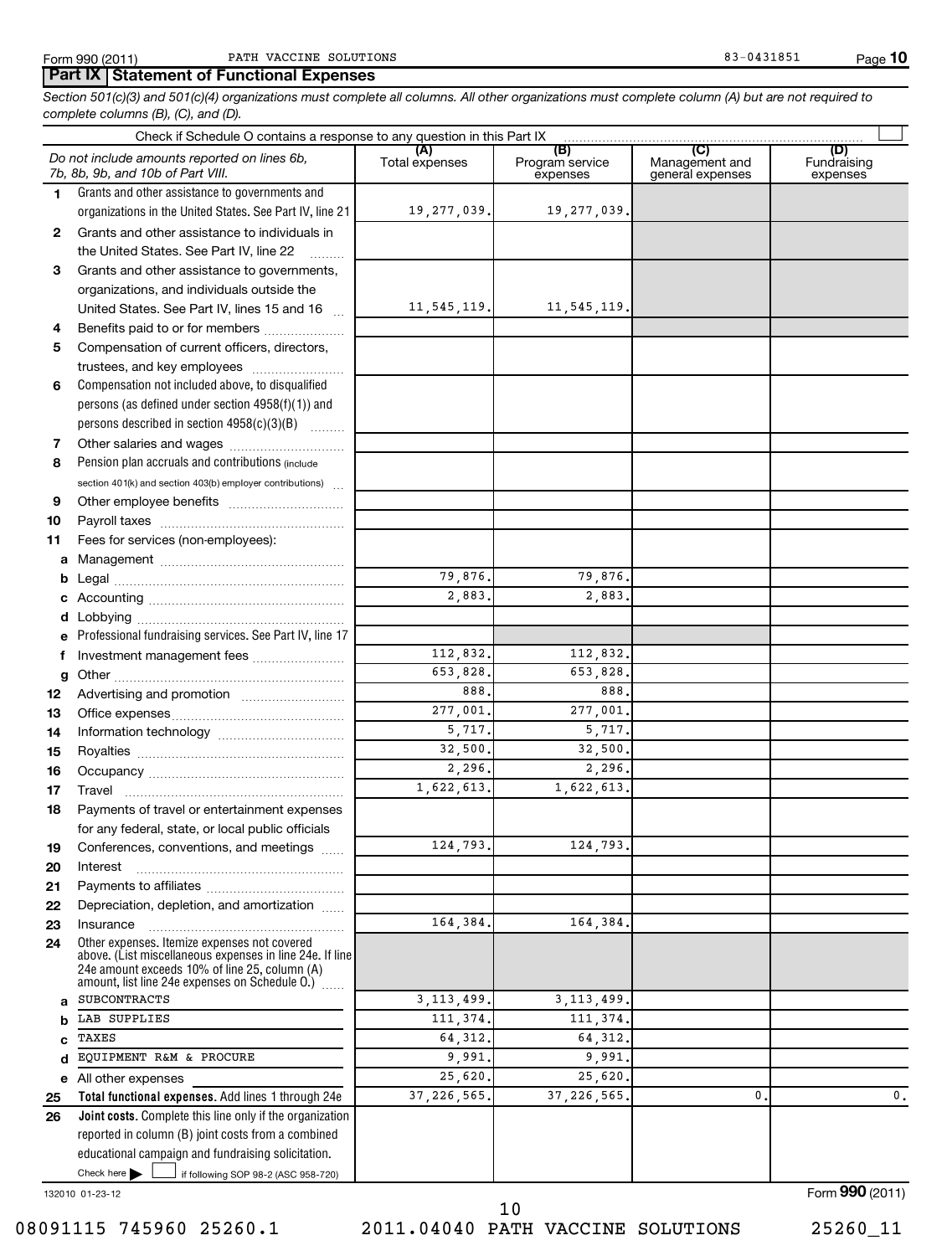### **Part IX Statement of Functional Expenses**

*Section 501(c)(3) and 501(c)(4) organizations must complete all columns. All other organizations must complete column (A) but are not required to complete columns (B), (C), and (D).*

| Check if Schedule O contains a response to any question in this Part IX [11] manufactured in the Schedule O contains a response to any question in this Part IX [11] manufactured in the Schedule O contains a response to any |                                                                                                                                                               |                       |                                    |                                                      |                                |  |  |  |
|--------------------------------------------------------------------------------------------------------------------------------------------------------------------------------------------------------------------------------|---------------------------------------------------------------------------------------------------------------------------------------------------------------|-----------------------|------------------------------------|------------------------------------------------------|--------------------------------|--|--|--|
|                                                                                                                                                                                                                                | Do not include amounts reported on lines 6b,<br>7b, 8b, 9b, and 10b of Part VIII.                                                                             | (A)<br>Total expenses | (B)<br>Program service<br>expenses | $\overline{C}$<br>Management and<br>general expenses | (D)<br>Fundraising<br>expenses |  |  |  |
| 1.                                                                                                                                                                                                                             | Grants and other assistance to governments and                                                                                                                |                       |                                    |                                                      |                                |  |  |  |
|                                                                                                                                                                                                                                | organizations in the United States. See Part IV, line 21                                                                                                      | 19,277,039.           | 19,277,039.                        |                                                      |                                |  |  |  |
| 2                                                                                                                                                                                                                              | Grants and other assistance to individuals in                                                                                                                 |                       |                                    |                                                      |                                |  |  |  |
|                                                                                                                                                                                                                                | the United States. See Part IV, line 22                                                                                                                       |                       |                                    |                                                      |                                |  |  |  |
| 3                                                                                                                                                                                                                              | Grants and other assistance to governments,                                                                                                                   |                       |                                    |                                                      |                                |  |  |  |
|                                                                                                                                                                                                                                | organizations, and individuals outside the                                                                                                                    |                       |                                    |                                                      |                                |  |  |  |
|                                                                                                                                                                                                                                | United States. See Part IV, lines 15 and 16                                                                                                                   | 11, 545, 119.         | 11,545,119.                        |                                                      |                                |  |  |  |
| 4                                                                                                                                                                                                                              | Benefits paid to or for members                                                                                                                               |                       |                                    |                                                      |                                |  |  |  |
| 5                                                                                                                                                                                                                              | Compensation of current officers, directors,                                                                                                                  |                       |                                    |                                                      |                                |  |  |  |
|                                                                                                                                                                                                                                | trustees, and key employees                                                                                                                                   |                       |                                    |                                                      |                                |  |  |  |
| 6                                                                                                                                                                                                                              | Compensation not included above, to disqualified                                                                                                              |                       |                                    |                                                      |                                |  |  |  |
|                                                                                                                                                                                                                                | persons (as defined under section 4958(f)(1)) and                                                                                                             |                       |                                    |                                                      |                                |  |  |  |
|                                                                                                                                                                                                                                | persons described in section 4958(c)(3)(B)                                                                                                                    |                       |                                    |                                                      |                                |  |  |  |
| 7                                                                                                                                                                                                                              |                                                                                                                                                               |                       |                                    |                                                      |                                |  |  |  |
| 8                                                                                                                                                                                                                              | Pension plan accruals and contributions (include                                                                                                              |                       |                                    |                                                      |                                |  |  |  |
|                                                                                                                                                                                                                                | section $401(k)$ and section $403(b)$ employer contributions)                                                                                                 |                       |                                    |                                                      |                                |  |  |  |
| 9                                                                                                                                                                                                                              |                                                                                                                                                               |                       |                                    |                                                      |                                |  |  |  |
| 10                                                                                                                                                                                                                             |                                                                                                                                                               |                       |                                    |                                                      |                                |  |  |  |
| 11                                                                                                                                                                                                                             | Fees for services (non-employees):                                                                                                                            |                       |                                    |                                                      |                                |  |  |  |
| a                                                                                                                                                                                                                              |                                                                                                                                                               |                       |                                    |                                                      |                                |  |  |  |
| b                                                                                                                                                                                                                              |                                                                                                                                                               | 79,876.               | 79,876.                            |                                                      |                                |  |  |  |
| c                                                                                                                                                                                                                              |                                                                                                                                                               | 2,883.                | 2,883.                             |                                                      |                                |  |  |  |
| d                                                                                                                                                                                                                              |                                                                                                                                                               |                       |                                    |                                                      |                                |  |  |  |
|                                                                                                                                                                                                                                | Professional fundraising services. See Part IV, line 17                                                                                                       |                       |                                    |                                                      |                                |  |  |  |
| f                                                                                                                                                                                                                              | Investment management fees                                                                                                                                    | 112,832.              | 112,832.                           |                                                      |                                |  |  |  |
| g                                                                                                                                                                                                                              |                                                                                                                                                               | 653,828.              | 653,828.                           |                                                      |                                |  |  |  |
| 12                                                                                                                                                                                                                             |                                                                                                                                                               | 888.                  | 888.                               |                                                      |                                |  |  |  |
| 13                                                                                                                                                                                                                             |                                                                                                                                                               | 277,001.              | 277,001.                           |                                                      |                                |  |  |  |
| 14                                                                                                                                                                                                                             |                                                                                                                                                               | 5,717.                | 5,717.                             |                                                      |                                |  |  |  |
| 15                                                                                                                                                                                                                             |                                                                                                                                                               | 32,500.               | 32,500.                            |                                                      |                                |  |  |  |
| 16                                                                                                                                                                                                                             |                                                                                                                                                               | 2, 296.               | 2, 296.                            |                                                      |                                |  |  |  |
| 17                                                                                                                                                                                                                             |                                                                                                                                                               | 1,622,613.            | 1,622,613.                         |                                                      |                                |  |  |  |
| 18                                                                                                                                                                                                                             | Payments of travel or entertainment expenses                                                                                                                  |                       |                                    |                                                      |                                |  |  |  |
|                                                                                                                                                                                                                                | for any federal, state, or local public officials                                                                                                             |                       |                                    |                                                      |                                |  |  |  |
| 19                                                                                                                                                                                                                             | Conferences, conventions, and meetings                                                                                                                        | 124,793.              | 124, 793.                          |                                                      |                                |  |  |  |
|                                                                                                                                                                                                                                |                                                                                                                                                               |                       |                                    |                                                      |                                |  |  |  |
| 20<br>21                                                                                                                                                                                                                       | Interest                                                                                                                                                      |                       |                                    |                                                      |                                |  |  |  |
| 22                                                                                                                                                                                                                             | Depreciation, depletion, and amortization                                                                                                                     |                       |                                    |                                                      |                                |  |  |  |
| 23                                                                                                                                                                                                                             | Insurance                                                                                                                                                     | 164,384.              | 164,384.                           |                                                      |                                |  |  |  |
| 24                                                                                                                                                                                                                             | Other expenses. Itemize expenses not covered                                                                                                                  |                       |                                    |                                                      |                                |  |  |  |
|                                                                                                                                                                                                                                | above. (List miscellaneous expenses in line 24e. If line<br>24e amount exceeds 10% of line 25, column (A)<br>amount, list line 24e expenses on Schedule O.) [ |                       |                                    |                                                      |                                |  |  |  |
| a                                                                                                                                                                                                                              | <b>SUBCONTRACTS</b>                                                                                                                                           | 3, 113, 499.          | 3, 113, 499.                       |                                                      |                                |  |  |  |
| b                                                                                                                                                                                                                              | LAB SUPPLIES                                                                                                                                                  | 111,374.              | 111,374.                           |                                                      |                                |  |  |  |
| c                                                                                                                                                                                                                              | TAXES                                                                                                                                                         | 64,312.               | 64, 312.                           |                                                      |                                |  |  |  |
| d                                                                                                                                                                                                                              | EQUIPMENT R&M & PROCURE                                                                                                                                       | 9,991.                | 9,991.                             |                                                      |                                |  |  |  |
| е                                                                                                                                                                                                                              | All other expenses                                                                                                                                            | 25,620.               | 25,620.                            |                                                      |                                |  |  |  |
| 25                                                                                                                                                                                                                             | Total functional expenses. Add lines 1 through 24e                                                                                                            | 37, 226, 565.         | 37, 226, 565.                      | $\mathbf{0}$                                         | $\mathsf{0}\,.$                |  |  |  |
| 26                                                                                                                                                                                                                             | <b>Joint costs.</b> Complete this line only if the organization                                                                                               |                       |                                    |                                                      |                                |  |  |  |
|                                                                                                                                                                                                                                | reported in column (B) joint costs from a combined                                                                                                            |                       |                                    |                                                      |                                |  |  |  |
|                                                                                                                                                                                                                                | educational campaign and fundraising solicitation.                                                                                                            |                       |                                    |                                                      |                                |  |  |  |
|                                                                                                                                                                                                                                | Check here $\blacktriangleright$<br>if following SOP 98-2 (ASC 958-720)                                                                                       |                       |                                    |                                                      |                                |  |  |  |
|                                                                                                                                                                                                                                |                                                                                                                                                               |                       |                                    |                                                      |                                |  |  |  |

132010 01-23-12

08091115 745960 25260.1 2011.04040 PATH VACCINE SOLUTIONS 25260\_11 10

Form (2011) **990**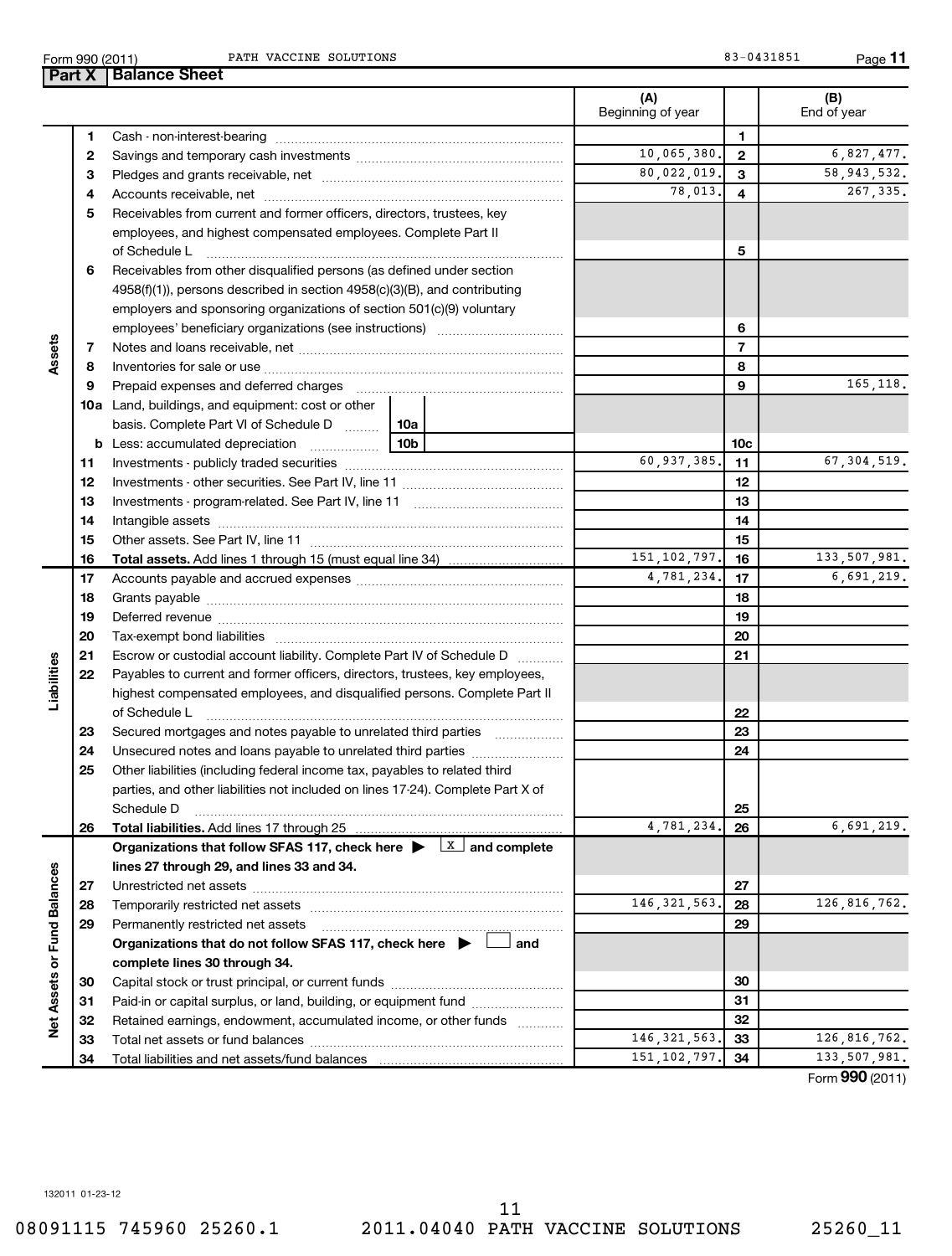Form 990 (2011) Page PATH VACCINE SOLUTIONS 83-0431851

**11**

| (A)<br>(B)<br>Beginning of year<br>End of year<br>1<br>1<br>10,065,380.<br>$\overline{6}$ , 827, 477.<br>$\overline{2}$<br>2<br>58, 943, 532.<br>80,022,019.<br>3<br>З<br>78,013.<br>267,335.<br>4<br>4<br>Receivables from current and former officers, directors, trustees, key<br>5<br>employees, and highest compensated employees. Complete Part II<br>5<br>of Schedule L<br>Receivables from other disqualified persons (as defined under section<br>6<br>$4958(f)(1)$ , persons described in section $4958(c)(3)(B)$ , and contributing<br>employers and sponsoring organizations of section 501(c)(9) voluntary<br>6<br>Assets<br>$\overline{7}$<br>7<br>8<br>8<br>165, 118.<br>9<br>Prepaid expenses and deferred charges<br>9<br><b>10a</b> Land, buildings, and equipment: cost or other<br>basis. Complete Part VI of Schedule D  10a<br><b>b</b> Less: accumulated depreciation<br>10b<br>10 <sub>c</sub><br>60,937,385.<br>67, 304, 519.<br>11<br>11<br>12<br>12<br>13<br>13<br>14<br>14<br>15<br>15<br>151, 102, 797.<br>133,507,981.<br>16<br>16<br><b>Total assets.</b> Add lines 1 through 15 (must equal line 34) <i></i><br>4,781,234.<br>6,691,219.<br>17<br>17<br>18<br>18<br>19<br>19<br>20<br>20<br>21<br>Escrow or custodial account liability. Complete Part IV of Schedule D<br>21<br>Liabilities<br>Payables to current and former officers, directors, trustees, key employees,<br>22<br>highest compensated employees, and disqualified persons. Complete Part II<br>of Schedule L<br>22<br>23<br>23<br>Secured mortgages and notes payable to unrelated third parties<br>24<br>Unsecured notes and loans payable to unrelated third parties<br>24<br>25<br>Other liabilities (including federal income tax, payables to related third<br>parties, and other liabilities not included on lines 17-24). Complete Part X of<br>25<br>Schedule D<br>4,781,234.<br>6,691,219.<br>Total liabilities. Add lines 17 through 25<br>26<br>26<br>Organizations that follow SFAS 117, check here $\blacktriangleright$ $\lfloor x \rfloor$ and complete<br>lines 27 through 29, and lines 33 and 34.<br>Net Assets or Fund Balances<br>27<br>27<br>146, 321, 563.<br>126,816,762.<br>28<br>28<br>29<br>29<br>Permanently restricted net assets<br>Organizations that do not follow SFAS 117, check here $\blacktriangleright$<br>and<br>complete lines 30 through 34.<br>30<br>30<br>31<br>Paid-in or capital surplus, or land, building, or equipment fund<br>31<br>32<br>Retained earnings, endowment, accumulated income, or other funds<br>32<br>$\overline{146}$ , 321, 563.<br>126,816,762.<br>33<br>33<br>151, 102, 797.<br>133,507,981.<br>34<br>34 |  | Part $X$ | <b>Balance Sheet</b> |  |  |
|--------------------------------------------------------------------------------------------------------------------------------------------------------------------------------------------------------------------------------------------------------------------------------------------------------------------------------------------------------------------------------------------------------------------------------------------------------------------------------------------------------------------------------------------------------------------------------------------------------------------------------------------------------------------------------------------------------------------------------------------------------------------------------------------------------------------------------------------------------------------------------------------------------------------------------------------------------------------------------------------------------------------------------------------------------------------------------------------------------------------------------------------------------------------------------------------------------------------------------------------------------------------------------------------------------------------------------------------------------------------------------------------------------------------------------------------------------------------------------------------------------------------------------------------------------------------------------------------------------------------------------------------------------------------------------------------------------------------------------------------------------------------------------------------------------------------------------------------------------------------------------------------------------------------------------------------------------------------------------------------------------------------------------------------------------------------------------------------------------------------------------------------------------------------------------------------------------------------------------------------------------------------------------------------------------------------------------------------------------------------------------------------------------------------------------------------------------------------------------------------------------------------------------------------------------------------------------------------------------------------------------------------------------------------------------|--|----------|----------------------|--|--|
|                                                                                                                                                                                                                                                                                                                                                                                                                                                                                                                                                                                                                                                                                                                                                                                                                                                                                                                                                                                                                                                                                                                                                                                                                                                                                                                                                                                                                                                                                                                                                                                                                                                                                                                                                                                                                                                                                                                                                                                                                                                                                                                                                                                                                                                                                                                                                                                                                                                                                                                                                                                                                                                                                |  |          |                      |  |  |
|                                                                                                                                                                                                                                                                                                                                                                                                                                                                                                                                                                                                                                                                                                                                                                                                                                                                                                                                                                                                                                                                                                                                                                                                                                                                                                                                                                                                                                                                                                                                                                                                                                                                                                                                                                                                                                                                                                                                                                                                                                                                                                                                                                                                                                                                                                                                                                                                                                                                                                                                                                                                                                                                                |  |          |                      |  |  |
|                                                                                                                                                                                                                                                                                                                                                                                                                                                                                                                                                                                                                                                                                                                                                                                                                                                                                                                                                                                                                                                                                                                                                                                                                                                                                                                                                                                                                                                                                                                                                                                                                                                                                                                                                                                                                                                                                                                                                                                                                                                                                                                                                                                                                                                                                                                                                                                                                                                                                                                                                                                                                                                                                |  |          |                      |  |  |
|                                                                                                                                                                                                                                                                                                                                                                                                                                                                                                                                                                                                                                                                                                                                                                                                                                                                                                                                                                                                                                                                                                                                                                                                                                                                                                                                                                                                                                                                                                                                                                                                                                                                                                                                                                                                                                                                                                                                                                                                                                                                                                                                                                                                                                                                                                                                                                                                                                                                                                                                                                                                                                                                                |  |          |                      |  |  |
|                                                                                                                                                                                                                                                                                                                                                                                                                                                                                                                                                                                                                                                                                                                                                                                                                                                                                                                                                                                                                                                                                                                                                                                                                                                                                                                                                                                                                                                                                                                                                                                                                                                                                                                                                                                                                                                                                                                                                                                                                                                                                                                                                                                                                                                                                                                                                                                                                                                                                                                                                                                                                                                                                |  |          |                      |  |  |
|                                                                                                                                                                                                                                                                                                                                                                                                                                                                                                                                                                                                                                                                                                                                                                                                                                                                                                                                                                                                                                                                                                                                                                                                                                                                                                                                                                                                                                                                                                                                                                                                                                                                                                                                                                                                                                                                                                                                                                                                                                                                                                                                                                                                                                                                                                                                                                                                                                                                                                                                                                                                                                                                                |  |          |                      |  |  |
|                                                                                                                                                                                                                                                                                                                                                                                                                                                                                                                                                                                                                                                                                                                                                                                                                                                                                                                                                                                                                                                                                                                                                                                                                                                                                                                                                                                                                                                                                                                                                                                                                                                                                                                                                                                                                                                                                                                                                                                                                                                                                                                                                                                                                                                                                                                                                                                                                                                                                                                                                                                                                                                                                |  |          |                      |  |  |
|                                                                                                                                                                                                                                                                                                                                                                                                                                                                                                                                                                                                                                                                                                                                                                                                                                                                                                                                                                                                                                                                                                                                                                                                                                                                                                                                                                                                                                                                                                                                                                                                                                                                                                                                                                                                                                                                                                                                                                                                                                                                                                                                                                                                                                                                                                                                                                                                                                                                                                                                                                                                                                                                                |  |          |                      |  |  |
|                                                                                                                                                                                                                                                                                                                                                                                                                                                                                                                                                                                                                                                                                                                                                                                                                                                                                                                                                                                                                                                                                                                                                                                                                                                                                                                                                                                                                                                                                                                                                                                                                                                                                                                                                                                                                                                                                                                                                                                                                                                                                                                                                                                                                                                                                                                                                                                                                                                                                                                                                                                                                                                                                |  |          |                      |  |  |
|                                                                                                                                                                                                                                                                                                                                                                                                                                                                                                                                                                                                                                                                                                                                                                                                                                                                                                                                                                                                                                                                                                                                                                                                                                                                                                                                                                                                                                                                                                                                                                                                                                                                                                                                                                                                                                                                                                                                                                                                                                                                                                                                                                                                                                                                                                                                                                                                                                                                                                                                                                                                                                                                                |  |          |                      |  |  |
|                                                                                                                                                                                                                                                                                                                                                                                                                                                                                                                                                                                                                                                                                                                                                                                                                                                                                                                                                                                                                                                                                                                                                                                                                                                                                                                                                                                                                                                                                                                                                                                                                                                                                                                                                                                                                                                                                                                                                                                                                                                                                                                                                                                                                                                                                                                                                                                                                                                                                                                                                                                                                                                                                |  |          |                      |  |  |
|                                                                                                                                                                                                                                                                                                                                                                                                                                                                                                                                                                                                                                                                                                                                                                                                                                                                                                                                                                                                                                                                                                                                                                                                                                                                                                                                                                                                                                                                                                                                                                                                                                                                                                                                                                                                                                                                                                                                                                                                                                                                                                                                                                                                                                                                                                                                                                                                                                                                                                                                                                                                                                                                                |  |          |                      |  |  |
|                                                                                                                                                                                                                                                                                                                                                                                                                                                                                                                                                                                                                                                                                                                                                                                                                                                                                                                                                                                                                                                                                                                                                                                                                                                                                                                                                                                                                                                                                                                                                                                                                                                                                                                                                                                                                                                                                                                                                                                                                                                                                                                                                                                                                                                                                                                                                                                                                                                                                                                                                                                                                                                                                |  |          |                      |  |  |
|                                                                                                                                                                                                                                                                                                                                                                                                                                                                                                                                                                                                                                                                                                                                                                                                                                                                                                                                                                                                                                                                                                                                                                                                                                                                                                                                                                                                                                                                                                                                                                                                                                                                                                                                                                                                                                                                                                                                                                                                                                                                                                                                                                                                                                                                                                                                                                                                                                                                                                                                                                                                                                                                                |  |          |                      |  |  |
|                                                                                                                                                                                                                                                                                                                                                                                                                                                                                                                                                                                                                                                                                                                                                                                                                                                                                                                                                                                                                                                                                                                                                                                                                                                                                                                                                                                                                                                                                                                                                                                                                                                                                                                                                                                                                                                                                                                                                                                                                                                                                                                                                                                                                                                                                                                                                                                                                                                                                                                                                                                                                                                                                |  |          |                      |  |  |
|                                                                                                                                                                                                                                                                                                                                                                                                                                                                                                                                                                                                                                                                                                                                                                                                                                                                                                                                                                                                                                                                                                                                                                                                                                                                                                                                                                                                                                                                                                                                                                                                                                                                                                                                                                                                                                                                                                                                                                                                                                                                                                                                                                                                                                                                                                                                                                                                                                                                                                                                                                                                                                                                                |  |          |                      |  |  |
|                                                                                                                                                                                                                                                                                                                                                                                                                                                                                                                                                                                                                                                                                                                                                                                                                                                                                                                                                                                                                                                                                                                                                                                                                                                                                                                                                                                                                                                                                                                                                                                                                                                                                                                                                                                                                                                                                                                                                                                                                                                                                                                                                                                                                                                                                                                                                                                                                                                                                                                                                                                                                                                                                |  |          |                      |  |  |
|                                                                                                                                                                                                                                                                                                                                                                                                                                                                                                                                                                                                                                                                                                                                                                                                                                                                                                                                                                                                                                                                                                                                                                                                                                                                                                                                                                                                                                                                                                                                                                                                                                                                                                                                                                                                                                                                                                                                                                                                                                                                                                                                                                                                                                                                                                                                                                                                                                                                                                                                                                                                                                                                                |  |          |                      |  |  |
|                                                                                                                                                                                                                                                                                                                                                                                                                                                                                                                                                                                                                                                                                                                                                                                                                                                                                                                                                                                                                                                                                                                                                                                                                                                                                                                                                                                                                                                                                                                                                                                                                                                                                                                                                                                                                                                                                                                                                                                                                                                                                                                                                                                                                                                                                                                                                                                                                                                                                                                                                                                                                                                                                |  |          |                      |  |  |
|                                                                                                                                                                                                                                                                                                                                                                                                                                                                                                                                                                                                                                                                                                                                                                                                                                                                                                                                                                                                                                                                                                                                                                                                                                                                                                                                                                                                                                                                                                                                                                                                                                                                                                                                                                                                                                                                                                                                                                                                                                                                                                                                                                                                                                                                                                                                                                                                                                                                                                                                                                                                                                                                                |  |          |                      |  |  |
|                                                                                                                                                                                                                                                                                                                                                                                                                                                                                                                                                                                                                                                                                                                                                                                                                                                                                                                                                                                                                                                                                                                                                                                                                                                                                                                                                                                                                                                                                                                                                                                                                                                                                                                                                                                                                                                                                                                                                                                                                                                                                                                                                                                                                                                                                                                                                                                                                                                                                                                                                                                                                                                                                |  |          |                      |  |  |
|                                                                                                                                                                                                                                                                                                                                                                                                                                                                                                                                                                                                                                                                                                                                                                                                                                                                                                                                                                                                                                                                                                                                                                                                                                                                                                                                                                                                                                                                                                                                                                                                                                                                                                                                                                                                                                                                                                                                                                                                                                                                                                                                                                                                                                                                                                                                                                                                                                                                                                                                                                                                                                                                                |  |          |                      |  |  |
|                                                                                                                                                                                                                                                                                                                                                                                                                                                                                                                                                                                                                                                                                                                                                                                                                                                                                                                                                                                                                                                                                                                                                                                                                                                                                                                                                                                                                                                                                                                                                                                                                                                                                                                                                                                                                                                                                                                                                                                                                                                                                                                                                                                                                                                                                                                                                                                                                                                                                                                                                                                                                                                                                |  |          |                      |  |  |
|                                                                                                                                                                                                                                                                                                                                                                                                                                                                                                                                                                                                                                                                                                                                                                                                                                                                                                                                                                                                                                                                                                                                                                                                                                                                                                                                                                                                                                                                                                                                                                                                                                                                                                                                                                                                                                                                                                                                                                                                                                                                                                                                                                                                                                                                                                                                                                                                                                                                                                                                                                                                                                                                                |  |          |                      |  |  |
|                                                                                                                                                                                                                                                                                                                                                                                                                                                                                                                                                                                                                                                                                                                                                                                                                                                                                                                                                                                                                                                                                                                                                                                                                                                                                                                                                                                                                                                                                                                                                                                                                                                                                                                                                                                                                                                                                                                                                                                                                                                                                                                                                                                                                                                                                                                                                                                                                                                                                                                                                                                                                                                                                |  |          |                      |  |  |
|                                                                                                                                                                                                                                                                                                                                                                                                                                                                                                                                                                                                                                                                                                                                                                                                                                                                                                                                                                                                                                                                                                                                                                                                                                                                                                                                                                                                                                                                                                                                                                                                                                                                                                                                                                                                                                                                                                                                                                                                                                                                                                                                                                                                                                                                                                                                                                                                                                                                                                                                                                                                                                                                                |  |          |                      |  |  |
|                                                                                                                                                                                                                                                                                                                                                                                                                                                                                                                                                                                                                                                                                                                                                                                                                                                                                                                                                                                                                                                                                                                                                                                                                                                                                                                                                                                                                                                                                                                                                                                                                                                                                                                                                                                                                                                                                                                                                                                                                                                                                                                                                                                                                                                                                                                                                                                                                                                                                                                                                                                                                                                                                |  |          |                      |  |  |
|                                                                                                                                                                                                                                                                                                                                                                                                                                                                                                                                                                                                                                                                                                                                                                                                                                                                                                                                                                                                                                                                                                                                                                                                                                                                                                                                                                                                                                                                                                                                                                                                                                                                                                                                                                                                                                                                                                                                                                                                                                                                                                                                                                                                                                                                                                                                                                                                                                                                                                                                                                                                                                                                                |  |          |                      |  |  |
|                                                                                                                                                                                                                                                                                                                                                                                                                                                                                                                                                                                                                                                                                                                                                                                                                                                                                                                                                                                                                                                                                                                                                                                                                                                                                                                                                                                                                                                                                                                                                                                                                                                                                                                                                                                                                                                                                                                                                                                                                                                                                                                                                                                                                                                                                                                                                                                                                                                                                                                                                                                                                                                                                |  |          |                      |  |  |
|                                                                                                                                                                                                                                                                                                                                                                                                                                                                                                                                                                                                                                                                                                                                                                                                                                                                                                                                                                                                                                                                                                                                                                                                                                                                                                                                                                                                                                                                                                                                                                                                                                                                                                                                                                                                                                                                                                                                                                                                                                                                                                                                                                                                                                                                                                                                                                                                                                                                                                                                                                                                                                                                                |  |          |                      |  |  |
|                                                                                                                                                                                                                                                                                                                                                                                                                                                                                                                                                                                                                                                                                                                                                                                                                                                                                                                                                                                                                                                                                                                                                                                                                                                                                                                                                                                                                                                                                                                                                                                                                                                                                                                                                                                                                                                                                                                                                                                                                                                                                                                                                                                                                                                                                                                                                                                                                                                                                                                                                                                                                                                                                |  |          |                      |  |  |
|                                                                                                                                                                                                                                                                                                                                                                                                                                                                                                                                                                                                                                                                                                                                                                                                                                                                                                                                                                                                                                                                                                                                                                                                                                                                                                                                                                                                                                                                                                                                                                                                                                                                                                                                                                                                                                                                                                                                                                                                                                                                                                                                                                                                                                                                                                                                                                                                                                                                                                                                                                                                                                                                                |  |          |                      |  |  |
|                                                                                                                                                                                                                                                                                                                                                                                                                                                                                                                                                                                                                                                                                                                                                                                                                                                                                                                                                                                                                                                                                                                                                                                                                                                                                                                                                                                                                                                                                                                                                                                                                                                                                                                                                                                                                                                                                                                                                                                                                                                                                                                                                                                                                                                                                                                                                                                                                                                                                                                                                                                                                                                                                |  |          |                      |  |  |
|                                                                                                                                                                                                                                                                                                                                                                                                                                                                                                                                                                                                                                                                                                                                                                                                                                                                                                                                                                                                                                                                                                                                                                                                                                                                                                                                                                                                                                                                                                                                                                                                                                                                                                                                                                                                                                                                                                                                                                                                                                                                                                                                                                                                                                                                                                                                                                                                                                                                                                                                                                                                                                                                                |  |          |                      |  |  |
|                                                                                                                                                                                                                                                                                                                                                                                                                                                                                                                                                                                                                                                                                                                                                                                                                                                                                                                                                                                                                                                                                                                                                                                                                                                                                                                                                                                                                                                                                                                                                                                                                                                                                                                                                                                                                                                                                                                                                                                                                                                                                                                                                                                                                                                                                                                                                                                                                                                                                                                                                                                                                                                                                |  |          |                      |  |  |
|                                                                                                                                                                                                                                                                                                                                                                                                                                                                                                                                                                                                                                                                                                                                                                                                                                                                                                                                                                                                                                                                                                                                                                                                                                                                                                                                                                                                                                                                                                                                                                                                                                                                                                                                                                                                                                                                                                                                                                                                                                                                                                                                                                                                                                                                                                                                                                                                                                                                                                                                                                                                                                                                                |  |          |                      |  |  |
|                                                                                                                                                                                                                                                                                                                                                                                                                                                                                                                                                                                                                                                                                                                                                                                                                                                                                                                                                                                                                                                                                                                                                                                                                                                                                                                                                                                                                                                                                                                                                                                                                                                                                                                                                                                                                                                                                                                                                                                                                                                                                                                                                                                                                                                                                                                                                                                                                                                                                                                                                                                                                                                                                |  |          |                      |  |  |
|                                                                                                                                                                                                                                                                                                                                                                                                                                                                                                                                                                                                                                                                                                                                                                                                                                                                                                                                                                                                                                                                                                                                                                                                                                                                                                                                                                                                                                                                                                                                                                                                                                                                                                                                                                                                                                                                                                                                                                                                                                                                                                                                                                                                                                                                                                                                                                                                                                                                                                                                                                                                                                                                                |  |          |                      |  |  |
|                                                                                                                                                                                                                                                                                                                                                                                                                                                                                                                                                                                                                                                                                                                                                                                                                                                                                                                                                                                                                                                                                                                                                                                                                                                                                                                                                                                                                                                                                                                                                                                                                                                                                                                                                                                                                                                                                                                                                                                                                                                                                                                                                                                                                                                                                                                                                                                                                                                                                                                                                                                                                                                                                |  |          |                      |  |  |
|                                                                                                                                                                                                                                                                                                                                                                                                                                                                                                                                                                                                                                                                                                                                                                                                                                                                                                                                                                                                                                                                                                                                                                                                                                                                                                                                                                                                                                                                                                                                                                                                                                                                                                                                                                                                                                                                                                                                                                                                                                                                                                                                                                                                                                                                                                                                                                                                                                                                                                                                                                                                                                                                                |  |          |                      |  |  |
|                                                                                                                                                                                                                                                                                                                                                                                                                                                                                                                                                                                                                                                                                                                                                                                                                                                                                                                                                                                                                                                                                                                                                                                                                                                                                                                                                                                                                                                                                                                                                                                                                                                                                                                                                                                                                                                                                                                                                                                                                                                                                                                                                                                                                                                                                                                                                                                                                                                                                                                                                                                                                                                                                |  |          |                      |  |  |
|                                                                                                                                                                                                                                                                                                                                                                                                                                                                                                                                                                                                                                                                                                                                                                                                                                                                                                                                                                                                                                                                                                                                                                                                                                                                                                                                                                                                                                                                                                                                                                                                                                                                                                                                                                                                                                                                                                                                                                                                                                                                                                                                                                                                                                                                                                                                                                                                                                                                                                                                                                                                                                                                                |  |          |                      |  |  |
|                                                                                                                                                                                                                                                                                                                                                                                                                                                                                                                                                                                                                                                                                                                                                                                                                                                                                                                                                                                                                                                                                                                                                                                                                                                                                                                                                                                                                                                                                                                                                                                                                                                                                                                                                                                                                                                                                                                                                                                                                                                                                                                                                                                                                                                                                                                                                                                                                                                                                                                                                                                                                                                                                |  |          |                      |  |  |
|                                                                                                                                                                                                                                                                                                                                                                                                                                                                                                                                                                                                                                                                                                                                                                                                                                                                                                                                                                                                                                                                                                                                                                                                                                                                                                                                                                                                                                                                                                                                                                                                                                                                                                                                                                                                                                                                                                                                                                                                                                                                                                                                                                                                                                                                                                                                                                                                                                                                                                                                                                                                                                                                                |  |          |                      |  |  |
|                                                                                                                                                                                                                                                                                                                                                                                                                                                                                                                                                                                                                                                                                                                                                                                                                                                                                                                                                                                                                                                                                                                                                                                                                                                                                                                                                                                                                                                                                                                                                                                                                                                                                                                                                                                                                                                                                                                                                                                                                                                                                                                                                                                                                                                                                                                                                                                                                                                                                                                                                                                                                                                                                |  |          |                      |  |  |
|                                                                                                                                                                                                                                                                                                                                                                                                                                                                                                                                                                                                                                                                                                                                                                                                                                                                                                                                                                                                                                                                                                                                                                                                                                                                                                                                                                                                                                                                                                                                                                                                                                                                                                                                                                                                                                                                                                                                                                                                                                                                                                                                                                                                                                                                                                                                                                                                                                                                                                                                                                                                                                                                                |  |          |                      |  |  |
|                                                                                                                                                                                                                                                                                                                                                                                                                                                                                                                                                                                                                                                                                                                                                                                                                                                                                                                                                                                                                                                                                                                                                                                                                                                                                                                                                                                                                                                                                                                                                                                                                                                                                                                                                                                                                                                                                                                                                                                                                                                                                                                                                                                                                                                                                                                                                                                                                                                                                                                                                                                                                                                                                |  |          |                      |  |  |
|                                                                                                                                                                                                                                                                                                                                                                                                                                                                                                                                                                                                                                                                                                                                                                                                                                                                                                                                                                                                                                                                                                                                                                                                                                                                                                                                                                                                                                                                                                                                                                                                                                                                                                                                                                                                                                                                                                                                                                                                                                                                                                                                                                                                                                                                                                                                                                                                                                                                                                                                                                                                                                                                                |  |          |                      |  |  |
|                                                                                                                                                                                                                                                                                                                                                                                                                                                                                                                                                                                                                                                                                                                                                                                                                                                                                                                                                                                                                                                                                                                                                                                                                                                                                                                                                                                                                                                                                                                                                                                                                                                                                                                                                                                                                                                                                                                                                                                                                                                                                                                                                                                                                                                                                                                                                                                                                                                                                                                                                                                                                                                                                |  |          |                      |  |  |
|                                                                                                                                                                                                                                                                                                                                                                                                                                                                                                                                                                                                                                                                                                                                                                                                                                                                                                                                                                                                                                                                                                                                                                                                                                                                                                                                                                                                                                                                                                                                                                                                                                                                                                                                                                                                                                                                                                                                                                                                                                                                                                                                                                                                                                                                                                                                                                                                                                                                                                                                                                                                                                                                                |  |          |                      |  |  |

Form (2011) **990**

132011 01-23-12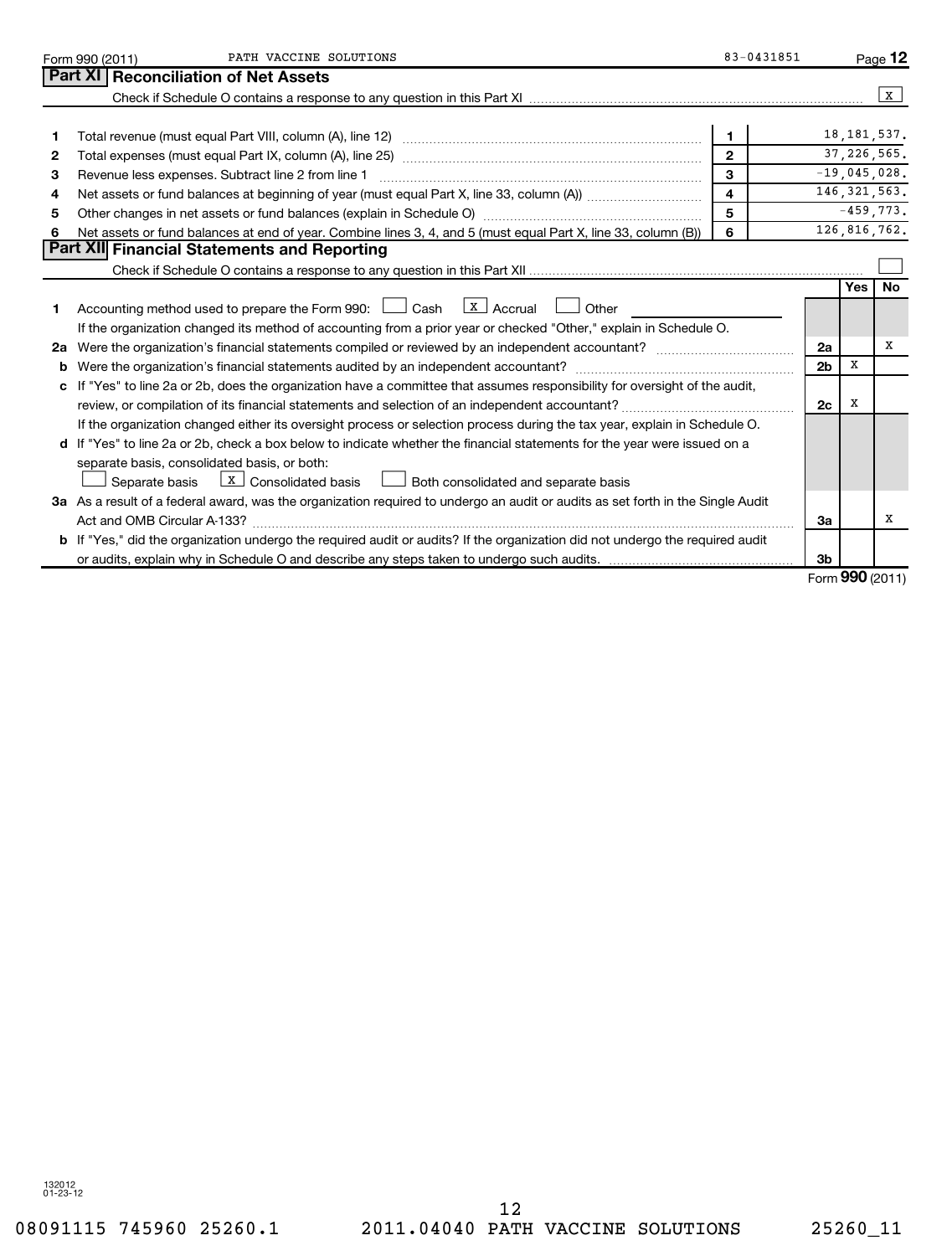|    | PATH VACCINE SOLUTIONS<br>Form 990 (2011)                                                                                            | 83-0431851              |                |                  | Page 12        |
|----|--------------------------------------------------------------------------------------------------------------------------------------|-------------------------|----------------|------------------|----------------|
|    | Part XI   Reconciliation of Net Assets                                                                                               |                         |                |                  |                |
|    |                                                                                                                                      |                         |                |                  | X              |
|    |                                                                                                                                      |                         |                |                  |                |
|    |                                                                                                                                      | 1                       |                |                  | 18, 181, 537.  |
| 2  |                                                                                                                                      | $\overline{2}$          |                |                  | 37, 226, 565.  |
| з  | 3<br>Revenue less expenses. Subtract line 2 from line 1                                                                              |                         |                |                  |                |
| 4  |                                                                                                                                      | $\overline{\mathbf{4}}$ |                |                  | 146, 321, 563. |
| 5  | Other changes in net assets or fund balances (explain in Schedule O) manufactured controller than general controller                 | 5                       |                |                  | $-459,773.$    |
| 6  | Net assets or fund balances at end of year. Combine lines 3, 4, and 5 (must equal Part X, line 33, column (B))                       | 6                       |                |                  | 126,816,762.   |
|    | Part XII Financial Statements and Reporting                                                                                          |                         |                |                  |                |
|    |                                                                                                                                      |                         |                |                  |                |
|    |                                                                                                                                      |                         |                | Yes              | No             |
| 1  | Accounting method used to prepare the Form 990: $\Box$ Cash $\Box$ Accrual $\Box$ Other                                              |                         |                |                  |                |
|    | If the organization changed its method of accounting from a prior year or checked "Other," explain in Schedule O.                    |                         |                |                  |                |
| 2a |                                                                                                                                      |                         |                |                  | X              |
|    | Were the organization's financial statements audited by an independent accountant?                                                   |                         | 2 <sub>b</sub> | x                |                |
|    | c If "Yes" to line 2a or 2b, does the organization have a committee that assumes responsibility for oversight of the audit,          |                         |                |                  |                |
|    |                                                                                                                                      |                         | 2 <sub>c</sub> | X                |                |
|    | If the organization changed either its oversight process or selection process during the tax year, explain in Schedule O.            |                         |                |                  |                |
|    | d If "Yes" to line 2a or 2b, check a box below to indicate whether the financial statements for the year were issued on a            |                         |                |                  |                |
|    | separate basis, consolidated basis, or both:                                                                                         |                         |                |                  |                |
|    | $\boxed{\text{X}}$ Consolidated basis $\boxed{\phantom{a}}$ Both consolidated and separate basis<br>Separate basis                   |                         |                |                  |                |
|    | 3a As a result of a federal award, was the organization required to undergo an audit or audits as set forth in the Single Audit      |                         |                |                  |                |
|    | Act and OMB Circular A-133?                                                                                                          |                         | За             |                  | X              |
|    | <b>b</b> If "Yes," did the organization undergo the required audit or audits? If the organization did not undergo the required audit |                         |                |                  |                |
|    |                                                                                                                                      |                         | 3 <sub>b</sub> |                  |                |
|    |                                                                                                                                      |                         |                | $000$ ( $0011$ ) |                |

Form (2011) **990**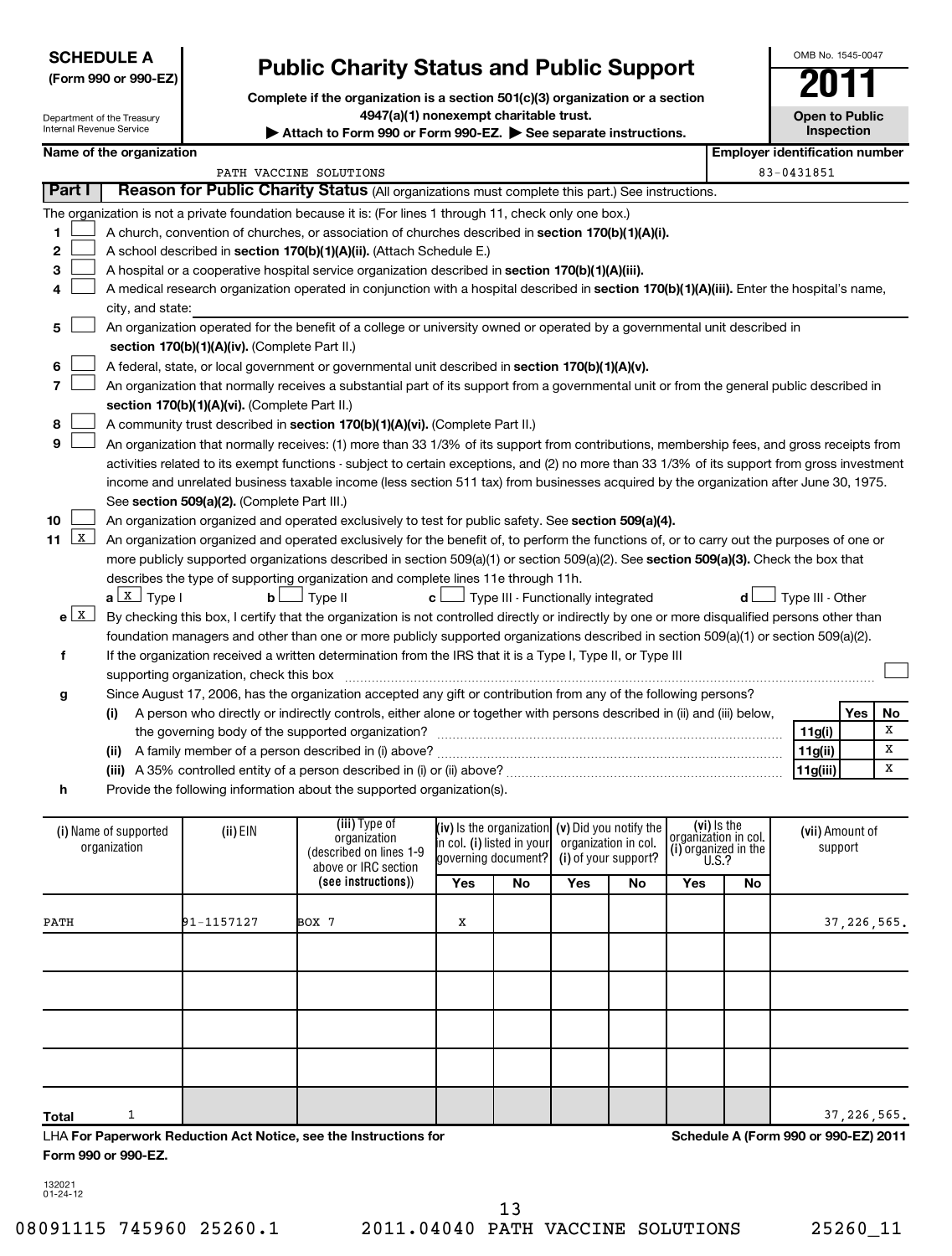| <b>SCHEDULE A</b>    |
|----------------------|
| (Form 990 or 990-EZ) |

# **Public Charity Status and Public Support**

**Complete if the organization is a section 501(c)(3) organization or a section 4947(a)(1) nonexempt charitable trust.**

| OMB No 1545-0047                    |
|-------------------------------------|
|                                     |
| <b>Open to Public</b><br>Inspection |

Department of the Treasury Internal Revenue Service

|                                                                                                                                     | internal Revenue Service                                                                                                                                                                                                                                                                                                                                                                                                                                                                                                                                                                                                                                                                                                                                                                                                                                                                                                                                                                                                                                                                                                                                                                                                                                                                                                                                                                                                                                                                                                                                                                                             |            | Attach to Form 990 or Form 990-EZ. See separate instructions.                                                                                                               |                                                                                                                                                         |    |     |    |                                                                                    |                                       |                     | <b>Inspection</b>          |               |
|-------------------------------------------------------------------------------------------------------------------------------------|----------------------------------------------------------------------------------------------------------------------------------------------------------------------------------------------------------------------------------------------------------------------------------------------------------------------------------------------------------------------------------------------------------------------------------------------------------------------------------------------------------------------------------------------------------------------------------------------------------------------------------------------------------------------------------------------------------------------------------------------------------------------------------------------------------------------------------------------------------------------------------------------------------------------------------------------------------------------------------------------------------------------------------------------------------------------------------------------------------------------------------------------------------------------------------------------------------------------------------------------------------------------------------------------------------------------------------------------------------------------------------------------------------------------------------------------------------------------------------------------------------------------------------------------------------------------------------------------------------------------|------------|-----------------------------------------------------------------------------------------------------------------------------------------------------------------------------|---------------------------------------------------------------------------------------------------------------------------------------------------------|----|-----|----|------------------------------------------------------------------------------------|---------------------------------------|---------------------|----------------------------|---------------|
| Name of the organization                                                                                                            |                                                                                                                                                                                                                                                                                                                                                                                                                                                                                                                                                                                                                                                                                                                                                                                                                                                                                                                                                                                                                                                                                                                                                                                                                                                                                                                                                                                                                                                                                                                                                                                                                      |            |                                                                                                                                                                             |                                                                                                                                                         |    |     |    |                                                                                    | <b>Employer identification number</b> |                     |                            |               |
| PATH VACCINE SOLUTIONS<br>Part I<br>Reason for Public Charity Status (All organizations must complete this part.) See instructions. |                                                                                                                                                                                                                                                                                                                                                                                                                                                                                                                                                                                                                                                                                                                                                                                                                                                                                                                                                                                                                                                                                                                                                                                                                                                                                                                                                                                                                                                                                                                                                                                                                      |            |                                                                                                                                                                             |                                                                                                                                                         |    |     |    | 83-0431851                                                                         |                                       |                     |                            |               |
|                                                                                                                                     |                                                                                                                                                                                                                                                                                                                                                                                                                                                                                                                                                                                                                                                                                                                                                                                                                                                                                                                                                                                                                                                                                                                                                                                                                                                                                                                                                                                                                                                                                                                                                                                                                      |            |                                                                                                                                                                             |                                                                                                                                                         |    |     |    |                                                                                    |                                       |                     |                            |               |
| 1.<br>2<br>З<br>4<br>5<br>6<br>7<br>8<br>9<br>10                                                                                    | The organization is not a private foundation because it is: (For lines 1 through 11, check only one box.)<br>A church, convention of churches, or association of churches described in section 170(b)(1)(A)(i).<br>A school described in section 170(b)(1)(A)(ii). (Attach Schedule E.)<br>A hospital or a cooperative hospital service organization described in section 170(b)(1)(A)(iii).<br>A medical research organization operated in conjunction with a hospital described in section 170(b)(1)(A)(iii). Enter the hospital's name,<br>city, and state:<br>An organization operated for the benefit of a college or university owned or operated by a governmental unit described in<br>section 170(b)(1)(A)(iv). (Complete Part II.)<br>A federal, state, or local government or governmental unit described in section 170(b)(1)(A)(v).<br>An organization that normally receives a substantial part of its support from a governmental unit or from the general public described in<br>section 170(b)(1)(A)(vi). (Complete Part II.)<br>A community trust described in section 170(b)(1)(A)(vi). (Complete Part II.)<br>An organization that normally receives: (1) more than 33 1/3% of its support from contributions, membership fees, and gross receipts from<br>activities related to its exempt functions - subject to certain exceptions, and (2) no more than 33 1/3% of its support from gross investment<br>income and unrelated business taxable income (less section 511 tax) from businesses acquired by the organization after June 30, 1975.<br>See section 509(a)(2). (Complete Part III.) |            |                                                                                                                                                                             |                                                                                                                                                         |    |     |    |                                                                                    |                                       |                     |                            |               |
| 11 $X$<br>f<br>g                                                                                                                    | An organization organized and operated exclusively to test for public safety. See section 509(a)(4).<br>An organization organized and operated exclusively for the benefit of, to perform the functions of, or to carry out the purposes of one or<br>more publicly supported organizations described in section 509(a)(1) or section 509(a)(2). See section 509(a)(3). Check the box that<br>describes the type of supporting organization and complete lines 11e through 11h.<br>$a \perp x$ Type I<br>J Type II<br>J Type III - Functionally integrated<br>Type III - Other<br>bl<br>c L<br>d l<br>$e^{\sqrt{X}}$<br>By checking this box, I certify that the organization is not controlled directly or indirectly by one or more disqualified persons other than<br>foundation managers and other than one or more publicly supported organizations described in section 509(a)(1) or section 509(a)(2).<br>If the organization received a written determination from the IRS that it is a Type I, Type II, or Type III<br>supporting organization, check this box<br>Since August 17, 2006, has the organization accepted any gift or contribution from any of the following persons?                                                                                                                                                                                                                                                                                                                                                                                                                          |            |                                                                                                                                                                             |                                                                                                                                                         |    |     |    |                                                                                    | No                                    |                     |                            |               |
|                                                                                                                                     | (i)                                                                                                                                                                                                                                                                                                                                                                                                                                                                                                                                                                                                                                                                                                                                                                                                                                                                                                                                                                                                                                                                                                                                                                                                                                                                                                                                                                                                                                                                                                                                                                                                                  |            | A person who directly or indirectly controls, either alone or together with persons described in (ii) and (iii) below,<br>the governing body of the supported organization? |                                                                                                                                                         |    |     |    |                                                                                    |                                       |                     | Yes                        | x             |
|                                                                                                                                     |                                                                                                                                                                                                                                                                                                                                                                                                                                                                                                                                                                                                                                                                                                                                                                                                                                                                                                                                                                                                                                                                                                                                                                                                                                                                                                                                                                                                                                                                                                                                                                                                                      |            |                                                                                                                                                                             |                                                                                                                                                         |    |     |    |                                                                                    |                                       | 11g(i)              |                            | х             |
|                                                                                                                                     |                                                                                                                                                                                                                                                                                                                                                                                                                                                                                                                                                                                                                                                                                                                                                                                                                                                                                                                                                                                                                                                                                                                                                                                                                                                                                                                                                                                                                                                                                                                                                                                                                      |            |                                                                                                                                                                             |                                                                                                                                                         |    |     |    |                                                                                    |                                       | 11g(ii)<br>11g(iii) |                            | x             |
| h                                                                                                                                   |                                                                                                                                                                                                                                                                                                                                                                                                                                                                                                                                                                                                                                                                                                                                                                                                                                                                                                                                                                                                                                                                                                                                                                                                                                                                                                                                                                                                                                                                                                                                                                                                                      |            | Provide the following information about the supported organization(s).                                                                                                      |                                                                                                                                                         |    |     |    |                                                                                    |                                       |                     |                            |               |
|                                                                                                                                     | (i) Name of supported<br>organization                                                                                                                                                                                                                                                                                                                                                                                                                                                                                                                                                                                                                                                                                                                                                                                                                                                                                                                                                                                                                                                                                                                                                                                                                                                                                                                                                                                                                                                                                                                                                                                | (ii) EIN   | (iii) Type of<br>organization<br>(described on lines 1-9<br>above or IRC section<br>(see instructions))                                                                     | (iv) Is the organization $(v)$ Did you notify the<br>in col. (i) listed in your organization in col.<br>governing document? (i) of your support?<br>Yes | No | Yes | No | (vi) is the<br>organizátion in col.<br>(i) organized in the<br><b>U.S.?</b><br>Yes | No                                    |                     | (vii) Amount of<br>support |               |
|                                                                                                                                     |                                                                                                                                                                                                                                                                                                                                                                                                                                                                                                                                                                                                                                                                                                                                                                                                                                                                                                                                                                                                                                                                                                                                                                                                                                                                                                                                                                                                                                                                                                                                                                                                                      |            |                                                                                                                                                                             |                                                                                                                                                         |    |     |    |                                                                                    |                                       |                     |                            |               |
| PATH                                                                                                                                |                                                                                                                                                                                                                                                                                                                                                                                                                                                                                                                                                                                                                                                                                                                                                                                                                                                                                                                                                                                                                                                                                                                                                                                                                                                                                                                                                                                                                                                                                                                                                                                                                      | 91-1157127 | BOX 7                                                                                                                                                                       | X                                                                                                                                                       |    |     |    |                                                                                    |                                       |                     |                            | 37, 226, 565. |
|                                                                                                                                     |                                                                                                                                                                                                                                                                                                                                                                                                                                                                                                                                                                                                                                                                                                                                                                                                                                                                                                                                                                                                                                                                                                                                                                                                                                                                                                                                                                                                                                                                                                                                                                                                                      |            |                                                                                                                                                                             |                                                                                                                                                         |    |     |    |                                                                                    |                                       |                     |                            |               |

LHA **For Paperwork Reduction Act Notice, see the Instructions for Form 990 or 990-EZ.**

**Schedule A (Form 990 or 990-EZ) 2011**

132021 01-24-12

**Total**

13

1  $\vert$  37,226,565.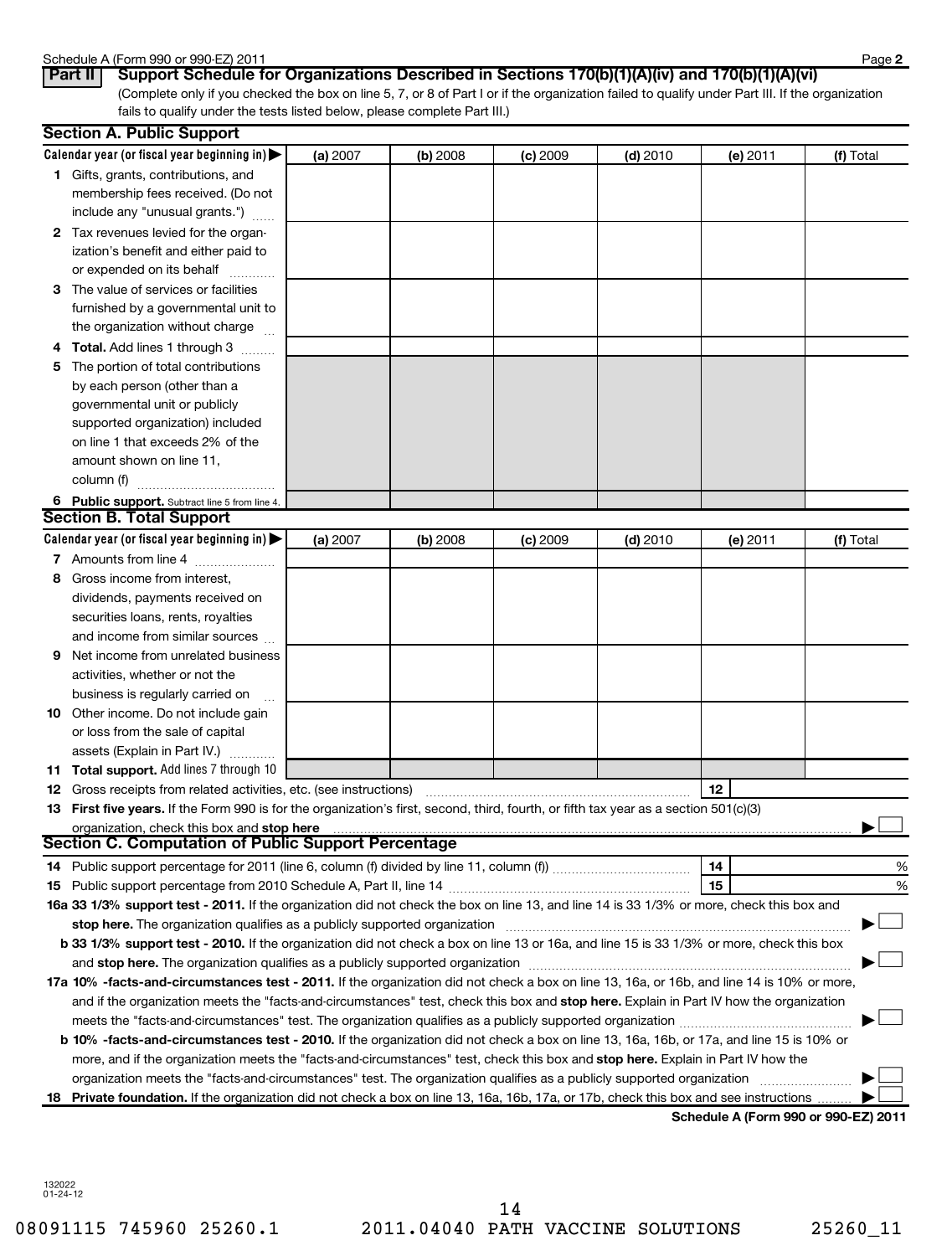### Schedule A (Form 990 or 990-EZ) 2011

| אט ווהט ון רא טוואסווטכ |                  |  |
|-------------------------|------------------|--|
| $D_{out}$ II            | $P_{\text{max}}$ |  |

| Schedule A (Form 990 or 990-EZ) 2011                                                                     | Page 2 |
|----------------------------------------------------------------------------------------------------------|--------|
| Part II   Support Schedule for Organizations Described in Sections 170(b)(1)(A)(iv) and 170(b)(1)(A)(vi) |        |

(Complete only if you checked the box on line 5, 7, or 8 of Part I or if the organization failed to qualify under Part III. If the organization fails to qualify under the tests listed below, please complete Part III.)

|    | <b>Section A. Public Support</b>                                                                                                                                                                                                                           |          |          |            |            |                                            |           |  |  |
|----|------------------------------------------------------------------------------------------------------------------------------------------------------------------------------------------------------------------------------------------------------------|----------|----------|------------|------------|--------------------------------------------|-----------|--|--|
|    | Calendar year (or fiscal year beginning in) $\blacktriangleright$                                                                                                                                                                                          | (a) 2007 | (b) 2008 | $(c)$ 2009 | $(d)$ 2010 | (e) 2011                                   | (f) Total |  |  |
|    | 1 Gifts, grants, contributions, and                                                                                                                                                                                                                        |          |          |            |            |                                            |           |  |  |
|    | membership fees received. (Do not                                                                                                                                                                                                                          |          |          |            |            |                                            |           |  |  |
|    | include any "unusual grants.")                                                                                                                                                                                                                             |          |          |            |            |                                            |           |  |  |
|    | 2 Tax revenues levied for the organ-                                                                                                                                                                                                                       |          |          |            |            |                                            |           |  |  |
|    | ization's benefit and either paid to                                                                                                                                                                                                                       |          |          |            |            |                                            |           |  |  |
|    | or expended on its behalf                                                                                                                                                                                                                                  |          |          |            |            |                                            |           |  |  |
|    | 3 The value of services or facilities                                                                                                                                                                                                                      |          |          |            |            |                                            |           |  |  |
|    | furnished by a governmental unit to                                                                                                                                                                                                                        |          |          |            |            |                                            |           |  |  |
|    | the organization without charge                                                                                                                                                                                                                            |          |          |            |            |                                            |           |  |  |
|    | <b>Total.</b> Add lines 1 through 3                                                                                                                                                                                                                        |          |          |            |            |                                            |           |  |  |
| 5  | The portion of total contributions                                                                                                                                                                                                                         |          |          |            |            |                                            |           |  |  |
|    | by each person (other than a                                                                                                                                                                                                                               |          |          |            |            |                                            |           |  |  |
|    | governmental unit or publicly                                                                                                                                                                                                                              |          |          |            |            |                                            |           |  |  |
|    | supported organization) included                                                                                                                                                                                                                           |          |          |            |            |                                            |           |  |  |
|    | on line 1 that exceeds 2% of the                                                                                                                                                                                                                           |          |          |            |            |                                            |           |  |  |
|    | amount shown on line 11,                                                                                                                                                                                                                                   |          |          |            |            |                                            |           |  |  |
|    | column (f)                                                                                                                                                                                                                                                 |          |          |            |            |                                            |           |  |  |
|    | 6 Public support. Subtract line 5 from line 4.                                                                                                                                                                                                             |          |          |            |            |                                            |           |  |  |
|    | <b>Section B. Total Support</b>                                                                                                                                                                                                                            |          |          |            |            |                                            |           |  |  |
|    | Calendar year (or fiscal year beginning in) $\blacktriangleright$                                                                                                                                                                                          | (a) 2007 | (b) 2008 | $(c)$ 2009 | $(d)$ 2010 | (e) 2011                                   | (f) Total |  |  |
|    | 7 Amounts from line 4                                                                                                                                                                                                                                      |          |          |            |            |                                            |           |  |  |
| 8  | Gross income from interest,                                                                                                                                                                                                                                |          |          |            |            |                                            |           |  |  |
|    | dividends, payments received on                                                                                                                                                                                                                            |          |          |            |            |                                            |           |  |  |
|    | securities loans, rents, royalties                                                                                                                                                                                                                         |          |          |            |            |                                            |           |  |  |
|    | and income from similar sources                                                                                                                                                                                                                            |          |          |            |            |                                            |           |  |  |
| 9  | Net income from unrelated business                                                                                                                                                                                                                         |          |          |            |            |                                            |           |  |  |
|    | activities, whether or not the                                                                                                                                                                                                                             |          |          |            |            |                                            |           |  |  |
|    | business is regularly carried on                                                                                                                                                                                                                           |          |          |            |            |                                            |           |  |  |
| 10 | Other income. Do not include gain                                                                                                                                                                                                                          |          |          |            |            |                                            |           |  |  |
|    | or loss from the sale of capital                                                                                                                                                                                                                           |          |          |            |            |                                            |           |  |  |
|    | assets (Explain in Part IV.)                                                                                                                                                                                                                               |          |          |            |            |                                            |           |  |  |
|    | 11 Total support. Add lines 7 through 10                                                                                                                                                                                                                   |          |          |            |            |                                            |           |  |  |
|    | <b>12</b> Gross receipts from related activities, etc. (see instructions)                                                                                                                                                                                  |          |          |            |            | 12                                         |           |  |  |
|    | 13 First five years. If the Form 990 is for the organization's first, second, third, fourth, or fifth tax year as a section 501(c)(3)                                                                                                                      |          |          |            |            |                                            |           |  |  |
|    | organization, check this box and stop here                                                                                                                                                                                                                 |          |          |            |            |                                            |           |  |  |
|    | <b>Section C. Computation of Public Support Percentage</b>                                                                                                                                                                                                 |          |          |            |            |                                            |           |  |  |
|    |                                                                                                                                                                                                                                                            |          |          |            |            | 14                                         | %         |  |  |
|    |                                                                                                                                                                                                                                                            |          |          |            |            | 15                                         | %         |  |  |
|    | 16a 33 1/3% support test - 2011. If the organization did not check the box on line 13, and line 14 is 33 1/3% or more, check this box and                                                                                                                  |          |          |            |            |                                            |           |  |  |
|    | stop here. The organization qualifies as a publicly supported organization                                                                                                                                                                                 |          |          |            |            |                                            |           |  |  |
|    | b 33 1/3% support test - 2010. If the organization did not check a box on line 13 or 16a, and line 15 is 33 1/3% or more, check this box                                                                                                                   |          |          |            |            |                                            |           |  |  |
|    | and stop here. The organization qualifies as a publicly supported organization [11] manuscription manuscription manuscription manuscription manuscription manuscription manuscription and an analyze of the organization manus                             |          |          |            |            |                                            |           |  |  |
|    | 17a 10% -facts-and-circumstances test - 2011. If the organization did not check a box on line 13, 16a, or 16b, and line 14 is 10% or more,                                                                                                                 |          |          |            |            |                                            |           |  |  |
|    | and if the organization meets the "facts-and-circumstances" test, check this box and stop here. Explain in Part IV how the organization                                                                                                                    |          |          |            |            |                                            |           |  |  |
|    |                                                                                                                                                                                                                                                            |          |          |            |            |                                            |           |  |  |
|    | b 10% -facts-and-circumstances test - 2010. If the organization did not check a box on line 13, 16a, 16b, or 17a, and line 15 is 10% or                                                                                                                    |          |          |            |            |                                            |           |  |  |
|    |                                                                                                                                                                                                                                                            |          |          |            |            |                                            |           |  |  |
|    | more, and if the organization meets the "facts-and-circumstances" test, check this box and stop here. Explain in Part IV how the<br>organization meets the "facts-and-circumstances" test. The organization qualifies as a publicly supported organization |          |          |            |            |                                            |           |  |  |
| 18 | Private foundation. If the organization did not check a box on line 13, 16a, 16b, 17a, or 17b, check this box and see instructions                                                                                                                         |          |          |            |            |                                            |           |  |  |
|    |                                                                                                                                                                                                                                                            |          |          |            |            | <b>Cohodulo A (Form 000 or 000 EZ) 201</b> |           |  |  |

**Schedule A (Form 990 or 990-EZ) 2011**

132022 01-24-12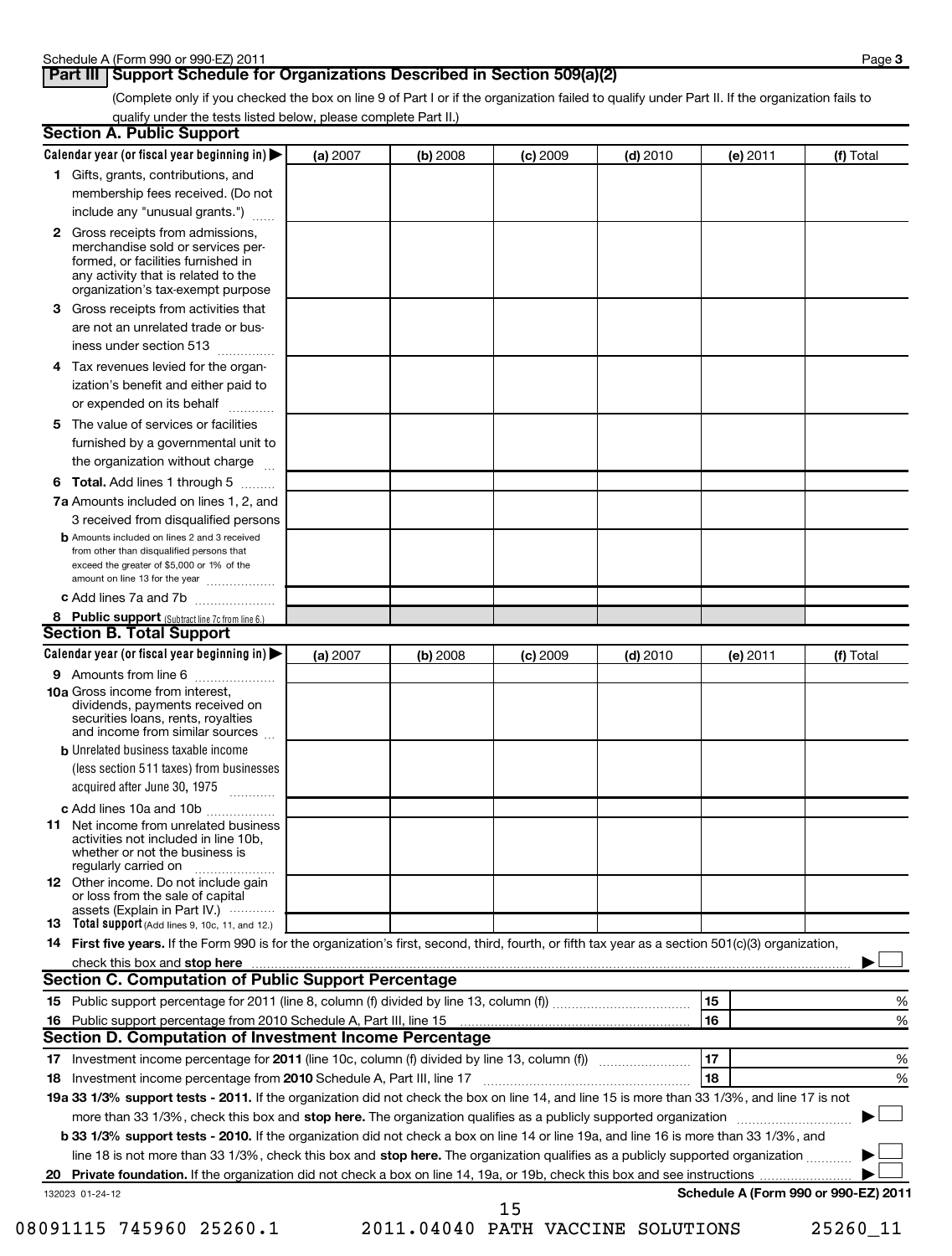## **Part III** Support Schedule for Organizations Described in Section 509(a)(2)

(Complete only if you checked the box on line 9 of Part I or if the organization failed to qualify under Part II. If the organization fails to qualify under the tests listed below, please complete Part II.)

| <b>Section A. Public Support</b>                                                                                                                                                                                               |          |          |            |            |          |                                      |
|--------------------------------------------------------------------------------------------------------------------------------------------------------------------------------------------------------------------------------|----------|----------|------------|------------|----------|--------------------------------------|
| Calendar year (or fiscal year beginning in)                                                                                                                                                                                    | (a) 2007 | (b) 2008 | $(c)$ 2009 | $(d)$ 2010 | (e) 2011 | (f) Total                            |
| 1 Gifts, grants, contributions, and                                                                                                                                                                                            |          |          |            |            |          |                                      |
| membership fees received. (Do not                                                                                                                                                                                              |          |          |            |            |          |                                      |
| include any "unusual grants.")                                                                                                                                                                                                 |          |          |            |            |          |                                      |
| <b>2</b> Gross receipts from admissions,<br>merchandise sold or services per-<br>formed, or facilities furnished in<br>any activity that is related to the<br>organization's tax-exempt purpose                                |          |          |            |            |          |                                      |
| 3 Gross receipts from activities that<br>are not an unrelated trade or bus-                                                                                                                                                    |          |          |            |            |          |                                      |
| iness under section 513                                                                                                                                                                                                        |          |          |            |            |          |                                      |
| Tax revenues levied for the organ-<br>4<br>ization's benefit and either paid to<br>or expended on its behalf                                                                                                                   |          |          |            |            |          |                                      |
| 5 The value of services or facilities                                                                                                                                                                                          |          |          |            |            |          |                                      |
| furnished by a governmental unit to<br>the organization without charge                                                                                                                                                         |          |          |            |            |          |                                      |
| <b>6 Total.</b> Add lines 1 through 5                                                                                                                                                                                          |          |          |            |            |          |                                      |
| 7a Amounts included on lines 1, 2, and<br>3 received from disqualified persons                                                                                                                                                 |          |          |            |            |          |                                      |
| <b>b</b> Amounts included on lines 2 and 3 received<br>from other than disqualified persons that<br>exceed the greater of \$5,000 or 1% of the<br>amount on line 13 for the year                                               |          |          |            |            |          |                                      |
| c Add lines 7a and 7b                                                                                                                                                                                                          |          |          |            |            |          |                                      |
| 8 Public support (Subtract line 7c from line 6.)                                                                                                                                                                               |          |          |            |            |          |                                      |
| <b>Section B. Total Support</b>                                                                                                                                                                                                |          |          |            |            |          |                                      |
| Calendar year (or fiscal year beginning in)                                                                                                                                                                                    | (a) 2007 | (b) 2008 | $(c)$ 2009 | $(d)$ 2010 | (e) 2011 | (f) Total                            |
| 9 Amounts from line 6                                                                                                                                                                                                          |          |          |            |            |          |                                      |
| <b>10a</b> Gross income from interest,<br>dividends, payments received on<br>securities loans, rents, royalties<br>and income from similar sources                                                                             |          |          |            |            |          |                                      |
| <b>b</b> Unrelated business taxable income                                                                                                                                                                                     |          |          |            |            |          |                                      |
| (less section 511 taxes) from businesses<br>acquired after June 30, 1975<br>$\overline{\phantom{a}}$                                                                                                                           |          |          |            |            |          |                                      |
| c Add lines 10a and 10b                                                                                                                                                                                                        |          |          |            |            |          |                                      |
| <b>11</b> Net income from unrelated business<br>activities not included in line 10b,<br>whether or not the business is<br>regularly carried on                                                                                 |          |          |            |            |          |                                      |
| 12 Other income. Do not include gain<br>or loss from the sale of capital<br>assets (Explain in Part IV.)                                                                                                                       |          |          |            |            |          |                                      |
| 13 Total support (Add lines 9, 10c, 11, and 12.)                                                                                                                                                                               |          |          |            |            |          |                                      |
| 14 First five years. If the Form 990 is for the organization's first, second, third, fourth, or fifth tax year as a section 501(c)(3) organization,                                                                            |          |          |            |            |          |                                      |
| check this box and stop here with the content of the content of the state of the content of the state of the state of the content of the content of the content of the content of the content of the content of the content of |          |          |            |            |          |                                      |
| Section C. Computation of Public Support Percentage                                                                                                                                                                            |          |          |            |            |          |                                      |
|                                                                                                                                                                                                                                |          |          |            |            | 15       | %                                    |
|                                                                                                                                                                                                                                |          |          |            |            | 16       | %                                    |
| Section D. Computation of Investment Income Percentage                                                                                                                                                                         |          |          |            |            |          |                                      |
|                                                                                                                                                                                                                                |          |          |            |            | 17       | %                                    |
| 18 Investment income percentage from 2010 Schedule A, Part III, line 17                                                                                                                                                        |          |          |            |            | 18       | %                                    |
| 19a 33 1/3% support tests - 2011. If the organization did not check the box on line 14, and line 15 is more than 33 1/3%, and line 17 is not                                                                                   |          |          |            |            |          |                                      |
| more than 33 1/3%, check this box and stop here. The organization qualifies as a publicly supported organization                                                                                                               |          |          |            |            |          |                                      |
| b 33 1/3% support tests - 2010. If the organization did not check a box on line 14 or line 19a, and line 16 is more than 33 1/3%, and                                                                                          |          |          |            |            |          |                                      |
| line 18 is not more than 33 1/3%, check this box and stop here. The organization qualifies as a publicly supported organization                                                                                                |          |          |            |            |          |                                      |
| 20<br>132023 01-24-12                                                                                                                                                                                                          |          |          |            |            |          | Schedule A (Form 990 or 990-EZ) 2011 |
|                                                                                                                                                                                                                                |          |          | 15         |            |          |                                      |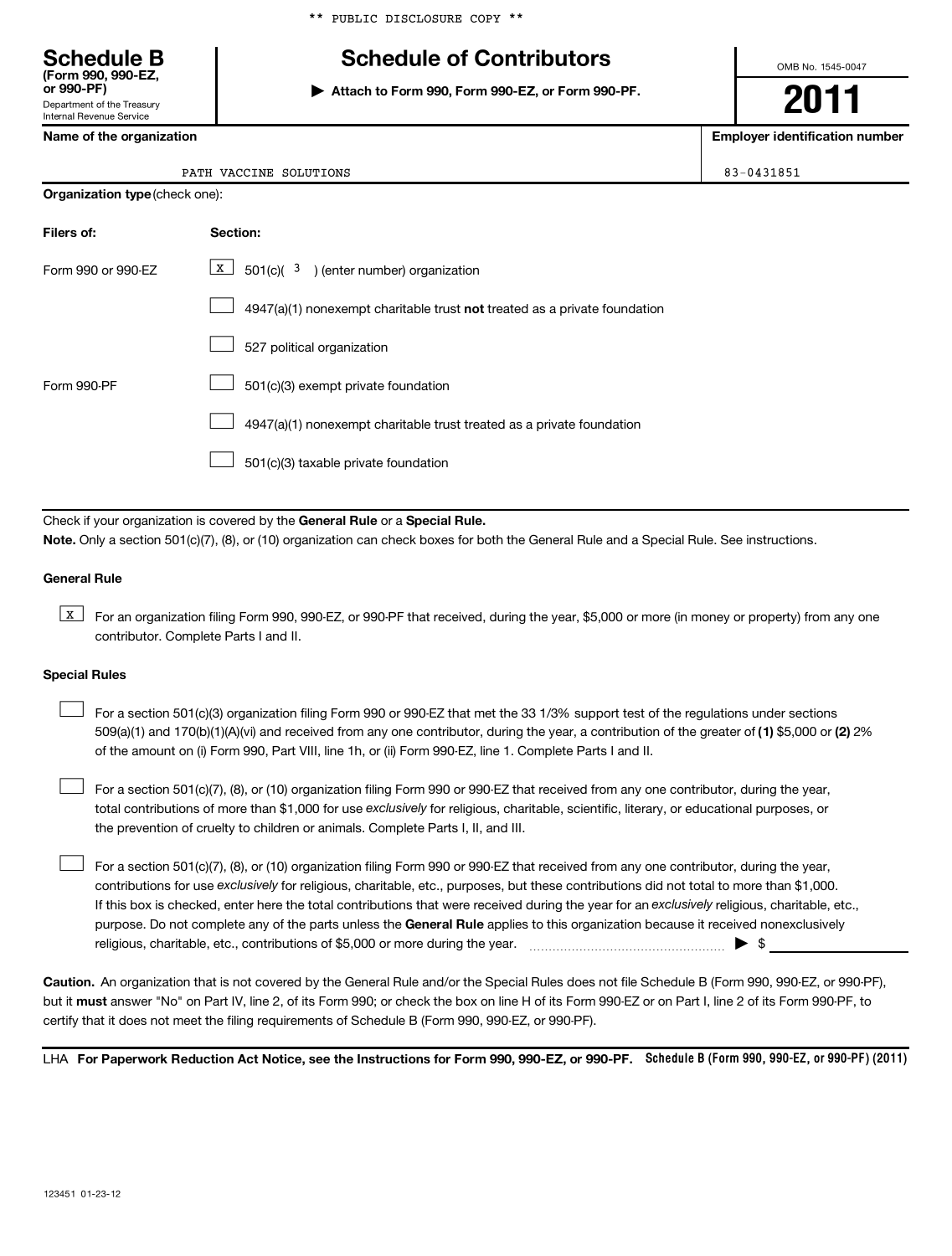# **Schedule B Schedule of Contributors**

**or 990-PF) | Attach to Form 990, Form 990-EZ, or Form 990-PF.**

OMB No. 1545-0047

**2011**

**Name of the organization Employer identification number**

| Department of the Treasury |  |
|----------------------------|--|
| Internal Revenue Service   |  |
|                            |  |

**(Form 990, 990-EZ,**

| VACCINE<br>PATH | SOLUTIONS | $-0431851$ |
|-----------------|-----------|------------|
|                 |           |            |

### **Organization type** (check one):

| Filers of:         | Section:                                                                  |
|--------------------|---------------------------------------------------------------------------|
| Form 990 or 990-EZ | $\underline{x}$ 501(c)( <sup>3</sup> ) (enter number) organization        |
|                    | 4947(a)(1) nonexempt charitable trust not treated as a private foundation |
|                    | 527 political organization                                                |
| Form 990-PF        | 501(c)(3) exempt private foundation                                       |
|                    | 4947(a)(1) nonexempt charitable trust treated as a private foundation     |
|                    | 501(c)(3) taxable private foundation                                      |

Check if your organization is covered by the General Rule or a Special Rule. **Note.**  Only a section 501(c)(7), (8), or (10) organization can check boxes for both the General Rule and a Special Rule. See instructions.

### **General Rule**

**K** For an organization filing Form 990, 990-EZ, or 990-PF that received, during the year, \$5,000 or more (in money or property) from any one contributor. Complete Parts I and II.

### **Special Rules**

509(a)(1) and 170(b)(1)(A)(vi) and received from any one contributor, during the year, a contribution of the greater of (1**)** \$5,000 or (**2**) 2% For a section 501(c)(3) organization filing Form 990 or 990-EZ that met the 33 1/3% support test of the regulations under sections of the amount on (i) Form 990, Part VIII, line 1h, or (ii) Form 990-EZ, line 1. Complete Parts I and II.  $\left\vert \cdot\right\vert$ 

total contributions of more than \$1,000 for use exclusively for religious, charitable, scientific, literary, or educational purposes, or For a section 501(c)(7), (8), or (10) organization filing Form 990 or 990-EZ that received from any one contributor, during the year, the prevention of cruelty to children or animals. Complete Parts I, II, and III.  $\left\vert \cdot\right\vert$ 

purpose. Do not complete any of the parts unless the General Rule applies to this organization because it received nonexclusively contributions for use exclusively for religious, charitable, etc., purposes, but these contributions did not total to more than \$1,000. If this box is checked, enter here the total contributions that were received during the year for an exclusively religious, charitable, etc., For a section 501(c)(7), (8), or (10) organization filing Form 990 or 990-EZ that received from any one contributor, during the year, religious, charitable, etc., contributions of \$5,000 or more during the year.  $\ldots$   $\ldots$   $\ldots$   $\ldots$   $\ldots$   $\ldots$   $\ldots$   $\ldots$   $\ldots$  $\left\vert \cdot\right\vert$ 

**Caution.** An organization that is not covered by the General Rule and/or the Special Rules does not file Schedule B (Form 990, 990-EZ, or 990-PF), but it **must** answer "No" on Part IV, line 2, of its Form 990; or check the box on line H of its Form 990-EZ or on Part I, line 2 of its Form 990-PF, to certify that it does not meet the filing requirements of Schedule B (Form 990, 990-EZ, or 990-PF).

LHA For Paperwork Reduction Act Notice, see the Instructions for Form 990, 990-EZ, or 990-PF. Schedule B (Form 990, 990-EZ, or 990-PF) (2011)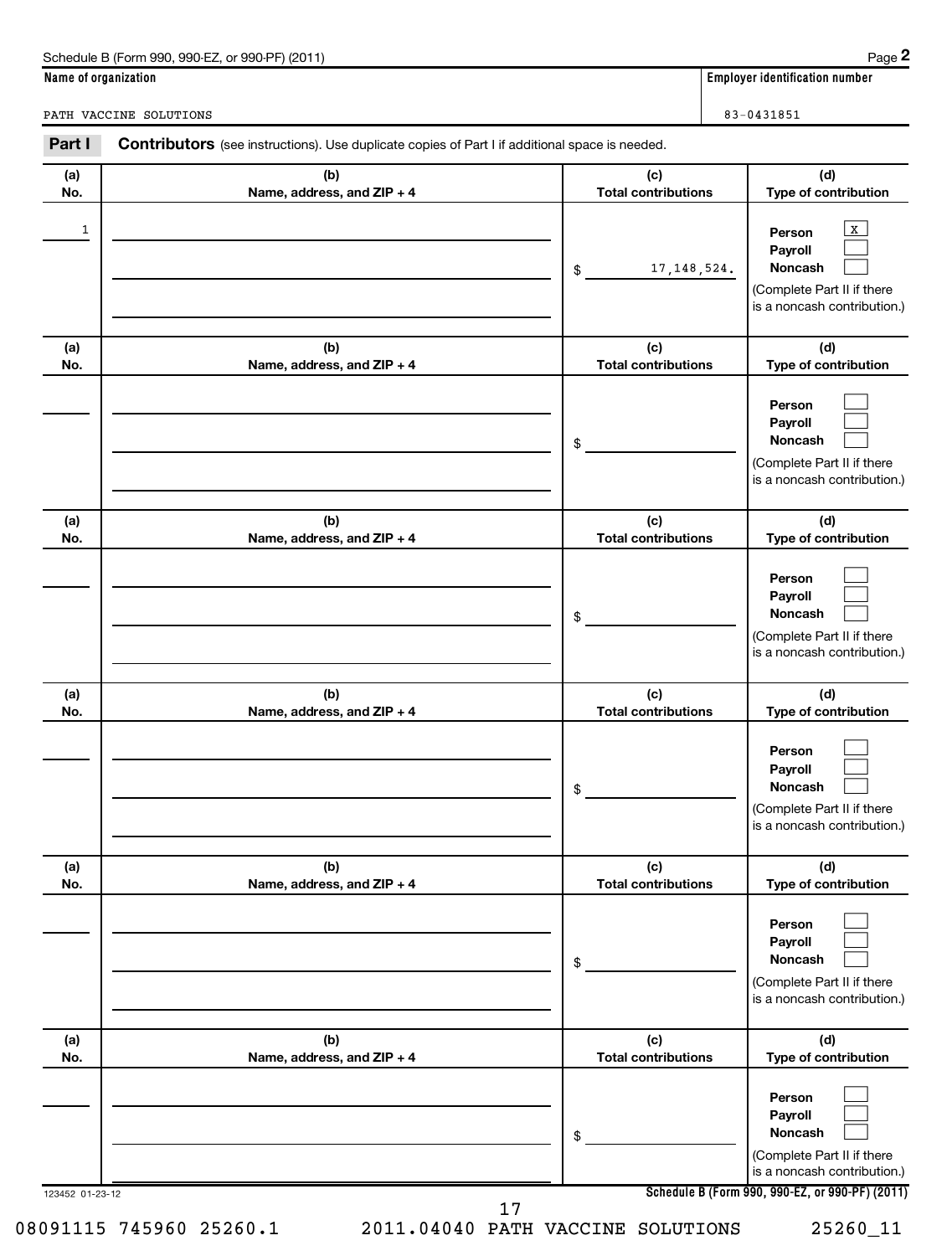| Schedule B (Form 990, 990-EZ, or 990-PF) (2011) | Page |
|-------------------------------------------------|------|
|-------------------------------------------------|------|

**2**

**Name of organization Employer identification number**

PATH VACCINE SOLUTIONS 83-0431851

| Part I          | <b>Contributors</b> (see instructions). Use duplicate copies of Part I if additional space is needed. |                                   |                                                                                                           |
|-----------------|-------------------------------------------------------------------------------------------------------|-----------------------------------|-----------------------------------------------------------------------------------------------------------|
| (a)<br>No.      | (b)<br>Name, address, and ZIP + 4                                                                     | (c)<br><b>Total contributions</b> | (d)<br>Type of contribution                                                                               |
| 1               |                                                                                                       | 17, 148, 524.<br>\$               | $\mathbf{X}$<br>Person<br>Payroll<br>Noncash<br>(Complete Part II if there<br>is a noncash contribution.) |
| (a)<br>No.      | (b)<br>Name, address, and ZIP + 4                                                                     | (c)<br><b>Total contributions</b> | (d)<br>Type of contribution                                                                               |
|                 |                                                                                                       | \$                                | Person<br>Payroll<br>Noncash<br>(Complete Part II if there<br>is a noncash contribution.)                 |
| (a)<br>No.      | (b)<br>Name, address, and ZIP + 4                                                                     | (c)<br><b>Total contributions</b> | (d)<br>Type of contribution                                                                               |
|                 |                                                                                                       | \$                                | Person<br>Payroll<br>Noncash<br>(Complete Part II if there<br>is a noncash contribution.)                 |
| (a)<br>No.      | (b)<br>Name, address, and ZIP + 4                                                                     | (c)<br><b>Total contributions</b> | (d)<br>Type of contribution                                                                               |
|                 |                                                                                                       | \$                                | Person<br>Payroll<br>Noncash<br>(Complete Part II if there<br>is a noncash contribution.)                 |
| (a)<br>No.      | (b)<br>Name, address, and ZIP + 4                                                                     | (c)<br><b>Total contributions</b> | (d)<br>Type of contribution                                                                               |
|                 |                                                                                                       | \$                                | Person<br>Payroll<br>Noncash<br>(Complete Part II if there<br>is a noncash contribution.)                 |
| (a)<br>No.      | (b)<br>Name, address, and ZIP + 4                                                                     | (c)<br><b>Total contributions</b> | (d)<br>Type of contribution                                                                               |
|                 |                                                                                                       | \$                                | Person<br>Payroll<br>Noncash<br>(Complete Part II if there<br>is a noncash contribution.)                 |
| 123452 01-23-12 |                                                                                                       |                                   | Schedule B (Form 990, 990-EZ, or 990-PF) (2011)                                                           |

17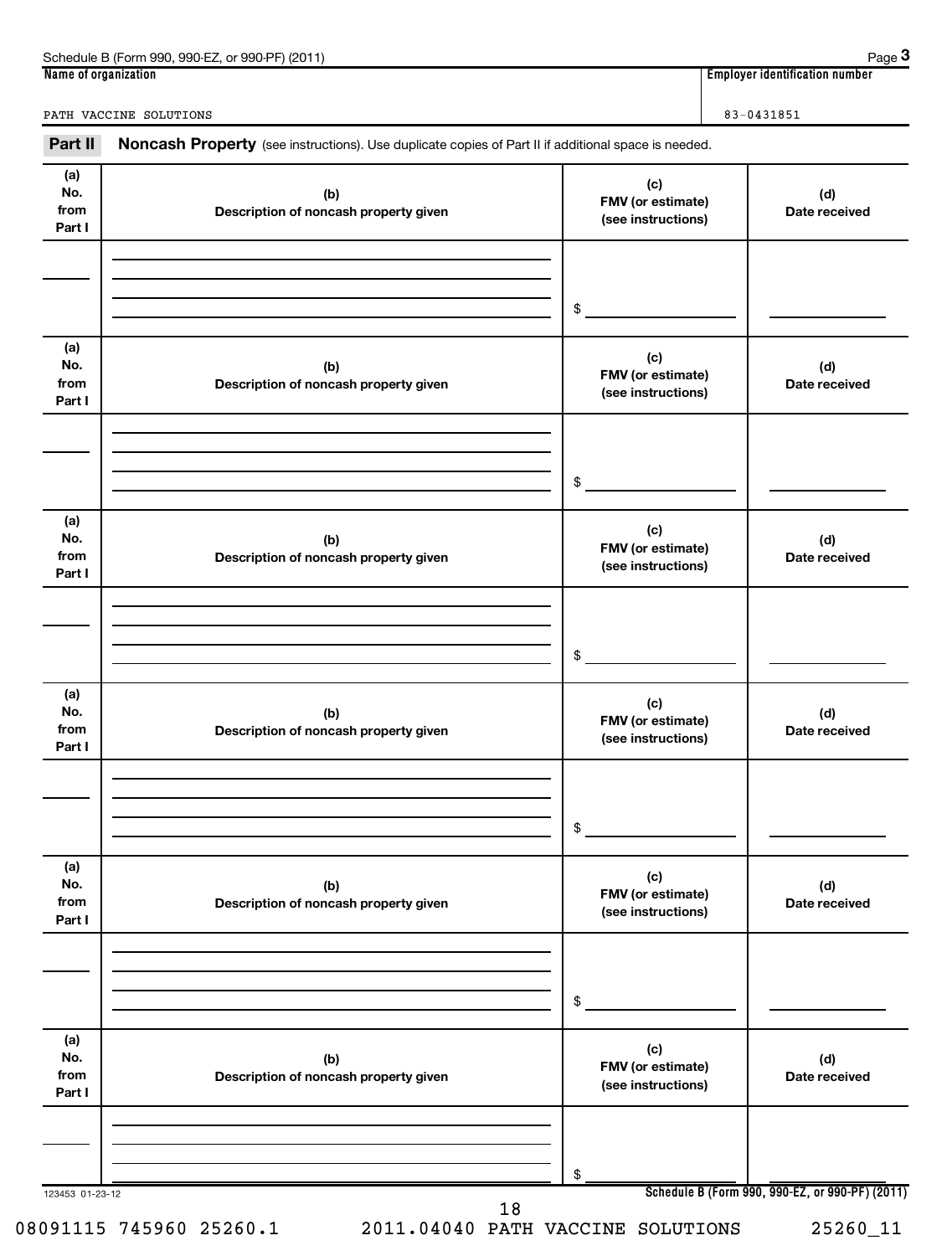| . 990-EZ<br>Schedule B (Form<br>1 (2011)<br>.990.<br>or 990-PF | Page                                             |
|----------------------------------------------------------------|--------------------------------------------------|
| Name of organization                                           | 1 1 1 1<br>r identification number :<br>Emplover |

**3**

PATH VACCINE SOLUTIONS 83-0431851

Part II Noncash Property (see instructions). Use duplicate copies of Part II if additional space is needed.

| (a)<br>No.<br>from<br>Part I | (b)<br>Description of noncash property given | (c)<br>FMV (or estimate)<br>(see instructions) | (d)<br>Date received                            |
|------------------------------|----------------------------------------------|------------------------------------------------|-------------------------------------------------|
|                              |                                              |                                                |                                                 |
|                              |                                              |                                                |                                                 |
|                              |                                              | \$                                             |                                                 |
| (a)<br>No.<br>from<br>Part I | (b)<br>Description of noncash property given | (c)<br>FMV (or estimate)<br>(see instructions) | (d)<br>Date received                            |
|                              |                                              |                                                |                                                 |
|                              |                                              |                                                |                                                 |
|                              |                                              | \$                                             |                                                 |
| (a)<br>No.<br>from<br>Part I | (b)<br>Description of noncash property given | (c)<br>FMV (or estimate)<br>(see instructions) | (d)<br>Date received                            |
|                              |                                              |                                                |                                                 |
|                              |                                              |                                                |                                                 |
|                              |                                              | \$                                             |                                                 |
| (a)<br>No.<br>from<br>Part I | (b)<br>Description of noncash property given | (c)<br>FMV (or estimate)<br>(see instructions) | (d)<br>Date received                            |
|                              |                                              |                                                |                                                 |
|                              |                                              |                                                |                                                 |
|                              |                                              | \$                                             |                                                 |
| (a)<br>No.<br>from<br>Part I | (b)<br>Description of noncash property given | (c)<br>FMV (or estimate)<br>(see instructions) | (d)<br>Date received                            |
|                              |                                              |                                                |                                                 |
|                              |                                              | \$                                             |                                                 |
| (a)<br>No.<br>from<br>Part I | (b)<br>Description of noncash property given | (c)<br>FMV (or estimate)<br>(see instructions) | (d)<br>Date received                            |
|                              |                                              |                                                |                                                 |
|                              |                                              |                                                |                                                 |
| 123453 01-23-12              |                                              | \$                                             | Schedule B (Form 990, 990-EZ, or 990-PF) (2011) |
|                              | 18                                           |                                                |                                                 |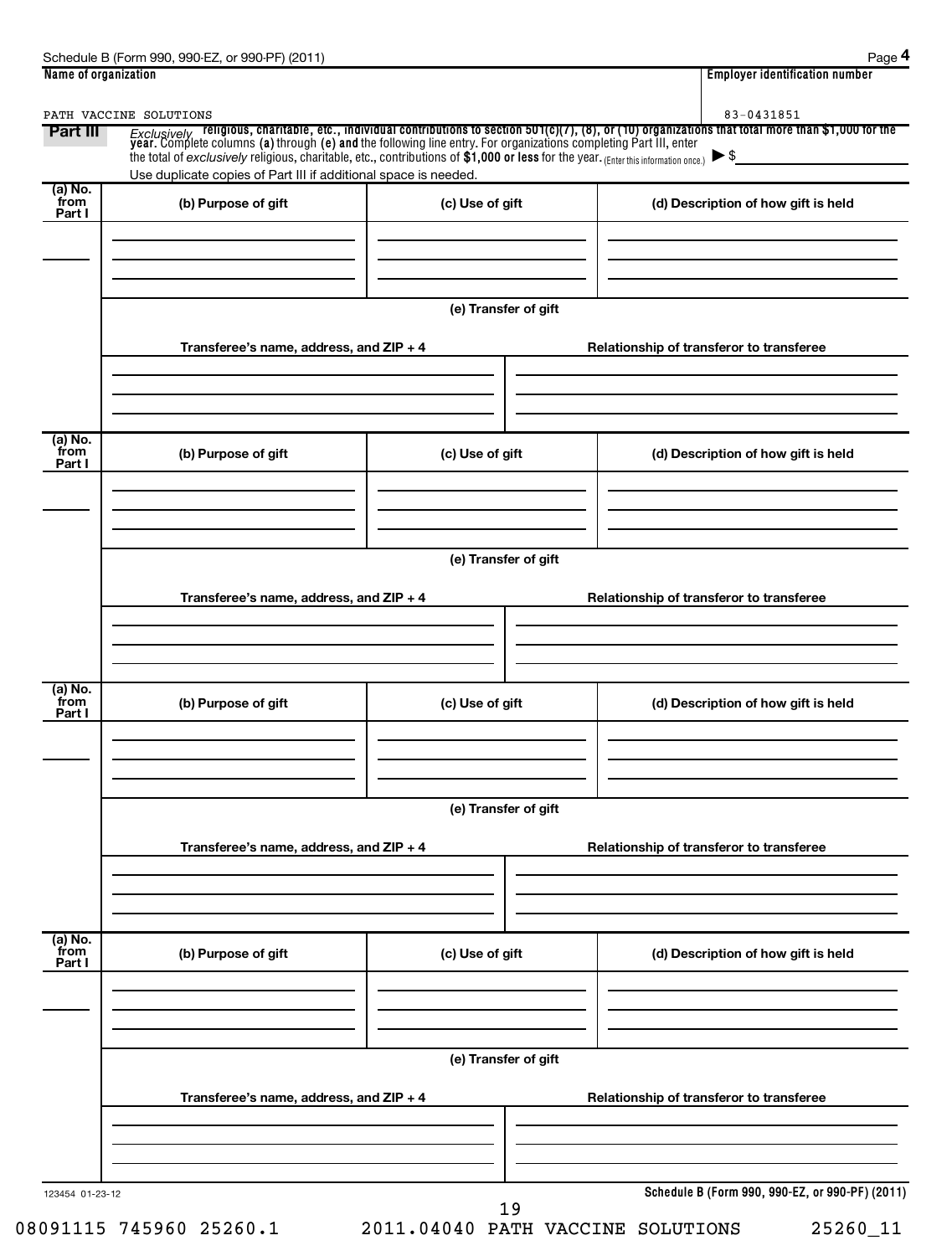| Part III                    | PATH VACCINE SOLUTIONS<br>the total of exclusively religious, charitable, etc., contributions of \$1,000 or less for the year. (Enter this information once.) $\triangleright$ \$ |                      | 83-0431851<br>Exclusively religious, charitable, etc., individual contributions to section 501(c)(7), (8), or (10) organizations that total more than \$1,000 for the<br>year. Complete columns (a) through (e) and the following line entry. Fo |
|-----------------------------|-----------------------------------------------------------------------------------------------------------------------------------------------------------------------------------|----------------------|--------------------------------------------------------------------------------------------------------------------------------------------------------------------------------------------------------------------------------------------------|
| (a) No.<br>from<br>Part I   | Use duplicate copies of Part III if additional space is needed.<br>(b) Purpose of gift                                                                                            | (c) Use of gift      | (d) Description of how gift is held                                                                                                                                                                                                              |
|                             |                                                                                                                                                                                   | (e) Transfer of gift |                                                                                                                                                                                                                                                  |
|                             | Transferee's name, address, and ZIP + 4                                                                                                                                           |                      | Relationship of transferor to transferee                                                                                                                                                                                                         |
| (a) No.<br>from<br>Part I   | (b) Purpose of gift                                                                                                                                                               | (c) Use of gift      | (d) Description of how gift is held                                                                                                                                                                                                              |
|                             | Transferee's name, address, and ZIP + 4                                                                                                                                           | (e) Transfer of gift | Relationship of transferor to transferee                                                                                                                                                                                                         |
| $(a)$ No.<br>from<br>Part I | (b) Purpose of gift                                                                                                                                                               | (c) Use of gift      | (d) Description of how gift is held                                                                                                                                                                                                              |
|                             |                                                                                                                                                                                   | (e) Transfer of gift |                                                                                                                                                                                                                                                  |
|                             | Transferee's name, address, and ZIP + 4                                                                                                                                           |                      | Relationship of transferor to transferee                                                                                                                                                                                                         |
| (a) No.<br>from<br>Part I   | (b) Purpose of gift                                                                                                                                                               | (c) Use of gift      | (d) Description of how gift is held                                                                                                                                                                                                              |
|                             |                                                                                                                                                                                   | (e) Transfer of gift |                                                                                                                                                                                                                                                  |
|                             | Transferee's name, address, and ZIP + 4                                                                                                                                           |                      | Relationship of transferor to transferee                                                                                                                                                                                                         |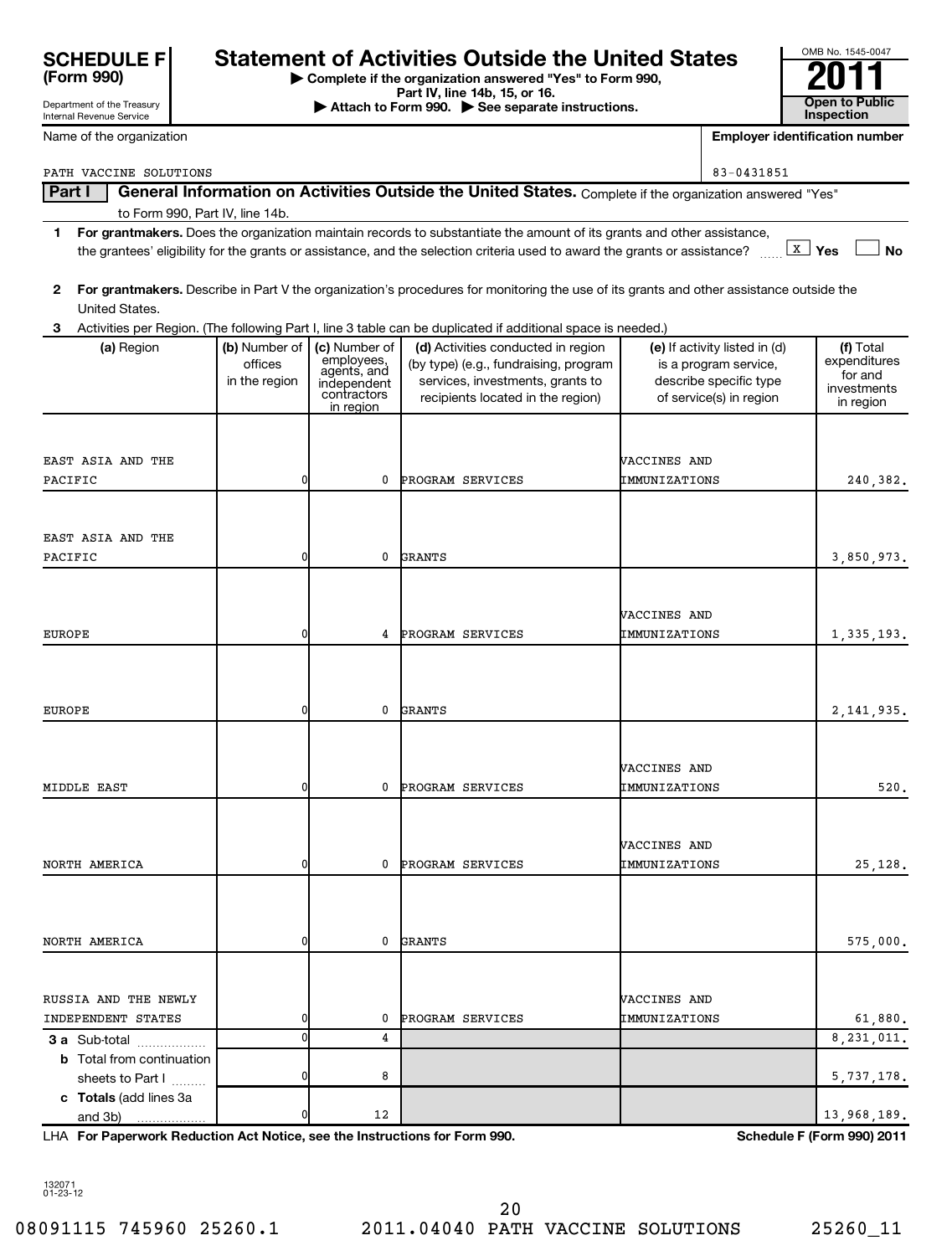| <b>SCHEDULE F</b> |  |
|-------------------|--|
| (Form 990)        |  |

Department of the Treasury

# Statement of Activities Outside the United States<br> **SCHEDULE FOR SCHEDULE FREE ACTIVITY**<br>
Part IV, line 14b, 15, or 16.<br> **Attach to Form 990.** See separate instructions

**| Complete if the organization answered "Yes" to Form 990,**

**Part IV, line 14b, 15, or 16. Conserved Bart IV, Ince 14b, 15, or 16. Conserved Bart IV, 15 See separate instructions. Conserved Bart III Conserved Bart III Conserved Bart II Conserved Bart II Conserved Bart** 

| Internal Revenue Service                   |               |                            |                                                                                                                                         |                                      |                                                   | <b>Inspection</b>                     |
|--------------------------------------------|---------------|----------------------------|-----------------------------------------------------------------------------------------------------------------------------------------|--------------------------------------|---------------------------------------------------|---------------------------------------|
| Name of the organization                   |               |                            |                                                                                                                                         |                                      |                                                   | <b>Employer identification number</b> |
| PATH VACCINE SOLUTIONS                     |               |                            |                                                                                                                                         |                                      | 83-0431851                                        |                                       |
| Part I                                     |               |                            | General Information on Activities Outside the United States. Complete if the organization answered "Yes"                                |                                      |                                                   |                                       |
| to Form 990, Part IV, line 14b.            |               |                            |                                                                                                                                         |                                      |                                                   |                                       |
| 1                                          |               |                            | For grantmakers. Does the organization maintain records to substantiate the amount of its grants and other assistance,                  |                                      |                                                   |                                       |
|                                            |               |                            | the grantees' eligibility for the grants or assistance, and the selection criteria used to award the grants or assistance?              |                                      |                                                   | $\lfloor x \rfloor$ Yes<br><b>No</b>  |
|                                            |               |                            |                                                                                                                                         |                                      |                                                   |                                       |
| 2<br>United States.                        |               |                            | For grantmakers. Describe in Part V the organization's procedures for monitoring the use of its grants and other assistance outside the |                                      |                                                   |                                       |
| З                                          |               |                            | Activities per Region. (The following Part I, line 3 table can be duplicated if additional space is needed.)                            |                                      |                                                   |                                       |
| (a) Region                                 | (b) Number of | (c) Number of              | (d) Activities conducted in region                                                                                                      |                                      | (e) If activity listed in (d)                     | (f) Total                             |
|                                            | offices       | employees,<br>agents, and  | (by type) (e.g., fundraising, program                                                                                                   |                                      | is a program service,                             | expenditures<br>for and               |
|                                            | in the region | independent<br>contractors | services, investments, grants to<br>recipients located in the region)                                                                   |                                      | describe specific type<br>of service(s) in region | investments                           |
|                                            |               | in region                  |                                                                                                                                         |                                      |                                                   | in region                             |
|                                            |               |                            |                                                                                                                                         |                                      |                                                   |                                       |
| EAST ASIA AND THE                          |               |                            |                                                                                                                                         | WACCINES AND                         |                                                   |                                       |
| PACIFIC                                    | $\mathbf{0}$  | 0                          | PROGRAM SERVICES                                                                                                                        | IMMUNIZATIONS                        |                                                   | 240.382.                              |
|                                            |               |                            |                                                                                                                                         |                                      |                                                   |                                       |
|                                            |               |                            |                                                                                                                                         |                                      |                                                   |                                       |
| EAST ASIA AND THE                          |               |                            |                                                                                                                                         |                                      |                                                   |                                       |
| PACIFIC                                    | $\mathbf{0}$  | 0                          | <b>GRANTS</b>                                                                                                                           |                                      |                                                   | 3,850,973.                            |
|                                            |               |                            |                                                                                                                                         |                                      |                                                   |                                       |
|                                            |               |                            |                                                                                                                                         | <b><i>NACCINES AND</i></b>           |                                                   |                                       |
| <b>EUROPE</b>                              | $\mathbf{0}$  | 4                          | PROGRAM SERVICES                                                                                                                        | IMMUNIZATIONS                        |                                                   | 1, 335, 193.                          |
|                                            |               |                            |                                                                                                                                         |                                      |                                                   |                                       |
|                                            |               |                            |                                                                                                                                         |                                      |                                                   |                                       |
|                                            |               |                            |                                                                                                                                         |                                      |                                                   |                                       |
| <b>EUROPE</b>                              | $\mathbf{0}$  | 0                          | <b>GRANTS</b>                                                                                                                           |                                      |                                                   | 2, 141, 935.                          |
|                                            |               |                            |                                                                                                                                         |                                      |                                                   |                                       |
|                                            |               |                            |                                                                                                                                         | <b><i>NACCINES AND</i></b>           |                                                   |                                       |
| MIDDLE EAST                                | $\mathbf{0}$  | 0                          | PROGRAM SERVICES                                                                                                                        | IMMUNIZATIONS                        |                                                   | 520.                                  |
|                                            |               |                            |                                                                                                                                         |                                      |                                                   |                                       |
|                                            |               |                            |                                                                                                                                         |                                      |                                                   |                                       |
| NORTH AMERICA                              | 01            | 0                          | <b>PROGRAM SERVICES</b>                                                                                                                 | VACCINES AND                         |                                                   |                                       |
|                                            |               |                            |                                                                                                                                         | IMMUNIZATIONS                        |                                                   | 25,128.                               |
|                                            |               |                            |                                                                                                                                         |                                      |                                                   |                                       |
|                                            |               |                            |                                                                                                                                         |                                      |                                                   |                                       |
| NORTH AMERICA                              | 0             | 0                          | <b>GRANTS</b>                                                                                                                           |                                      |                                                   | 575,000.                              |
|                                            |               |                            |                                                                                                                                         |                                      |                                                   |                                       |
|                                            |               |                            |                                                                                                                                         |                                      |                                                   |                                       |
| RUSSIA AND THE NEWLY<br>INDEPENDENT STATES | 0             | 0                          | PROGRAM SERVICES                                                                                                                        | <b>VACCINES AND</b><br>IMMUNIZATIONS |                                                   | 61,880.                               |
| 3 a Sub-total                              | $\mathbf 0$   | 4                          |                                                                                                                                         |                                      |                                                   | 8, 231, 011.                          |
| <b>b</b> Total from continuation           |               |                            |                                                                                                                                         |                                      |                                                   |                                       |
| sheets to Part I                           | 0             | 8                          |                                                                                                                                         |                                      |                                                   | 5,737,178.                            |
| c Totals (add lines 3a                     |               |                            |                                                                                                                                         |                                      |                                                   |                                       |
| and $3b)$                                  | 0             | 12                         |                                                                                                                                         |                                      |                                                   | 13,968,189.                           |

**For Paperwork Reduction Act Notice, see the Instructions for Form 990. Schedule F (Form 990) 2011** LHA

132071 01-23-12

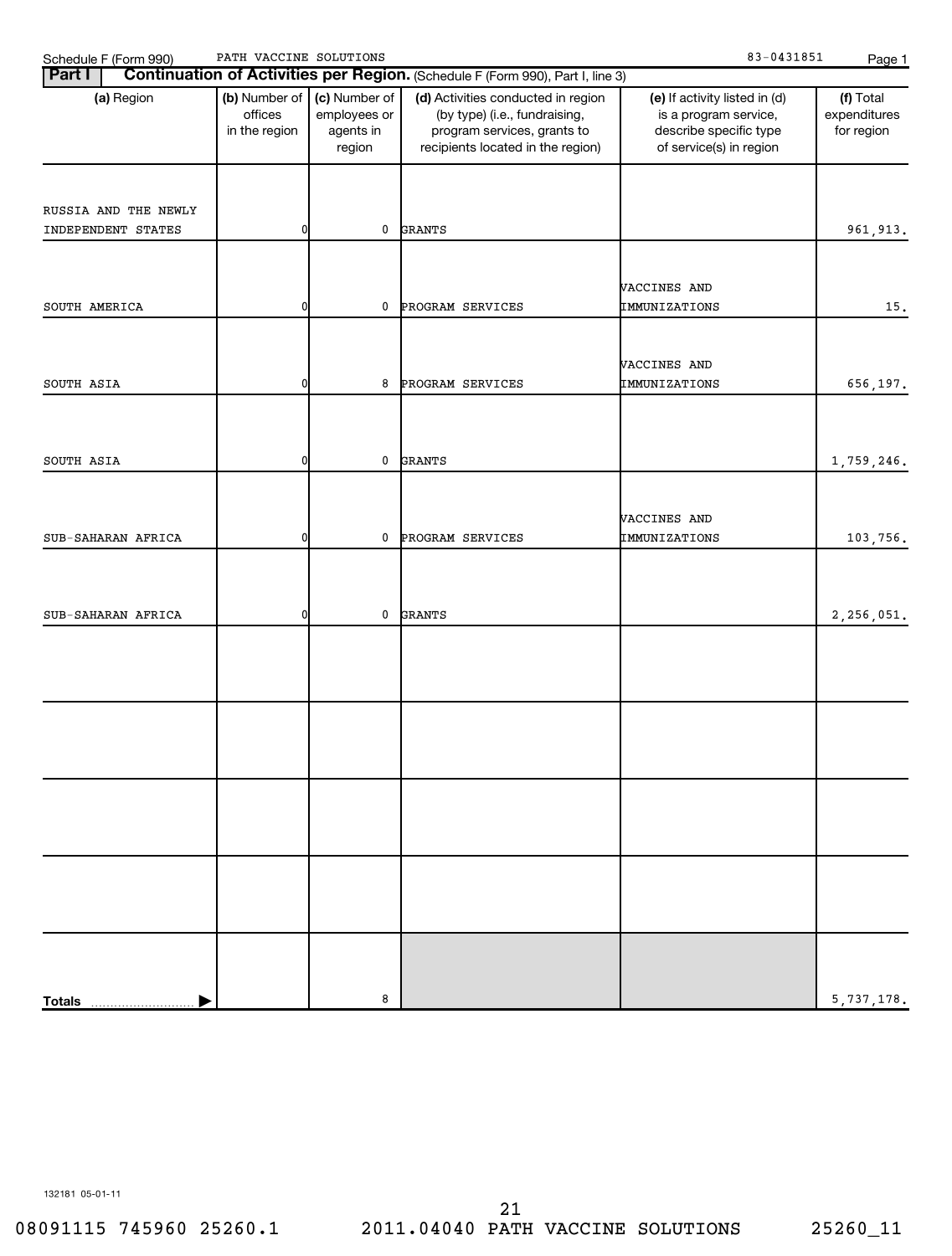| PATH VACCINE SOLUTIONS<br>Schedule F (Form 990) |
|-------------------------------------------------|
|-------------------------------------------------|

| Schedule F (Form 990)                      | PATH VACCINE SOLUTIONS                    |                                                      |                                                                                                                                         | 83-0431851                                                                                                  | Page 1                                  |
|--------------------------------------------|-------------------------------------------|------------------------------------------------------|-----------------------------------------------------------------------------------------------------------------------------------------|-------------------------------------------------------------------------------------------------------------|-----------------------------------------|
| <b>Part I</b>                              |                                           |                                                      | Continuation of Activities per Region. (Schedule F (Form 990), Part I, line 3)                                                          |                                                                                                             |                                         |
| (a) Region                                 | (b) Number of<br>offices<br>in the region | (c) Number of<br>employees or<br>agents in<br>region | (d) Activities conducted in region<br>(by type) (i.e., fundraising,<br>program services, grants to<br>recipients located in the region) | (e) If activity listed in (d)<br>is a program service,<br>describe specific type<br>of service(s) in region | (f) Total<br>expenditures<br>for region |
| RUSSIA AND THE NEWLY<br>INDEPENDENT STATES | 0                                         | 0                                                    | <b>GRANTS</b>                                                                                                                           |                                                                                                             | 961, 913.                               |
| SOUTH AMERICA                              | 0                                         | 0                                                    | PROGRAM SERVICES                                                                                                                        | VACCINES AND<br>IMMUNIZATIONS                                                                               | 15.                                     |
| SOUTH ASIA                                 | 0                                         | 8                                                    | PROGRAM SERVICES                                                                                                                        | VACCINES AND<br>IMMUNIZATIONS                                                                               | 656,197.                                |
| SOUTH ASIA                                 | 0                                         | 0                                                    | <b>GRANTS</b>                                                                                                                           |                                                                                                             | 1,759,246.                              |
| SUB-SAHARAN AFRICA                         | 0                                         | 0                                                    | PROGRAM SERVICES                                                                                                                        | VACCINES AND<br>IMMUNIZATIONS                                                                               | 103,756.                                |
| SUB-SAHARAN AFRICA                         | 0                                         | 0                                                    | <b>GRANTS</b>                                                                                                                           |                                                                                                             | 2,256,051.                              |
|                                            |                                           |                                                      |                                                                                                                                         |                                                                                                             |                                         |
|                                            |                                           |                                                      |                                                                                                                                         |                                                                                                             |                                         |
|                                            |                                           |                                                      |                                                                                                                                         |                                                                                                             |                                         |
|                                            |                                           |                                                      |                                                                                                                                         |                                                                                                             |                                         |
| <b>Totals</b>                              |                                           | 8                                                    |                                                                                                                                         |                                                                                                             | 5,737,178.                              |

132181 05-01-11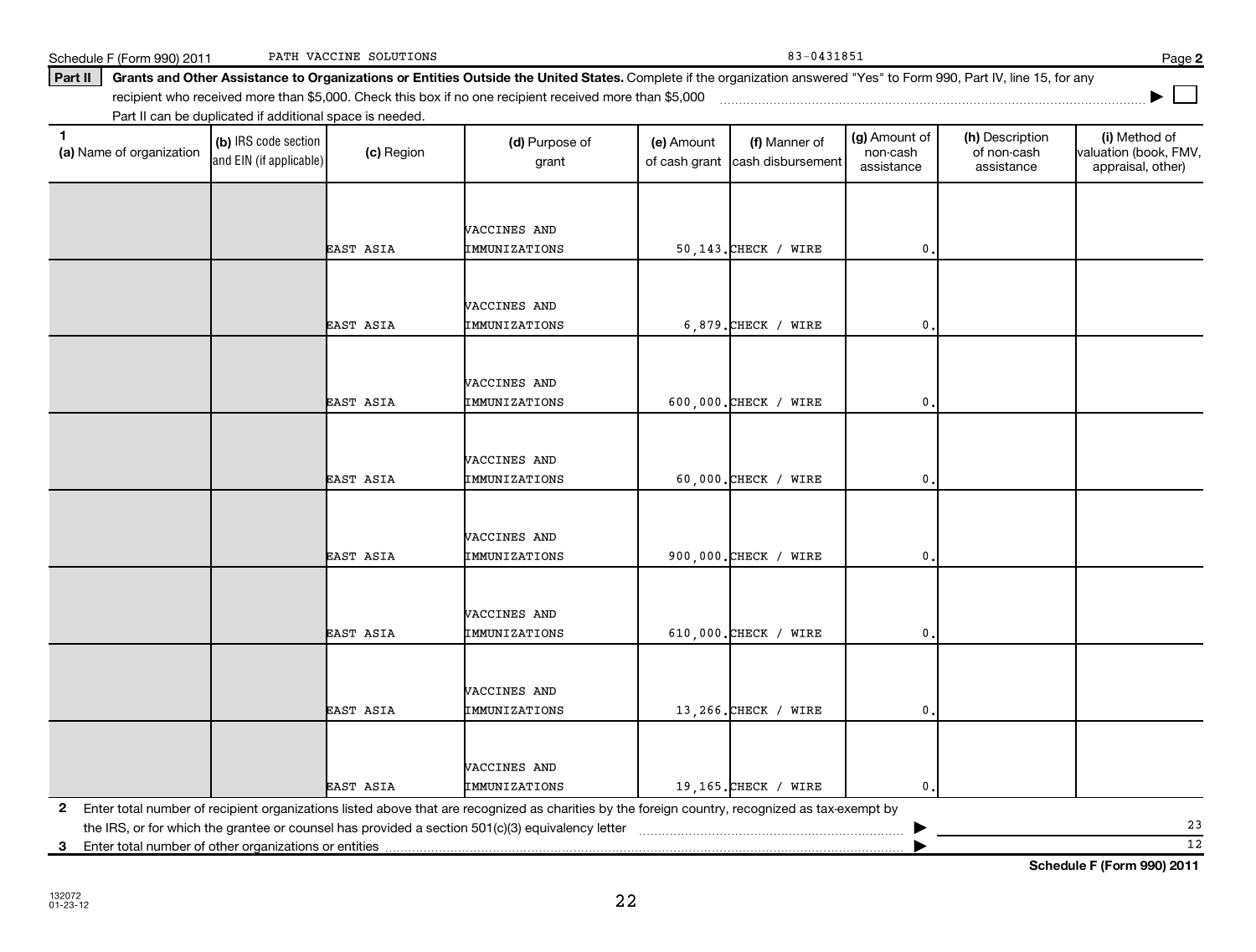|                  | VACCINES AND         |                         |                  |  |
|------------------|----------------------|-------------------------|------------------|--|
| <b>EAST ASIA</b> | IMMUNIZATIONS        | 600,000. CHECK / WIRE   | $\mathfrak{o}$ . |  |
|                  |                      |                         |                  |  |
|                  |                      |                         |                  |  |
|                  | VACCINES AND         |                         |                  |  |
| EAST ASIA        | IMMUNIZATIONS        | $60,000$ . CHECK / WIRE | $\mathbf{0}$ .   |  |
|                  |                      |                         |                  |  |
|                  | VACCINES AND         |                         |                  |  |
|                  |                      |                         |                  |  |
| <b>EAST ASIA</b> | IMMUNIZATIONS        | 900,000. CHECK / WIRE   | $\mathbf{0}$ .   |  |
|                  |                      |                         |                  |  |
|                  | VACCINES AND         |                         |                  |  |
| <b>EAST ASIA</b> | IMMUNIZATIONS        | 610,000. CHECK / WIRE   | $\mathbf{0}$ .   |  |
|                  |                      |                         |                  |  |
|                  | VACCINES AND         |                         |                  |  |
|                  |                      |                         |                  |  |
| <b>EAST ASIA</b> | IMMUNIZATIONS        | 13,266. CHECK / WIRE    | 0.               |  |
|                  |                      |                         |                  |  |
|                  | VACCINES AND         |                         |                  |  |
| EAST ASIA        | <b>IMMUNIZATIONS</b> | 19,165. CHECK / WIRE    | $\mathbf{0}$ .   |  |

22

Schedule F (Form 990) 2011 PATH VACCINE SOLUTIONS 2001 2011 83-0431851 PATH VACCINE SOLUTIONS

Part II | Grants and Other Assistance to Organizations or Entities Outside the United States. Complete if the organization answered "Yes" to Form 990, Part IV, line 15, for any recipient who received more than \$5,000. Check this box if no one recipient received more than \$5,000 ~~~~~~~~~~~~~~~~~~~~~~~~~~~~~~~~~~~~~

grant

VACCINES AND

VACCINES AND

(e) Amount of cash grant

EAST ASIA IMMUNIZATIONS | 50,143.CHECK / WIRE | 0.

EAST ASIA IMMUNIZATIONS | 6,879.CHECK / WIRE | 0.

(f) Manner of cash disbursement

and EIN (if applicable)

(a) Name of organization

**(a)** Name of organization (b) IRS code section (c) Region (c) Region (d) Purpose of (e) Amount (f) Manner of (g) Amount of (h) Description (i) (a) Name of organization (f) IRS code section (c) Region (d) Purpose of (d) Am (b) IRS code section Part II can be duplicated if additional space is needed. (c) Region (d) Purpose of

23  $\overline{12}$ 

(h) Description of non-cash assistance

(g) Amount of non-cash assistance

**2**

**|**

(i) Method of valuation (book, FMV, appraisal, other)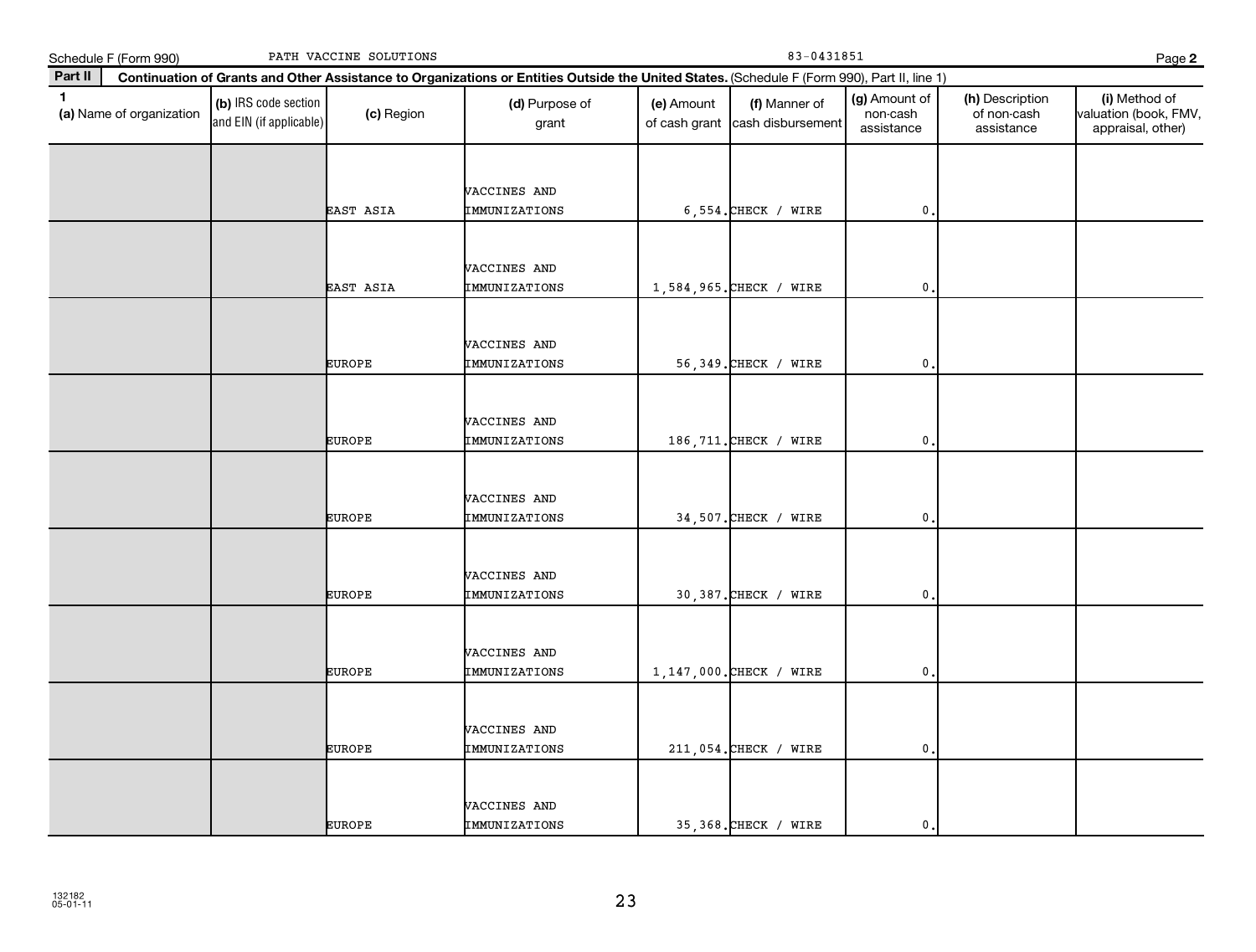|              | Schedule F (Form 990)    | PATH VACCINE SOLUTIONS                          |               |                                                                                                                                              |                             | 83-0431851                         |                                         |                                              |                                                             |  |
|--------------|--------------------------|-------------------------------------------------|---------------|----------------------------------------------------------------------------------------------------------------------------------------------|-----------------------------|------------------------------------|-----------------------------------------|----------------------------------------------|-------------------------------------------------------------|--|
| Part II      |                          |                                                 |               | Continuation of Grants and Other Assistance to Organizations or Entities Outside the United States. (Schedule F (Form 990), Part II, line 1) |                             |                                    |                                         |                                              |                                                             |  |
| $\mathbf{1}$ | (a) Name of organization | (b) IRS code section<br>and EIN (if applicable) | (c) Region    | (d) Purpose of<br>grant                                                                                                                      | (e) Amount<br>of cash grant | (f) Manner of<br>cash disbursement | (g) Amount of<br>non-cash<br>assistance | (h) Description<br>of non-cash<br>assistance | (i) Method of<br>valuation (book, FMV,<br>appraisal, other) |  |
|              |                          |                                                 | EAST ASIA     | VACCINES AND<br>IMMUNIZATIONS                                                                                                                |                             | $6,554.$ CHECK / WIRE              | 0                                       |                                              |                                                             |  |
|              |                          |                                                 | EAST ASIA     | <b>VACCINES AND</b><br>IMMUNIZATIONS                                                                                                         |                             | 1,584,965. CHECK / WIRE            | $\mathbf{0}$                            |                                              |                                                             |  |
|              |                          |                                                 | <b>EUROPE</b> | VACCINES AND<br>IMMUNIZATIONS                                                                                                                |                             | 56,349. CHECK / WIRE               | 0                                       |                                              |                                                             |  |
|              |                          |                                                 | <b>EUROPE</b> | VACCINES AND<br>IMMUNIZATIONS                                                                                                                |                             | 186, 711. CHECK / WIRE             | $\mathbf{0}$                            |                                              |                                                             |  |
|              |                          |                                                 | <b>EUROPE</b> | VACCINES AND<br>IMMUNIZATIONS                                                                                                                |                             | 34,507. CHECK / WIRE               | 0                                       |                                              |                                                             |  |
|              |                          |                                                 | <b>EUROPE</b> | VACCINES AND<br>IMMUNIZATIONS                                                                                                                |                             | 30,387. CHECK / WIRE               | $\mathbf{0}$                            |                                              |                                                             |  |
|              |                          |                                                 | <b>EUROPE</b> | VACCINES AND<br>IMMUNIZATIONS                                                                                                                |                             | 1, 147, 000. CHECK / WIRE          | 0                                       |                                              |                                                             |  |
|              |                          |                                                 | <b>EUROPE</b> | VACCINES AND<br>IMMUNIZATIONS                                                                                                                |                             | 211,054. CHECK / WIRE              | $\mathbf{0}$                            |                                              |                                                             |  |
|              |                          |                                                 | <b>EUROPE</b> | VACCINES AND<br>IMMUNIZATIONS                                                                                                                |                             | 35,368. CHECK / WIRE               | $\mathbf{0}$                            |                                              |                                                             |  |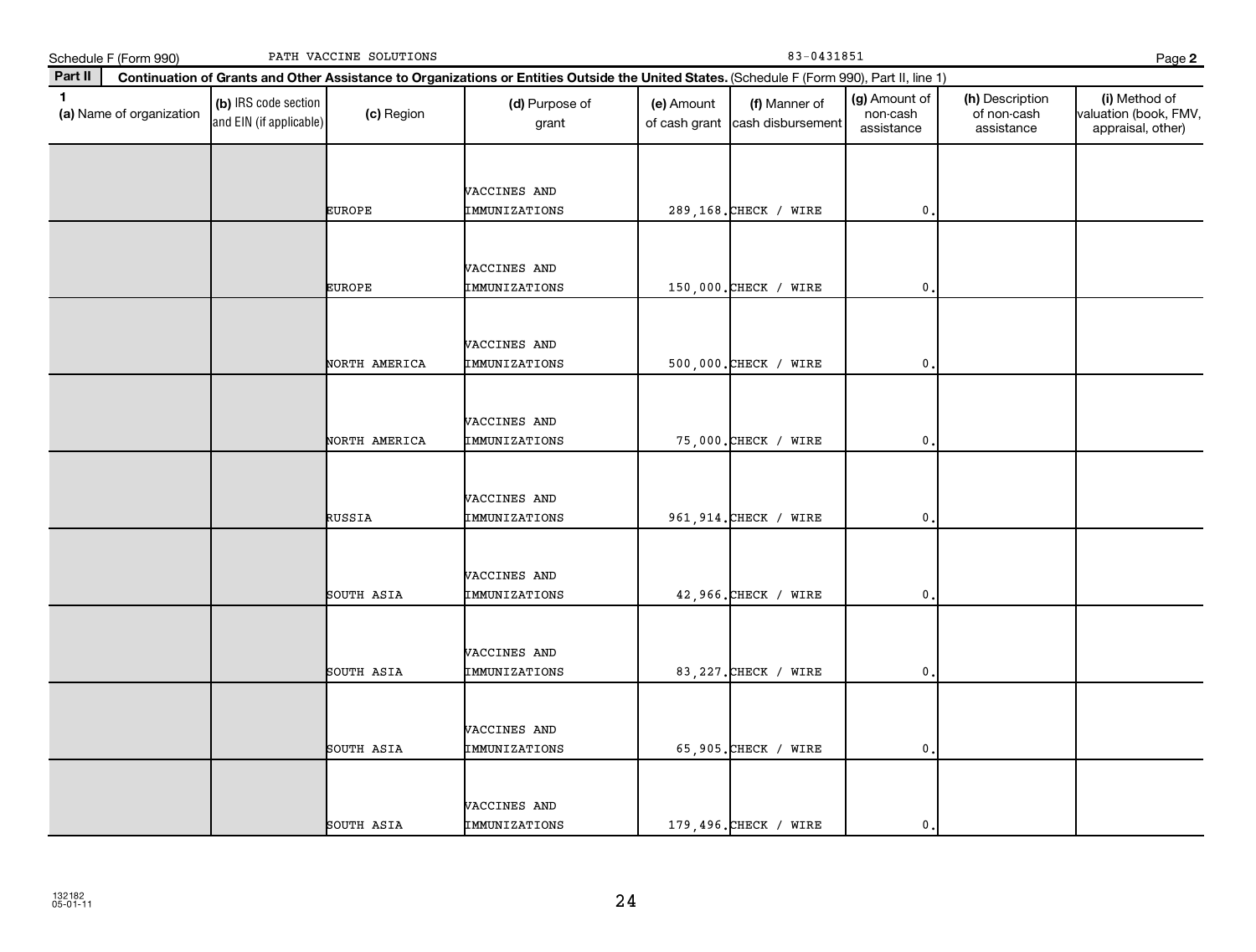|              | Schedule F (Form 990)    |                                                 | PATH VACCINE SOLUTIONS |                                                                                                                                              |                             | 83-0431851                         |                                         |                                              | Page 2                                                      |
|--------------|--------------------------|-------------------------------------------------|------------------------|----------------------------------------------------------------------------------------------------------------------------------------------|-----------------------------|------------------------------------|-----------------------------------------|----------------------------------------------|-------------------------------------------------------------|
| Part II      |                          |                                                 |                        | Continuation of Grants and Other Assistance to Organizations or Entities Outside the United States. (Schedule F (Form 990), Part II, line 1) |                             |                                    |                                         |                                              |                                                             |
| $\mathbf{1}$ | (a) Name of organization | (b) IRS code section<br>and EIN (if applicable) | (c) Region             | (d) Purpose of<br>grant                                                                                                                      | (e) Amount<br>of cash grant | (f) Manner of<br>cash disbursement | (g) Amount of<br>non-cash<br>assistance | (h) Description<br>of non-cash<br>assistance | (i) Method of<br>valuation (book, FMV,<br>appraisal, other) |
|              |                          |                                                 |                        |                                                                                                                                              |                             |                                    |                                         |                                              |                                                             |
|              |                          |                                                 |                        | VACCINES AND                                                                                                                                 |                             |                                    |                                         |                                              |                                                             |
|              |                          |                                                 | <b>EUROPE</b>          | IMMUNIZATIONS                                                                                                                                |                             | 289,168. CHECK / WIRE              | $\mathbf{0}$                            |                                              |                                                             |
|              |                          |                                                 |                        |                                                                                                                                              |                             |                                    |                                         |                                              |                                                             |
|              |                          |                                                 |                        | VACCINES AND                                                                                                                                 |                             |                                    |                                         |                                              |                                                             |
|              |                          |                                                 | <b>EUROPE</b>          | IMMUNIZATIONS                                                                                                                                |                             | 150,000. CHECK / WIRE              | $\mathbf 0$ .                           |                                              |                                                             |
|              |                          |                                                 |                        |                                                                                                                                              |                             |                                    |                                         |                                              |                                                             |
|              |                          |                                                 |                        | VACCINES AND                                                                                                                                 |                             |                                    |                                         |                                              |                                                             |
|              |                          |                                                 | NORTH AMERICA          | IMMUNIZATIONS                                                                                                                                |                             | 500,000. CHECK / WIRE              | 0                                       |                                              |                                                             |
|              |                          |                                                 |                        |                                                                                                                                              |                             |                                    |                                         |                                              |                                                             |
|              |                          |                                                 |                        | VACCINES AND                                                                                                                                 |                             |                                    |                                         |                                              |                                                             |
|              |                          |                                                 | NORTH AMERICA          | IMMUNIZATIONS                                                                                                                                |                             | 75,000. CHECK / WIRE               | $\mathbf 0$ .                           |                                              |                                                             |
|              |                          |                                                 |                        |                                                                                                                                              |                             |                                    |                                         |                                              |                                                             |
|              |                          |                                                 |                        | VACCINES AND                                                                                                                                 |                             |                                    |                                         |                                              |                                                             |
|              |                          |                                                 | RUSSIA                 | IMMUNIZATIONS                                                                                                                                |                             | 961, 914. CHECK / WIRE             | $\mathbf 0$                             |                                              |                                                             |
|              |                          |                                                 |                        |                                                                                                                                              |                             |                                    |                                         |                                              |                                                             |
|              |                          |                                                 |                        | VACCINES AND                                                                                                                                 |                             |                                    |                                         |                                              |                                                             |
|              |                          |                                                 | SOUTH ASIA             | IMMUNIZATIONS                                                                                                                                |                             | 42,966. CHECK / WIRE               | $\mathbf{0}$ .                          |                                              |                                                             |
|              |                          |                                                 |                        |                                                                                                                                              |                             |                                    |                                         |                                              |                                                             |
|              |                          |                                                 |                        | VACCINES AND                                                                                                                                 |                             |                                    |                                         |                                              |                                                             |
|              |                          |                                                 | SOUTH ASIA             | IMMUNIZATIONS                                                                                                                                |                             | 83, 227. CHECK / WIRE              | 0                                       |                                              |                                                             |
|              |                          |                                                 |                        |                                                                                                                                              |                             |                                    |                                         |                                              |                                                             |
|              |                          |                                                 |                        | VACCINES AND                                                                                                                                 |                             |                                    |                                         |                                              |                                                             |
|              |                          |                                                 | SOUTH ASIA             | IMMUNIZATIONS                                                                                                                                |                             | 65,905. CHECK / WIRE               | $\mathbf{0}$                            |                                              |                                                             |
|              |                          |                                                 |                        |                                                                                                                                              |                             |                                    |                                         |                                              |                                                             |
|              |                          |                                                 |                        | VACCINES AND                                                                                                                                 |                             |                                    |                                         |                                              |                                                             |
|              |                          |                                                 | SOUTH ASIA             | IMMUNIZATIONS                                                                                                                                |                             | 179,496. CHECK / WIRE              | $\mathbf{0}$                            |                                              |                                                             |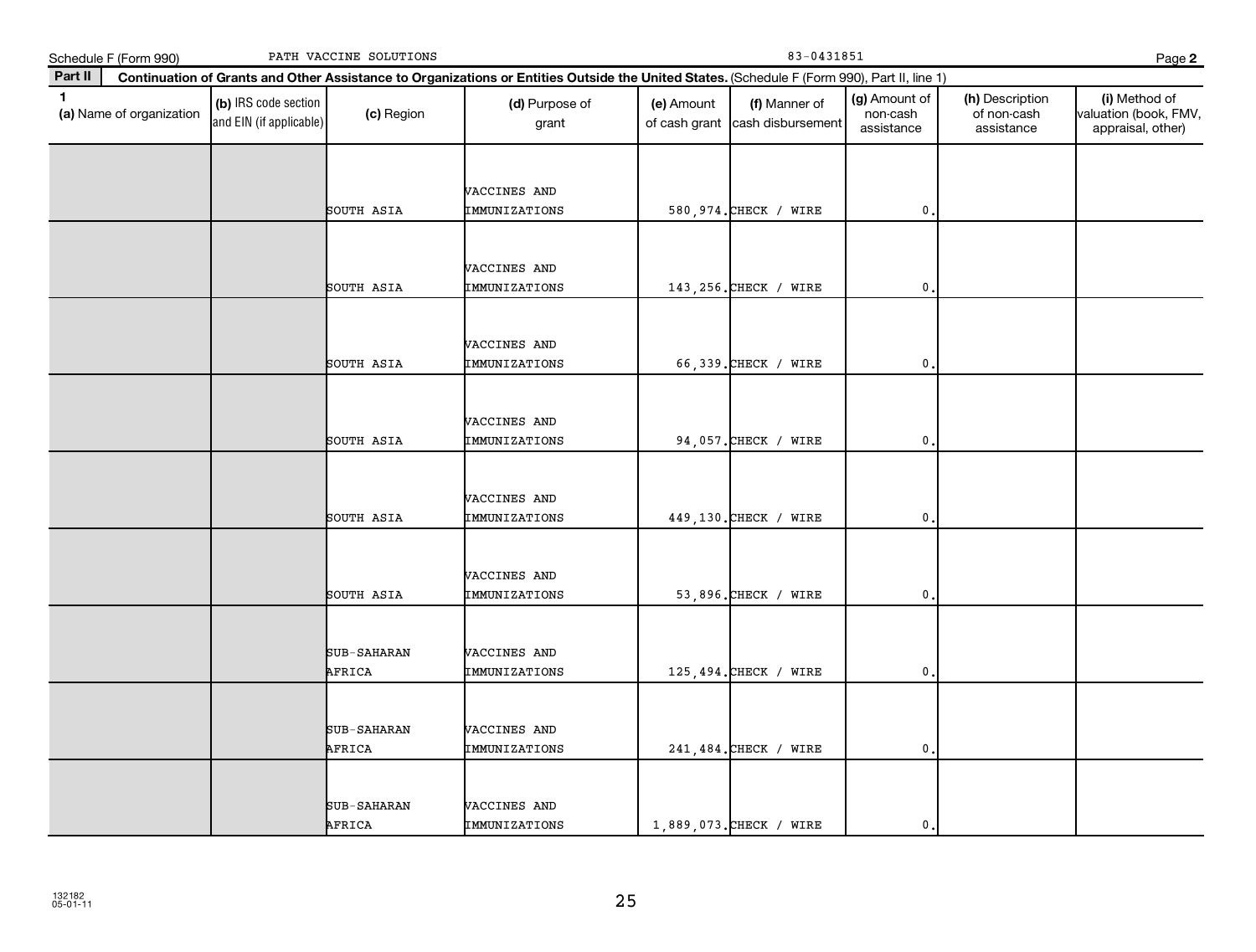|              | Schedule F (Form 990)    |                                                 | PATH VACCINE SOLUTIONS       |                                                                                                                                              |                             |                                    | Page 2                                  |                                              |                                                             |
|--------------|--------------------------|-------------------------------------------------|------------------------------|----------------------------------------------------------------------------------------------------------------------------------------------|-----------------------------|------------------------------------|-----------------------------------------|----------------------------------------------|-------------------------------------------------------------|
| Part II      |                          |                                                 |                              | Continuation of Grants and Other Assistance to Organizations or Entities Outside the United States. (Schedule F (Form 990), Part II, line 1) |                             |                                    |                                         |                                              |                                                             |
| $\mathbf{1}$ | (a) Name of organization | (b) IRS code section<br>and EIN (if applicable) | (c) Region                   | (d) Purpose of<br>grant                                                                                                                      | (e) Amount<br>of cash grant | (f) Manner of<br>cash disbursement | (g) Amount of<br>non-cash<br>assistance | (h) Description<br>of non-cash<br>assistance | (i) Method of<br>valuation (book, FMV,<br>appraisal, other) |
|              |                          |                                                 | SOUTH ASIA                   | VACCINES AND<br>IMMUNIZATIONS                                                                                                                |                             | 580, 974. CHECK / WIRE             | $\mathbf{0}$                            |                                              |                                                             |
|              |                          |                                                 | SOUTH ASIA                   | <b>VACCINES AND</b><br>IMMUNIZATIONS                                                                                                         |                             | 143, 256. CHECK / WIRE             | $\mathbf{0}$ .                          |                                              |                                                             |
|              |                          |                                                 | SOUTH ASIA                   | VACCINES AND<br>IMMUNIZATIONS                                                                                                                |                             | 66,339. CHECK / WIRE               | 0                                       |                                              |                                                             |
|              |                          |                                                 | SOUTH ASIA                   | VACCINES AND<br>IMMUNIZATIONS                                                                                                                |                             | 94,057. CHECK / WIRE               | 0,                                      |                                              |                                                             |
|              |                          |                                                 | SOUTH ASIA                   | VACCINES AND<br>IMMUNIZATIONS                                                                                                                |                             | 449,130. CHECK / WIRE              | 0                                       |                                              |                                                             |
|              |                          |                                                 | SOUTH ASIA                   | VACCINES AND<br>IMMUNIZATIONS                                                                                                                |                             | 53,896. CHECK / WIRE               | $\mathbf 0$                             |                                              |                                                             |
|              |                          |                                                 | SUB-SAHARAN<br>AFRICA        | VACCINES AND<br>IMMUNIZATIONS                                                                                                                |                             | 125,494. CHECK / WIRE              | $\mathbf{0}$                            |                                              |                                                             |
|              |                          |                                                 | <b>SUB-SAHARAN</b><br>AFRICA | VACCINES AND<br>IMMUNIZATIONS                                                                                                                |                             | 241, 484. CHECK / WIRE             | $\mathbf{0}$                            |                                              |                                                             |
|              |                          |                                                 | SUB-SAHARAN<br>AFRICA        | VACCINES AND<br>IMMUNIZATIONS                                                                                                                |                             | 1,889,073. CHECK / WIRE            | $\mathbf{0}$ .                          |                                              |                                                             |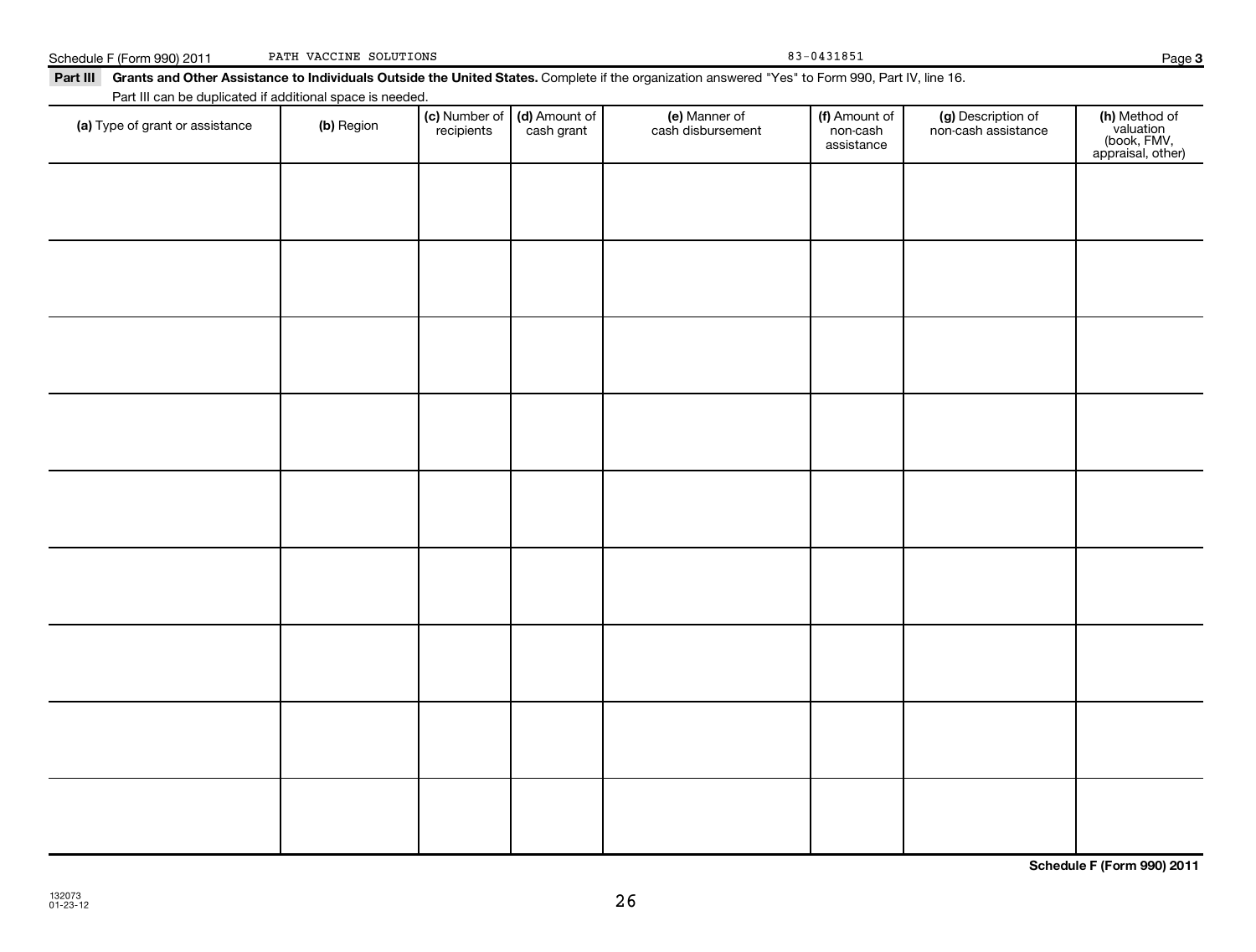| Part III can be duplicated if additional space is needed. |            |                             |                             |                                    |                                         |                                           |                                                                |
|-----------------------------------------------------------|------------|-----------------------------|-----------------------------|------------------------------------|-----------------------------------------|-------------------------------------------|----------------------------------------------------------------|
| (a) Type of grant or assistance                           | (b) Region | (c) Number of<br>recipients | (d) Amount of<br>cash grant | (e) Manner of<br>cash disbursement | (f) Amount of<br>non-cash<br>assistance | (g) Description of<br>non-cash assistance | (h) Method of<br>valuation<br>(book, FMV,<br>appraisal, other) |
|                                                           |            |                             |                             |                                    |                                         |                                           |                                                                |
|                                                           |            |                             |                             |                                    |                                         |                                           |                                                                |
|                                                           |            |                             |                             |                                    |                                         |                                           |                                                                |
|                                                           |            |                             |                             |                                    |                                         |                                           |                                                                |
|                                                           |            |                             |                             |                                    |                                         |                                           |                                                                |
|                                                           |            |                             |                             |                                    |                                         |                                           |                                                                |
|                                                           |            |                             |                             |                                    |                                         |                                           |                                                                |
|                                                           |            |                             |                             |                                    |                                         |                                           |                                                                |
|                                                           |            |                             |                             |                                    |                                         |                                           |                                                                |
|                                                           |            |                             |                             |                                    |                                         |                                           |                                                                |
|                                                           |            |                             |                             |                                    |                                         |                                           |                                                                |
|                                                           |            |                             |                             |                                    |                                         |                                           |                                                                |
|                                                           |            |                             |                             |                                    |                                         |                                           |                                                                |
|                                                           |            |                             |                             |                                    |                                         |                                           |                                                                |

Part III Grants and Other Assistance to Individuals Outside the United States. Complete if the organization answered "Yes" to Form 990, Part IV, line 16.

Schedule F (Form 990) 2011 PATH VACCINE SOLUTIONS 83-0431851

PATH VACCINE SOLUTIONS

**Schedule F (Form 990) 2011**

**3**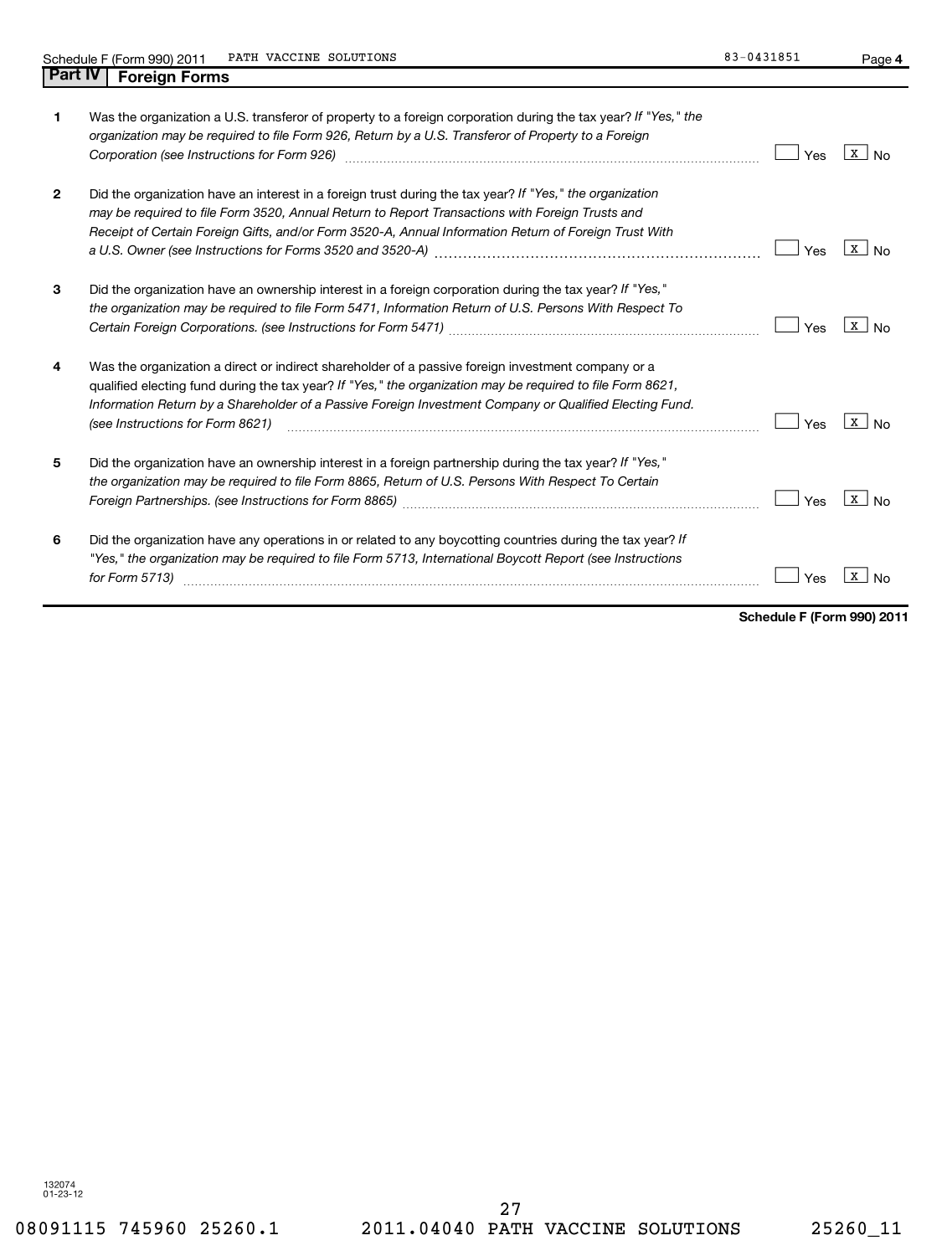**4**

|   | Was the organization a U.S. transferor of property to a foreign corporation during the tax year? If "Yes," the<br>organization may be required to file Form 926, Return by a U.S. Transferor of Property to a Foreign<br>Corporation (see Instructions for Form 926)                                                                                            | Yes | x l                   |
|---|-----------------------------------------------------------------------------------------------------------------------------------------------------------------------------------------------------------------------------------------------------------------------------------------------------------------------------------------------------------------|-----|-----------------------|
| 2 | Did the organization have an interest in a foreign trust during the tax year? If "Yes," the organization<br>may be required to file Form 3520, Annual Return to Report Transactions with Foreign Trusts and<br>Receipt of Certain Foreign Gifts, and/or Form 3520-A, Annual Information Return of Foreign Trust With                                            | Yes | x l                   |
| 3 | Did the organization have an ownership interest in a foreign corporation during the tax year? If "Yes,"<br>the organization may be required to file Form 5471, Information Return of U.S. Persons With Respect To                                                                                                                                               | Yes | x  <br>N <sub>0</sub> |
| 4 | Was the organization a direct or indirect shareholder of a passive foreign investment company or a<br>qualified electing fund during the tax year? If "Yes," the organization may be required to file Form 8621,<br>Information Return by a Shareholder of a Passive Foreign Investment Company or Qualified Electing Fund.<br>(see Instructions for Form 8621) | Yes | x                     |
| 5 | Did the organization have an ownership interest in a foreign partnership during the tax year? If "Yes,"<br>the organization may be required to file Form 8865, Return of U.S. Persons With Respect To Certain                                                                                                                                                   | Yes | x l                   |
| 6 | Did the organization have any operations in or related to any boycotting countries during the tax year? If<br>"Yes," the organization may be required to file Form 5713, International Boycott Report (see Instructions<br>for Form 5713)                                                                                                                       | Yes | x                     |

**Schedule F (Form 990) 2011**

132074 01-23-12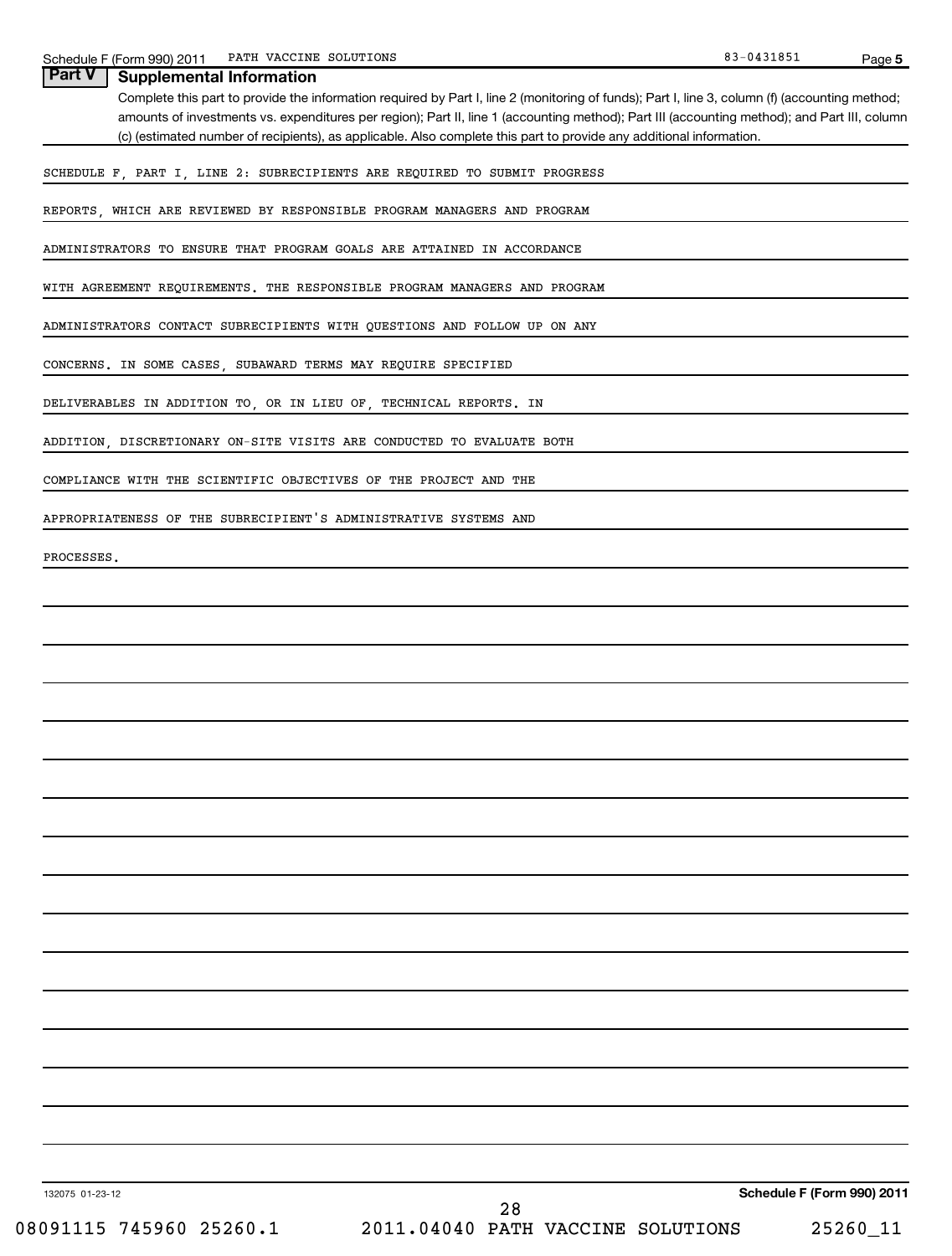| PATH VACCINE SOLUTIONS<br>Schedule F (Form 990) 2011                                                                                           | 83-0431851 | Page 5 |
|------------------------------------------------------------------------------------------------------------------------------------------------|------------|--------|
| <b>Part V</b><br><b>Supplemental Information</b>                                                                                               |            |        |
| Complete this part to provide the information required by Part I, line 2 (monitoring of funds); Part I, line 3, column (f) (accounting method; |            |        |
| amounts of investments vs. expenditures per region); Part II, line 1 (accounting method); Part III (accounting method); and Part III, column   |            |        |
| (c) (estimated number of recipients), as applicable. Also complete this part to provide any additional information.                            |            |        |
| SCHEDULE F, PART I, LINE 2: SUBRECIPIENTS ARE REQUIRED TO SUBMIT PROGRESS                                                                      |            |        |
| REPORTS, WHICH ARE REVIEWED BY RESPONSIBLE PROGRAM MANAGERS AND PROGRAM                                                                        |            |        |
| ADMINISTRATORS TO ENSURE THAT PROGRAM GOALS ARE ATTAINED IN ACCORDANCE                                                                         |            |        |
| WITH AGREEMENT REQUIREMENTS. THE RESPONSIBLE PROGRAM MANAGERS AND PROGRAM                                                                      |            |        |
| ADMINISTRATORS CONTACT SUBRECIPIENTS WITH QUESTIONS AND FOLLOW UP ON ANY                                                                       |            |        |
| CONCERNS. IN SOME CASES, SUBAWARD TERMS MAY REQUIRE SPECIFIED                                                                                  |            |        |
| DELIVERABLES IN ADDITION TO, OR IN LIEU OF, TECHNICAL REPORTS. IN                                                                              |            |        |
| ADDITION, DISCRETIONARY ON-SITE VISITS ARE CONDUCTED TO EVALUATE BOTH                                                                          |            |        |
| COMPLIANCE WITH THE SCIENTIFIC OBJECTIVES OF THE PROJECT AND THE                                                                               |            |        |
| APPROPRIATENESS OF THE SUBRECIPIENT'S ADMINISTRATIVE SYSTEMS AND                                                                               |            |        |
| PROCESSES.                                                                                                                                     |            |        |
|                                                                                                                                                |            |        |
|                                                                                                                                                |            |        |
|                                                                                                                                                |            |        |
|                                                                                                                                                |            |        |
|                                                                                                                                                |            |        |
|                                                                                                                                                |            |        |
|                                                                                                                                                |            |        |
|                                                                                                                                                |            |        |
|                                                                                                                                                |            |        |
|                                                                                                                                                |            |        |
|                                                                                                                                                |            |        |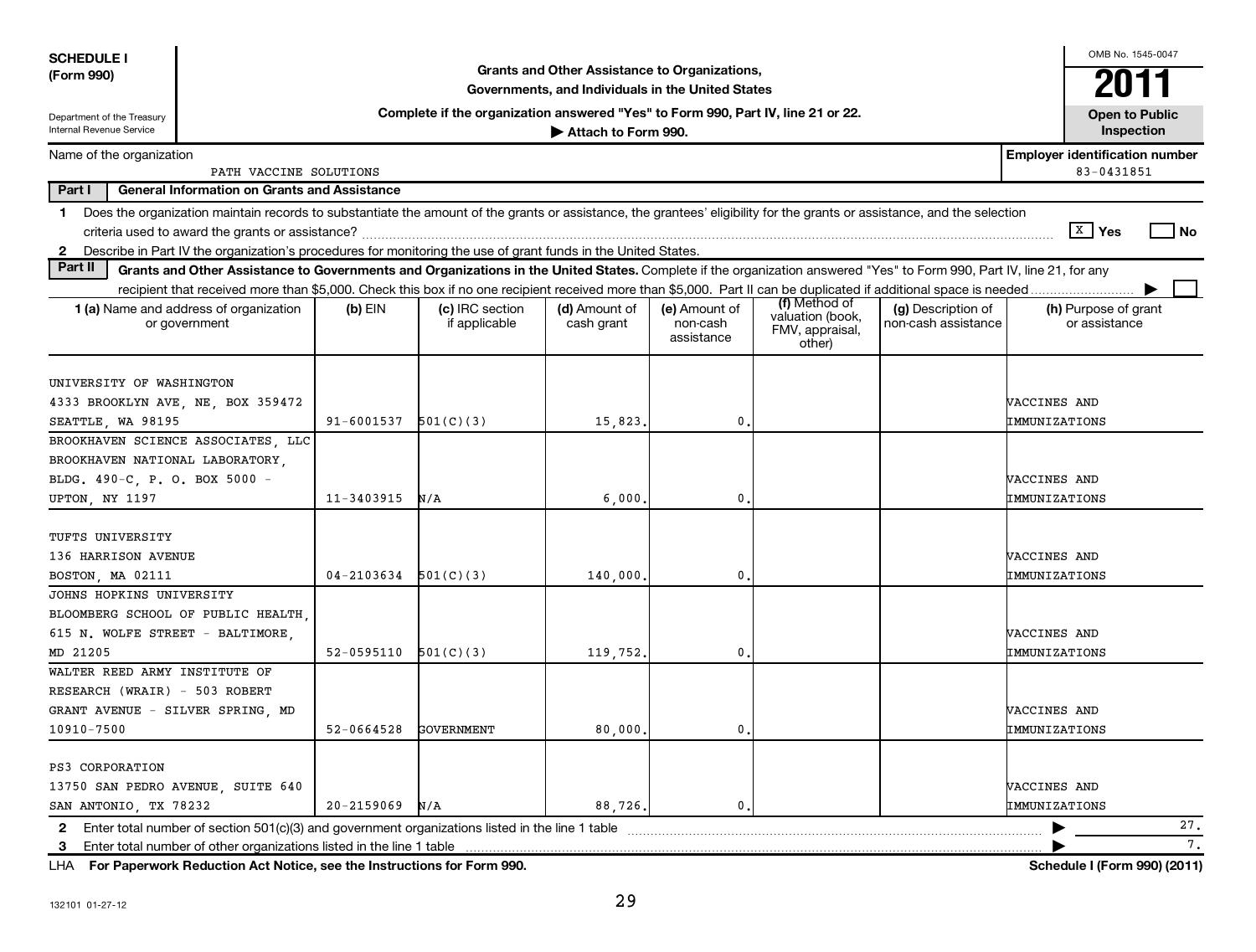| <b>SCHEDULE I</b>                                                                                  |                                                                                                                                                                            |                |                                                                                  |                                                                                                    |                                         |                                                                |                                           |                               | OMB No. 1545-0047                                   |                              |
|----------------------------------------------------------------------------------------------------|----------------------------------------------------------------------------------------------------------------------------------------------------------------------------|----------------|----------------------------------------------------------------------------------|----------------------------------------------------------------------------------------------------|-----------------------------------------|----------------------------------------------------------------|-------------------------------------------|-------------------------------|-----------------------------------------------------|------------------------------|
| (Form 990)                                                                                         |                                                                                                                                                                            |                |                                                                                  | Grants and Other Assistance to Organizations,<br>Governments, and Individuals in the United States |                                         |                                                                |                                           |                               | 2011                                                |                              |
| Department of the Treasury                                                                         |                                                                                                                                                                            |                | Complete if the organization answered "Yes" to Form 990, Part IV, line 21 or 22. |                                                                                                    |                                         |                                                                |                                           |                               | <b>Open to Public</b>                               |                              |
| <b>Internal Revenue Service</b>                                                                    |                                                                                                                                                                            |                |                                                                                  | Attach to Form 990.                                                                                |                                         |                                                                |                                           |                               | Inspection                                          |                              |
| Name of the organization                                                                           | PATH VACCINE SOLUTIONS                                                                                                                                                     |                |                                                                                  |                                                                                                    |                                         |                                                                |                                           |                               | <b>Employer identification number</b><br>83-0431851 |                              |
| Part I                                                                                             | <b>General Information on Grants and Assistance</b>                                                                                                                        |                |                                                                                  |                                                                                                    |                                         |                                                                |                                           |                               |                                                     |                              |
|                                                                                                    | 1 Does the organization maintain records to substantiate the amount of the grants or assistance, the grantees' eligibility for the grants or assistance, and the selection |                |                                                                                  |                                                                                                    |                                         |                                                                |                                           |                               |                                                     |                              |
|                                                                                                    |                                                                                                                                                                            |                |                                                                                  |                                                                                                    |                                         |                                                                |                                           |                               | $\sqrt{X}$ Yes                                      | <b>No</b>                    |
|                                                                                                    | 2 Describe in Part IV the organization's procedures for monitoring the use of grant funds in the United States.                                                            |                |                                                                                  |                                                                                                    |                                         |                                                                |                                           |                               |                                                     |                              |
| Part II                                                                                            | Grants and Other Assistance to Governments and Organizations in the United States. Complete if the organization answered "Yes" to Form 990, Part IV, line 21, for any      |                |                                                                                  |                                                                                                    |                                         |                                                                |                                           |                               |                                                     |                              |
|                                                                                                    |                                                                                                                                                                            |                |                                                                                  |                                                                                                    |                                         |                                                                |                                           |                               |                                                     |                              |
|                                                                                                    | 1 (a) Name and address of organization<br>or government                                                                                                                    | $(b)$ EIN      | (c) IRC section<br>if applicable                                                 | (d) Amount of<br>cash grant                                                                        | (e) Amount of<br>non-cash<br>assistance | (f) Method of<br>valuation (book,<br>FMV, appraisal,<br>other) | (g) Description of<br>non-cash assistance |                               | (h) Purpose of grant<br>or assistance               |                              |
| UNIVERSITY OF WASHINGTON<br>4333 BROOKLYN AVE, NE, BOX 359472<br>SEATTLE, WA 98195                 |                                                                                                                                                                            | 91-6001537     | 501(C)(3)                                                                        | 15,823                                                                                             | 0                                       |                                                                |                                           | VACCINES AND<br>IMMUNIZATIONS |                                                     |                              |
|                                                                                                    | BROOKHAVEN SCIENCE ASSOCIATES, LLC                                                                                                                                         |                |                                                                                  |                                                                                                    |                                         |                                                                |                                           |                               |                                                     |                              |
| BROOKHAVEN NATIONAL LABORATORY,                                                                    |                                                                                                                                                                            |                |                                                                                  |                                                                                                    |                                         |                                                                |                                           |                               |                                                     |                              |
| BLDG. 490-C, P. O. BOX 5000 -                                                                      |                                                                                                                                                                            |                |                                                                                  |                                                                                                    |                                         |                                                                |                                           | VACCINES AND                  |                                                     |                              |
| <b>UPTON, NY 1197</b>                                                                              |                                                                                                                                                                            | $11 - 3403915$ | N/A                                                                              | 6,000                                                                                              | 0                                       |                                                                |                                           | IMMUNIZATIONS                 |                                                     |                              |
| TUFTS UNIVERSITY<br>136 HARRISON AVENUE<br>BOSTON, MA 02111                                        |                                                                                                                                                                            | 04-2103634     | 501(C)(3)                                                                        | 140,000                                                                                            | 0                                       |                                                                |                                           | VACCINES AND<br>IMMUNIZATIONS |                                                     |                              |
| JOHNS HOPKINS UNIVERSITY                                                                           |                                                                                                                                                                            |                |                                                                                  |                                                                                                    |                                         |                                                                |                                           |                               |                                                     |                              |
| 615 N. WOLFE STREET - BALTIMORE.<br>MD 21205                                                       | BLOOMBERG SCHOOL OF PUBLIC HEALTH,                                                                                                                                         | 52-0595110     | 501(C)(3)                                                                        | 119,752                                                                                            | 0                                       |                                                                |                                           | VACCINES AND<br>IMMUNIZATIONS |                                                     |                              |
| WALTER REED ARMY INSTITUTE OF<br>RESEARCH (WRAIR) - 503 ROBERT<br>GRANT AVENUE - SILVER SPRING, MD |                                                                                                                                                                            |                |                                                                                  |                                                                                                    |                                         |                                                                |                                           | VACCINES AND                  |                                                     |                              |
| 10910-7500                                                                                         |                                                                                                                                                                            | 52-0664528     | <b>GOVERNMENT</b>                                                                | 80,000                                                                                             | 0.                                      |                                                                |                                           | IMMUNIZATIONS                 |                                                     |                              |
| PS3 CORPORATION<br>13750 SAN PEDRO AVENUE, SUITE 640<br>SAN ANTONIO, TX 78232                      |                                                                                                                                                                            | $20 - 2159069$ | N/A                                                                              | 88,726                                                                                             | $\mathbf{0}$                            |                                                                |                                           | VACCINES AND<br>IMMUNIZATIONS |                                                     |                              |
| $\mathbf{2}$                                                                                       | Enter total number of section 501(c)(3) and government organizations listed in the line 1 table                                                                            |                |                                                                                  |                                                                                                    |                                         |                                                                |                                           |                               |                                                     | 27.                          |
| 3                                                                                                  | Enter total number of other organizations listed in the line 1 table                                                                                                       |                |                                                                                  |                                                                                                    |                                         |                                                                |                                           |                               |                                                     | 7.                           |
| LHA                                                                                                | For Paperwork Reduction Act Notice, see the Instructions for Form 990.                                                                                                     |                |                                                                                  |                                                                                                    |                                         |                                                                |                                           |                               |                                                     | Schedule I (Form 990) (2011) |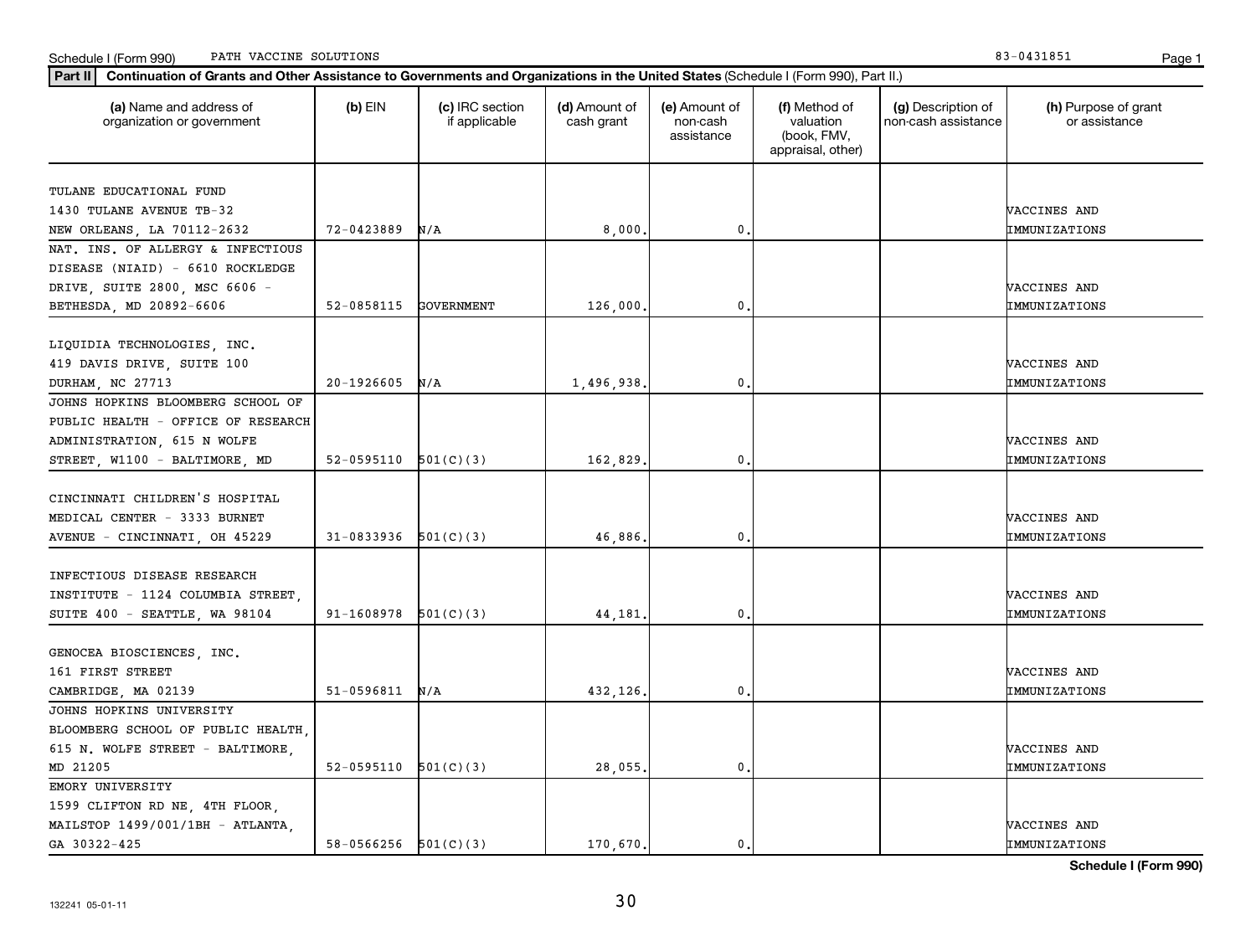|                                    |                          |           |            |               | appraisal, other) |               |
|------------------------------------|--------------------------|-----------|------------|---------------|-------------------|---------------|
|                                    |                          |           |            |               |                   |               |
| TULANE EDUCATIONAL FUND            |                          |           |            |               |                   |               |
| 1430 TULANE AVENUE TB-32           |                          |           |            |               |                   | VACCINES AND  |
| NEW ORLEANS, LA 70112-2632         | $72 - 0423889$ N/A       |           | 8,000.     | $\mathbf{0}$  |                   | IMMUNIZATIONS |
| NAT. INS. OF ALLERGY & INFECTIOUS  |                          |           |            |               |                   |               |
| DISEASE (NIAID) - 6610 ROCKLEDGE   |                          |           |            |               |                   |               |
| DRIVE, SUITE 2800, MSC 6606 -      |                          |           |            |               |                   | VACCINES AND  |
| BETHESDA, MD 20892-6606            | 52-0858115 GOVERNMENT    |           | 126,000.   | 0.            |                   | IMMUNIZATIONS |
| LIQUIDIA TECHNOLOGIES, INC.        |                          |           |            |               |                   |               |
| 419 DAVIS DRIVE, SUITE 100         |                          |           |            |               |                   | VACCINES AND  |
| DURHAM, NC 27713                   | $20-1926605$ N/A         |           | 1,496,938. | $\mathbf 0$ . |                   | IMMUNIZATIONS |
| JOHNS HOPKINS BLOOMBERG SCHOOL OF  |                          |           |            |               |                   |               |
| PUBLIC HEALTH - OFFICE OF RESEARCH |                          |           |            |               |                   |               |
| ADMINISTRATION, 615 N WOLFE        |                          |           |            |               |                   | VACCINES AND  |
| STREET, W1100 - BALTIMORE, MD      | 52-0595110 $501(C)(3)$   |           | 162,829.   | $\mathbf{0}$  |                   | IMMUNIZATIONS |
|                                    |                          |           |            |               |                   |               |
| CINCINNATI CHILDREN'S HOSPITAL     |                          |           |            |               |                   |               |
| MEDICAL CENTER - 3333 BURNET       |                          |           |            |               |                   | VACCINES AND  |
| AVENUE - CINCINNATI, OH 45229      | $31-0833936$ $501(C)(3)$ |           | 46,886.    | 0             |                   | IMMUNIZATIONS |
|                                    |                          |           |            |               |                   |               |
| INFECTIOUS DISEASE RESEARCH        |                          |           |            |               |                   |               |
| INSTITUTE - 1124 COLUMBIA STREET,  |                          |           |            |               |                   | VACCINES AND  |
| SUITE 400 - SEATTLE, WA 98104      | 91-1608978               | 501(C)(3) | 44,181.    | $\mathbf{0}$  |                   | IMMUNIZATIONS |
|                                    |                          |           |            |               |                   |               |
| GENOCEA BIOSCIENCES, INC.          |                          |           |            |               |                   |               |
| 161 FIRST STREET                   |                          |           |            |               |                   | VACCINES AND  |
| CAMBRIDGE, MA 02139                | $51-0596811$ N/A         |           | 432,126.   | 0.            |                   | IMMUNIZATIONS |
| JOHNS HOPKINS UNIVERSITY           |                          |           |            |               |                   |               |
| BLOOMBERG SCHOOL OF PUBLIC HEALTH, |                          |           |            |               |                   |               |
| 615 N. WOLFE STREET - BALTIMORE,   |                          |           |            |               |                   | VACCINES AND  |
| MD 21205                           | $52-0595110$ $501(C)(3)$ |           | 28,055.    | 0.            |                   | IMMUNIZATIONS |
| EMORY UNIVERSITY                   |                          |           |            |               |                   |               |
| 1599 CLIFTON RD NE, 4TH FLOOR,     |                          |           |            |               |                   |               |
| MAILSTOP 1499/001/1BH - ATLANTA    |                          |           |            |               |                   | VACCINES AND  |

**(a) (b) (c) (d) (e) (f) (g) (h)** Name and address of

(d) Amount of cash grant

(e) Amount of non-cash assistance

(f) Method of valuation (book, FMV,

(g) Description of non-cash assistance

**Part II Continuation of Grants and Other Assistance to Governments and Organizations in the United States**  (Schedule I (Form 990), Part II.)

if applicable

 $(b)$  EIN  $(c)$  IRC section

organization or government

(h) Purpose of grant or assistance

**Schedule I (Form 990)**

GA 30322-425 **58-0566256** 501(C)(3) 170,670. 0. CA 30322-425 **IMMUNIZATIONS**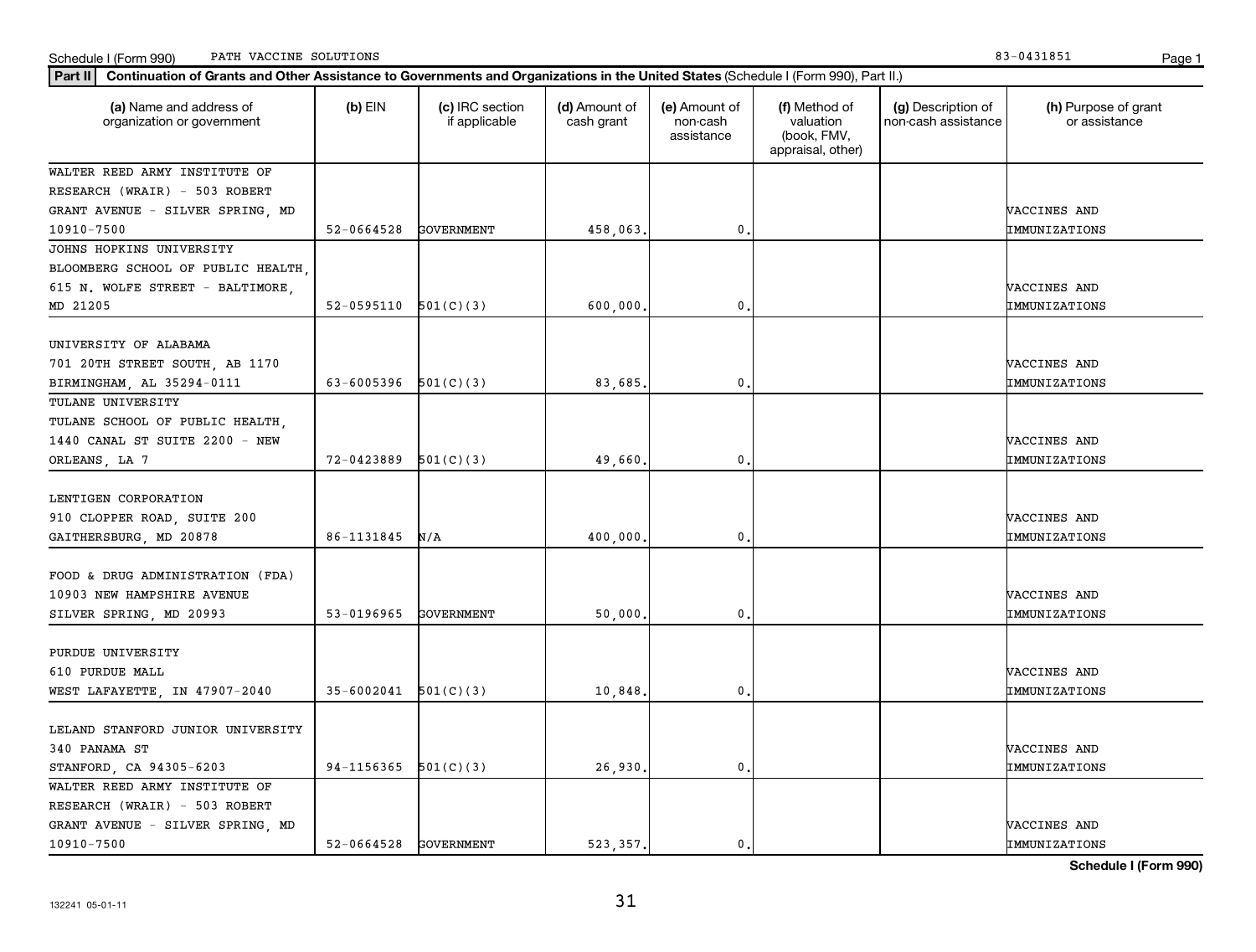Schedule I (Form 990) Page 1 PATH VACCINE SOLUTIONS 83-0431851

| Part II   Continuation of Grants and Other Assistance to Governments and Organizations in the United States (Schedule I (Form 990), Part II.) |                       |                                  |                             |                                         |                                                                |                                           |                                       |
|-----------------------------------------------------------------------------------------------------------------------------------------------|-----------------------|----------------------------------|-----------------------------|-----------------------------------------|----------------------------------------------------------------|-------------------------------------------|---------------------------------------|
| (a) Name and address of<br>organization or government                                                                                         | $(b)$ EIN             | (c) IRC section<br>if applicable | (d) Amount of<br>cash grant | (e) Amount of<br>non-cash<br>assistance | (f) Method of<br>valuation<br>(book, FMV,<br>appraisal, other) | (g) Description of<br>non-cash assistance | (h) Purpose of grant<br>or assistance |
| WALTER REED ARMY INSTITUTE OF                                                                                                                 |                       |                                  |                             |                                         |                                                                |                                           |                                       |
| RESEARCH (WRAIR) - 503 ROBERT                                                                                                                 |                       |                                  |                             |                                         |                                                                |                                           |                                       |
| GRANT AVENUE - SILVER SPRING, MD                                                                                                              |                       |                                  |                             |                                         |                                                                |                                           | VACCINES AND                          |
| 10910-7500                                                                                                                                    | 52-0664528            | <b>GOVERNMENT</b>                | 458,063.                    | 0.                                      |                                                                |                                           | IMMUNIZATIONS                         |
| JOHNS HOPKINS UNIVERSITY                                                                                                                      |                       |                                  |                             |                                         |                                                                |                                           |                                       |
| BLOOMBERG SCHOOL OF PUBLIC HEALTH                                                                                                             |                       |                                  |                             |                                         |                                                                |                                           |                                       |
| 615 N. WOLFE STREET - BALTIMORE,                                                                                                              |                       |                                  |                             |                                         |                                                                |                                           | VACCINES AND                          |
| MD 21205                                                                                                                                      | 52-0595110            | 501(C)(3)                        | 600,000.                    | $\mathbf{0}$                            |                                                                |                                           | IMMUNIZATIONS                         |
| UNIVERSITY OF ALABAMA                                                                                                                         |                       |                                  |                             |                                         |                                                                |                                           |                                       |
| 701 20TH STREET SOUTH, AB 1170                                                                                                                |                       |                                  |                             |                                         |                                                                |                                           | VACCINES AND                          |
| BIRMINGHAM, AL 35294-0111                                                                                                                     | 63-6005396            | 501(C)(3)                        | 83,685                      | $\mathbf{0}$                            |                                                                |                                           | IMMUNIZATIONS                         |
| TULANE UNIVERSITY                                                                                                                             |                       |                                  |                             |                                         |                                                                |                                           |                                       |
| TULANE SCHOOL OF PUBLIC HEALTH,                                                                                                               |                       |                                  |                             |                                         |                                                                |                                           |                                       |
| 1440 CANAL ST SUITE 2200 - NEW                                                                                                                |                       |                                  |                             |                                         |                                                                |                                           | VACCINES AND                          |
| ORLEANS, LA 7                                                                                                                                 | 72-0423889            | 501(C)(3)                        | 49,660                      | 0.                                      |                                                                |                                           | IMMUNIZATIONS                         |
|                                                                                                                                               |                       |                                  |                             |                                         |                                                                |                                           |                                       |
| LENTIGEN CORPORATION                                                                                                                          |                       |                                  |                             |                                         |                                                                |                                           |                                       |
| 910 CLOPPER ROAD, SUITE 200                                                                                                                   |                       |                                  |                             |                                         |                                                                |                                           | VACCINES AND                          |
| GAITHERSBURG, MD 20878                                                                                                                        | 86-1131845            | N/A                              | 400,000,                    | $\mathbf{0}$                            |                                                                |                                           | IMMUNIZATIONS                         |
|                                                                                                                                               |                       |                                  |                             |                                         |                                                                |                                           |                                       |
| FOOD & DRUG ADMINISTRATION (FDA)                                                                                                              |                       |                                  |                             |                                         |                                                                |                                           |                                       |
| 10903 NEW HAMPSHIRE AVENUE                                                                                                                    |                       |                                  |                             |                                         |                                                                |                                           | VACCINES AND                          |
| SILVER SPRING, MD 20993                                                                                                                       | 53-0196965            | <b>GOVERNMENT</b>                | 50,000                      | $\mathbf 0$                             |                                                                |                                           | IMMUNIZATIONS                         |
|                                                                                                                                               |                       |                                  |                             |                                         |                                                                |                                           |                                       |
| PURDUE UNIVERSITY                                                                                                                             |                       |                                  |                             |                                         |                                                                |                                           |                                       |
| 610 PURDUE MALL                                                                                                                               |                       |                                  |                             |                                         |                                                                |                                           | VACCINES AND                          |
| WEST LAFAYETTE, IN 47907-2040                                                                                                                 | 35-6002041            | 501(C)(3)                        | 10,848                      | $\mathbf{0}$ .                          |                                                                |                                           | IMMUNIZATIONS                         |
|                                                                                                                                               |                       |                                  |                             |                                         |                                                                |                                           |                                       |
| LELAND STANFORD JUNIOR UNIVERSITY                                                                                                             |                       |                                  |                             |                                         |                                                                |                                           |                                       |
| 340 PANAMA ST                                                                                                                                 |                       |                                  |                             |                                         |                                                                |                                           | VACCINES AND                          |
| STANFORD, CA 94305-6203                                                                                                                       | 94-1156365            | 501(C)(3)                        | 26,930.                     | 0.                                      |                                                                |                                           | IMMUNIZATIONS                         |
| WALTER REED ARMY INSTITUTE OF                                                                                                                 |                       |                                  |                             |                                         |                                                                |                                           |                                       |
| RESEARCH (WRAIR) - 503 ROBERT                                                                                                                 |                       |                                  |                             |                                         |                                                                |                                           |                                       |
| GRANT AVENUE - SILVER SPRING, MD                                                                                                              |                       |                                  |                             |                                         |                                                                |                                           | VACCINES AND                          |
| 10910-7500                                                                                                                                    | 52-0664528 GOVERNMENT |                                  | 523, 357.                   | 0.                                      |                                                                |                                           | IMMUNIZATIONS                         |

**Schedule I (Form 990)**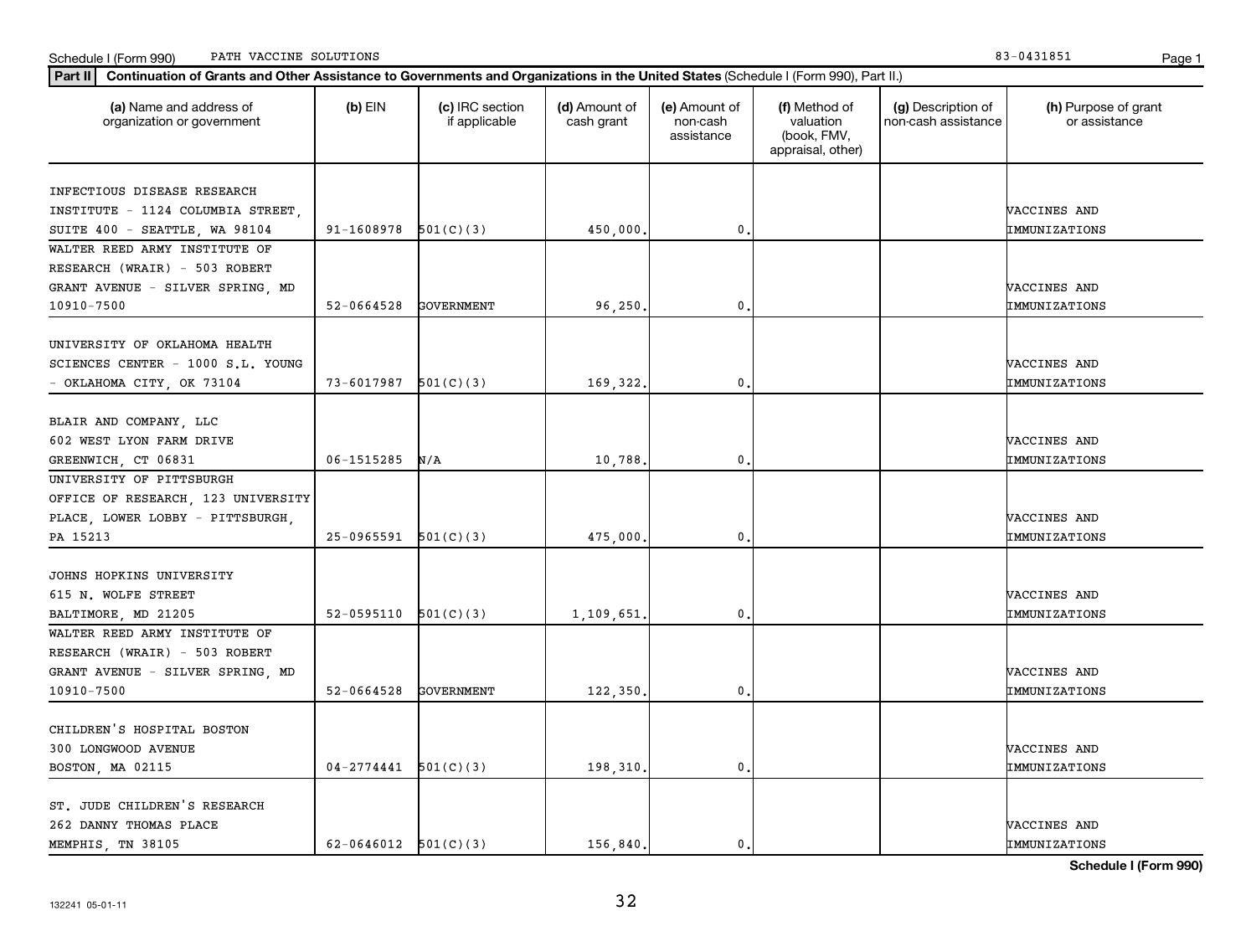Schedule I (Form 990) Page 1 PATH VACCINE SOLUTIONS 83-0431851

| Part II   Continuation of Grants and Other Assistance to Governments and Organizations in the United States (Schedule I (Form 990), Part II.) |                        |                                  |                             |                                         |                                                                |                                           |                                       |
|-----------------------------------------------------------------------------------------------------------------------------------------------|------------------------|----------------------------------|-----------------------------|-----------------------------------------|----------------------------------------------------------------|-------------------------------------------|---------------------------------------|
| (a) Name and address of<br>organization or government                                                                                         | $(b)$ EIN              | (c) IRC section<br>if applicable | (d) Amount of<br>cash grant | (e) Amount of<br>non-cash<br>assistance | (f) Method of<br>valuation<br>(book, FMV,<br>appraisal, other) | (g) Description of<br>non-cash assistance | (h) Purpose of grant<br>or assistance |
| INFECTIOUS DISEASE RESEARCH                                                                                                                   |                        |                                  |                             |                                         |                                                                |                                           |                                       |
| INSTITUTE - 1124 COLUMBIA STREET.                                                                                                             |                        |                                  |                             |                                         |                                                                |                                           | VACCINES AND                          |
| SUITE 400 - SEATTLE, WA 98104                                                                                                                 | 91-1608978             | 501(C)(3)                        | 450,000.                    | 0                                       |                                                                |                                           | IMMUNIZATIONS                         |
| WALTER REED ARMY INSTITUTE OF                                                                                                                 |                        |                                  |                             |                                         |                                                                |                                           |                                       |
| RESEARCH (WRAIR) - 503 ROBERT                                                                                                                 |                        |                                  |                             |                                         |                                                                |                                           |                                       |
| GRANT AVENUE - SILVER SPRING, MD                                                                                                              |                        |                                  |                             |                                         |                                                                |                                           | VACCINES AND                          |
| 10910-7500                                                                                                                                    | 52-0664528             | <b>GOVERNMENT</b>                | 96,250                      | $\mathbf{0}$                            |                                                                |                                           | IMMUNIZATIONS                         |
|                                                                                                                                               |                        |                                  |                             |                                         |                                                                |                                           |                                       |
| UNIVERSITY OF OKLAHOMA HEALTH                                                                                                                 |                        |                                  |                             |                                         |                                                                |                                           |                                       |
| SCIENCES CENTER - 1000 S.L. YOUNG                                                                                                             |                        |                                  |                             |                                         |                                                                |                                           | VACCINES AND                          |
| - OKLAHOMA CITY, OK 73104                                                                                                                     | 73-6017987             | 501(C)(3)                        | 169,322                     | 0                                       |                                                                |                                           | IMMUNIZATIONS                         |
|                                                                                                                                               |                        |                                  |                             |                                         |                                                                |                                           |                                       |
| BLAIR AND COMPANY, LLC                                                                                                                        |                        |                                  |                             |                                         |                                                                |                                           |                                       |
| 602 WEST LYON FARM DRIVE                                                                                                                      |                        |                                  |                             |                                         |                                                                |                                           | VACCINES AND                          |
| GREENWICH, CT 06831                                                                                                                           | 06-1515285             | N/A                              | 10,788                      | 0                                       |                                                                |                                           | IMMUNIZATIONS                         |
| UNIVERSITY OF PITTSBURGH                                                                                                                      |                        |                                  |                             |                                         |                                                                |                                           |                                       |
| OFFICE OF RESEARCH, 123 UNIVERSITY                                                                                                            |                        |                                  |                             |                                         |                                                                |                                           |                                       |
| PLACE, LOWER LOBBY - PITTSBURGH,                                                                                                              |                        |                                  |                             |                                         |                                                                |                                           | VACCINES AND                          |
| PA 15213                                                                                                                                      | 25-0965591             | 501(C)(3)                        | 475,000                     | $\mathbf{0}$                            |                                                                |                                           | IMMUNIZATIONS                         |
|                                                                                                                                               |                        |                                  |                             |                                         |                                                                |                                           |                                       |
| JOHNS HOPKINS UNIVERSITY                                                                                                                      |                        |                                  |                             |                                         |                                                                |                                           |                                       |
| 615 N. WOLFE STREET                                                                                                                           |                        |                                  |                             |                                         |                                                                |                                           | VACCINES AND                          |
|                                                                                                                                               | 52-0595110             | 501(C)(3)                        |                             | 0                                       |                                                                |                                           | IMMUNIZATIONS                         |
| BALTIMORE, MD 21205<br>WALTER REED ARMY INSTITUTE OF                                                                                          |                        |                                  | 1,109,651                   |                                         |                                                                |                                           |                                       |
|                                                                                                                                               |                        |                                  |                             |                                         |                                                                |                                           |                                       |
| RESEARCH (WRAIR) - 503 ROBERT                                                                                                                 |                        |                                  |                             |                                         |                                                                |                                           |                                       |
| GRANT AVENUE - SILVER SPRING, MD                                                                                                              |                        |                                  |                             |                                         |                                                                |                                           | VACCINES AND                          |
| 10910-7500                                                                                                                                    | 52-0664528             | <b>GOVERNMENT</b>                | 122,350                     | 0                                       |                                                                |                                           | IMMUNIZATIONS                         |
|                                                                                                                                               |                        |                                  |                             |                                         |                                                                |                                           |                                       |
| CHILDREN'S HOSPITAL BOSTON                                                                                                                    |                        |                                  |                             |                                         |                                                                |                                           |                                       |
| 300 LONGWOOD AVENUE                                                                                                                           |                        |                                  |                             |                                         |                                                                |                                           | VACCINES AND                          |
| BOSTON, MA 02115                                                                                                                              | $04 - 2774441$         | 501(C)(3)                        | 198,310                     | $\mathbf{0}$                            |                                                                |                                           | IMMUNIZATIONS                         |
|                                                                                                                                               |                        |                                  |                             |                                         |                                                                |                                           |                                       |
| ST. JUDE CHILDREN'S RESEARCH                                                                                                                  |                        |                                  |                             |                                         |                                                                |                                           |                                       |
| 262 DANNY THOMAS PLACE                                                                                                                        |                        |                                  |                             |                                         |                                                                |                                           | VACCINES AND                          |
| MEMPHIS, TN 38105                                                                                                                             | 62-0646012 $501(C)(3)$ |                                  | 156,840                     | $\mathbf{0}$ .                          |                                                                |                                           | IMMUNIZATIONS                         |

**Schedule I (Form 990)**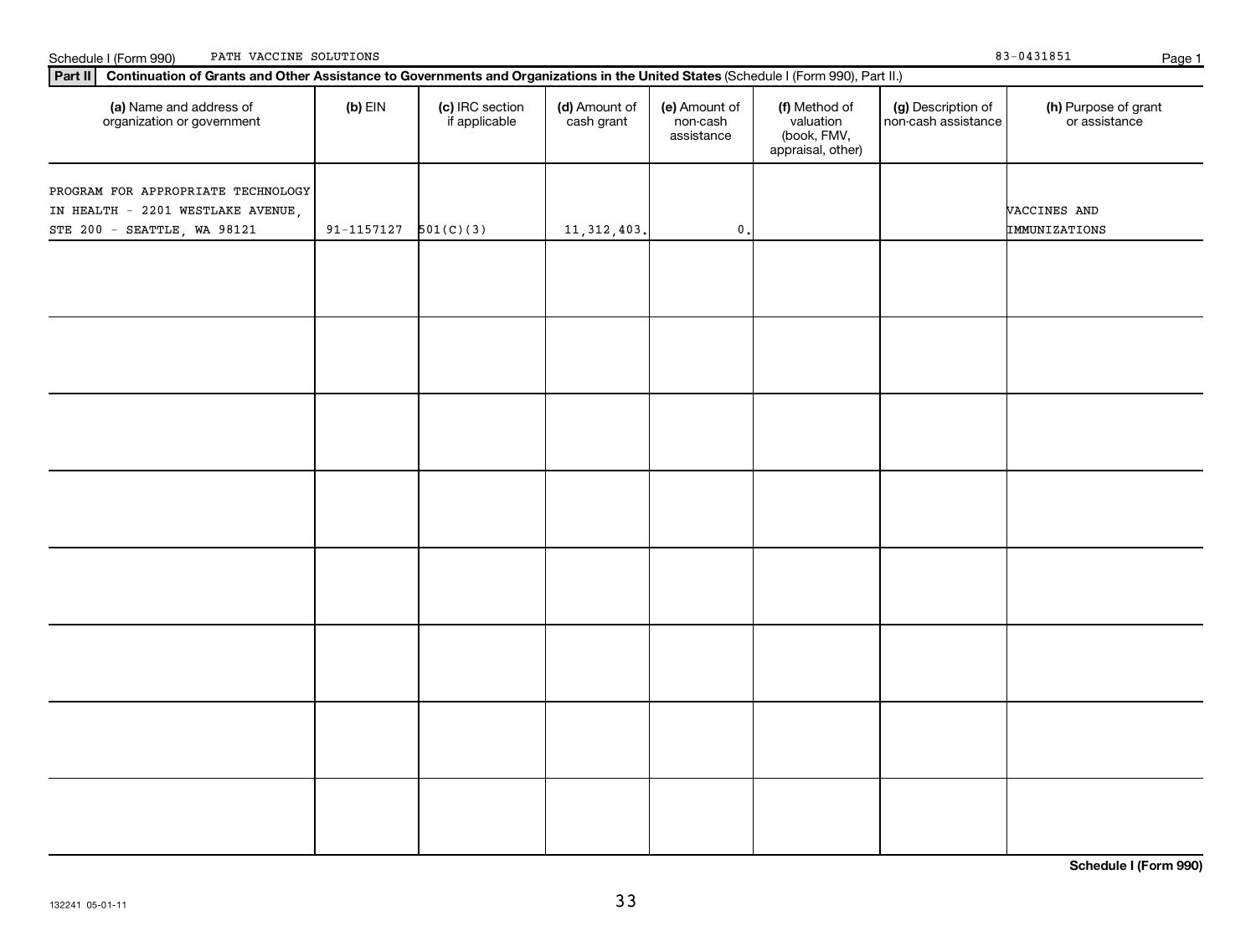| (a) Name and address of<br>organization or government                                                  | $(b)$ EIN  | (c) IRC section<br>if applicable | (d) Amount of<br>cash grant | (e) Amount of<br>non-cash<br>assistance | (f) Method of<br>valuation<br>(book, FMV,<br>appraisal, other) | (g) Description of<br>non-cash assistance | (h) Purpose of grant<br>or assistance |
|--------------------------------------------------------------------------------------------------------|------------|----------------------------------|-----------------------------|-----------------------------------------|----------------------------------------------------------------|-------------------------------------------|---------------------------------------|
| PROGRAM FOR APPROPRIATE TECHNOLOGY<br>IN HEALTH - 2201 WESTLAKE AVENUE,<br>STE 200 - SEATTLE, WA 98121 | 91-1157127 | 501(C)(3)                        | 11, 312, 403.               | $\mathfrak{o}$ .                        |                                                                |                                           | VACCINES AND<br>IMMUNIZATIONS         |
|                                                                                                        |            |                                  |                             |                                         |                                                                |                                           |                                       |
|                                                                                                        |            |                                  |                             |                                         |                                                                |                                           |                                       |
|                                                                                                        |            |                                  |                             |                                         |                                                                |                                           |                                       |
|                                                                                                        |            |                                  |                             |                                         |                                                                |                                           |                                       |
|                                                                                                        |            |                                  |                             |                                         |                                                                |                                           |                                       |
|                                                                                                        |            |                                  |                             |                                         |                                                                |                                           |                                       |
|                                                                                                        |            |                                  |                             |                                         |                                                                |                                           |                                       |
|                                                                                                        |            |                                  |                             |                                         |                                                                |                                           |                                       |

**Part II Continuation of Grants and Other Assistance to Governments and Organizations in the United States**  (Schedule I (Form 990), Part II.)

Schedule I (Form 990) PATH VACCINE SOLUTIONS Page 1

**Schedule I (Form 990)**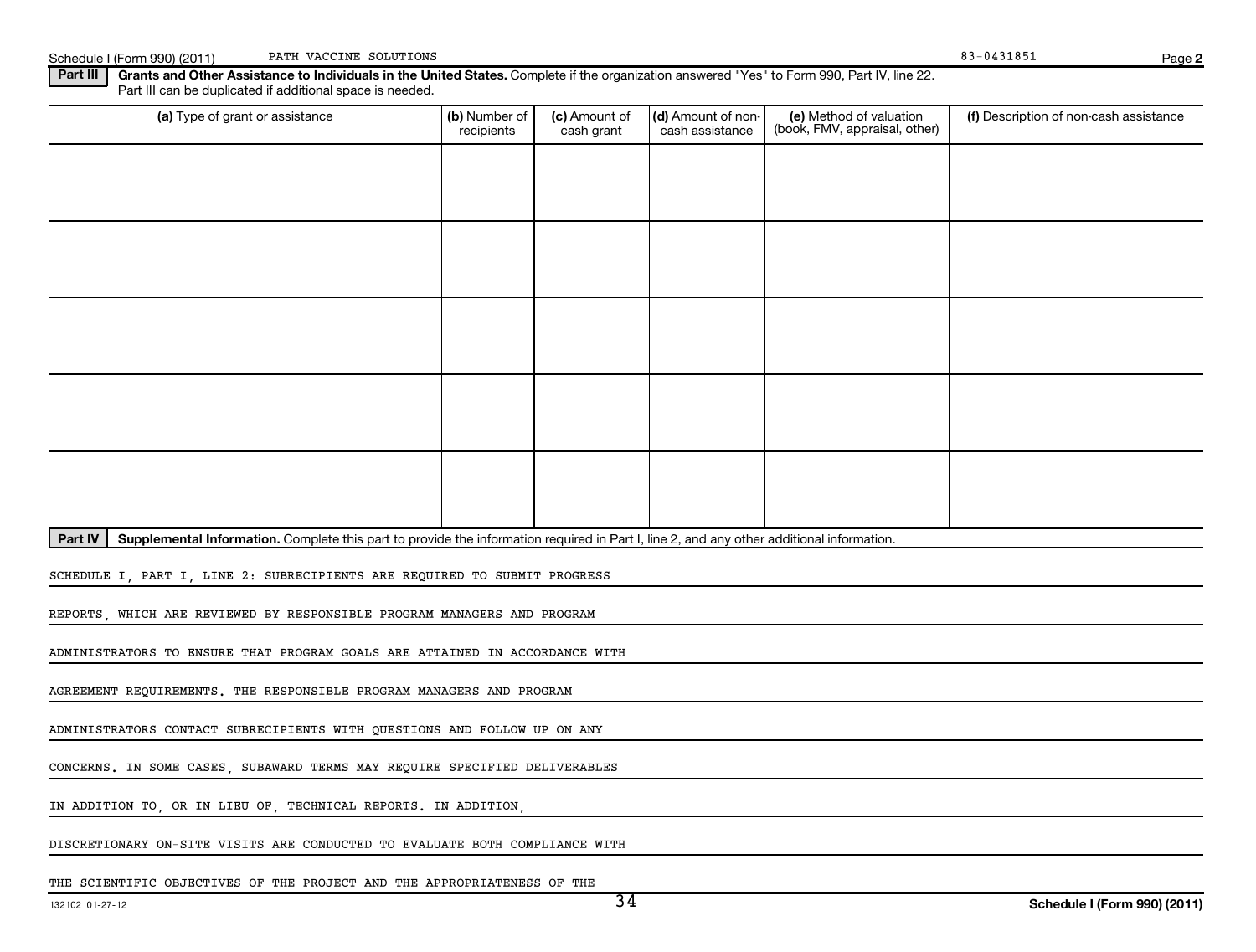Schedule I (Form 990) (2011) PATH VACCINE SOLUTIONS **PAGE 10** 2012 12:31851 83-0431851 PATH VACCINE SOLUTIONS

**2**

Part III | Grants and Other Assistance to Individuals in the United States. Complete if the organization answered "Yes" to Form 990, Part IV, line 22. Part III can be duplicated if additional space is needed.

| (a) Type of grant or assistance | (b) Number of<br>recipients | (c) Amount of<br>cash grant | (d) Amount of non-<br>cash assistance | (e) Method of valuation<br>(book, FMV, appraisal, other) | (f) Description of non-cash assistance |
|---------------------------------|-----------------------------|-----------------------------|---------------------------------------|----------------------------------------------------------|----------------------------------------|
|                                 |                             |                             |                                       |                                                          |                                        |
|                                 |                             |                             |                                       |                                                          |                                        |
|                                 |                             |                             |                                       |                                                          |                                        |
|                                 |                             |                             |                                       |                                                          |                                        |
|                                 |                             |                             |                                       |                                                          |                                        |
|                                 |                             |                             |                                       |                                                          |                                        |
|                                 |                             |                             |                                       |                                                          |                                        |
|                                 |                             |                             |                                       |                                                          |                                        |
|                                 |                             |                             |                                       |                                                          |                                        |
|                                 |                             |                             |                                       |                                                          |                                        |

Part IV | Supplemental Information. Complete this part to provide the information required in Part I, line 2, and any other additional information.

SCHEDULE I, PART I, LINE 2: SUBRECIPIENTS ARE REQUIRED TO SUBMIT PROGRESS

REPORTS, WHICH ARE REVIEWED BY RESPONSIBLE PROGRAM MANAGERS AND PROGRAM

ADMINISTRATORS TO ENSURE THAT PROGRAM GOALS ARE ATTAINED IN ACCORDANCE WITH

AGREEMENT REQUIREMENTS. THE RESPONSIBLE PROGRAM MANAGERS AND PROGRAM

ADMINISTRATORS CONTACT SUBRECIPIENTS WITH QUESTIONS AND FOLLOW UP ON ANY

CONCERNS. IN SOME CASES, SUBAWARD TERMS MAY REQUIRE SPECIFIED DELIVERABLES

IN ADDITION TO, OR IN LIEU OF, TECHNICAL REPORTS. IN ADDITION,

DISCRETIONARY ON-SITE VISITS ARE CONDUCTED TO EVALUATE BOTH COMPLIANCE WITH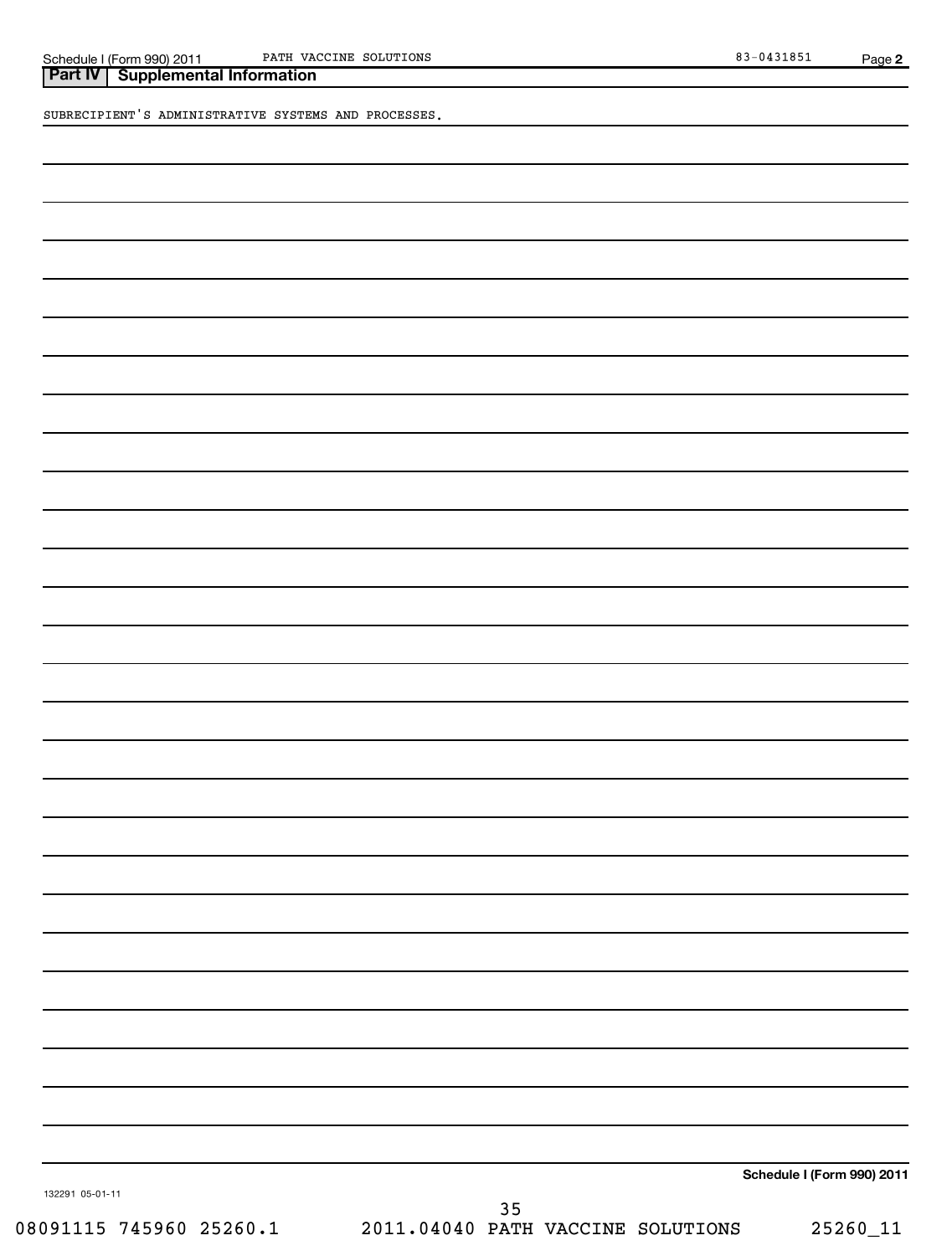Schedule I (Form 990) 2011 PATH VACCINE SOLUTIONS 83-0431851 PATH VACCINE SOLUTIONS

SUBRECIPIENT'S ADMINISTRATIVE SYSTEMS AND PROCESSES.

**Schedule I (Form 990) 2011**

132291 05-01-11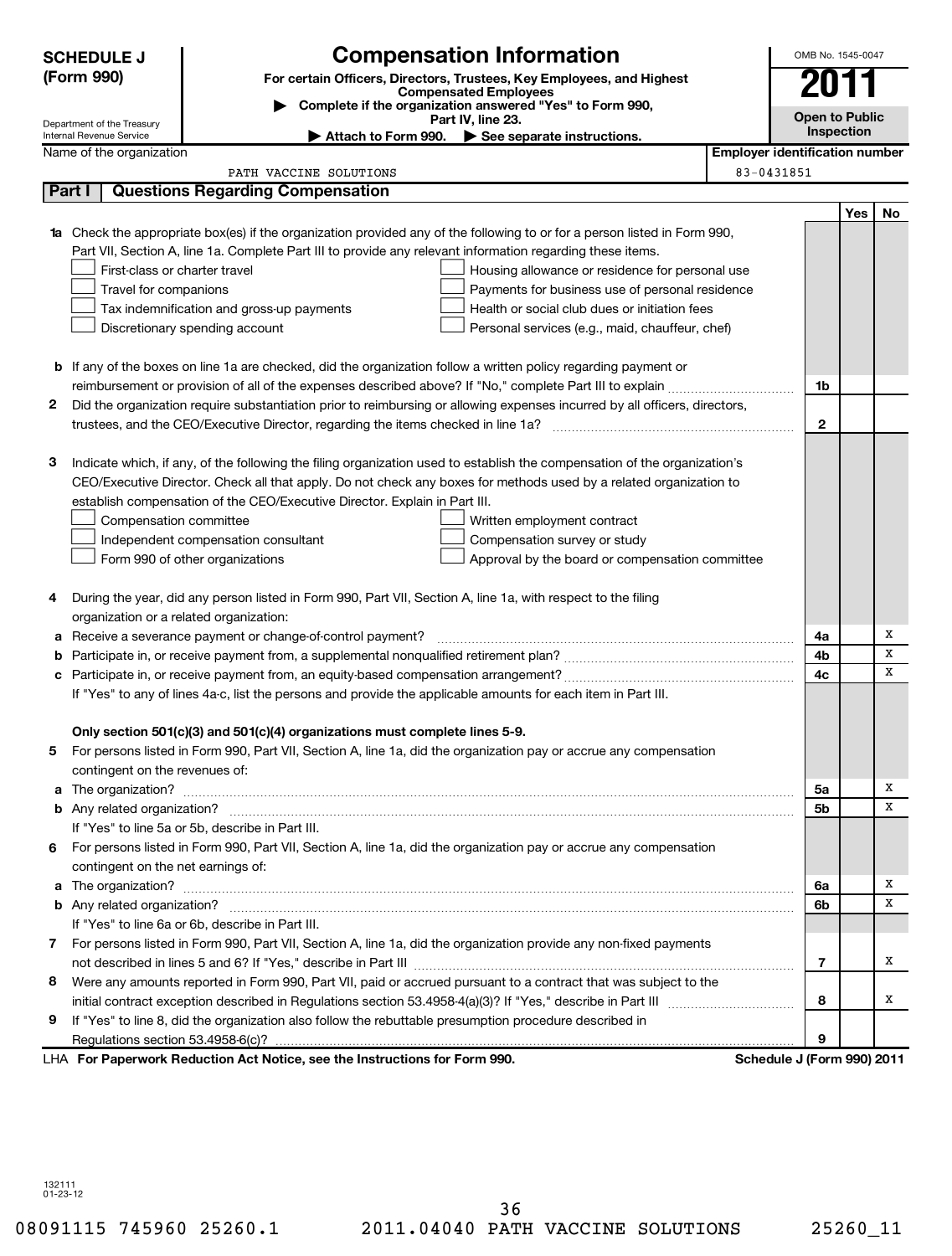| (Form 990)<br>2011<br>For certain Officers, Directors, Trustees, Key Employees, and Highest<br><b>Compensated Employees</b><br>Complete if the organization answered "Yes" to Form 990,<br><b>Open to Public</b><br>Part IV, line 23.<br>Department of the Treasury<br>Inspection<br>Internal Revenue Service<br>Attach to Form 990.<br>$\blacktriangleright$ See separate instructions.<br><b>Employer identification number</b><br>Name of the organization<br>83-0431851<br>PATH VACCINE SOLUTIONS<br>Part I<br><b>Questions Regarding Compensation</b><br><b>Yes</b><br>No<br>1a Check the appropriate box(es) if the organization provided any of the following to or for a person listed in Form 990,<br>Part VII, Section A, line 1a. Complete Part III to provide any relevant information regarding these items.<br>First-class or charter travel<br>Housing allowance or residence for personal use<br>Travel for companions<br>Payments for business use of personal residence<br>Tax indemnification and gross-up payments<br>Health or social club dues or initiation fees<br>Discretionary spending account<br>Personal services (e.g., maid, chauffeur, chef)<br><b>b</b> If any of the boxes on line 1a are checked, did the organization follow a written policy regarding payment or<br>1b<br>Did the organization require substantiation prior to reimbursing or allowing expenses incurred by all officers, directors,<br>2<br>$\mathbf{2}$<br>3<br>Indicate which, if any, of the following the filing organization used to establish the compensation of the organization's<br>CEO/Executive Director. Check all that apply. Do not check any boxes for methods used by a related organization to<br>establish compensation of the CEO/Executive Director. Explain in Part III.<br>Compensation committee<br>Written employment contract<br>Compensation survey or study<br>Independent compensation consultant<br>Form 990 of other organizations<br>Approval by the board or compensation committee<br>During the year, did any person listed in Form 990, Part VII, Section A, line 1a, with respect to the filing<br>4<br>organization or a related organization:<br>Х<br>Receive a severance payment or change-of-control payment?<br>4a<br>а<br>х<br>4b<br>b<br>X<br>4c<br>c<br>If "Yes" to any of lines 4a-c, list the persons and provide the applicable amounts for each item in Part III.<br>Only section 501(c)(3) and 501(c)(4) organizations must complete lines 5-9.<br>For persons listed in Form 990, Part VII, Section A, line 1a, did the organization pay or accrue any compensation<br>contingent on the revenues of:<br>Х<br>5a<br>x<br>5 <sub>b</sub><br>If "Yes" to line 5a or 5b, describe in Part III.<br>6 For persons listed in Form 990, Part VII, Section A, line 1a, did the organization pay or accrue any compensation<br>contingent on the net earnings of:<br>Х<br>6a<br>x<br>6b<br>If "Yes" to line 6a or 6b, describe in Part III.<br>7 For persons listed in Form 990, Part VII, Section A, line 1a, did the organization provide any non-fixed payments<br>х<br>7<br>8 Were any amounts reported in Form 990, Part VII, paid or accrued pursuant to a contract that was subject to the<br>8<br>x<br>If "Yes" to line 8, did the organization also follow the rebuttable presumption procedure described in<br>9<br>9<br>LHA For Paperwork Reduction Act Notice, see the Instructions for Form 990.<br>Schedule J (Form 990) 2011 | <b>SCHEDULE J</b> | <b>Compensation Information</b> |  | OMB No. 1545-0047 |  |  |  |  |
|----------------------------------------------------------------------------------------------------------------------------------------------------------------------------------------------------------------------------------------------------------------------------------------------------------------------------------------------------------------------------------------------------------------------------------------------------------------------------------------------------------------------------------------------------------------------------------------------------------------------------------------------------------------------------------------------------------------------------------------------------------------------------------------------------------------------------------------------------------------------------------------------------------------------------------------------------------------------------------------------------------------------------------------------------------------------------------------------------------------------------------------------------------------------------------------------------------------------------------------------------------------------------------------------------------------------------------------------------------------------------------------------------------------------------------------------------------------------------------------------------------------------------------------------------------------------------------------------------------------------------------------------------------------------------------------------------------------------------------------------------------------------------------------------------------------------------------------------------------------------------------------------------------------------------------------------------------------------------------------------------------------------------------------------------------------------------------------------------------------------------------------------------------------------------------------------------------------------------------------------------------------------------------------------------------------------------------------------------------------------------------------------------------------------------------------------------------------------------------------------------------------------------------------------------------------------------------------------------------------------------------------------------------------------------------------------------------------------------------------------------------------------------------------------------------------------------------------------------------------------------------------------------------------------------------------------------------------------------------------------------------------------------------------------------------------------------------------------------------------------------------------------------------------------------------------------------------------------------------------------------------------------------------------------------------------------------------------------------------------------------------------------------------------------------------------------------------------------------------------------|-------------------|---------------------------------|--|-------------------|--|--|--|--|
|                                                                                                                                                                                                                                                                                                                                                                                                                                                                                                                                                                                                                                                                                                                                                                                                                                                                                                                                                                                                                                                                                                                                                                                                                                                                                                                                                                                                                                                                                                                                                                                                                                                                                                                                                                                                                                                                                                                                                                                                                                                                                                                                                                                                                                                                                                                                                                                                                                                                                                                                                                                                                                                                                                                                                                                                                                                                                                                                                                                                                                                                                                                                                                                                                                                                                                                                                                                                                                                                                              |                   |                                 |  |                   |  |  |  |  |
|                                                                                                                                                                                                                                                                                                                                                                                                                                                                                                                                                                                                                                                                                                                                                                                                                                                                                                                                                                                                                                                                                                                                                                                                                                                                                                                                                                                                                                                                                                                                                                                                                                                                                                                                                                                                                                                                                                                                                                                                                                                                                                                                                                                                                                                                                                                                                                                                                                                                                                                                                                                                                                                                                                                                                                                                                                                                                                                                                                                                                                                                                                                                                                                                                                                                                                                                                                                                                                                                                              |                   |                                 |  |                   |  |  |  |  |
|                                                                                                                                                                                                                                                                                                                                                                                                                                                                                                                                                                                                                                                                                                                                                                                                                                                                                                                                                                                                                                                                                                                                                                                                                                                                                                                                                                                                                                                                                                                                                                                                                                                                                                                                                                                                                                                                                                                                                                                                                                                                                                                                                                                                                                                                                                                                                                                                                                                                                                                                                                                                                                                                                                                                                                                                                                                                                                                                                                                                                                                                                                                                                                                                                                                                                                                                                                                                                                                                                              |                   |                                 |  |                   |  |  |  |  |
|                                                                                                                                                                                                                                                                                                                                                                                                                                                                                                                                                                                                                                                                                                                                                                                                                                                                                                                                                                                                                                                                                                                                                                                                                                                                                                                                                                                                                                                                                                                                                                                                                                                                                                                                                                                                                                                                                                                                                                                                                                                                                                                                                                                                                                                                                                                                                                                                                                                                                                                                                                                                                                                                                                                                                                                                                                                                                                                                                                                                                                                                                                                                                                                                                                                                                                                                                                                                                                                                                              |                   |                                 |  |                   |  |  |  |  |
|                                                                                                                                                                                                                                                                                                                                                                                                                                                                                                                                                                                                                                                                                                                                                                                                                                                                                                                                                                                                                                                                                                                                                                                                                                                                                                                                                                                                                                                                                                                                                                                                                                                                                                                                                                                                                                                                                                                                                                                                                                                                                                                                                                                                                                                                                                                                                                                                                                                                                                                                                                                                                                                                                                                                                                                                                                                                                                                                                                                                                                                                                                                                                                                                                                                                                                                                                                                                                                                                                              |                   |                                 |  |                   |  |  |  |  |
|                                                                                                                                                                                                                                                                                                                                                                                                                                                                                                                                                                                                                                                                                                                                                                                                                                                                                                                                                                                                                                                                                                                                                                                                                                                                                                                                                                                                                                                                                                                                                                                                                                                                                                                                                                                                                                                                                                                                                                                                                                                                                                                                                                                                                                                                                                                                                                                                                                                                                                                                                                                                                                                                                                                                                                                                                                                                                                                                                                                                                                                                                                                                                                                                                                                                                                                                                                                                                                                                                              |                   |                                 |  |                   |  |  |  |  |
|                                                                                                                                                                                                                                                                                                                                                                                                                                                                                                                                                                                                                                                                                                                                                                                                                                                                                                                                                                                                                                                                                                                                                                                                                                                                                                                                                                                                                                                                                                                                                                                                                                                                                                                                                                                                                                                                                                                                                                                                                                                                                                                                                                                                                                                                                                                                                                                                                                                                                                                                                                                                                                                                                                                                                                                                                                                                                                                                                                                                                                                                                                                                                                                                                                                                                                                                                                                                                                                                                              |                   |                                 |  |                   |  |  |  |  |
|                                                                                                                                                                                                                                                                                                                                                                                                                                                                                                                                                                                                                                                                                                                                                                                                                                                                                                                                                                                                                                                                                                                                                                                                                                                                                                                                                                                                                                                                                                                                                                                                                                                                                                                                                                                                                                                                                                                                                                                                                                                                                                                                                                                                                                                                                                                                                                                                                                                                                                                                                                                                                                                                                                                                                                                                                                                                                                                                                                                                                                                                                                                                                                                                                                                                                                                                                                                                                                                                                              |                   |                                 |  |                   |  |  |  |  |
|                                                                                                                                                                                                                                                                                                                                                                                                                                                                                                                                                                                                                                                                                                                                                                                                                                                                                                                                                                                                                                                                                                                                                                                                                                                                                                                                                                                                                                                                                                                                                                                                                                                                                                                                                                                                                                                                                                                                                                                                                                                                                                                                                                                                                                                                                                                                                                                                                                                                                                                                                                                                                                                                                                                                                                                                                                                                                                                                                                                                                                                                                                                                                                                                                                                                                                                                                                                                                                                                                              |                   |                                 |  |                   |  |  |  |  |
|                                                                                                                                                                                                                                                                                                                                                                                                                                                                                                                                                                                                                                                                                                                                                                                                                                                                                                                                                                                                                                                                                                                                                                                                                                                                                                                                                                                                                                                                                                                                                                                                                                                                                                                                                                                                                                                                                                                                                                                                                                                                                                                                                                                                                                                                                                                                                                                                                                                                                                                                                                                                                                                                                                                                                                                                                                                                                                                                                                                                                                                                                                                                                                                                                                                                                                                                                                                                                                                                                              |                   |                                 |  |                   |  |  |  |  |
|                                                                                                                                                                                                                                                                                                                                                                                                                                                                                                                                                                                                                                                                                                                                                                                                                                                                                                                                                                                                                                                                                                                                                                                                                                                                                                                                                                                                                                                                                                                                                                                                                                                                                                                                                                                                                                                                                                                                                                                                                                                                                                                                                                                                                                                                                                                                                                                                                                                                                                                                                                                                                                                                                                                                                                                                                                                                                                                                                                                                                                                                                                                                                                                                                                                                                                                                                                                                                                                                                              |                   |                                 |  |                   |  |  |  |  |
|                                                                                                                                                                                                                                                                                                                                                                                                                                                                                                                                                                                                                                                                                                                                                                                                                                                                                                                                                                                                                                                                                                                                                                                                                                                                                                                                                                                                                                                                                                                                                                                                                                                                                                                                                                                                                                                                                                                                                                                                                                                                                                                                                                                                                                                                                                                                                                                                                                                                                                                                                                                                                                                                                                                                                                                                                                                                                                                                                                                                                                                                                                                                                                                                                                                                                                                                                                                                                                                                                              |                   |                                 |  |                   |  |  |  |  |
|                                                                                                                                                                                                                                                                                                                                                                                                                                                                                                                                                                                                                                                                                                                                                                                                                                                                                                                                                                                                                                                                                                                                                                                                                                                                                                                                                                                                                                                                                                                                                                                                                                                                                                                                                                                                                                                                                                                                                                                                                                                                                                                                                                                                                                                                                                                                                                                                                                                                                                                                                                                                                                                                                                                                                                                                                                                                                                                                                                                                                                                                                                                                                                                                                                                                                                                                                                                                                                                                                              |                   |                                 |  |                   |  |  |  |  |
|                                                                                                                                                                                                                                                                                                                                                                                                                                                                                                                                                                                                                                                                                                                                                                                                                                                                                                                                                                                                                                                                                                                                                                                                                                                                                                                                                                                                                                                                                                                                                                                                                                                                                                                                                                                                                                                                                                                                                                                                                                                                                                                                                                                                                                                                                                                                                                                                                                                                                                                                                                                                                                                                                                                                                                                                                                                                                                                                                                                                                                                                                                                                                                                                                                                                                                                                                                                                                                                                                              |                   |                                 |  |                   |  |  |  |  |
|                                                                                                                                                                                                                                                                                                                                                                                                                                                                                                                                                                                                                                                                                                                                                                                                                                                                                                                                                                                                                                                                                                                                                                                                                                                                                                                                                                                                                                                                                                                                                                                                                                                                                                                                                                                                                                                                                                                                                                                                                                                                                                                                                                                                                                                                                                                                                                                                                                                                                                                                                                                                                                                                                                                                                                                                                                                                                                                                                                                                                                                                                                                                                                                                                                                                                                                                                                                                                                                                                              |                   |                                 |  |                   |  |  |  |  |
|                                                                                                                                                                                                                                                                                                                                                                                                                                                                                                                                                                                                                                                                                                                                                                                                                                                                                                                                                                                                                                                                                                                                                                                                                                                                                                                                                                                                                                                                                                                                                                                                                                                                                                                                                                                                                                                                                                                                                                                                                                                                                                                                                                                                                                                                                                                                                                                                                                                                                                                                                                                                                                                                                                                                                                                                                                                                                                                                                                                                                                                                                                                                                                                                                                                                                                                                                                                                                                                                                              |                   |                                 |  |                   |  |  |  |  |
|                                                                                                                                                                                                                                                                                                                                                                                                                                                                                                                                                                                                                                                                                                                                                                                                                                                                                                                                                                                                                                                                                                                                                                                                                                                                                                                                                                                                                                                                                                                                                                                                                                                                                                                                                                                                                                                                                                                                                                                                                                                                                                                                                                                                                                                                                                                                                                                                                                                                                                                                                                                                                                                                                                                                                                                                                                                                                                                                                                                                                                                                                                                                                                                                                                                                                                                                                                                                                                                                                              |                   |                                 |  |                   |  |  |  |  |
|                                                                                                                                                                                                                                                                                                                                                                                                                                                                                                                                                                                                                                                                                                                                                                                                                                                                                                                                                                                                                                                                                                                                                                                                                                                                                                                                                                                                                                                                                                                                                                                                                                                                                                                                                                                                                                                                                                                                                                                                                                                                                                                                                                                                                                                                                                                                                                                                                                                                                                                                                                                                                                                                                                                                                                                                                                                                                                                                                                                                                                                                                                                                                                                                                                                                                                                                                                                                                                                                                              |                   |                                 |  |                   |  |  |  |  |
|                                                                                                                                                                                                                                                                                                                                                                                                                                                                                                                                                                                                                                                                                                                                                                                                                                                                                                                                                                                                                                                                                                                                                                                                                                                                                                                                                                                                                                                                                                                                                                                                                                                                                                                                                                                                                                                                                                                                                                                                                                                                                                                                                                                                                                                                                                                                                                                                                                                                                                                                                                                                                                                                                                                                                                                                                                                                                                                                                                                                                                                                                                                                                                                                                                                                                                                                                                                                                                                                                              |                   |                                 |  |                   |  |  |  |  |
|                                                                                                                                                                                                                                                                                                                                                                                                                                                                                                                                                                                                                                                                                                                                                                                                                                                                                                                                                                                                                                                                                                                                                                                                                                                                                                                                                                                                                                                                                                                                                                                                                                                                                                                                                                                                                                                                                                                                                                                                                                                                                                                                                                                                                                                                                                                                                                                                                                                                                                                                                                                                                                                                                                                                                                                                                                                                                                                                                                                                                                                                                                                                                                                                                                                                                                                                                                                                                                                                                              |                   |                                 |  |                   |  |  |  |  |
|                                                                                                                                                                                                                                                                                                                                                                                                                                                                                                                                                                                                                                                                                                                                                                                                                                                                                                                                                                                                                                                                                                                                                                                                                                                                                                                                                                                                                                                                                                                                                                                                                                                                                                                                                                                                                                                                                                                                                                                                                                                                                                                                                                                                                                                                                                                                                                                                                                                                                                                                                                                                                                                                                                                                                                                                                                                                                                                                                                                                                                                                                                                                                                                                                                                                                                                                                                                                                                                                                              |                   |                                 |  |                   |  |  |  |  |
|                                                                                                                                                                                                                                                                                                                                                                                                                                                                                                                                                                                                                                                                                                                                                                                                                                                                                                                                                                                                                                                                                                                                                                                                                                                                                                                                                                                                                                                                                                                                                                                                                                                                                                                                                                                                                                                                                                                                                                                                                                                                                                                                                                                                                                                                                                                                                                                                                                                                                                                                                                                                                                                                                                                                                                                                                                                                                                                                                                                                                                                                                                                                                                                                                                                                                                                                                                                                                                                                                              |                   |                                 |  |                   |  |  |  |  |
|                                                                                                                                                                                                                                                                                                                                                                                                                                                                                                                                                                                                                                                                                                                                                                                                                                                                                                                                                                                                                                                                                                                                                                                                                                                                                                                                                                                                                                                                                                                                                                                                                                                                                                                                                                                                                                                                                                                                                                                                                                                                                                                                                                                                                                                                                                                                                                                                                                                                                                                                                                                                                                                                                                                                                                                                                                                                                                                                                                                                                                                                                                                                                                                                                                                                                                                                                                                                                                                                                              |                   |                                 |  |                   |  |  |  |  |
|                                                                                                                                                                                                                                                                                                                                                                                                                                                                                                                                                                                                                                                                                                                                                                                                                                                                                                                                                                                                                                                                                                                                                                                                                                                                                                                                                                                                                                                                                                                                                                                                                                                                                                                                                                                                                                                                                                                                                                                                                                                                                                                                                                                                                                                                                                                                                                                                                                                                                                                                                                                                                                                                                                                                                                                                                                                                                                                                                                                                                                                                                                                                                                                                                                                                                                                                                                                                                                                                                              |                   |                                 |  |                   |  |  |  |  |
|                                                                                                                                                                                                                                                                                                                                                                                                                                                                                                                                                                                                                                                                                                                                                                                                                                                                                                                                                                                                                                                                                                                                                                                                                                                                                                                                                                                                                                                                                                                                                                                                                                                                                                                                                                                                                                                                                                                                                                                                                                                                                                                                                                                                                                                                                                                                                                                                                                                                                                                                                                                                                                                                                                                                                                                                                                                                                                                                                                                                                                                                                                                                                                                                                                                                                                                                                                                                                                                                                              |                   |                                 |  |                   |  |  |  |  |
|                                                                                                                                                                                                                                                                                                                                                                                                                                                                                                                                                                                                                                                                                                                                                                                                                                                                                                                                                                                                                                                                                                                                                                                                                                                                                                                                                                                                                                                                                                                                                                                                                                                                                                                                                                                                                                                                                                                                                                                                                                                                                                                                                                                                                                                                                                                                                                                                                                                                                                                                                                                                                                                                                                                                                                                                                                                                                                                                                                                                                                                                                                                                                                                                                                                                                                                                                                                                                                                                                              |                   |                                 |  |                   |  |  |  |  |
|                                                                                                                                                                                                                                                                                                                                                                                                                                                                                                                                                                                                                                                                                                                                                                                                                                                                                                                                                                                                                                                                                                                                                                                                                                                                                                                                                                                                                                                                                                                                                                                                                                                                                                                                                                                                                                                                                                                                                                                                                                                                                                                                                                                                                                                                                                                                                                                                                                                                                                                                                                                                                                                                                                                                                                                                                                                                                                                                                                                                                                                                                                                                                                                                                                                                                                                                                                                                                                                                                              |                   |                                 |  |                   |  |  |  |  |
|                                                                                                                                                                                                                                                                                                                                                                                                                                                                                                                                                                                                                                                                                                                                                                                                                                                                                                                                                                                                                                                                                                                                                                                                                                                                                                                                                                                                                                                                                                                                                                                                                                                                                                                                                                                                                                                                                                                                                                                                                                                                                                                                                                                                                                                                                                                                                                                                                                                                                                                                                                                                                                                                                                                                                                                                                                                                                                                                                                                                                                                                                                                                                                                                                                                                                                                                                                                                                                                                                              |                   |                                 |  |                   |  |  |  |  |
|                                                                                                                                                                                                                                                                                                                                                                                                                                                                                                                                                                                                                                                                                                                                                                                                                                                                                                                                                                                                                                                                                                                                                                                                                                                                                                                                                                                                                                                                                                                                                                                                                                                                                                                                                                                                                                                                                                                                                                                                                                                                                                                                                                                                                                                                                                                                                                                                                                                                                                                                                                                                                                                                                                                                                                                                                                                                                                                                                                                                                                                                                                                                                                                                                                                                                                                                                                                                                                                                                              |                   |                                 |  |                   |  |  |  |  |
|                                                                                                                                                                                                                                                                                                                                                                                                                                                                                                                                                                                                                                                                                                                                                                                                                                                                                                                                                                                                                                                                                                                                                                                                                                                                                                                                                                                                                                                                                                                                                                                                                                                                                                                                                                                                                                                                                                                                                                                                                                                                                                                                                                                                                                                                                                                                                                                                                                                                                                                                                                                                                                                                                                                                                                                                                                                                                                                                                                                                                                                                                                                                                                                                                                                                                                                                                                                                                                                                                              |                   |                                 |  |                   |  |  |  |  |
|                                                                                                                                                                                                                                                                                                                                                                                                                                                                                                                                                                                                                                                                                                                                                                                                                                                                                                                                                                                                                                                                                                                                                                                                                                                                                                                                                                                                                                                                                                                                                                                                                                                                                                                                                                                                                                                                                                                                                                                                                                                                                                                                                                                                                                                                                                                                                                                                                                                                                                                                                                                                                                                                                                                                                                                                                                                                                                                                                                                                                                                                                                                                                                                                                                                                                                                                                                                                                                                                                              |                   |                                 |  |                   |  |  |  |  |
|                                                                                                                                                                                                                                                                                                                                                                                                                                                                                                                                                                                                                                                                                                                                                                                                                                                                                                                                                                                                                                                                                                                                                                                                                                                                                                                                                                                                                                                                                                                                                                                                                                                                                                                                                                                                                                                                                                                                                                                                                                                                                                                                                                                                                                                                                                                                                                                                                                                                                                                                                                                                                                                                                                                                                                                                                                                                                                                                                                                                                                                                                                                                                                                                                                                                                                                                                                                                                                                                                              |                   |                                 |  |                   |  |  |  |  |
|                                                                                                                                                                                                                                                                                                                                                                                                                                                                                                                                                                                                                                                                                                                                                                                                                                                                                                                                                                                                                                                                                                                                                                                                                                                                                                                                                                                                                                                                                                                                                                                                                                                                                                                                                                                                                                                                                                                                                                                                                                                                                                                                                                                                                                                                                                                                                                                                                                                                                                                                                                                                                                                                                                                                                                                                                                                                                                                                                                                                                                                                                                                                                                                                                                                                                                                                                                                                                                                                                              |                   |                                 |  |                   |  |  |  |  |
|                                                                                                                                                                                                                                                                                                                                                                                                                                                                                                                                                                                                                                                                                                                                                                                                                                                                                                                                                                                                                                                                                                                                                                                                                                                                                                                                                                                                                                                                                                                                                                                                                                                                                                                                                                                                                                                                                                                                                                                                                                                                                                                                                                                                                                                                                                                                                                                                                                                                                                                                                                                                                                                                                                                                                                                                                                                                                                                                                                                                                                                                                                                                                                                                                                                                                                                                                                                                                                                                                              |                   |                                 |  |                   |  |  |  |  |
|                                                                                                                                                                                                                                                                                                                                                                                                                                                                                                                                                                                                                                                                                                                                                                                                                                                                                                                                                                                                                                                                                                                                                                                                                                                                                                                                                                                                                                                                                                                                                                                                                                                                                                                                                                                                                                                                                                                                                                                                                                                                                                                                                                                                                                                                                                                                                                                                                                                                                                                                                                                                                                                                                                                                                                                                                                                                                                                                                                                                                                                                                                                                                                                                                                                                                                                                                                                                                                                                                              |                   |                                 |  |                   |  |  |  |  |
|                                                                                                                                                                                                                                                                                                                                                                                                                                                                                                                                                                                                                                                                                                                                                                                                                                                                                                                                                                                                                                                                                                                                                                                                                                                                                                                                                                                                                                                                                                                                                                                                                                                                                                                                                                                                                                                                                                                                                                                                                                                                                                                                                                                                                                                                                                                                                                                                                                                                                                                                                                                                                                                                                                                                                                                                                                                                                                                                                                                                                                                                                                                                                                                                                                                                                                                                                                                                                                                                                              |                   |                                 |  |                   |  |  |  |  |
|                                                                                                                                                                                                                                                                                                                                                                                                                                                                                                                                                                                                                                                                                                                                                                                                                                                                                                                                                                                                                                                                                                                                                                                                                                                                                                                                                                                                                                                                                                                                                                                                                                                                                                                                                                                                                                                                                                                                                                                                                                                                                                                                                                                                                                                                                                                                                                                                                                                                                                                                                                                                                                                                                                                                                                                                                                                                                                                                                                                                                                                                                                                                                                                                                                                                                                                                                                                                                                                                                              |                   |                                 |  |                   |  |  |  |  |
|                                                                                                                                                                                                                                                                                                                                                                                                                                                                                                                                                                                                                                                                                                                                                                                                                                                                                                                                                                                                                                                                                                                                                                                                                                                                                                                                                                                                                                                                                                                                                                                                                                                                                                                                                                                                                                                                                                                                                                                                                                                                                                                                                                                                                                                                                                                                                                                                                                                                                                                                                                                                                                                                                                                                                                                                                                                                                                                                                                                                                                                                                                                                                                                                                                                                                                                                                                                                                                                                                              |                   |                                 |  |                   |  |  |  |  |
|                                                                                                                                                                                                                                                                                                                                                                                                                                                                                                                                                                                                                                                                                                                                                                                                                                                                                                                                                                                                                                                                                                                                                                                                                                                                                                                                                                                                                                                                                                                                                                                                                                                                                                                                                                                                                                                                                                                                                                                                                                                                                                                                                                                                                                                                                                                                                                                                                                                                                                                                                                                                                                                                                                                                                                                                                                                                                                                                                                                                                                                                                                                                                                                                                                                                                                                                                                                                                                                                                              |                   |                                 |  |                   |  |  |  |  |
|                                                                                                                                                                                                                                                                                                                                                                                                                                                                                                                                                                                                                                                                                                                                                                                                                                                                                                                                                                                                                                                                                                                                                                                                                                                                                                                                                                                                                                                                                                                                                                                                                                                                                                                                                                                                                                                                                                                                                                                                                                                                                                                                                                                                                                                                                                                                                                                                                                                                                                                                                                                                                                                                                                                                                                                                                                                                                                                                                                                                                                                                                                                                                                                                                                                                                                                                                                                                                                                                                              |                   |                                 |  |                   |  |  |  |  |
|                                                                                                                                                                                                                                                                                                                                                                                                                                                                                                                                                                                                                                                                                                                                                                                                                                                                                                                                                                                                                                                                                                                                                                                                                                                                                                                                                                                                                                                                                                                                                                                                                                                                                                                                                                                                                                                                                                                                                                                                                                                                                                                                                                                                                                                                                                                                                                                                                                                                                                                                                                                                                                                                                                                                                                                                                                                                                                                                                                                                                                                                                                                                                                                                                                                                                                                                                                                                                                                                                              |                   |                                 |  |                   |  |  |  |  |
|                                                                                                                                                                                                                                                                                                                                                                                                                                                                                                                                                                                                                                                                                                                                                                                                                                                                                                                                                                                                                                                                                                                                                                                                                                                                                                                                                                                                                                                                                                                                                                                                                                                                                                                                                                                                                                                                                                                                                                                                                                                                                                                                                                                                                                                                                                                                                                                                                                                                                                                                                                                                                                                                                                                                                                                                                                                                                                                                                                                                                                                                                                                                                                                                                                                                                                                                                                                                                                                                                              |                   |                                 |  |                   |  |  |  |  |
|                                                                                                                                                                                                                                                                                                                                                                                                                                                                                                                                                                                                                                                                                                                                                                                                                                                                                                                                                                                                                                                                                                                                                                                                                                                                                                                                                                                                                                                                                                                                                                                                                                                                                                                                                                                                                                                                                                                                                                                                                                                                                                                                                                                                                                                                                                                                                                                                                                                                                                                                                                                                                                                                                                                                                                                                                                                                                                                                                                                                                                                                                                                                                                                                                                                                                                                                                                                                                                                                                              |                   |                                 |  |                   |  |  |  |  |
|                                                                                                                                                                                                                                                                                                                                                                                                                                                                                                                                                                                                                                                                                                                                                                                                                                                                                                                                                                                                                                                                                                                                                                                                                                                                                                                                                                                                                                                                                                                                                                                                                                                                                                                                                                                                                                                                                                                                                                                                                                                                                                                                                                                                                                                                                                                                                                                                                                                                                                                                                                                                                                                                                                                                                                                                                                                                                                                                                                                                                                                                                                                                                                                                                                                                                                                                                                                                                                                                                              |                   |                                 |  |                   |  |  |  |  |
|                                                                                                                                                                                                                                                                                                                                                                                                                                                                                                                                                                                                                                                                                                                                                                                                                                                                                                                                                                                                                                                                                                                                                                                                                                                                                                                                                                                                                                                                                                                                                                                                                                                                                                                                                                                                                                                                                                                                                                                                                                                                                                                                                                                                                                                                                                                                                                                                                                                                                                                                                                                                                                                                                                                                                                                                                                                                                                                                                                                                                                                                                                                                                                                                                                                                                                                                                                                                                                                                                              |                   |                                 |  |                   |  |  |  |  |
|                                                                                                                                                                                                                                                                                                                                                                                                                                                                                                                                                                                                                                                                                                                                                                                                                                                                                                                                                                                                                                                                                                                                                                                                                                                                                                                                                                                                                                                                                                                                                                                                                                                                                                                                                                                                                                                                                                                                                                                                                                                                                                                                                                                                                                                                                                                                                                                                                                                                                                                                                                                                                                                                                                                                                                                                                                                                                                                                                                                                                                                                                                                                                                                                                                                                                                                                                                                                                                                                                              |                   |                                 |  |                   |  |  |  |  |
|                                                                                                                                                                                                                                                                                                                                                                                                                                                                                                                                                                                                                                                                                                                                                                                                                                                                                                                                                                                                                                                                                                                                                                                                                                                                                                                                                                                                                                                                                                                                                                                                                                                                                                                                                                                                                                                                                                                                                                                                                                                                                                                                                                                                                                                                                                                                                                                                                                                                                                                                                                                                                                                                                                                                                                                                                                                                                                                                                                                                                                                                                                                                                                                                                                                                                                                                                                                                                                                                                              |                   |                                 |  |                   |  |  |  |  |
|                                                                                                                                                                                                                                                                                                                                                                                                                                                                                                                                                                                                                                                                                                                                                                                                                                                                                                                                                                                                                                                                                                                                                                                                                                                                                                                                                                                                                                                                                                                                                                                                                                                                                                                                                                                                                                                                                                                                                                                                                                                                                                                                                                                                                                                                                                                                                                                                                                                                                                                                                                                                                                                                                                                                                                                                                                                                                                                                                                                                                                                                                                                                                                                                                                                                                                                                                                                                                                                                                              |                   |                                 |  |                   |  |  |  |  |
|                                                                                                                                                                                                                                                                                                                                                                                                                                                                                                                                                                                                                                                                                                                                                                                                                                                                                                                                                                                                                                                                                                                                                                                                                                                                                                                                                                                                                                                                                                                                                                                                                                                                                                                                                                                                                                                                                                                                                                                                                                                                                                                                                                                                                                                                                                                                                                                                                                                                                                                                                                                                                                                                                                                                                                                                                                                                                                                                                                                                                                                                                                                                                                                                                                                                                                                                                                                                                                                                                              |                   |                                 |  |                   |  |  |  |  |
|                                                                                                                                                                                                                                                                                                                                                                                                                                                                                                                                                                                                                                                                                                                                                                                                                                                                                                                                                                                                                                                                                                                                                                                                                                                                                                                                                                                                                                                                                                                                                                                                                                                                                                                                                                                                                                                                                                                                                                                                                                                                                                                                                                                                                                                                                                                                                                                                                                                                                                                                                                                                                                                                                                                                                                                                                                                                                                                                                                                                                                                                                                                                                                                                                                                                                                                                                                                                                                                                                              |                   |                                 |  |                   |  |  |  |  |
|                                                                                                                                                                                                                                                                                                                                                                                                                                                                                                                                                                                                                                                                                                                                                                                                                                                                                                                                                                                                                                                                                                                                                                                                                                                                                                                                                                                                                                                                                                                                                                                                                                                                                                                                                                                                                                                                                                                                                                                                                                                                                                                                                                                                                                                                                                                                                                                                                                                                                                                                                                                                                                                                                                                                                                                                                                                                                                                                                                                                                                                                                                                                                                                                                                                                                                                                                                                                                                                                                              |                   |                                 |  |                   |  |  |  |  |

132111 01-23-12

08091115 745960 25260.1 2011.04040 PATH VACCINE SOLUTIONS 25260\_11 36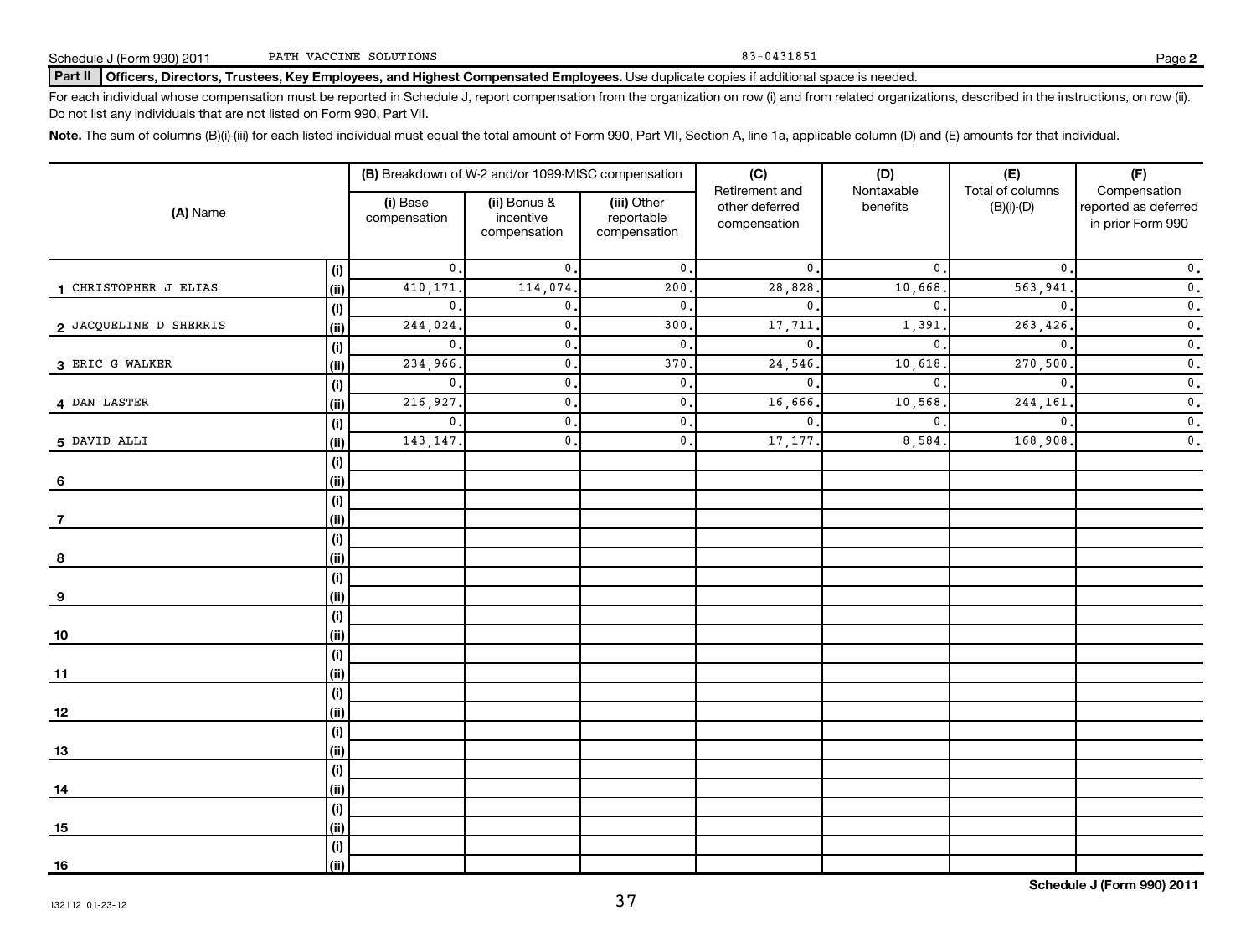### Part II | Officers, Directors, Trustees, Key Employees, and Highest Compensated Employees. Use duplicate copies if additional space is needed.

For each individual whose compensation must be reported in Schedule J, report compensation from the organization on row (i) and from related organizations, described in the instructions, on row (ii). Do not list any individuals that are not listed on Form 990, Part VII.

Note. The sum of columns (B)(i)-(iii) for each listed individual must equal the total amount of Form 990, Part VII, Section A, line 1a, applicable column (D) and (E) amounts for that individual.

|                        |              |                          | (B) Breakdown of W-2 and/or 1099-MISC compensation |                                           | (C)<br>Retirement and          | (D)<br>Nontaxable | (E)<br>Total of columns | (F)<br>Compensation                       |
|------------------------|--------------|--------------------------|----------------------------------------------------|-------------------------------------------|--------------------------------|-------------------|-------------------------|-------------------------------------------|
| (A) Name               |              | (i) Base<br>compensation | (ii) Bonus &<br>incentive<br>compensation          | (iii) Other<br>reportable<br>compensation | other deferred<br>compensation | benefits          | $(B)(i)-(D)$            | reported as deferred<br>in prior Form 990 |
|                        | (i)          | $\mathbf{0}$ .           | $\mathbf{0}$ .                                     | $\mathfrak o$ .                           | $\mathbf{0}$                   | $\mathfrak{o}$ .  | 0.                      | $\mathfrak o$ .                           |
| 1 CHRISTOPHER J ELIAS  | (ii)         | 410,171.                 | 114,074.                                           | 200.                                      | 28,828                         | 10,668.           | 563,941                 | $\overline{\mathbf{0}}$ .                 |
|                        | (i)          | $\mathbf{0}$ .           | $\mathbf{0}$ .                                     | $\mathbf{0}$ .                            | $\mathbf{0}$                   | $\mathbf{0}$ .    | $\mathbf{0}$            | $\overline{\mathbf{0}}$ .                 |
| 2 JACQUELINE D SHERRIS | (ii)         | 244,024.                 | $\mathbf{0}$ .                                     | 300.                                      | 17,711                         | 1,391             | 263,426                 | $\overline{\mathbf{0}}$ .                 |
|                        | (i)          | $\mathbf{0}$ .           | $\mathbf{0}$ .                                     | $\mathbf{0}$ .                            | $\mathbf{0}$                   | $\mathbf{0}$      | $\mathbf{0}$            | $\overline{\mathbf{0}}$ .                 |
| 3 ERIC G WALKER        | (ii)         | 234,966.                 | $\mathbf{0}$ .                                     | 370.                                      | 24,546                         | 10,618            | 270,500                 | $\mathfrak o$ .                           |
|                        | (i)          | $\mathbf{0}$ .           | $\mathbf{0}$ .                                     | $\mathfrak o$ .                           | $\mathbf 0$ .                  | $\mathbf 0$ .     | 0.                      | $\mathfrak o$ .                           |
| 4 DAN LASTER           | (ii)         | 216,927.                 | $\mathbf{0}$ .                                     | $\mathfrak o$ .                           | 16,666                         | 10,568.           | 244,161                 | $\mathfrak o$ .                           |
|                        | (i)          | $\mathbf{0}$ .           | $\mathfrak o$ .                                    | $\mathfrak o$ .                           | $\mathbf{0}$                   | $\mathbf{0}$ .    | $\mathbf{0}$ .          | $\mathfrak o$ .                           |
| 5 DAVID ALLI           | $\vert$ (ii) | 143, 147.                | $\mathfrak o$ .                                    | $\mathfrak o$ .                           | 17,177                         | 8,584.            | 168,908                 | $\mathfrak o$ .                           |
|                        | (i)          |                          |                                                    |                                           |                                |                   |                         |                                           |
| 6                      | (i)          |                          |                                                    |                                           |                                |                   |                         |                                           |
|                        | (i)          |                          |                                                    |                                           |                                |                   |                         |                                           |
|                        | (ii)         |                          |                                                    |                                           |                                |                   |                         |                                           |
|                        | (i)          |                          |                                                    |                                           |                                |                   |                         |                                           |
| 8                      | (ii)         |                          |                                                    |                                           |                                |                   |                         |                                           |
|                        | (i)          |                          |                                                    |                                           |                                |                   |                         |                                           |
| 9                      | (i)          |                          |                                                    |                                           |                                |                   |                         |                                           |
|                        | (i)          |                          |                                                    |                                           |                                |                   |                         |                                           |
| 10                     | $\vert$ (ii) |                          |                                                    |                                           |                                |                   |                         |                                           |
|                        | (i)          |                          |                                                    |                                           |                                |                   |                         |                                           |
| 11                     | (i)          |                          |                                                    |                                           |                                |                   |                         |                                           |
|                        | (i)          |                          |                                                    |                                           |                                |                   |                         |                                           |
| 12                     | (i)          |                          |                                                    |                                           |                                |                   |                         |                                           |
|                        | (i)          |                          |                                                    |                                           |                                |                   |                         |                                           |
| 13                     | (ii)         |                          |                                                    |                                           |                                |                   |                         |                                           |
|                        | (i)          |                          |                                                    |                                           |                                |                   |                         |                                           |
| 14                     | (ii)         |                          |                                                    |                                           |                                |                   |                         |                                           |
|                        | (i)          |                          |                                                    |                                           |                                |                   |                         |                                           |
| 15                     | (ii)         |                          |                                                    |                                           |                                |                   |                         |                                           |
|                        | (i)          |                          |                                                    |                                           |                                |                   |                         |                                           |
| <u>16</u>              | (ii)         |                          |                                                    |                                           |                                |                   |                         |                                           |

37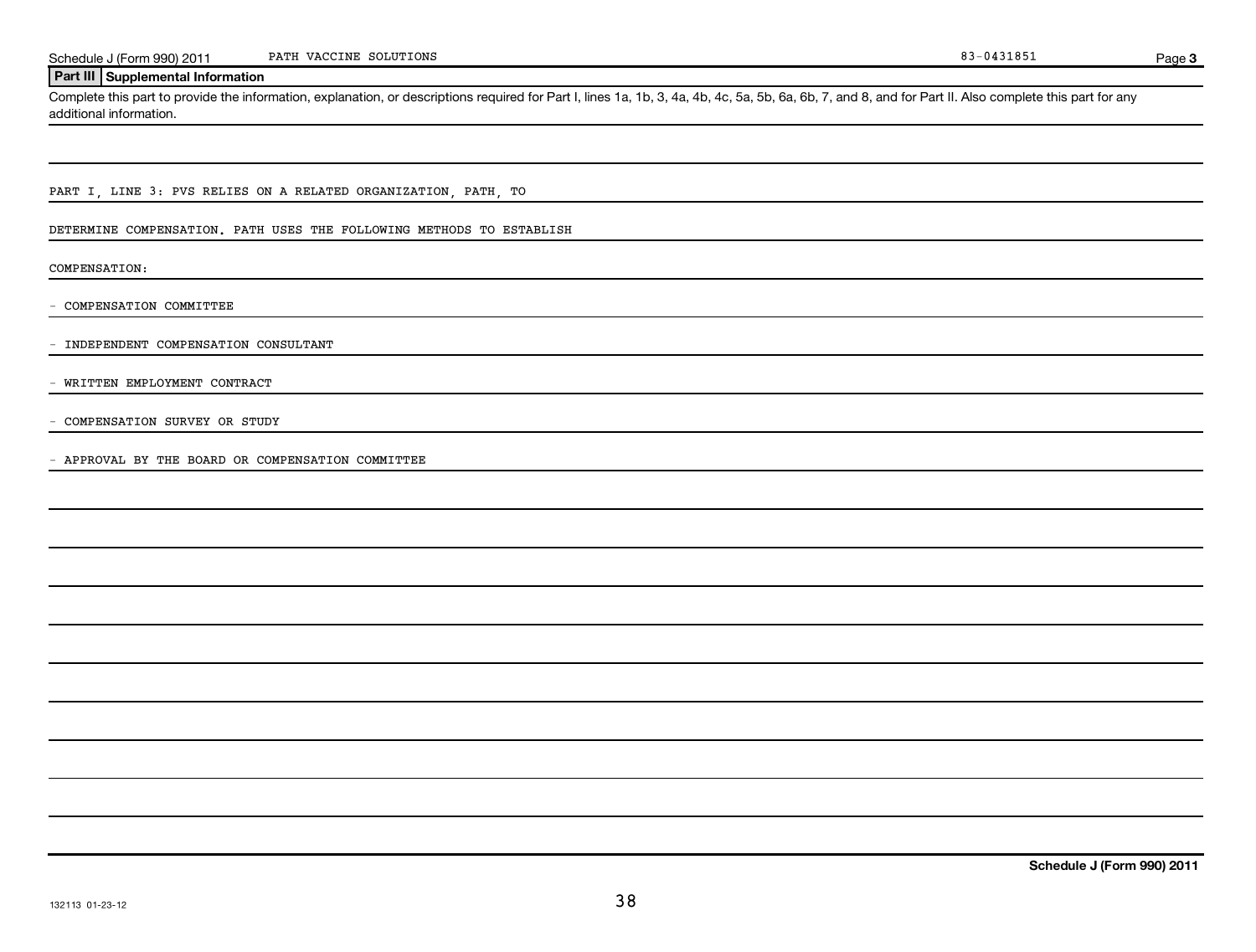Page 3

### **Part III Supplemental Information**

Complete this part to provide the information, explanation, or descriptions required for Part I, lines 1a, 1b, 3, 4a, 4b, 4c, 5a, 5b, 6a, 6b, 7, and 8, and for Part II. Also complete this part for any additional information.

PART I, LINE 3: PVS RELIES ON A RELATED ORGANIZATION, PATH, TO

DETERMINE COMPENSATION. PATH USES THE FOLLOWING METHODS TO ESTABLISH

COMPENSATION:

- COMPENSATION COMMITTEE

- INDEPENDENT COMPENSATION CONSULTANT

- WRITTEN EMPLOYMENT CONTRACT

- COMPENSATION SURVEY OR STUDY

- APPROVAL BY THE BOARD OR COMPENSATION COMMITTEE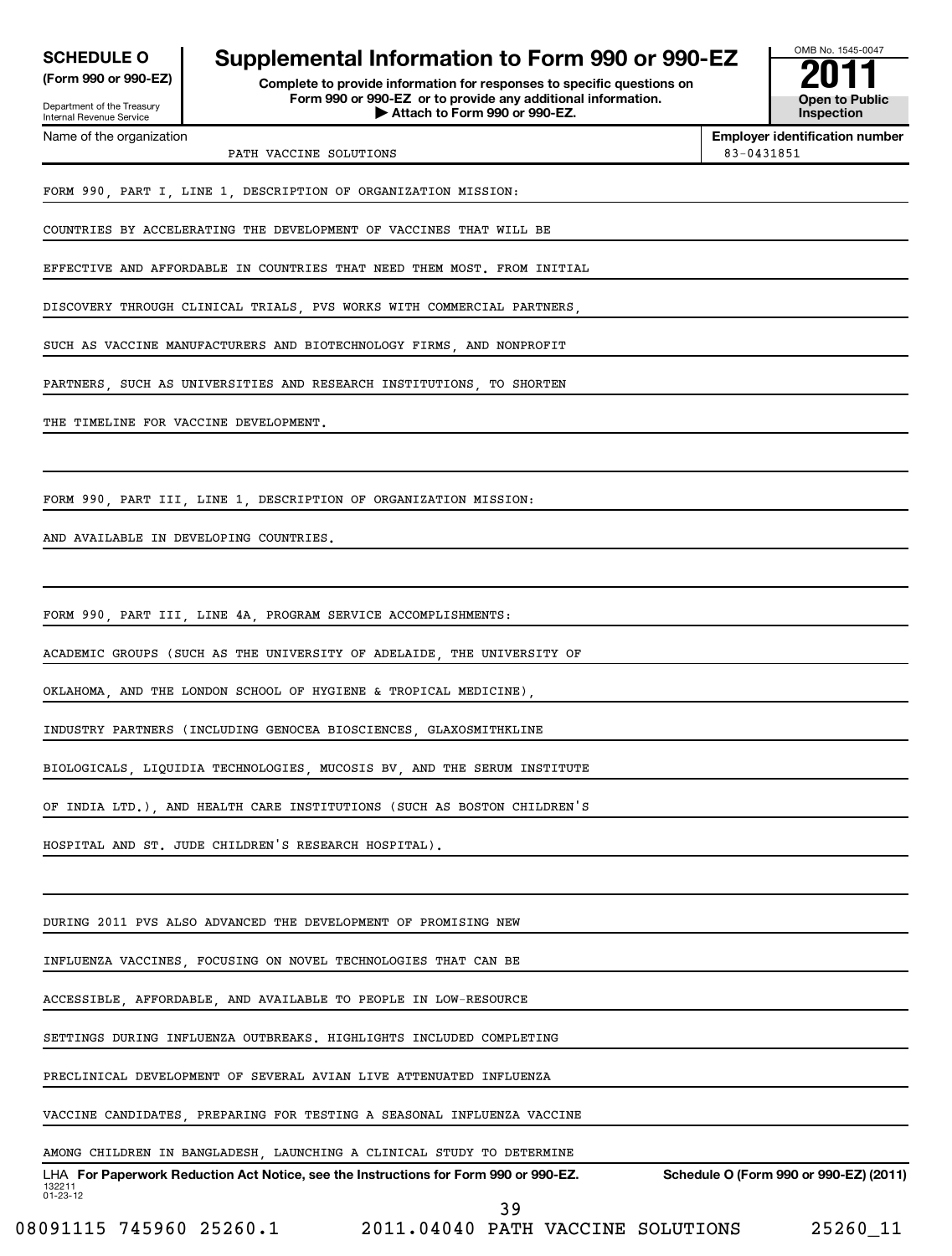| <b>SCHEDULE O</b>    |  |  |
|----------------------|--|--|
| (Form 990 or 990-EZ) |  |  |

Department of the Treasury Internal Revenue Service

**(Form 990 or 990-EZ) Complete to provide information for responses to specific questions on Form 990 or 990-EZ or to provide any additional information. | Attach to Form 990 or 990-EZ. Open to Public Supplemental Information to Form 990 or 990-EZ**<br>Complete to provide information for responses to specific questions on<br>Form 990 or 990-EZ or to provide any additional information.



**Employer identification number**

Name of the organization

PATH VACCINE SOLUTIONS 83-0431851

FORM 990, PART I, LINE 1, DESCRIPTION OF ORGANIZATION MISSION:

COUNTRIES BY ACCELERATING THE DEVELOPMENT OF VACCINES THAT WILL BE

EFFECTIVE AND AFFORDABLE IN COUNTRIES THAT NEED THEM MOST. FROM INITIAL

DISCOVERY THROUGH CLINICAL TRIALS, PVS WORKS WITH COMMERCIAL PARTNERS,

SUCH AS VACCINE MANUFACTURERS AND BIOTECHNOLOGY FIRMS, AND NONPROFIT

PARTNERS, SUCH AS UNIVERSITIES AND RESEARCH INSTITUTIONS, TO SHORTEN

THE TIMELINE FOR VACCINE DEVELOPMENT.

FORM 990, PART III, LINE 1, DESCRIPTION OF ORGANIZATION MISSION:

AND AVAILABLE IN DEVELOPING COUNTRIES.

FORM 990, PART III, LINE 4A, PROGRAM SERVICE ACCOMPLISHMENTS:

ACADEMIC GROUPS (SUCH AS THE UNIVERSITY OF ADELAIDE, THE UNIVERSITY OF

OKLAHOMA, AND THE LONDON SCHOOL OF HYGIENE & TROPICAL MEDICINE),

INDUSTRY PARTNERS (INCLUDING GENOCEA BIOSCIENCES, GLAXOSMITHKLINE

BIOLOGICALS, LIQUIDIA TECHNOLOGIES, MUCOSIS BV, AND THE SERUM INSTITUTE

OF INDIA LTD.), AND HEALTH CARE INSTITUTIONS (SUCH AS BOSTON CHILDREN'S

HOSPITAL AND ST. JUDE CHILDREN'S RESEARCH HOSPITAL).

DURING 2011 PVS ALSO ADVANCED THE DEVELOPMENT OF PROMISING NEW

INFLUENZA VACCINES, FOCUSING ON NOVEL TECHNOLOGIES THAT CAN BE

ACCESSIBLE, AFFORDABLE, AND AVAILABLE TO PEOPLE IN LOW-RESOURCE

SETTINGS DURING INFLUENZA OUTBREAKS. HIGHLIGHTS INCLUDED COMPLETING

PRECLINICAL DEVELOPMENT OF SEVERAL AVIAN LIVE ATTENUATED INFLUENZA

VACCINE CANDIDATES, PREPARING FOR TESTING A SEASONAL INFLUENZA VACCINE

132211 01-23-12 LHA For Paperwork Reduction Act Notice, see the Instructions for Form 990 or 990-EZ. Schedule O (Form 990 or 990-EZ) (2011) AMONG CHILDREN IN BANGLADESH, LAUNCHING A CLINICAL STUDY TO DETERMINE

08091115 745960 25260.1 2011.04040 PATH VACCINE SOLUTIONS 25260\_11

39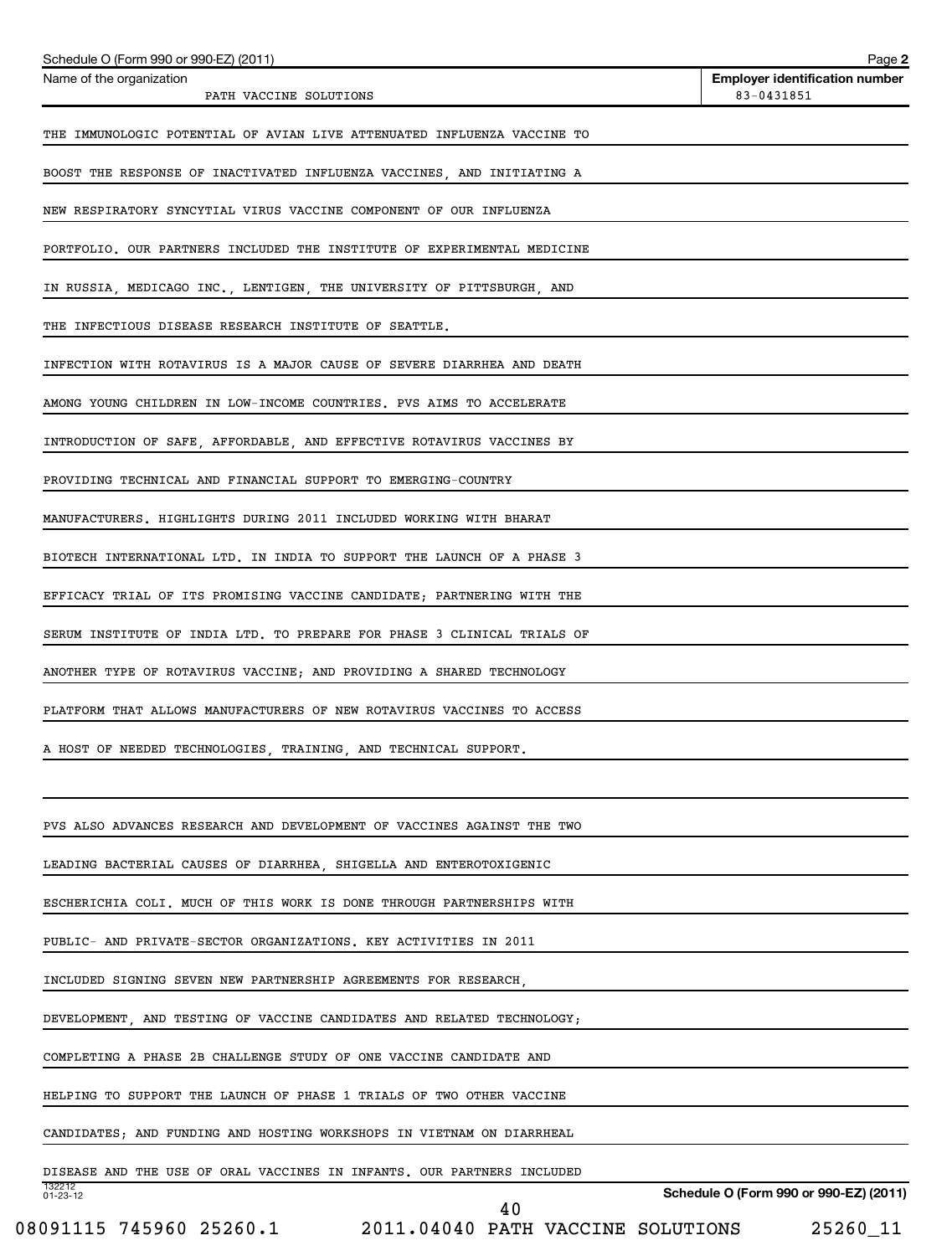| Schedule O (Form 990 or 990-EZ) (2011)                                           | Page 2                                              |
|----------------------------------------------------------------------------------|-----------------------------------------------------|
| Name of the organization<br>PATH VACCINE SOLUTIONS                               | <b>Employer identification number</b><br>83-0431851 |
| THE IMMUNOLOGIC POTENTIAL OF AVIAN LIVE ATTENUATED INFLUENZA VACCINE TO          |                                                     |
| BOOST THE RESPONSE OF INACTIVATED INFLUENZA VACCINES, AND INITIATING A           |                                                     |
| NEW RESPIRATORY SYNCYTIAL VIRUS VACCINE COMPONENT OF OUR INFLUENZA               |                                                     |
| PORTFOLIO. OUR PARTNERS INCLUDED THE INSTITUTE OF EXPERIMENTAL MEDICINE          |                                                     |
| IN RUSSIA, MEDICAGO INC., LENTIGEN, THE UNIVERSITY OF PITTSBURGH, AND            |                                                     |
| THE INFECTIOUS DISEASE RESEARCH INSTITUTE OF SEATTLE.                            |                                                     |
| INFECTION WITH ROTAVIRUS IS A MAJOR CAUSE OF SEVERE DIARRHEA AND DEATH           |                                                     |
| AMONG YOUNG CHILDREN IN LOW-INCOME COUNTRIES. PVS AIMS TO ACCELERATE             |                                                     |
| INTRODUCTION OF SAFE, AFFORDABLE, AND EFFECTIVE ROTAVIRUS VACCINES BY            |                                                     |
| PROVIDING TECHNICAL AND FINANCIAL SUPPORT TO EMERGING-COUNTRY                    |                                                     |
| MANUFACTURERS. HIGHLIGHTS DURING 2011 INCLUDED WORKING WITH BHARAT               |                                                     |
| BIOTECH INTERNATIONAL LTD. IN INDIA TO SUPPORT THE LAUNCH OF A PHASE 3           |                                                     |
| EFFICACY TRIAL OF ITS PROMISING VACCINE CANDIDATE; PARTNERING WITH THE           |                                                     |
| SERUM INSTITUTE OF INDIA LTD. TO PREPARE FOR PHASE 3 CLINICAL TRIALS OF          |                                                     |
| ANOTHER TYPE OF ROTAVIRUS VACCINE; AND PROVIDING A SHARED TECHNOLOGY             |                                                     |
| PLATFORM THAT ALLOWS MANUFACTURERS OF NEW ROTAVIRUS VACCINES TO ACCESS           |                                                     |
| A HOST OF NEEDED TECHNOLOGIES, TRAINING, AND TECHNICAL SUPPORT.                  |                                                     |
|                                                                                  |                                                     |
| PVS ALSO ADVANCES RESEARCH AND DEVELOPMENT OF VACCINES AGAINST THE TWO           |                                                     |
| LEADING BACTERIAL CAUSES OF DIARRHEA, SHIGELLA AND ENTEROTOXIGENIC               |                                                     |
| ESCHERICHIA COLI. MUCH OF THIS WORK IS DONE THROUGH PARTNERSHIPS WITH            |                                                     |
| PUBLIC- AND PRIVATE-SECTOR ORGANIZATIONS. KEY ACTIVITIES IN 2011                 |                                                     |
| INCLUDED SIGNING SEVEN NEW PARTNERSHIP AGREEMENTS FOR RESEARCH,                  |                                                     |
| DEVELOPMENT, AND TESTING OF VACCINE CANDIDATES AND RELATED TECHNOLOGY;           |                                                     |
| COMPLETING A PHASE 2B CHALLENGE STUDY OF ONE VACCINE CANDIDATE AND               |                                                     |
| HELPING TO SUPPORT THE LAUNCH OF PHASE 1 TRIALS OF TWO OTHER VACCINE             |                                                     |
| CANDIDATES; AND FUNDING AND HOSTING WORKSHOPS IN VIETNAM ON DIARRHEAL            |                                                     |
| DISEASE AND THE USE OF ORAL VACCINES IN INFANTS. OUR PARTNERS INCLUDED<br>132212 |                                                     |
| $01 - 23 - 12$<br>40                                                             | Schedule O (Form 990 or 990-EZ) (2011)              |

<sup>08091115 745960 25260.1 2011.04040</sup> PATH VACCINE SOLUTIONS 25260\_11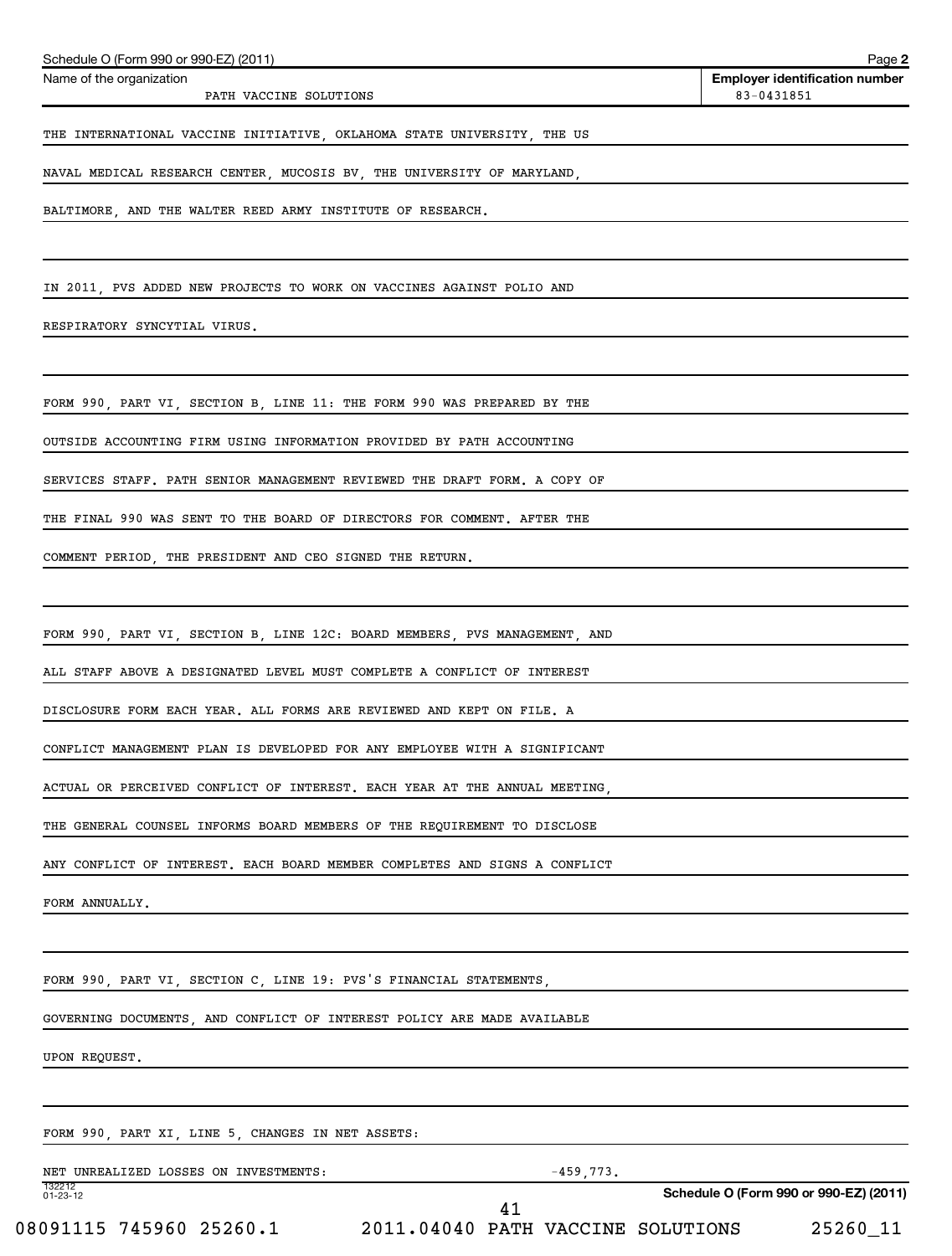| Name of the organization<br>PATH VACCINE SOLUTIONS                         | <b>Employer identification number</b><br>83-0431851 |
|----------------------------------------------------------------------------|-----------------------------------------------------|
| THE INTERNATIONAL VACCINE INITIATIVE, OKLAHOMA STATE UNIVERSITY, THE US    |                                                     |
| NAVAL MEDICAL RESEARCH CENTER, MUCOSIS BV, THE UNIVERSITY OF MARYLAND,     |                                                     |
| BALTIMORE, AND THE WALTER REED ARMY INSTITUTE OF RESEARCH.                 |                                                     |
|                                                                            |                                                     |
| IN 2011, PVS ADDED NEW PROJECTS TO WORK ON VACCINES AGAINST POLIO AND      |                                                     |
| RESPIRATORY SYNCYTIAL VIRUS.                                               |                                                     |
| FORM 990, PART VI, SECTION B, LINE 11: THE FORM 990 WAS PREPARED BY THE    |                                                     |
| OUTSIDE ACCOUNTING FIRM USING INFORMATION PROVIDED BY PATH ACCOUNTING      |                                                     |
| SERVICES STAFF. PATH SENIOR MANAGEMENT REVIEWED THE DRAFT FORM. A COPY OF  |                                                     |
| THE FINAL 990 WAS SENT TO THE BOARD OF DIRECTORS FOR COMMENT. AFTER THE    |                                                     |
| COMMENT PERIOD, THE PRESIDENT AND CEO SIGNED THE RETURN.                   |                                                     |
| FORM 990, PART VI, SECTION B, LINE 12C: BOARD MEMBERS, PVS MANAGEMENT, AND |                                                     |
| ALL STAFF ABOVE A DESIGNATED LEVEL MUST COMPLETE A CONFLICT OF INTEREST    |                                                     |
| DISCLOSURE FORM EACH YEAR. ALL FORMS ARE REVIEWED AND KEPT ON FILE. A      |                                                     |
| CONFLICT MANAGEMENT PLAN IS DEVELOPED FOR ANY EMPLOYEE WITH A SIGNIFICANT  |                                                     |
| ACTUAL OR PERCEIVED CONFLICT OF INTEREST. EACH YEAR AT THE ANNUAL MEETING  |                                                     |
| THE GENERAL COUNSEL INFORMS BOARD MEMBERS OF THE REQUIREMENT TO DISCLOSE   |                                                     |
| ANY CONFLICT OF INTEREST. EACH BOARD MEMBER COMPLETES AND SIGNS A CONFLICT |                                                     |
| FORM ANNUALLY.                                                             |                                                     |
| FORM 990, PART VI, SECTION C, LINE 19: PVS'S FINANCIAL STATEMENTS,         |                                                     |
| GOVERNING DOCUMENTS, AND CONFLICT OF INTEREST POLICY ARE MADE AVAILABLE    |                                                     |
| UPON REQUEST.                                                              |                                                     |
| FORM 990, PART XI, LINE 5, CHANGES IN NET ASSETS:                          |                                                     |
| NET UNREALIZED LOSSES ON INVESTMENTS:<br>$-459,773.$                       |                                                     |
| 132212<br>01-23-12                                                         | Schedule O (Form 990 or 990-EZ) (2011)              |

Schedule O (Form 990 or 990-EZ) (2011)

**2**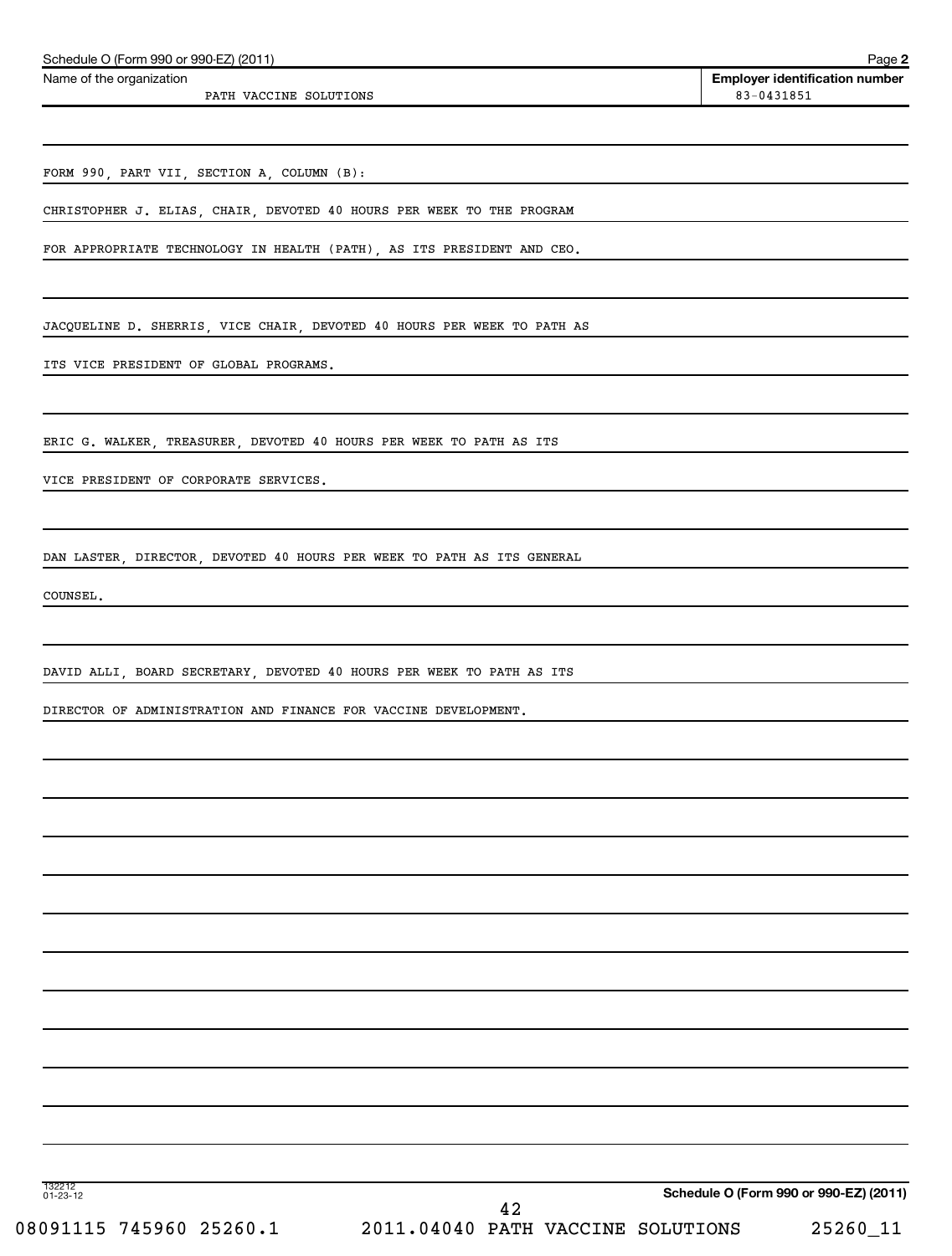| CHRISTOPHER J. ELIAS, CHAIR, DEVOTED 40 HOURS PER WEEK TO THE PROGRAM<br>FOR APPROPRIATE TECHNOLOGY IN HEALTH (PATH), AS ITS PRESIDENT AND CEO. |                                                                                                                                                                                                                                                                                                                                                                            |                                        |
|-------------------------------------------------------------------------------------------------------------------------------------------------|----------------------------------------------------------------------------------------------------------------------------------------------------------------------------------------------------------------------------------------------------------------------------------------------------------------------------------------------------------------------------|----------------------------------------|
|                                                                                                                                                 |                                                                                                                                                                                                                                                                                                                                                                            |                                        |
|                                                                                                                                                 |                                                                                                                                                                                                                                                                                                                                                                            |                                        |
|                                                                                                                                                 |                                                                                                                                                                                                                                                                                                                                                                            |                                        |
| ITS VICE PRESIDENT OF GLOBAL PROGRAMS.                                                                                                          |                                                                                                                                                                                                                                                                                                                                                                            |                                        |
|                                                                                                                                                 |                                                                                                                                                                                                                                                                                                                                                                            |                                        |
|                                                                                                                                                 |                                                                                                                                                                                                                                                                                                                                                                            |                                        |
| VICE PRESIDENT OF CORPORATE SERVICES.                                                                                                           |                                                                                                                                                                                                                                                                                                                                                                            |                                        |
|                                                                                                                                                 |                                                                                                                                                                                                                                                                                                                                                                            |                                        |
|                                                                                                                                                 |                                                                                                                                                                                                                                                                                                                                                                            |                                        |
|                                                                                                                                                 |                                                                                                                                                                                                                                                                                                                                                                            |                                        |
|                                                                                                                                                 |                                                                                                                                                                                                                                                                                                                                                                            |                                        |
|                                                                                                                                                 |                                                                                                                                                                                                                                                                                                                                                                            |                                        |
|                                                                                                                                                 |                                                                                                                                                                                                                                                                                                                                                                            |                                        |
|                                                                                                                                                 |                                                                                                                                                                                                                                                                                                                                                                            |                                        |
|                                                                                                                                                 |                                                                                                                                                                                                                                                                                                                                                                            |                                        |
|                                                                                                                                                 |                                                                                                                                                                                                                                                                                                                                                                            |                                        |
|                                                                                                                                                 |                                                                                                                                                                                                                                                                                                                                                                            |                                        |
|                                                                                                                                                 |                                                                                                                                                                                                                                                                                                                                                                            |                                        |
|                                                                                                                                                 |                                                                                                                                                                                                                                                                                                                                                                            |                                        |
|                                                                                                                                                 |                                                                                                                                                                                                                                                                                                                                                                            |                                        |
|                                                                                                                                                 |                                                                                                                                                                                                                                                                                                                                                                            |                                        |
|                                                                                                                                                 |                                                                                                                                                                                                                                                                                                                                                                            |                                        |
|                                                                                                                                                 |                                                                                                                                                                                                                                                                                                                                                                            |                                        |
|                                                                                                                                                 |                                                                                                                                                                                                                                                                                                                                                                            |                                        |
|                                                                                                                                                 |                                                                                                                                                                                                                                                                                                                                                                            |                                        |
|                                                                                                                                                 | JACQUELINE D. SHERRIS, VICE CHAIR, DEVOTED 40 HOURS PER WEEK TO PATH AS<br>ERIC G. WALKER, TREASURER, DEVOTED 40 HOURS PER WEEK TO PATH AS ITS<br>DAN LASTER, DIRECTOR, DEVOTED 40 HOURS PER WEEK TO PATH AS ITS GENERAL<br>DAVID ALLI, BOARD SECRETARY, DEVOTED 40 HOURS PER WEEK TO PATH AS ITS<br>DIRECTOR OF ADMINISTRATION AND FINANCE FOR VACCINE DEVELOPMENT.<br>42 | Schedule O (Form 990 or 990-EZ) (2011) |

PATH VACCINE SOLUTIONS 83-0431851

Schedule O (Form 990 or 990-EZ) (2011)

Name of the organization

**2**

**Employer identification number**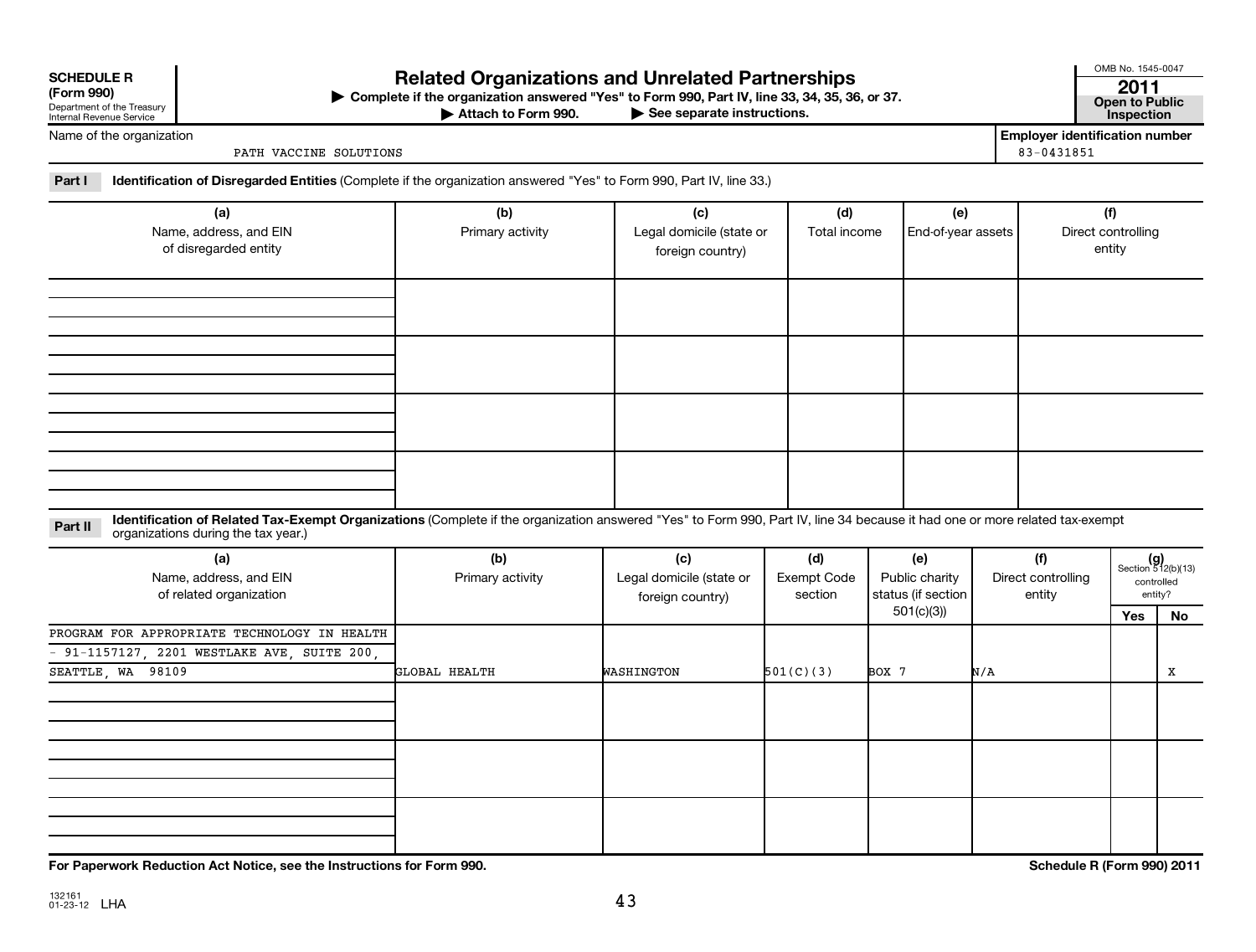| <b>SCHEDULE R</b> |  |  |
|-------------------|--|--|

| (LOLIII 220)               |
|----------------------------|
| Department of the Treasury |
| Internal Revenue Service   |

## **Related Organizations and Unrelated Partnerships <sup>2011</sup>**

**(Form 990) Complete if the organization answered "Yes" to Form 990, Part IV, line 33, 34, 35, 36, or 37. Open to Public** | **At to Form 990. Part IV, line 33, 34, 35, 36, or 37.**<br>
<del>• See</del> separate instructions. Inspection

Attach to Form 990.

OMB No. 1545-0047

Name of the organization

PATH VACCINE SOLUTIONS 83-0431851

**Employer identification number**

**Part I Identification of Disregarded Entities**  (Complete if the organization answered "Yes" to Form 990, Part IV, line 33.)

| (a)<br>Name, address, and EIN<br>of disregarded entity | (b)<br>Primary activity | (c)<br>Legal domicile (state or<br>foreign country) | (d)<br>Total income | (e)<br>End-of-year assets | (f)<br>Direct controlling<br>entity |
|--------------------------------------------------------|-------------------------|-----------------------------------------------------|---------------------|---------------------------|-------------------------------------|
|                                                        |                         |                                                     |                     |                           |                                     |
|                                                        |                         |                                                     |                     |                           |                                     |
|                                                        |                         |                                                     |                     |                           |                                     |
|                                                        |                         |                                                     |                     |                           |                                     |

Part II ldentification of Related Tax-Exempt Organizations (Complete if the organization answered "Yes" to Form 990, Part IV, line 34 because it had one or more related tax-exempt<br>example: croanizations during the tax veas organizations during the tax year.)

| (a)<br>Name, address, and EIN<br>of related organization | (b)<br>Primary activity | (c)<br>Legal domicile (state or<br>foreign country) | (d)<br>Exempt Code<br>section | (e)<br>Public charity<br>status (if section | (f)<br>Direct controlling<br>entity |     | $(g)$<br>Section 512(b)(13)<br>controlled<br>entity? |
|----------------------------------------------------------|-------------------------|-----------------------------------------------------|-------------------------------|---------------------------------------------|-------------------------------------|-----|------------------------------------------------------|
|                                                          |                         |                                                     |                               | 501(c)(3))                                  |                                     | Yes | No                                                   |
| PROGRAM FOR APPROPRIATE TECHNOLOGY IN HEALTH             |                         |                                                     |                               |                                             |                                     |     |                                                      |
| - 91-1157127, 2201 WESTLAKE AVE, SUITE 200,              |                         |                                                     |                               |                                             |                                     |     |                                                      |
| SEATTLE, WA 98109                                        | GLOBAL HEALTH           | WASHINGTON                                          | 501(C)(3)<br>BOX 7            |                                             | N/A                                 |     | Х                                                    |
|                                                          |                         |                                                     |                               |                                             |                                     |     |                                                      |
|                                                          |                         |                                                     |                               |                                             |                                     |     |                                                      |
|                                                          |                         |                                                     |                               |                                             |                                     |     |                                                      |

**For Paperwork Reduction Act Notice, see the Instructions for Form 990. Schedule R (Form 990) 2011**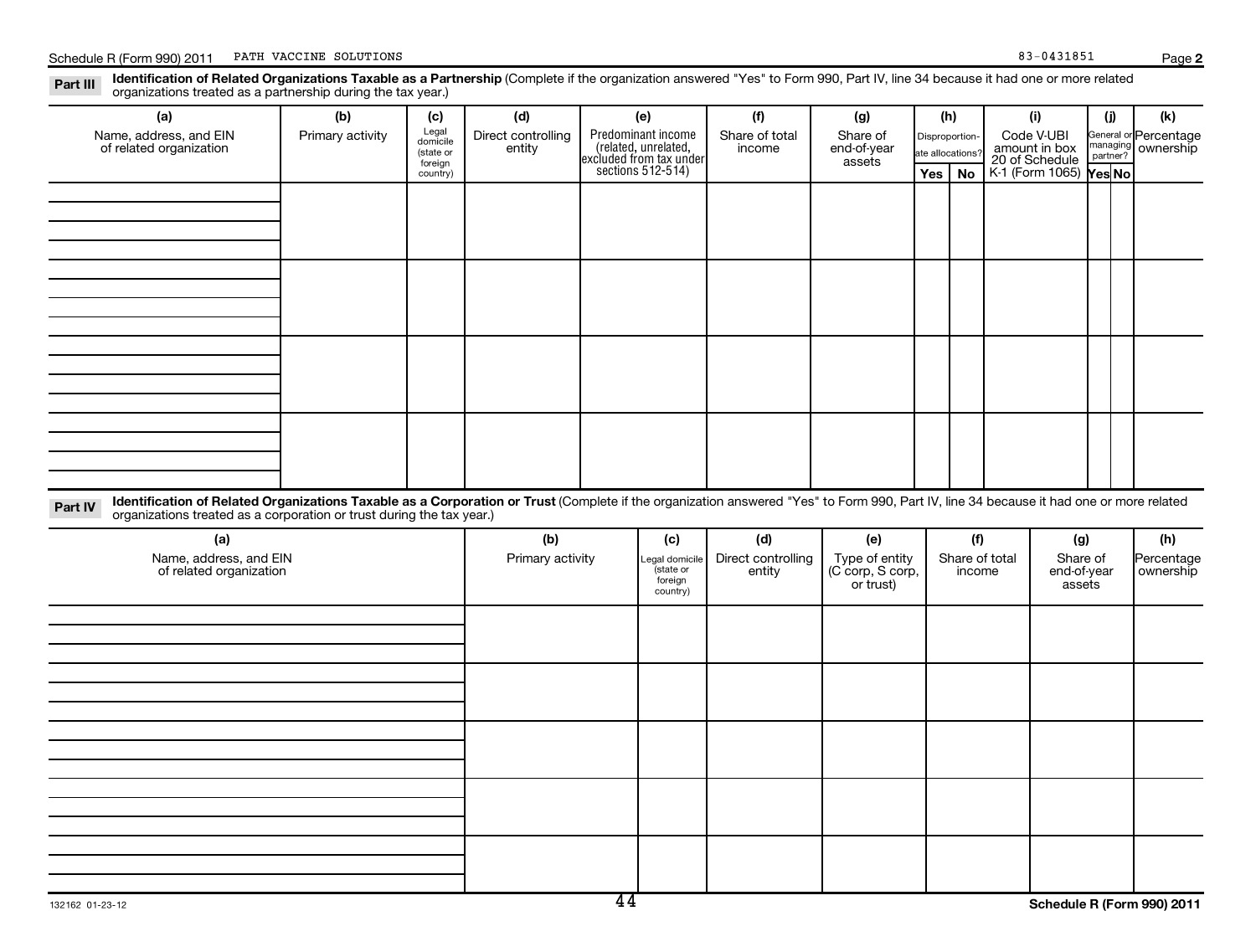**2**

Part III Identification of Related Organizations Taxable as a Partnership (Complete if the organization answered "Yes" to Form 990, Part IV, line 34 because it had one or more related<br>Read to reconizations tracted as a par organizations treated as a partnership during the tax year.)

|         | (a)                                               | (b)                                                                                                                                                                                                                                                              | (c)                                       | (d)                          |                                                                                            | (e)                              | (f)                      | (g)                                | (h)                                |                |                                                                  | (i)                   | (i)                  | (k)                                |
|---------|---------------------------------------------------|------------------------------------------------------------------------------------------------------------------------------------------------------------------------------------------------------------------------------------------------------------------|-------------------------------------------|------------------------------|--------------------------------------------------------------------------------------------|----------------------------------|--------------------------|------------------------------------|------------------------------------|----------------|------------------------------------------------------------------|-----------------------|----------------------|------------------------------------|
|         | Name, address, and EIN<br>of related organization | Primary activity                                                                                                                                                                                                                                                 | Legal<br>domicile<br>(state or<br>foreign | Direct controlling<br>entity | Predominant income<br>(related, unrelated,<br>excluded from tax under<br>sections 512-514) |                                  | Share of total<br>income | Share of<br>end-of-year<br>assets  | Disproportion-<br>ate allocations' |                | Code V-UBI<br>amount in box<br>20 of Schedule<br>K-1 (Form 1065) |                       | managing<br>partner? | General or Percentage<br>ownership |
|         |                                                   |                                                                                                                                                                                                                                                                  | country)                                  |                              |                                                                                            |                                  |                          |                                    | Yes                                | <b>No</b>      |                                                                  |                       | Yes No               |                                    |
|         |                                                   |                                                                                                                                                                                                                                                                  |                                           |                              |                                                                                            |                                  |                          |                                    |                                    |                |                                                                  |                       |                      |                                    |
|         |                                                   |                                                                                                                                                                                                                                                                  |                                           |                              |                                                                                            |                                  |                          |                                    |                                    |                |                                                                  |                       |                      |                                    |
|         |                                                   |                                                                                                                                                                                                                                                                  |                                           |                              |                                                                                            |                                  |                          |                                    |                                    |                |                                                                  |                       |                      |                                    |
|         |                                                   |                                                                                                                                                                                                                                                                  |                                           |                              |                                                                                            |                                  |                          |                                    |                                    |                |                                                                  |                       |                      |                                    |
|         |                                                   |                                                                                                                                                                                                                                                                  |                                           |                              |                                                                                            |                                  |                          |                                    |                                    |                |                                                                  |                       |                      |                                    |
|         |                                                   |                                                                                                                                                                                                                                                                  |                                           |                              |                                                                                            |                                  |                          |                                    |                                    |                |                                                                  |                       |                      |                                    |
|         |                                                   |                                                                                                                                                                                                                                                                  |                                           |                              |                                                                                            |                                  |                          |                                    |                                    |                |                                                                  |                       |                      |                                    |
|         |                                                   |                                                                                                                                                                                                                                                                  |                                           |                              |                                                                                            |                                  |                          |                                    |                                    |                |                                                                  |                       |                      |                                    |
|         |                                                   |                                                                                                                                                                                                                                                                  |                                           |                              |                                                                                            |                                  |                          |                                    |                                    |                |                                                                  |                       |                      |                                    |
|         |                                                   |                                                                                                                                                                                                                                                                  |                                           |                              |                                                                                            |                                  |                          |                                    |                                    |                |                                                                  |                       |                      |                                    |
|         |                                                   |                                                                                                                                                                                                                                                                  |                                           |                              |                                                                                            |                                  |                          |                                    |                                    |                |                                                                  |                       |                      |                                    |
|         |                                                   |                                                                                                                                                                                                                                                                  |                                           |                              |                                                                                            |                                  |                          |                                    |                                    |                |                                                                  |                       |                      |                                    |
| Part IV |                                                   | Identification of Related Organizations Taxable as a Corporation or Trust (Complete if the organization answered "Yes" to Form 990, Part IV, line 34 because it had one or more related<br>organizations treated as a corporation or trust during the tax year.) |                                           |                              |                                                                                            |                                  |                          |                                    |                                    |                |                                                                  |                       |                      |                                    |
|         | (a)                                               |                                                                                                                                                                                                                                                                  |                                           | (b)                          |                                                                                            | (c)                              | (d)                      | (e)                                |                                    | (f)            |                                                                  | (g)                   |                      | (h)                                |
|         | Name, address, and EIN                            |                                                                                                                                                                                                                                                                  |                                           | Primary activity             |                                                                                            | Legal domicile                   | Direct controlling       | Type of entity<br>(C corp, S corp, |                                    | Share of total |                                                                  | Share of              |                      | Percentage                         |
|         | of related organization                           |                                                                                                                                                                                                                                                                  |                                           |                              |                                                                                            | (state or<br>foreign<br>country) | entity                   | or trust)                          |                                    | income         |                                                                  | end-of-year<br>assets |                      | ownership                          |
|         |                                                   |                                                                                                                                                                                                                                                                  |                                           |                              |                                                                                            |                                  |                          |                                    |                                    |                |                                                                  |                       |                      |                                    |
|         |                                                   |                                                                                                                                                                                                                                                                  |                                           |                              |                                                                                            |                                  |                          |                                    |                                    |                |                                                                  |                       |                      |                                    |
|         |                                                   |                                                                                                                                                                                                                                                                  |                                           |                              |                                                                                            |                                  |                          |                                    |                                    |                |                                                                  |                       |                      |                                    |
|         |                                                   |                                                                                                                                                                                                                                                                  |                                           |                              |                                                                                            |                                  |                          |                                    |                                    |                |                                                                  |                       |                      |                                    |
|         |                                                   |                                                                                                                                                                                                                                                                  |                                           |                              |                                                                                            |                                  |                          |                                    |                                    |                |                                                                  |                       |                      |                                    |
|         |                                                   |                                                                                                                                                                                                                                                                  |                                           |                              |                                                                                            |                                  |                          |                                    |                                    |                |                                                                  |                       |                      |                                    |
|         |                                                   |                                                                                                                                                                                                                                                                  |                                           |                              |                                                                                            |                                  |                          |                                    |                                    |                |                                                                  |                       |                      |                                    |
|         |                                                   |                                                                                                                                                                                                                                                                  |                                           |                              |                                                                                            |                                  |                          |                                    |                                    |                |                                                                  |                       |                      |                                    |
|         |                                                   |                                                                                                                                                                                                                                                                  |                                           |                              |                                                                                            |                                  |                          |                                    |                                    |                |                                                                  |                       |                      |                                    |
|         |                                                   |                                                                                                                                                                                                                                                                  |                                           |                              |                                                                                            |                                  |                          |                                    |                                    |                |                                                                  |                       |                      |                                    |
|         |                                                   |                                                                                                                                                                                                                                                                  |                                           |                              |                                                                                            |                                  |                          |                                    |                                    |                |                                                                  |                       |                      |                                    |
|         |                                                   |                                                                                                                                                                                                                                                                  |                                           |                              |                                                                                            |                                  |                          |                                    |                                    |                |                                                                  |                       |                      |                                    |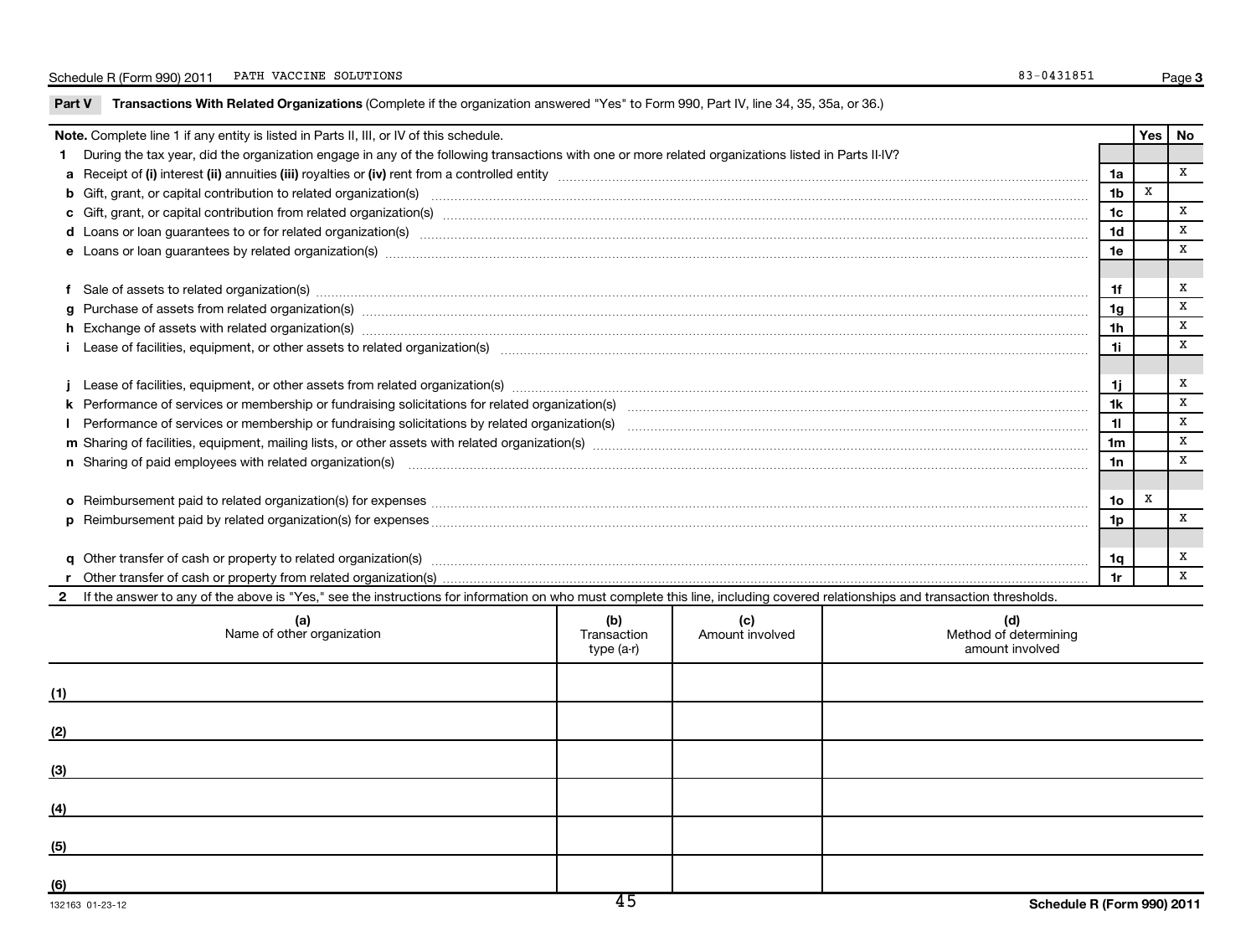| Note. Complete line 1 if any entity is listed in Parts II, III, or IV of this schedule.<br>Yes   No<br>During the tax year, did the organization engage in any of the following transactions with one or more related organizations listed in Parts II-IV?<br>1.<br>X<br>1a<br>X<br>b Gift, grant, or capital contribution to related organization(s) manufaction contribution of the contribution to related organization(s) manufaction contribution to related organization(s) manufactured contribution contri<br>1 <sub>b</sub><br>x<br>1 <sub>c</sub><br>x<br>1d<br>x<br>1e<br>x<br>1f<br>X<br>g Purchase of assets from related organization(s) material contents and content to the content of the content of the content of the content of the content of the content of the content of the content of the content of the<br>1g<br>x<br>h Exchange of assets with related organization(s) manufactured and content to the content of the content of the content of the content of the content of the content of the content of the content of the content of the conte<br>1h<br>x<br>1i.<br>x<br>-1i<br>j.<br>X<br>Performance of services or membership or fundraising solicitations for related organization(s) manufaction manufactured content and the services or membership or fundraising solicitations for related organization(s) manufa<br>1k<br>X<br>11<br>$\mathbf X$<br>1 <sub>m</sub><br>$\mathbf x$<br>n Sharing of paid employees with related organization(s) <b>manufact controller and controller and controller and controller and controller and controller and controller and controller and controller and controller and contr</b><br>1n<br>x<br>1о<br>X<br>1p<br>x<br>1q<br>$\mathbf{x}$<br>1r<br>If the answer to any of the above is "Yes," see the instructions for information on who must complete this line, including covered relationships and transaction thresholds.<br>(a)<br>(b)<br>(c)<br>(d)<br>Name of other organization<br>Method of determining<br>Amount involved<br>Transaction<br>amount involved<br>type (a-r)<br>(1)<br>(2)<br>(3)<br>(4)<br>(5)<br>(6) | Part V | Transactions With Related Organizations (Complete if the organization answered "Yes" to Form 990, Part IV, line 34, 35, 35a, or 36.) |  |  |  |  |  |  |  |  |
|------------------------------------------------------------------------------------------------------------------------------------------------------------------------------------------------------------------------------------------------------------------------------------------------------------------------------------------------------------------------------------------------------------------------------------------------------------------------------------------------------------------------------------------------------------------------------------------------------------------------------------------------------------------------------------------------------------------------------------------------------------------------------------------------------------------------------------------------------------------------------------------------------------------------------------------------------------------------------------------------------------------------------------------------------------------------------------------------------------------------------------------------------------------------------------------------------------------------------------------------------------------------------------------------------------------------------------------------------------------------------------------------------------------------------------------------------------------------------------------------------------------------------------------------------------------------------------------------------------------------------------------------------------------------------------------------------------------------------------------------------------------------------------------------------------------------------------------------------------------------------------------------------------------------------------------------------------------------------------------------------------------------------------------------------------------------------------------------------------------|--------|--------------------------------------------------------------------------------------------------------------------------------------|--|--|--|--|--|--|--|--|
|                                                                                                                                                                                                                                                                                                                                                                                                                                                                                                                                                                                                                                                                                                                                                                                                                                                                                                                                                                                                                                                                                                                                                                                                                                                                                                                                                                                                                                                                                                                                                                                                                                                                                                                                                                                                                                                                                                                                                                                                                                                                                                                  |        |                                                                                                                                      |  |  |  |  |  |  |  |  |
|                                                                                                                                                                                                                                                                                                                                                                                                                                                                                                                                                                                                                                                                                                                                                                                                                                                                                                                                                                                                                                                                                                                                                                                                                                                                                                                                                                                                                                                                                                                                                                                                                                                                                                                                                                                                                                                                                                                                                                                                                                                                                                                  |        |                                                                                                                                      |  |  |  |  |  |  |  |  |
|                                                                                                                                                                                                                                                                                                                                                                                                                                                                                                                                                                                                                                                                                                                                                                                                                                                                                                                                                                                                                                                                                                                                                                                                                                                                                                                                                                                                                                                                                                                                                                                                                                                                                                                                                                                                                                                                                                                                                                                                                                                                                                                  |        |                                                                                                                                      |  |  |  |  |  |  |  |  |
|                                                                                                                                                                                                                                                                                                                                                                                                                                                                                                                                                                                                                                                                                                                                                                                                                                                                                                                                                                                                                                                                                                                                                                                                                                                                                                                                                                                                                                                                                                                                                                                                                                                                                                                                                                                                                                                                                                                                                                                                                                                                                                                  |        |                                                                                                                                      |  |  |  |  |  |  |  |  |
|                                                                                                                                                                                                                                                                                                                                                                                                                                                                                                                                                                                                                                                                                                                                                                                                                                                                                                                                                                                                                                                                                                                                                                                                                                                                                                                                                                                                                                                                                                                                                                                                                                                                                                                                                                                                                                                                                                                                                                                                                                                                                                                  |        |                                                                                                                                      |  |  |  |  |  |  |  |  |
|                                                                                                                                                                                                                                                                                                                                                                                                                                                                                                                                                                                                                                                                                                                                                                                                                                                                                                                                                                                                                                                                                                                                                                                                                                                                                                                                                                                                                                                                                                                                                                                                                                                                                                                                                                                                                                                                                                                                                                                                                                                                                                                  |        |                                                                                                                                      |  |  |  |  |  |  |  |  |
|                                                                                                                                                                                                                                                                                                                                                                                                                                                                                                                                                                                                                                                                                                                                                                                                                                                                                                                                                                                                                                                                                                                                                                                                                                                                                                                                                                                                                                                                                                                                                                                                                                                                                                                                                                                                                                                                                                                                                                                                                                                                                                                  |        |                                                                                                                                      |  |  |  |  |  |  |  |  |
|                                                                                                                                                                                                                                                                                                                                                                                                                                                                                                                                                                                                                                                                                                                                                                                                                                                                                                                                                                                                                                                                                                                                                                                                                                                                                                                                                                                                                                                                                                                                                                                                                                                                                                                                                                                                                                                                                                                                                                                                                                                                                                                  |        |                                                                                                                                      |  |  |  |  |  |  |  |  |
|                                                                                                                                                                                                                                                                                                                                                                                                                                                                                                                                                                                                                                                                                                                                                                                                                                                                                                                                                                                                                                                                                                                                                                                                                                                                                                                                                                                                                                                                                                                                                                                                                                                                                                                                                                                                                                                                                                                                                                                                                                                                                                                  |        |                                                                                                                                      |  |  |  |  |  |  |  |  |
|                                                                                                                                                                                                                                                                                                                                                                                                                                                                                                                                                                                                                                                                                                                                                                                                                                                                                                                                                                                                                                                                                                                                                                                                                                                                                                                                                                                                                                                                                                                                                                                                                                                                                                                                                                                                                                                                                                                                                                                                                                                                                                                  |        |                                                                                                                                      |  |  |  |  |  |  |  |  |
|                                                                                                                                                                                                                                                                                                                                                                                                                                                                                                                                                                                                                                                                                                                                                                                                                                                                                                                                                                                                                                                                                                                                                                                                                                                                                                                                                                                                                                                                                                                                                                                                                                                                                                                                                                                                                                                                                                                                                                                                                                                                                                                  |        |                                                                                                                                      |  |  |  |  |  |  |  |  |
|                                                                                                                                                                                                                                                                                                                                                                                                                                                                                                                                                                                                                                                                                                                                                                                                                                                                                                                                                                                                                                                                                                                                                                                                                                                                                                                                                                                                                                                                                                                                                                                                                                                                                                                                                                                                                                                                                                                                                                                                                                                                                                                  |        |                                                                                                                                      |  |  |  |  |  |  |  |  |
|                                                                                                                                                                                                                                                                                                                                                                                                                                                                                                                                                                                                                                                                                                                                                                                                                                                                                                                                                                                                                                                                                                                                                                                                                                                                                                                                                                                                                                                                                                                                                                                                                                                                                                                                                                                                                                                                                                                                                                                                                                                                                                                  |        |                                                                                                                                      |  |  |  |  |  |  |  |  |
|                                                                                                                                                                                                                                                                                                                                                                                                                                                                                                                                                                                                                                                                                                                                                                                                                                                                                                                                                                                                                                                                                                                                                                                                                                                                                                                                                                                                                                                                                                                                                                                                                                                                                                                                                                                                                                                                                                                                                                                                                                                                                                                  |        |                                                                                                                                      |  |  |  |  |  |  |  |  |
|                                                                                                                                                                                                                                                                                                                                                                                                                                                                                                                                                                                                                                                                                                                                                                                                                                                                                                                                                                                                                                                                                                                                                                                                                                                                                                                                                                                                                                                                                                                                                                                                                                                                                                                                                                                                                                                                                                                                                                                                                                                                                                                  |        |                                                                                                                                      |  |  |  |  |  |  |  |  |
|                                                                                                                                                                                                                                                                                                                                                                                                                                                                                                                                                                                                                                                                                                                                                                                                                                                                                                                                                                                                                                                                                                                                                                                                                                                                                                                                                                                                                                                                                                                                                                                                                                                                                                                                                                                                                                                                                                                                                                                                                                                                                                                  |        |                                                                                                                                      |  |  |  |  |  |  |  |  |
|                                                                                                                                                                                                                                                                                                                                                                                                                                                                                                                                                                                                                                                                                                                                                                                                                                                                                                                                                                                                                                                                                                                                                                                                                                                                                                                                                                                                                                                                                                                                                                                                                                                                                                                                                                                                                                                                                                                                                                                                                                                                                                                  |        |                                                                                                                                      |  |  |  |  |  |  |  |  |
|                                                                                                                                                                                                                                                                                                                                                                                                                                                                                                                                                                                                                                                                                                                                                                                                                                                                                                                                                                                                                                                                                                                                                                                                                                                                                                                                                                                                                                                                                                                                                                                                                                                                                                                                                                                                                                                                                                                                                                                                                                                                                                                  |        |                                                                                                                                      |  |  |  |  |  |  |  |  |
|                                                                                                                                                                                                                                                                                                                                                                                                                                                                                                                                                                                                                                                                                                                                                                                                                                                                                                                                                                                                                                                                                                                                                                                                                                                                                                                                                                                                                                                                                                                                                                                                                                                                                                                                                                                                                                                                                                                                                                                                                                                                                                                  |        |                                                                                                                                      |  |  |  |  |  |  |  |  |
|                                                                                                                                                                                                                                                                                                                                                                                                                                                                                                                                                                                                                                                                                                                                                                                                                                                                                                                                                                                                                                                                                                                                                                                                                                                                                                                                                                                                                                                                                                                                                                                                                                                                                                                                                                                                                                                                                                                                                                                                                                                                                                                  |        |                                                                                                                                      |  |  |  |  |  |  |  |  |
|                                                                                                                                                                                                                                                                                                                                                                                                                                                                                                                                                                                                                                                                                                                                                                                                                                                                                                                                                                                                                                                                                                                                                                                                                                                                                                                                                                                                                                                                                                                                                                                                                                                                                                                                                                                                                                                                                                                                                                                                                                                                                                                  |        |                                                                                                                                      |  |  |  |  |  |  |  |  |
|                                                                                                                                                                                                                                                                                                                                                                                                                                                                                                                                                                                                                                                                                                                                                                                                                                                                                                                                                                                                                                                                                                                                                                                                                                                                                                                                                                                                                                                                                                                                                                                                                                                                                                                                                                                                                                                                                                                                                                                                                                                                                                                  |        |                                                                                                                                      |  |  |  |  |  |  |  |  |
|                                                                                                                                                                                                                                                                                                                                                                                                                                                                                                                                                                                                                                                                                                                                                                                                                                                                                                                                                                                                                                                                                                                                                                                                                                                                                                                                                                                                                                                                                                                                                                                                                                                                                                                                                                                                                                                                                                                                                                                                                                                                                                                  |        |                                                                                                                                      |  |  |  |  |  |  |  |  |
|                                                                                                                                                                                                                                                                                                                                                                                                                                                                                                                                                                                                                                                                                                                                                                                                                                                                                                                                                                                                                                                                                                                                                                                                                                                                                                                                                                                                                                                                                                                                                                                                                                                                                                                                                                                                                                                                                                                                                                                                                                                                                                                  |        |                                                                                                                                      |  |  |  |  |  |  |  |  |
|                                                                                                                                                                                                                                                                                                                                                                                                                                                                                                                                                                                                                                                                                                                                                                                                                                                                                                                                                                                                                                                                                                                                                                                                                                                                                                                                                                                                                                                                                                                                                                                                                                                                                                                                                                                                                                                                                                                                                                                                                                                                                                                  |        |                                                                                                                                      |  |  |  |  |  |  |  |  |
|                                                                                                                                                                                                                                                                                                                                                                                                                                                                                                                                                                                                                                                                                                                                                                                                                                                                                                                                                                                                                                                                                                                                                                                                                                                                                                                                                                                                                                                                                                                                                                                                                                                                                                                                                                                                                                                                                                                                                                                                                                                                                                                  |        |                                                                                                                                      |  |  |  |  |  |  |  |  |
|                                                                                                                                                                                                                                                                                                                                                                                                                                                                                                                                                                                                                                                                                                                                                                                                                                                                                                                                                                                                                                                                                                                                                                                                                                                                                                                                                                                                                                                                                                                                                                                                                                                                                                                                                                                                                                                                                                                                                                                                                                                                                                                  |        |                                                                                                                                      |  |  |  |  |  |  |  |  |
|                                                                                                                                                                                                                                                                                                                                                                                                                                                                                                                                                                                                                                                                                                                                                                                                                                                                                                                                                                                                                                                                                                                                                                                                                                                                                                                                                                                                                                                                                                                                                                                                                                                                                                                                                                                                                                                                                                                                                                                                                                                                                                                  |        |                                                                                                                                      |  |  |  |  |  |  |  |  |
|                                                                                                                                                                                                                                                                                                                                                                                                                                                                                                                                                                                                                                                                                                                                                                                                                                                                                                                                                                                                                                                                                                                                                                                                                                                                                                                                                                                                                                                                                                                                                                                                                                                                                                                                                                                                                                                                                                                                                                                                                                                                                                                  |        |                                                                                                                                      |  |  |  |  |  |  |  |  |
|                                                                                                                                                                                                                                                                                                                                                                                                                                                                                                                                                                                                                                                                                                                                                                                                                                                                                                                                                                                                                                                                                                                                                                                                                                                                                                                                                                                                                                                                                                                                                                                                                                                                                                                                                                                                                                                                                                                                                                                                                                                                                                                  |        |                                                                                                                                      |  |  |  |  |  |  |  |  |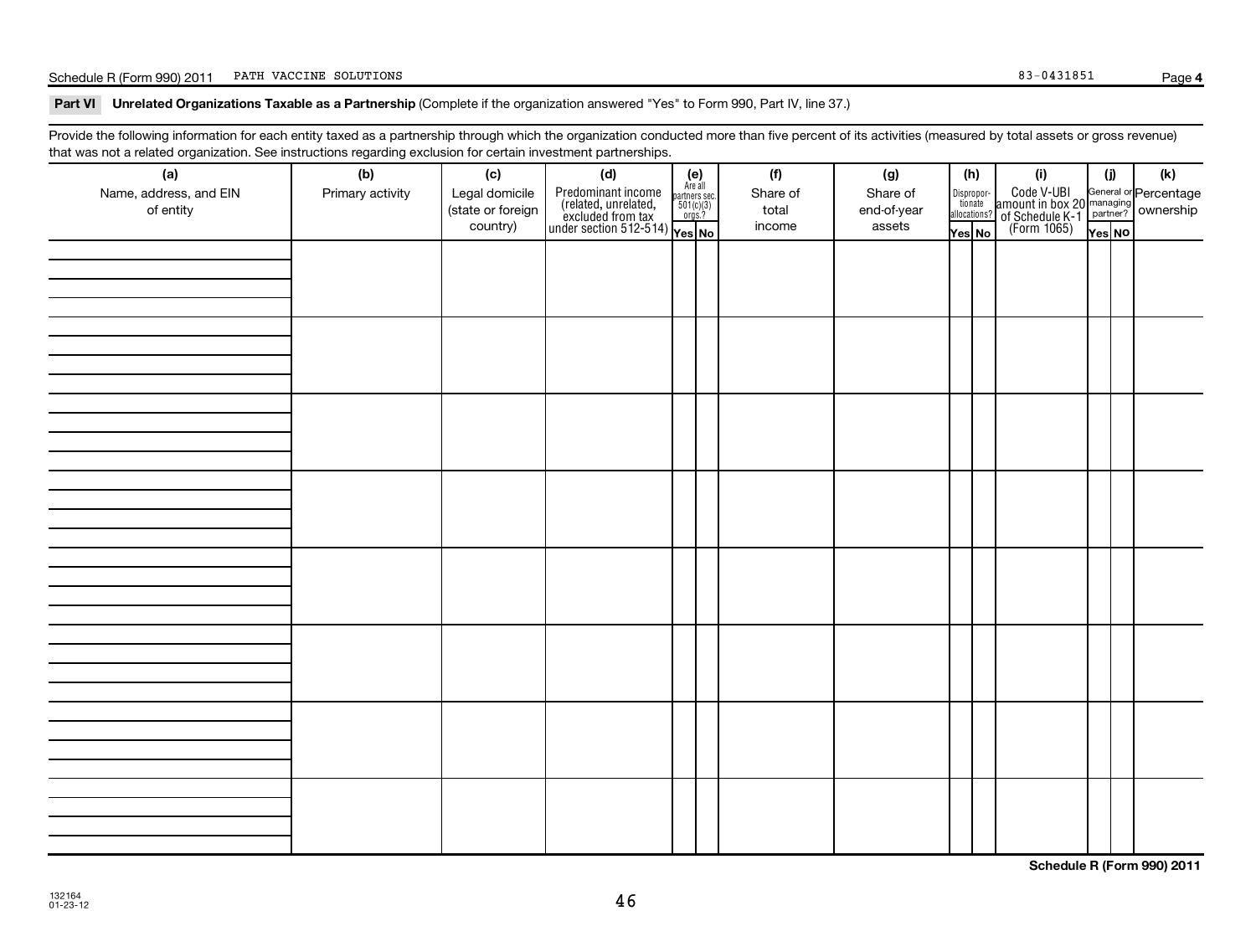### Schedule R (Form 990) 2011 PATH VACCINE SOLUTIONS Page (1999) 2008 83-0431851

**4**

### Part VI Unrelated Organizations Taxable as a Partnership (Complete if the organization answered "Yes" to Form 990, Part IV, line 37.)

Provide the following information for each entity taxed as a partnership through which the organization conducted more than five percent of its activities (measured by total assets or gross revenue) that was not a related organization. See instructions regarding exclusion for certain investment partnerships.

| (a)<br>Name, address, and EIN<br>of entity | (b)<br>Primary activity | (c)<br>Legal domicile<br>(state or foreign<br>country) | (d)<br>$\begin{array}{ l l } \hline \text{Predfominant income} & \text{Area} \\ \hline \text{(related, unrelated,} & \text{501(c)(3)} \\ \text{excluded from tax} & \text{501(c)(3)} \\ \text{under section 512-514)} & \text{Yes. No} \\\hline \end{array}$ | $(e)$<br>Are all | (f)<br>Share of<br>total<br>income | (g)<br>Share of<br>end-of-year<br>assets | (h)<br>Dispropor- | tionate<br>allocations?<br>Yes No | (i)<br>Code V-UBI<br>amount in box 20 managing<br>of Schedule K-1 partner?<br>(Form 1065)<br>$\overline{Y}$ ves No | (i)<br>Yes NO | (k) |
|--------------------------------------------|-------------------------|--------------------------------------------------------|--------------------------------------------------------------------------------------------------------------------------------------------------------------------------------------------------------------------------------------------------------------|------------------|------------------------------------|------------------------------------------|-------------------|-----------------------------------|--------------------------------------------------------------------------------------------------------------------|---------------|-----|
|                                            |                         |                                                        |                                                                                                                                                                                                                                                              |                  |                                    |                                          |                   |                                   |                                                                                                                    |               |     |
|                                            |                         |                                                        |                                                                                                                                                                                                                                                              |                  |                                    |                                          |                   |                                   |                                                                                                                    |               |     |
|                                            |                         |                                                        |                                                                                                                                                                                                                                                              |                  |                                    |                                          |                   |                                   |                                                                                                                    |               |     |
|                                            |                         |                                                        |                                                                                                                                                                                                                                                              |                  |                                    |                                          |                   |                                   |                                                                                                                    |               |     |
|                                            |                         |                                                        |                                                                                                                                                                                                                                                              |                  |                                    |                                          |                   |                                   |                                                                                                                    |               |     |
|                                            |                         |                                                        |                                                                                                                                                                                                                                                              |                  |                                    |                                          |                   |                                   |                                                                                                                    |               |     |
|                                            |                         |                                                        |                                                                                                                                                                                                                                                              |                  |                                    |                                          |                   |                                   |                                                                                                                    |               |     |
|                                            |                         |                                                        |                                                                                                                                                                                                                                                              |                  |                                    |                                          |                   |                                   |                                                                                                                    |               |     |
|                                            |                         |                                                        |                                                                                                                                                                                                                                                              |                  |                                    |                                          |                   |                                   |                                                                                                                    |               |     |

**Schedule R (Form 990) 2011**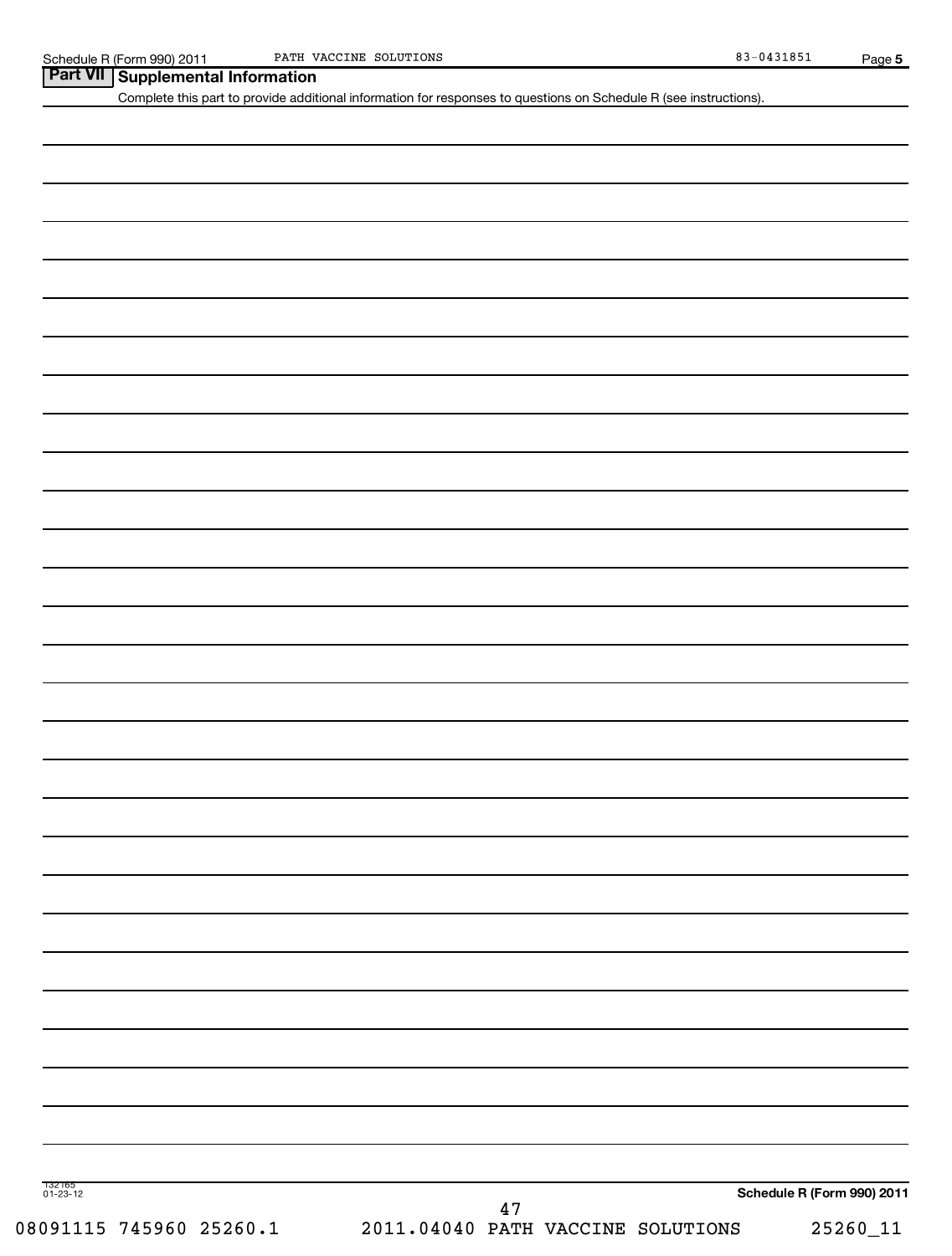| Part VII   Supplemental Information |
|-------------------------------------|

Complete this part to provide additional information for responses to questions on Schedule R (see instructions).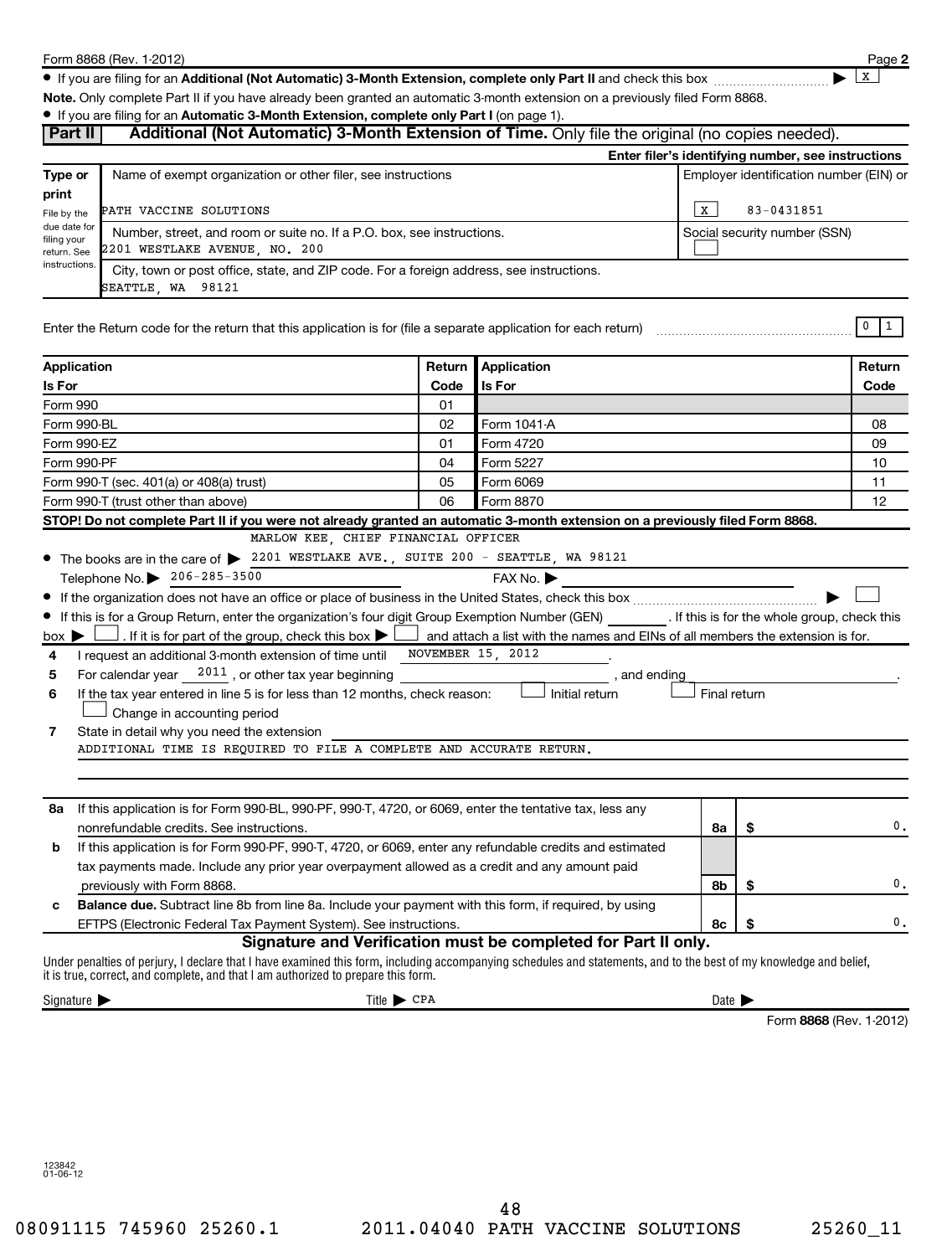**2**  $\lfloor x \rfloor$ 

● If you are filing for an Additional (Not Automatic) 3-Month Extension, complete only Part II and check this box <sub>……………………</sub>………

**Note.**  Only complete Part II if you have already been granted an automatic 3-month extension on a previously filed Form 8868.

### **• If you are filing for an Automatic 3-Month Extension, complete only Part I (on page 1).**

| Part II                                                                                                                                                                                                                                                 | If you are ming for an Automatic 3-Month Extension, complete only Part I (or page 1).                    | Additional (Not Automatic) 3-Month Extension of Time. Only file the original (no copies needed).                                                      |                            |                                         |                                                    |
|---------------------------------------------------------------------------------------------------------------------------------------------------------------------------------------------------------------------------------------------------------|----------------------------------------------------------------------------------------------------------|-------------------------------------------------------------------------------------------------------------------------------------------------------|----------------------------|-----------------------------------------|----------------------------------------------------|
|                                                                                                                                                                                                                                                         |                                                                                                          |                                                                                                                                                       |                            |                                         | Enter filer's identifying number, see instructions |
| Type or<br>print                                                                                                                                                                                                                                        | Name of exempt organization or other filer, see instructions                                             |                                                                                                                                                       |                            | Employer identification number (EIN) or |                                                    |
| PATH VACCINE SOLUTIONS<br>File by the                                                                                                                                                                                                                   |                                                                                                          |                                                                                                                                                       | X                          | 83-0431851                              |                                                    |
| due date for<br>filing your<br>return. See                                                                                                                                                                                                              | Number, street, and room or suite no. If a P.O. box, see instructions.<br>2201 WESTLAKE AVENUE, NO. 200  |                                                                                                                                                       |                            | Social security number (SSN)            |                                                    |
| instructions.<br>SEATTLE, WA 98121                                                                                                                                                                                                                      | City, town or post office, state, and ZIP code. For a foreign address, see instructions.                 |                                                                                                                                                       |                            |                                         |                                                    |
|                                                                                                                                                                                                                                                         |                                                                                                          |                                                                                                                                                       |                            |                                         | $0 \mid 1$                                         |
| Application                                                                                                                                                                                                                                             | Return                                                                                                   | Application                                                                                                                                           |                            |                                         | Return                                             |
| Is For                                                                                                                                                                                                                                                  | Code                                                                                                     | <b>Is For</b>                                                                                                                                         |                            |                                         | Code                                               |
| Form 990                                                                                                                                                                                                                                                | 01                                                                                                       |                                                                                                                                                       |                            |                                         |                                                    |
| Form 990-BL                                                                                                                                                                                                                                             | 02                                                                                                       | Form 1041-A                                                                                                                                           |                            |                                         | 08                                                 |
| Form 990-EZ                                                                                                                                                                                                                                             | 01                                                                                                       | Form 4720                                                                                                                                             |                            |                                         | 09                                                 |
| Form 990-PF                                                                                                                                                                                                                                             | 04                                                                                                       | Form 5227                                                                                                                                             |                            |                                         | 10                                                 |
| Form 990-T (sec. 401(a) or 408(a) trust)                                                                                                                                                                                                                | 05<br>Form 6069                                                                                          |                                                                                                                                                       | 11                         |                                         |                                                    |
| Form 990-T (trust other than above)                                                                                                                                                                                                                     | 06                                                                                                       | Form 8870                                                                                                                                             |                            |                                         | 12                                                 |
| STOP! Do not complete Part II if you were not already granted an automatic 3-month extension on a previously filed Form 8868.                                                                                                                           |                                                                                                          |                                                                                                                                                       |                            |                                         |                                                    |
|                                                                                                                                                                                                                                                         | MARLOW KEE, CHIEF FINANCIAL OFFICER                                                                      |                                                                                                                                                       |                            |                                         |                                                    |
| • The books are in the care of > 2201 WESTLAKE AVE., SUITE 200 - SEATTLE, WA 98121                                                                                                                                                                      |                                                                                                          |                                                                                                                                                       |                            |                                         |                                                    |
| Telephone No. 206-285-3500                                                                                                                                                                                                                              |                                                                                                          | FAX No. ▶                                                                                                                                             |                            |                                         |                                                    |
|                                                                                                                                                                                                                                                         |                                                                                                          |                                                                                                                                                       |                            |                                         |                                                    |
| • If this is for a Group Return, enter the organization's four digit Group Exemption Number (GEN) [167]. If this is for the whole group, check this                                                                                                     |                                                                                                          | . If it is for part of the group, check this box $\blacktriangleright$ and attach a list with the names and EINs of all members the extension is for. |                            |                                         |                                                    |
| $box \triangleright$<br>I request an additional 3-month extension of time until NOVEMBER 15, 2012<br>4                                                                                                                                                  |                                                                                                          |                                                                                                                                                       |                            |                                         |                                                    |
| For calendar year $2011$ , or other tax year beginning<br>5                                                                                                                                                                                             |                                                                                                          | , and ending                                                                                                                                          |                            |                                         |                                                    |
| If the tax year entered in line 5 is for less than 12 months, check reason:<br>6                                                                                                                                                                        |                                                                                                          | Initial return                                                                                                                                        | Final return               |                                         |                                                    |
| Change in accounting period                                                                                                                                                                                                                             |                                                                                                          |                                                                                                                                                       |                            |                                         |                                                    |
| State in detail why you need the extension<br>7                                                                                                                                                                                                         |                                                                                                          |                                                                                                                                                       |                            |                                         |                                                    |
| ADDITIONAL TIME IS REQUIRED TO FILE A COMPLETE AND ACCURATE RETURN.                                                                                                                                                                                     |                                                                                                          |                                                                                                                                                       |                            |                                         |                                                    |
|                                                                                                                                                                                                                                                         |                                                                                                          |                                                                                                                                                       |                            |                                         |                                                    |
|                                                                                                                                                                                                                                                         |                                                                                                          |                                                                                                                                                       |                            |                                         |                                                    |
| If this application is for Form 990-BL, 990-PF, 990-T, 4720, or 6069, enter the tentative tax, less any<br>8a                                                                                                                                           |                                                                                                          |                                                                                                                                                       |                            |                                         |                                                    |
|                                                                                                                                                                                                                                                         | nonrefundable credits. See instructions.<br>8a                                                           |                                                                                                                                                       |                            | \$                                      | 0.                                                 |
| b                                                                                                                                                                                                                                                       | If this application is for Form 990-PF, 990-T, 4720, or 6069, enter any refundable credits and estimated |                                                                                                                                                       |                            |                                         |                                                    |
| tax payments made. Include any prior year overpayment allowed as a credit and any amount paid                                                                                                                                                           |                                                                                                          |                                                                                                                                                       |                            |                                         |                                                    |
| 8b<br>\$<br>previously with Form 8868.                                                                                                                                                                                                                  |                                                                                                          |                                                                                                                                                       |                            | 0.                                      |                                                    |
| Balance due. Subtract line 8b from line 8a. Include your payment with this form, if required, by using<br>c                                                                                                                                             |                                                                                                          |                                                                                                                                                       |                            |                                         |                                                    |
| EFTPS (Electronic Federal Tax Payment System). See instructions.                                                                                                                                                                                        |                                                                                                          |                                                                                                                                                       | 8с                         | \$                                      | 0.                                                 |
| Under penalties of perjury, I declare that I have examined this form, including accompanying schedules and statements, and to the best of my knowledge and belief,<br>it is true, correct, and complete, and that I am authorized to prepare this form. |                                                                                                          | Signature and Verification must be completed for Part II only.                                                                                        |                            |                                         |                                                    |
| Signature $\blacktriangleright$                                                                                                                                                                                                                         | $Title \triangleright CPA$                                                                               |                                                                                                                                                       | Date $\blacktriangleright$ |                                         |                                                    |
|                                                                                                                                                                                                                                                         |                                                                                                          |                                                                                                                                                       |                            | Form 8868 (Rev. 1-2012)                 |                                                    |